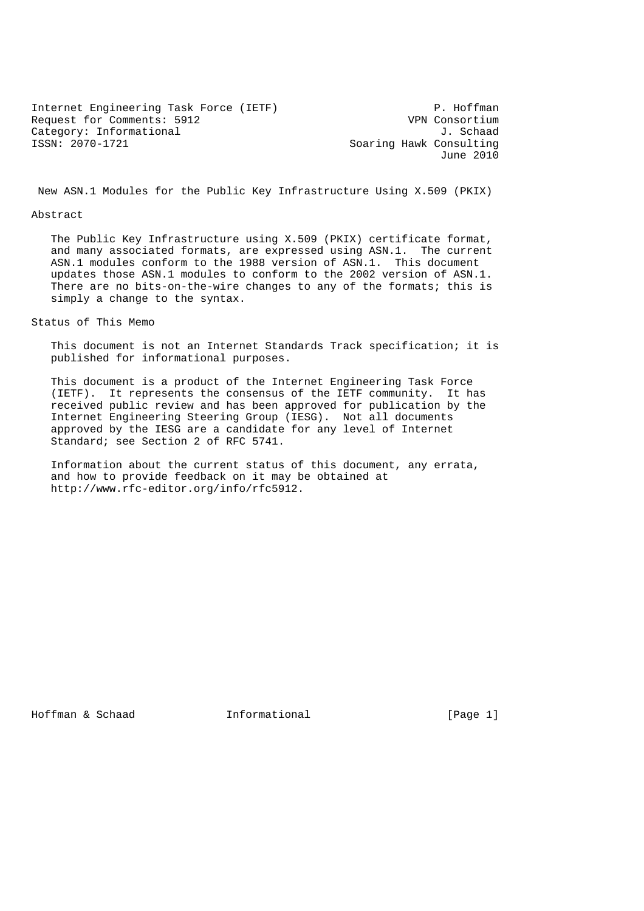Internet Engineering Task Force (IETF) P. Hoffman<br>Request for Comments: 5912 P. WPN Consortium Request for Comments: 5912 Category: Informational J. Schaad<br>
ISSN: 2070-1721 Category: Informational J. Soaring Hawk Consulting

Soaring Hawk Consulting June 2010

New ASN.1 Modules for the Public Key Infrastructure Using X.509 (PKIX)

## Abstract

 The Public Key Infrastructure using X.509 (PKIX) certificate format, and many associated formats, are expressed using ASN.1. The current ASN.1 modules conform to the 1988 version of ASN.1. This document updates those ASN.1 modules to conform to the 2002 version of ASN.1. There are no bits-on-the-wire changes to any of the formats; this is simply a change to the syntax.

Status of This Memo

 This document is not an Internet Standards Track specification; it is published for informational purposes.

 This document is a product of the Internet Engineering Task Force (IETF). It represents the consensus of the IETF community. It has received public review and has been approved for publication by the Internet Engineering Steering Group (IESG). Not all documents approved by the IESG are a candidate for any level of Internet Standard; see Section 2 of RFC 5741.

 Information about the current status of this document, any errata, and how to provide feedback on it may be obtained at http://www.rfc-editor.org/info/rfc5912.

Hoffman & Schaad 1nformational 1. [Page 1]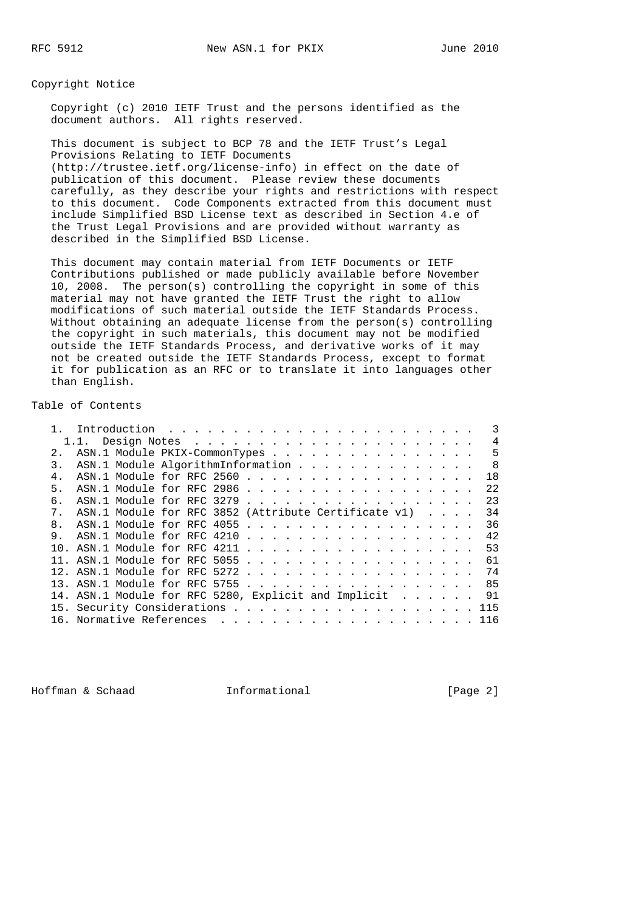Copyright Notice

 Copyright (c) 2010 IETF Trust and the persons identified as the document authors. All rights reserved.

 This document is subject to BCP 78 and the IETF Trust's Legal Provisions Relating to IETF Documents (http://trustee.ietf.org/license-info) in effect on the date of publication of this document. Please review these documents carefully, as they describe your rights and restrictions with respect to this document. Code Components extracted from this document must include Simplified BSD License text as described in Section 4.e of the Trust Legal Provisions and are provided without warranty as described in the Simplified BSD License.

 This document may contain material from IETF Documents or IETF Contributions published or made publicly available before November 10, 2008. The person(s) controlling the copyright in some of this material may not have granted the IETF Trust the right to allow modifications of such material outside the IETF Standards Process. Without obtaining an adequate license from the person(s) controlling the copyright in such materials, this document may not be modified outside the IETF Standards Process, and derivative works of it may not be created outside the IETF Standards Process, except to format it for publication as an RFC or to translate it into languages other than English.

Table of Contents

|                |                                                         |  |  |  |  |  |  |  |  |  |  | $\overline{4}$ |
|----------------|---------------------------------------------------------|--|--|--|--|--|--|--|--|--|--|----------------|
| $2^{\circ}$    | ASN.1 Module PKIX-CommonTypes                           |  |  |  |  |  |  |  |  |  |  | 5              |
| 3.             | ASN.1 Module AlgorithmInformation                       |  |  |  |  |  |  |  |  |  |  | $\overline{8}$ |
|                | ASN.1 Module for RFC 2560                               |  |  |  |  |  |  |  |  |  |  | 1 R            |
| 5.             |                                                         |  |  |  |  |  |  |  |  |  |  | 2.2.           |
| б.             |                                                         |  |  |  |  |  |  |  |  |  |  | 23             |
| 7 <sub>1</sub> | ASN.1 Module for RFC 3852 (Attribute Certificate v1)    |  |  |  |  |  |  |  |  |  |  | 34             |
| $\mathsf{R}$   | ASN.1 Module for RFC 4055                               |  |  |  |  |  |  |  |  |  |  | 36             |
|                | ASN.1 Module for RFC 4210                               |  |  |  |  |  |  |  |  |  |  | 42             |
|                |                                                         |  |  |  |  |  |  |  |  |  |  | 53             |
|                |                                                         |  |  |  |  |  |  |  |  |  |  | 61             |
|                |                                                         |  |  |  |  |  |  |  |  |  |  |                |
|                |                                                         |  |  |  |  |  |  |  |  |  |  |                |
|                | 14. ASN.1 Module for RFC 5280, Explicit and Implicit 91 |  |  |  |  |  |  |  |  |  |  |                |
|                |                                                         |  |  |  |  |  |  |  |  |  |  | 115            |
|                |                                                         |  |  |  |  |  |  |  |  |  |  | 116            |

Hoffman & Schaad **Informational Informational** [Page 2]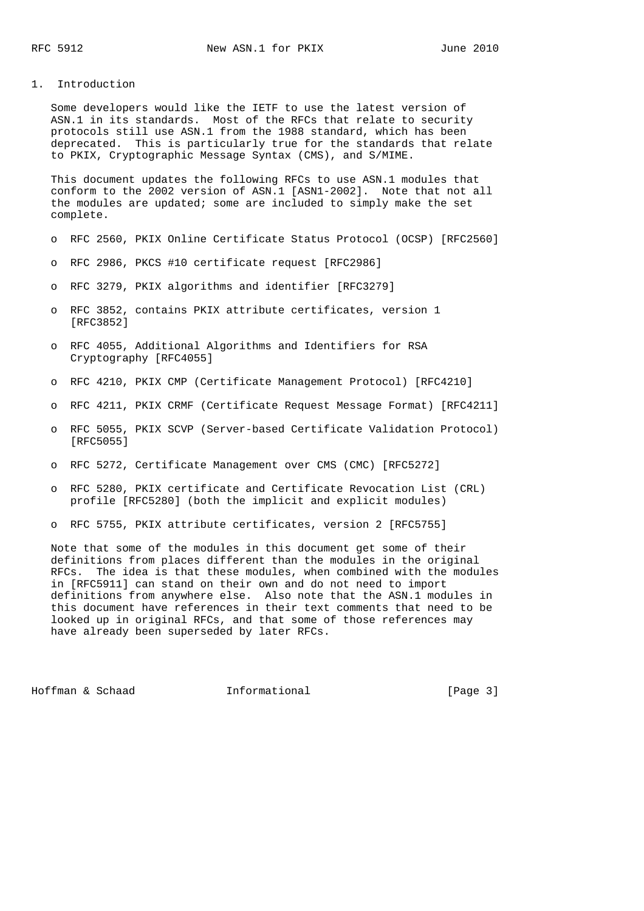## 1. Introduction

 Some developers would like the IETF to use the latest version of ASN.1 in its standards. Most of the RFCs that relate to security protocols still use ASN.1 from the 1988 standard, which has been deprecated. This is particularly true for the standards that relate to PKIX, Cryptographic Message Syntax (CMS), and S/MIME.

 This document updates the following RFCs to use ASN.1 modules that conform to the 2002 version of ASN.1 [ASN1-2002]. Note that not all the modules are updated; some are included to simply make the set complete.

- o RFC 2560, PKIX Online Certificate Status Protocol (OCSP) [RFC2560]
- o RFC 2986, PKCS #10 certificate request [RFC2986]
- o RFC 3279, PKIX algorithms and identifier [RFC3279]
- o RFC 3852, contains PKIX attribute certificates, version 1 [RFC3852]
- o RFC 4055, Additional Algorithms and Identifiers for RSA Cryptography [RFC4055]
- o RFC 4210, PKIX CMP (Certificate Management Protocol) [RFC4210]
- o RFC 4211, PKIX CRMF (Certificate Request Message Format) [RFC4211]
- o RFC 5055, PKIX SCVP (Server-based Certificate Validation Protocol) [RFC5055]
- o RFC 5272, Certificate Management over CMS (CMC) [RFC5272]
- o RFC 5280, PKIX certificate and Certificate Revocation List (CRL) profile [RFC5280] (both the implicit and explicit modules)
- o RFC 5755, PKIX attribute certificates, version 2 [RFC5755]

 Note that some of the modules in this document get some of their definitions from places different than the modules in the original RFCs. The idea is that these modules, when combined with the modules in [RFC5911] can stand on their own and do not need to import definitions from anywhere else. Also note that the ASN.1 modules in this document have references in their text comments that need to be looked up in original RFCs, and that some of those references may have already been superseded by later RFCs.

Hoffman & Schaad 1nformational 100 [Page 3]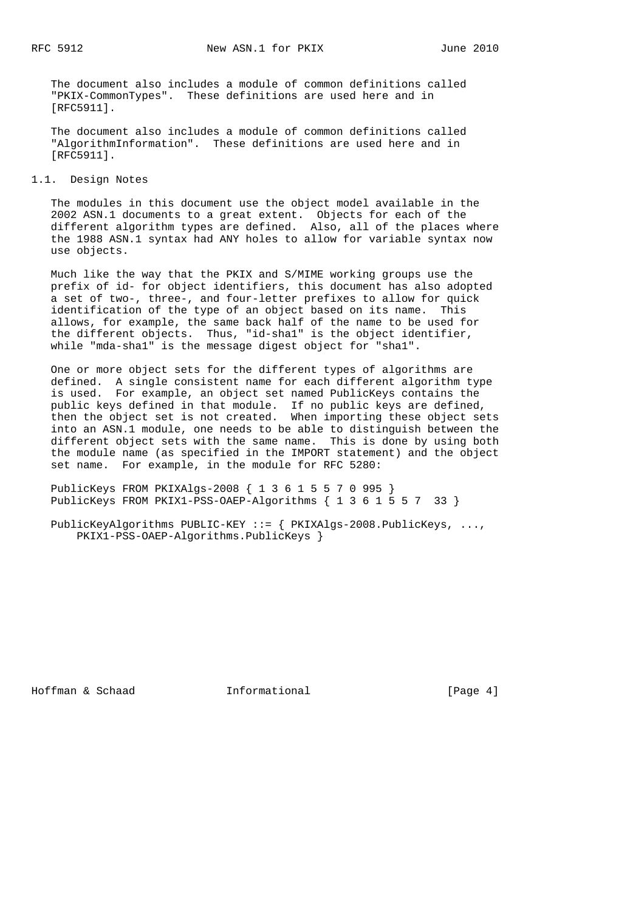The document also includes a module of common definitions called "PKIX-CommonTypes". These definitions are used here and in [RFC5911].

 The document also includes a module of common definitions called "AlgorithmInformation". These definitions are used here and in [RFC5911].

## 1.1. Design Notes

 The modules in this document use the object model available in the 2002 ASN.1 documents to a great extent. Objects for each of the different algorithm types are defined. Also, all of the places where the 1988 ASN.1 syntax had ANY holes to allow for variable syntax now use objects.

 Much like the way that the PKIX and S/MIME working groups use the prefix of id- for object identifiers, this document has also adopted a set of two-, three-, and four-letter prefixes to allow for quick identification of the type of an object based on its name. This allows, for example, the same back half of the name to be used for the different objects. Thus, "id-sha1" is the object identifier, while "mda-sha1" is the message digest object for "sha1".

 One or more object sets for the different types of algorithms are defined. A single consistent name for each different algorithm type is used. For example, an object set named PublicKeys contains the public keys defined in that module. If no public keys are defined, then the object set is not created. When importing these object sets into an ASN.1 module, one needs to be able to distinguish between the different object sets with the same name. This is done by using both the module name (as specified in the IMPORT statement) and the object set name. For example, in the module for RFC 5280:

 PublicKeys FROM PKIXAlgs-2008 { 1 3 6 1 5 5 7 0 995 } PublicKeys FROM PKIX1-PSS-OAEP-Algorithms { 1 3 6 1 5 5 7 33 }

 PublicKeyAlgorithms PUBLIC-KEY ::= { PKIXAlgs-2008.PublicKeys, ..., PKIX1-PSS-OAEP-Algorithms.PublicKeys }

Hoffman & Schaad **Informational Informational** [Page 4]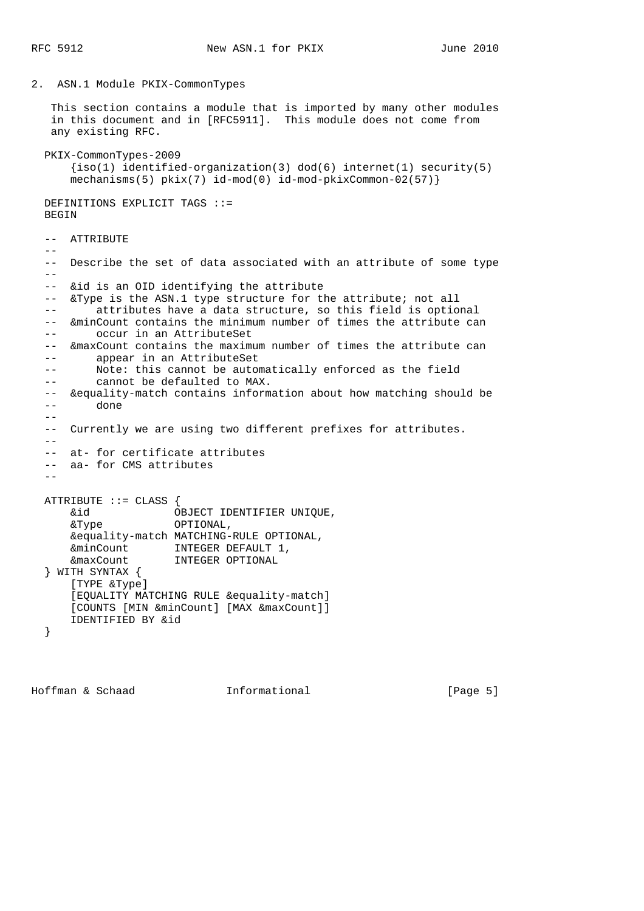2. ASN.1 Module PKIX-CommonTypes

 This section contains a module that is imported by many other modules in this document and in [RFC5911]. This module does not come from any existing RFC.

```
 PKIX-CommonTypes-2009
    \{iso(1) identified-organization(3) dod(6) internet(1) security(5)
    mechanisms(5) pkix(7) id-mod(0) id-mod-pkixCommon-02(57)
```
 DEFINITIONS EXPLICIT TAGS ::= BEGIN

 -- ATTRIBUTE  $- -$  -- Describe the set of data associated with an attribute of some type  $- -$  -- &id is an OID identifying the attribute -- &Type is the ASN.1 type structure for the attribute; not all -- attributes have a data structure, so this field is optional -- &minCount contains the minimum number of times the attribute can -- occur in an AttributeSet -- &maxCount contains the maximum number of times the attribute can -- appear in an AttributeSet -- Note: this cannot be automatically enforced as the field -- cannot be defaulted to MAX. -- &equality-match contains information about how matching should be -- done  $-$  -- Currently we are using two different prefixes for attributes.  $-$  -- at- for certificate attributes -- aa- for CMS attributes  $-$ ATTRIBUTE  $::=$  CLASS  $\{$  &id OBJECT IDENTIFIER UNIQUE, &Type OPTIONAL, &equality-match MATCHING-RULE OPTIONAL, &minCount INTEGER DEFAULT 1, &maxCount INTEGER OPTIONAL } WITH SYNTAX { [TYPE &Type] [EQUALITY MATCHING RULE &equality-match] [COUNTS [MIN &minCount] [MAX &maxCount]] IDENTIFIED BY &id }

Hoffman & Schaad **Informational Informational** [Page 5]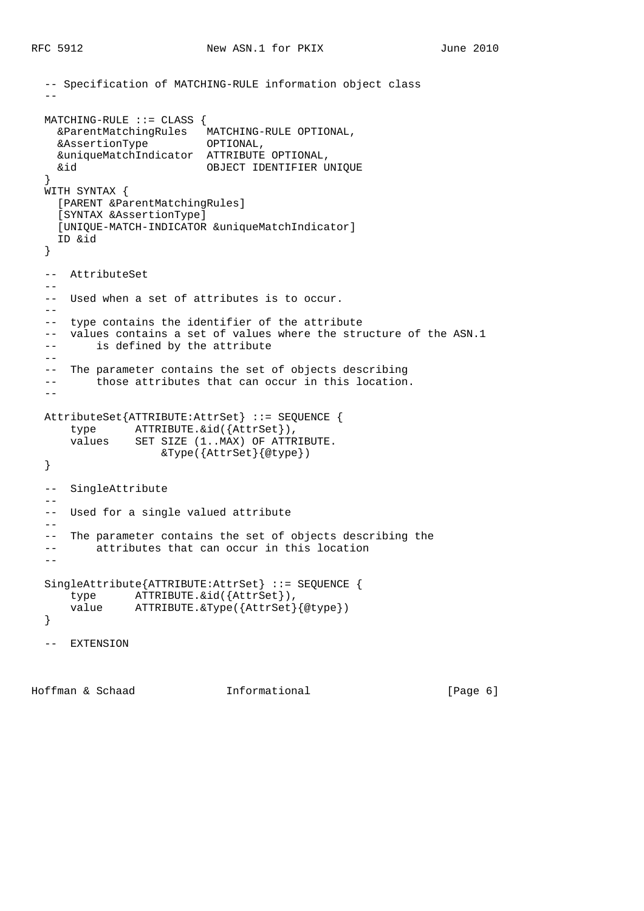```
 -- Specification of MATCHING-RULE information object class
- MATCHING-RULE ::= CLASS {
 &ParentMatchingRules MATCHING-RULE OPTIONAL,
 &AssertionType OPTIONAL,
    &uniqueMatchIndicator ATTRIBUTE OPTIONAL,
    &id OBJECT IDENTIFIER UNIQUE
  }
  WITH SYNTAX {
    [PARENT &ParentMatchingRules]
    [SYNTAX &AssertionType]
    [UNIQUE-MATCH-INDICATOR &uniqueMatchIndicator]
    ID &id
  }
  -- AttributeSet
 - -- Used when a set of attributes is to occur.
 - -- type contains the identifier of the attribute
  -- values contains a set of values where the structure of the ASN.1
  -- is defined by the attribute
 - - -- The parameter contains the set of objects describing
  -- those attributes that can occur in this location.
 - AttributeSet{ATTRIBUTE:AttrSet} ::= SEQUENCE {
 type ATTRIBUTE.&id({AttrSet}),
 values SET SIZE (1..MAX) OF ATTRIBUTE.
                   &Type({AttrSet}{@type})
  }
  -- SingleAttribute
  --
  -- Used for a single valued attribute
  --
  -- The parameter contains the set of objects describing the
  -- attributes that can occur in this location
 - - SingleAttribute{ATTRIBUTE:AttrSet} ::= SEQUENCE {
      type ATTRIBUTE.&id({AttrSet}),
     value ATTRIBUTE.&Type({AttrSet}{@type})
  }
  -- EXTENSION
```
Hoffman & Schaad **Informational** 1. [Page 6]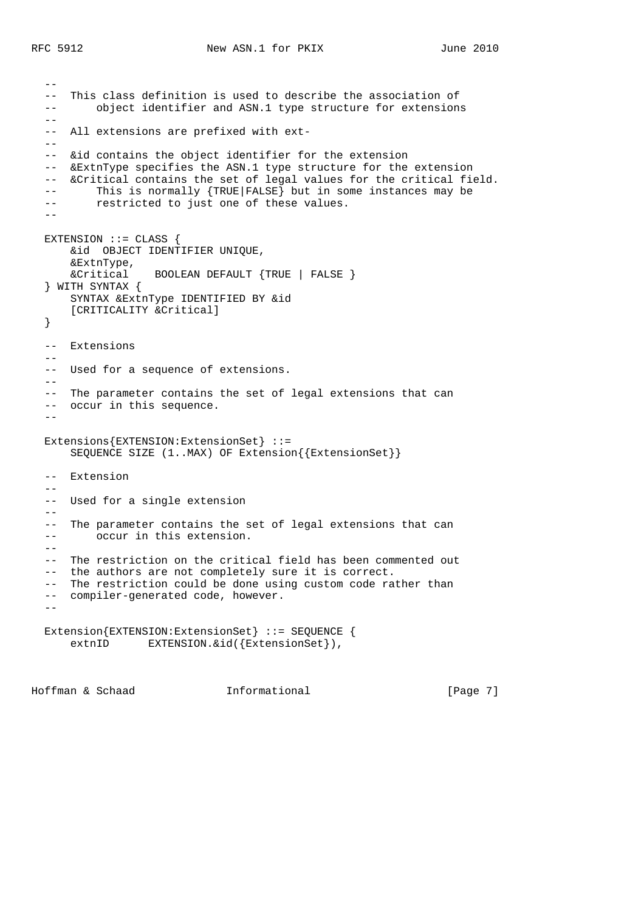```
- -- This class definition is used to describe the association of
  -- object identifier and ASN.1 type structure for extensions
 - - -- All extensions are prefixed with ext-
 - -- &id contains the object identifier for the extension
  -- &ExtnType specifies the ASN.1 type structure for the extension
  -- &Critical contains the set of legal values for the critical field.
  -- This is normally {TRUE|FALSE} but in some instances may be
  -- restricted to just one of these values.
 - - EXTENSION ::= CLASS {
      &id OBJECT IDENTIFIER UNIQUE,
     &ExtnType,<br>&Critical
                 BOOLEAN DEFAULT {TRUE | FALSE }
  } WITH SYNTAX {
      SYNTAX &ExtnType IDENTIFIED BY &id
      [CRITICALITY &Critical]
  }
  -- Extensions
   --
  -- Used for a sequence of extensions.
  --
  -- The parameter contains the set of legal extensions that can
  -- occur in this sequence.
  --
  Extensions{EXTENSION:ExtensionSet} ::=
      SEQUENCE SIZE (1..MAX) OF Extension{{ExtensionSet}}
  -- Extension
 - -- Used for a single extension
 - - -- The parameter contains the set of legal extensions that can
  -- occur in this extension.
 - - -- The restriction on the critical field has been commented out
  -- the authors are not completely sure it is correct.
  -- The restriction could be done using custom code rather than
  -- compiler-generated code, however.
 - Extension{EXTENSION:ExtensionSet} ::= SEQUENCE {
     extnID EXTENSION. & id({ExtensionSet}),
```
Hoffman & Schaad **Informational** [Page 7]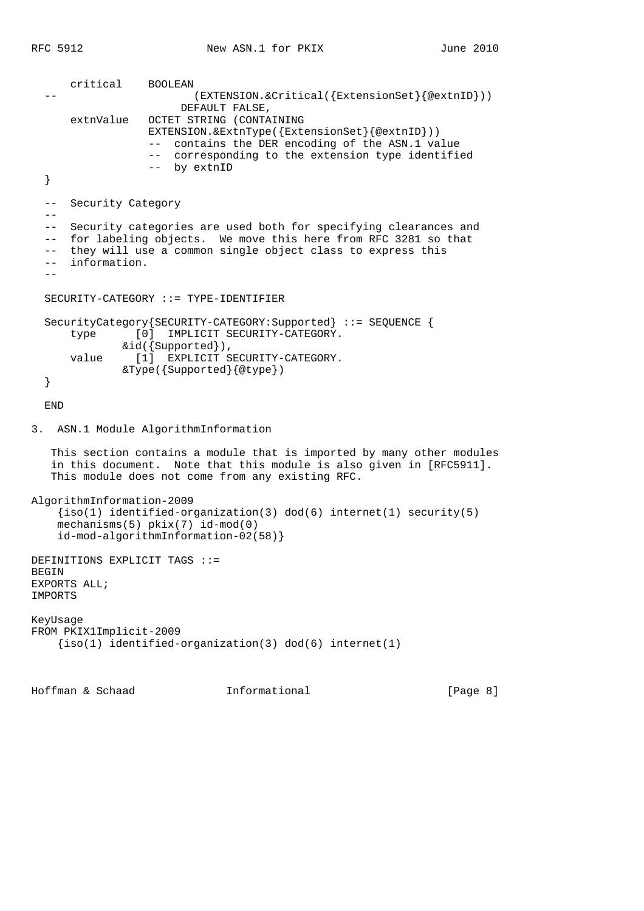```
 critical BOOLEAN
                         (EXTENSION.&Critical({ExtensionSet}{@extnID}))
                        DEFAULT FALSE,
       extnValue OCTET STRING (CONTAINING
                   EXTENSION.&ExtnType({ExtensionSet}{@extnID}))
                   -- contains the DER encoding of the ASN.1 value
                   -- corresponding to the extension type identified
                   -- by extnID
   }
   -- Security Category
  - -- Security categories are used both for specifying clearances and
   -- for labeling objects. We move this here from RFC 3281 so that
   -- they will use a common single object class to express this
   -- information.
   --
   SECURITY-CATEGORY ::= TYPE-IDENTIFIER
   SecurityCategory{SECURITY-CATEGORY:Supported} ::= SEQUENCE {
       type [0] IMPLICIT SECURITY-CATEGORY.
              &id({Supported}),
      value [1] EXPLICIT SECURITY-CATEGORY.
               &Type({Supported}{@type})
   }
   END
3. ASN.1 Module AlgorithmInformation
    This section contains a module that is imported by many other modules
    in this document. Note that this module is also given in [RFC5911].
    This module does not come from any existing RFC.
AlgorithmInformation-2009
    {s(1)} identified-organization(3) dod(6) internet(1) security(5)
     mechanisms(5) pkix(7) id-mod(0)
     id-mod-algorithmInformation-02(58)}
DEFINITIONS EXPLICIT TAGS ::=
BEGIN
EXPORTS ALL;
IMPORTS
KeyUsage
FROM PKIX1Implicit-2009
     {iso(1) identified-organization(3) dod(6) internet(1)
```
Hoffman & Schaad **Informational Informational** [Page 8]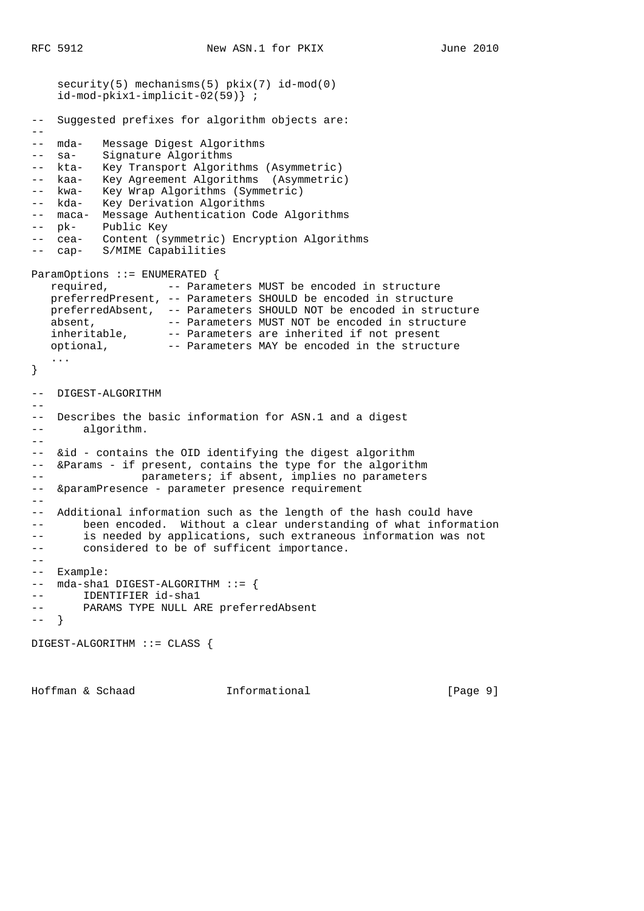```
security(5) mechanisms(5) pkix(7) id-mod(0)
    id-mod-pkix1-implicit-02(59)} ;
-- Suggested prefixes for algorithm objects are:
--- mda- Message Digest Algorithms
-- sa- Signature Algorithms
-- kta- Key Transport Algorithms (Asymmetric)
-- kaa- Key Agreement Algorithms (Asymmetric)
-- kwa- Key Wrap Algorithms (Symmetric)
-- kda- Key Derivation Algorithms
-- maca- Message Authentication Code Algorithms
-- pk- Public Key
-- cea- Content (symmetric) Encryption Algorithms
-- cap- S/MIME Capabilities
ParamOptions ::= ENUMERATED {
   required, -- Parameters MUST be encoded in structure
   preferredPresent, -- Parameters SHOULD be encoded in structure
   preferredAbsent, -- Parameters SHOULD NOT be encoded in structure
absent, - Parameters MUST NOT be encoded in structure
 inheritable, -- Parameters are inherited if not present
 optional, -- Parameters MAY be encoded in the structure
    ...
}
-- DIGEST-ALGORITHM
- --- Describes the basic information for ASN.1 and a digest
-- algorithm.
--
-- &id - contains the OID identifying the digest algorithm
-- &Params - if present, contains the type for the algorithm
-- parameters; if absent, implies no parameters
-- &paramPresence - parameter presence requirement
--- Additional information such as the length of the hash could have
-- been encoded. Without a clear understanding of what information
-- is needed by applications, such extraneous information was not
-- considered to be of sufficent importance.
--- Example:
-- mda-sha1 DIGEST-ALGORITHM ::= {
-- IDENTIFIER id-sha1
-- PARAMS TYPE NULL ARE preferredAbsent
---}
DIGEST-ALGORITHM ::= CLASS {
```
Hoffman & Schaad **Informational Informational** [Page 9]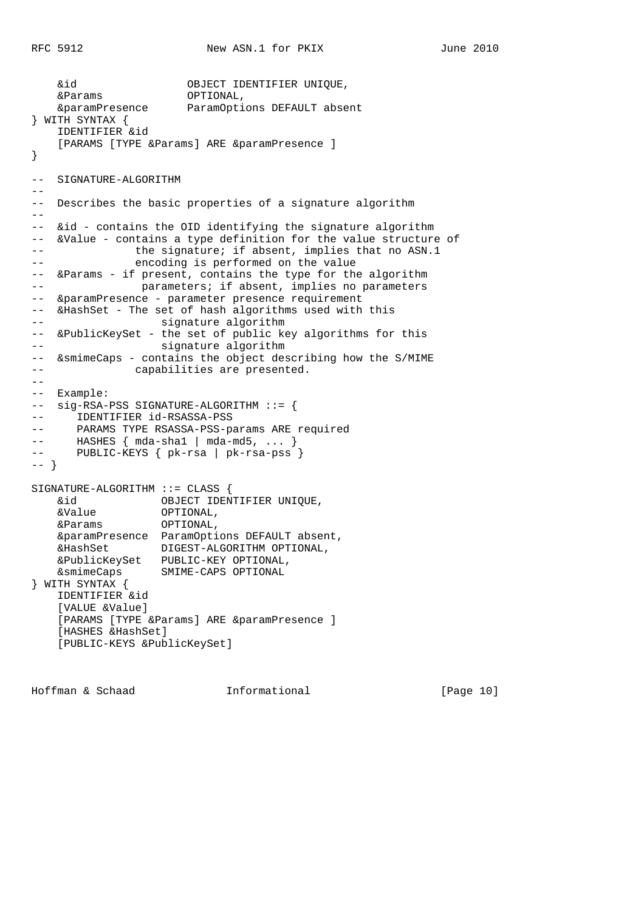```
 &id OBJECT IDENTIFIER UNIQUE,
    &Params OPTIONAL,
    &paramPresence ParamOptions DEFAULT absent
} WITH SYNTAX {
    IDENTIFIER &id
   [PARAMS [TYPE &Params] ARE &paramPresence ]
}
-- SIGNATURE-ALGORITHM
--
-- Describes the basic properties of a signature algorithm
--
-- &id - contains the OID identifying the signature algorithm
-- &Value - contains a type definition for the value structure of
-- the signature; if absent, implies that no ASN.1
-- encoding is performed on the value
-- &Params - if present, contains the type for the algorithm
-- parameters; if absent, implies no parameters
-- &paramPresence - parameter presence requirement
-- &HashSet - The set of hash algorithms used with this
-- signature algorithm
-- &PublicKeySet - the set of public key algorithms for this
-- signature algorithm
-- &smimeCaps - contains the object describing how the S/MIME
-- capabilities are presented.
--
-- Example:
-- sig-RSA-PSS SIGNATURE-ALGORITHM ::= {
-- IDENTIFIER id-RSASSA-PSS
-- PARAMS TYPE RSASSA-PSS-params ARE required
-- HASHES { mda-sha1 | mda-md5, ... }<br>-- PUBLIC-KEYS { pk-rsa | pk-rsa-pss
     PUBLIC-KEYS { pk-rsa | pk-rsa-pss }
-- }
SIGNATURE-ALGORITHM ::= CLASS {
    &id OBJECT IDENTIFIER UNIQUE,
 &Value OPTIONAL,
 &Params OPTIONAL,
    &paramPresence ParamOptions DEFAULT absent,
    &HashSet DIGEST-ALGORITHM OPTIONAL,
    &PublicKeySet PUBLIC-KEY OPTIONAL,
    &smimeCaps SMIME-CAPS OPTIONAL
} WITH SYNTAX {
    IDENTIFIER &id
    [VALUE &Value]
   [PARAMS [TYPE &Params] ARE &paramPresence ]
    [HASHES &HashSet]
    [PUBLIC-KEYS &PublicKeySet]
```
Hoffman & Schaad Informational [Page 10]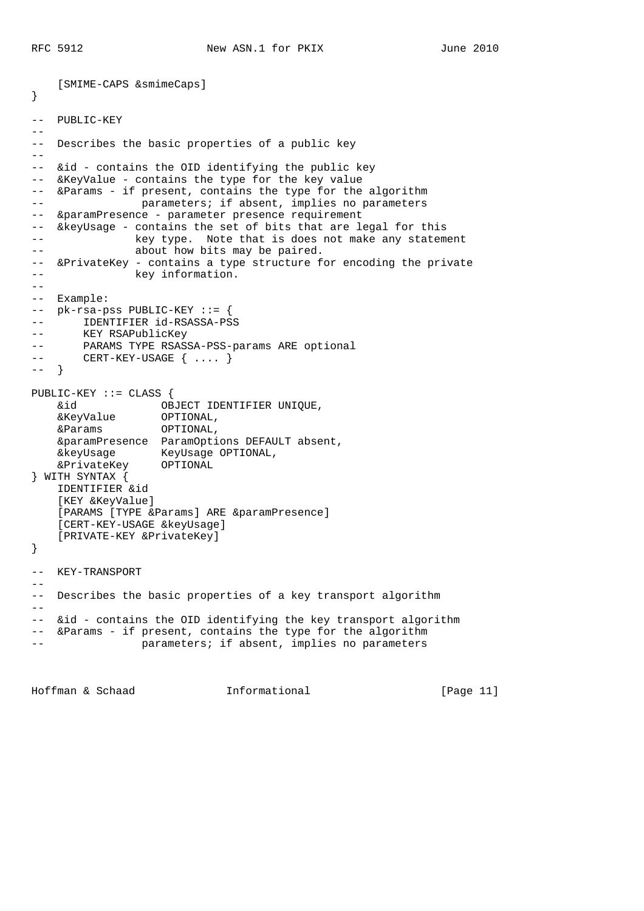[SMIME-CAPS &smimeCaps] } -- PUBLIC-KEY  $-$ -- Describes the basic properties of a public key  $\perp$   $\perp$ -- &id - contains the OID identifying the public key -- &KeyValue - contains the type for the key value -- &Params - if present, contains the type for the algorithm -- parameters; if absent, implies no parameters -- & paramPresence - parameter presence requirement -- &keyUsage - contains the set of bits that are legal for this -- key type. Note that is does not make any statement -- about how bits may be paired. -- &PrivateKey - contains a type structure for encoding the private -- **key** information.  $- -$ -- Example: -- pk-rsa-pss PUBLIC-KEY ::= { -- IDENTIFIER id-RSASSA-PSS -- KEY RSAPublicKey -- PARAMS TYPE RSASSA-PSS-params ARE optional -- CERT-KEY-USAGE { .... } -- } PUBLIC-KEY ::= CLASS { &id OBJECT IDENTIFIER UNIQUE, &KeyValue OPTIONAL, &Params OPTIONAL, &paramPresence ParamOptions DEFAULT absent, &keyUsage KeyUsage OPTIONAL, &PrivateKey OPTIONAL } WITH SYNTAX { IDENTIFIER &id [KEY &KeyValue] [PARAMS [TYPE &Params] ARE &paramPresence] [CERT-KEY-USAGE &keyUsage] [PRIVATE-KEY &PrivateKey] } -- KEY-TRANSPORT  $-$ -- Describes the basic properties of a key transport algorithm  $- -$ -- &id - contains the OID identifying the key transport algorithm -- &Params - if present, contains the type for the algorithm -- parameters; if absent, implies no parameters

Hoffman & Schaad Informational [Page 11]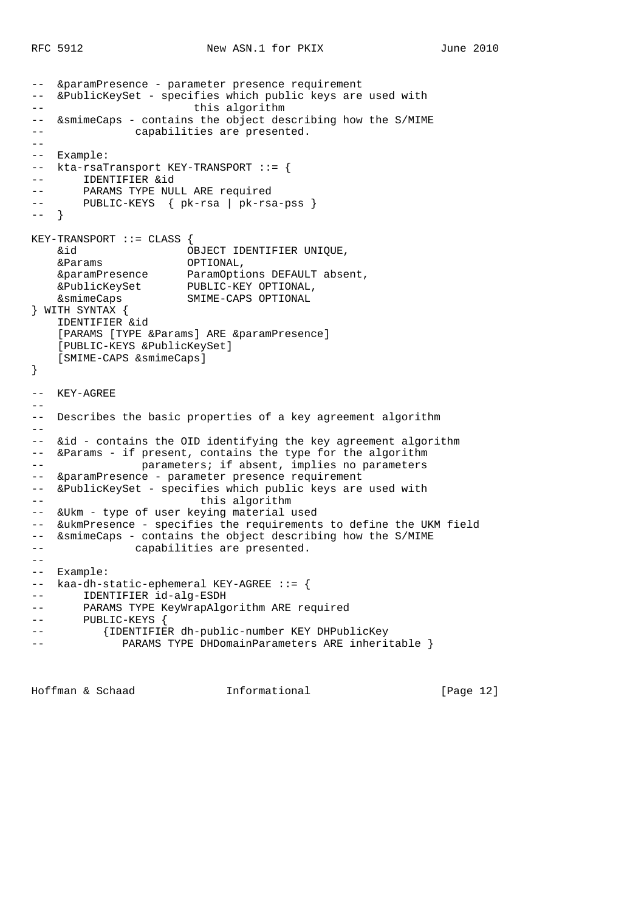```
-- &paramPresence - parameter presence requirement
-- &PublicKeySet - specifies which public keys are used with
-- this algorithm
-- &smimeCaps - contains the object describing how the S/MIME
-- capabilities are presented.
--
-- Example:
-- kta-rsaTransport KEY-TRANSPORT ::= {
-- IDENTIFIER &id
-- PARAMS TYPE NULL ARE required
-- PUBLIC-KEYS { pk-rsa | pk-rsa-pss }
-- }
KEY-TRANSPORT ::= CLASS {
    &id OBJECT IDENTIFIER UNIQUE,
 &Params OPTIONAL,
 &paramPresence ParamOptions DEFAULT absent,
 &PublicKeySet PUBLIC-KEY OPTIONAL,
 &smimeCaps SMIME-CAPS OPTIONAL
} WITH SYNTAX {
    IDENTIFIER &id
   [PARAMS [TYPE &Params] ARE &paramPresence]
    [PUBLIC-KEYS &PublicKeySet]
    [SMIME-CAPS &smimeCaps]
}
-- KEY-AGREE
--
-- Describes the basic properties of a key agreement algorithm
--- &id - contains the OID identifying the key agreement algorithm
-- &Params - if present, contains the type for the algorithm
-- parameters; if absent, implies no parameters
-- &paramPresence - parameter presence requirement
-- &PublicKeySet - specifies which public keys are used with
-- this algorithm
-- &Ukm - type of user keying material used
-- &ukmPresence - specifies the requirements to define the UKM field
-- &smimeCaps - contains the object describing how the S/MIME
-- capabilities are presented.
- --- Example:
-- kaa-dh-static-ephemeral KEY-AGREE ::= {
-- IDENTIFIER id-alg-ESDH
-- PARAMS TYPE KeyWrapAlgorithm ARE required
-- PUBLIC-KEYS {
-- {IDENTIFIER dh-public-number KEY DHPublicKey
-- PARAMS TYPE DHDomainParameters ARE inheritable }
```
Hoffman & Schaad Informational [Page 12]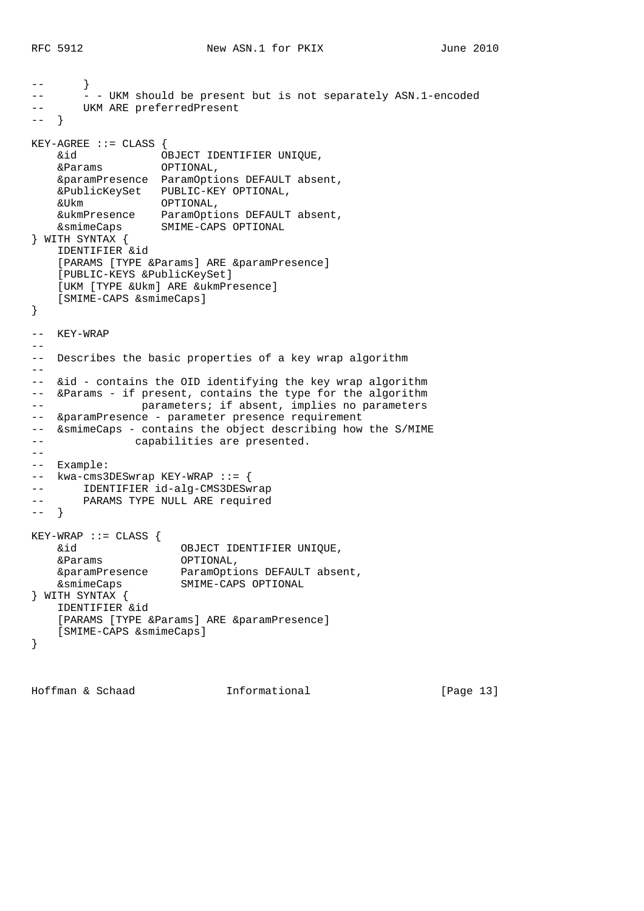```
-- }
-- - - UKM should be present but is not separately ASN.1-encoded
-- UKM ARE preferredPresent
-- }
KEY-AGREE ::= CLASS \{ &id OBJECT IDENTIFIER UNIQUE,
 &Params OPTIONAL,
    &paramPresence ParamOptions DEFAULT absent,
    &PublicKeySet PUBLIC-KEY OPTIONAL,
    &Ukm OPTIONAL,
    &ukmPresence ParamOptions DEFAULT absent,
    &smimeCaps SMIME-CAPS OPTIONAL
} WITH SYNTAX {
    IDENTIFIER &id
   [PARAMS [TYPE &Params] ARE &paramPresence]
    [PUBLIC-KEYS &PublicKeySet]
    [UKM [TYPE &Ukm] ARE &ukmPresence]
    [SMIME-CAPS &smimeCaps]
}
-- KEY-WRAP
--
-- Describes the basic properties of a key wrap algorithm
--
-- &id - contains the OID identifying the key wrap algorithm
-- &Params - if present, contains the type for the algorithm
-- parameters; if absent, implies no parameters
-- &paramPresence - parameter presence requirement
-- &smimeCaps - contains the object describing how the S/MIME
-- capabilities are presented.
--
-- Example:
-- kwa-cms3DESwrap KEY-WRAP ::= {
-- IDENTIFIER id-alg-CMS3DESwrap
-- PARAMS TYPE NULL ARE required
-- }
KEY-WRAP ::= CLASS {
    &id OBJECT IDENTIFIER UNIQUE,
    &Params OPTIONAL,
 &paramPresence ParamOptions DEFAULT absent,
 &smimeCaps SMIME-CAPS OPTIONAL
} WITH SYNTAX {
    IDENTIFIER &id
   [PARAMS [TYPE &Params] ARE &paramPresence]
    [SMIME-CAPS &smimeCaps]
}
```
Hoffman & Schaad Informational [Page 13]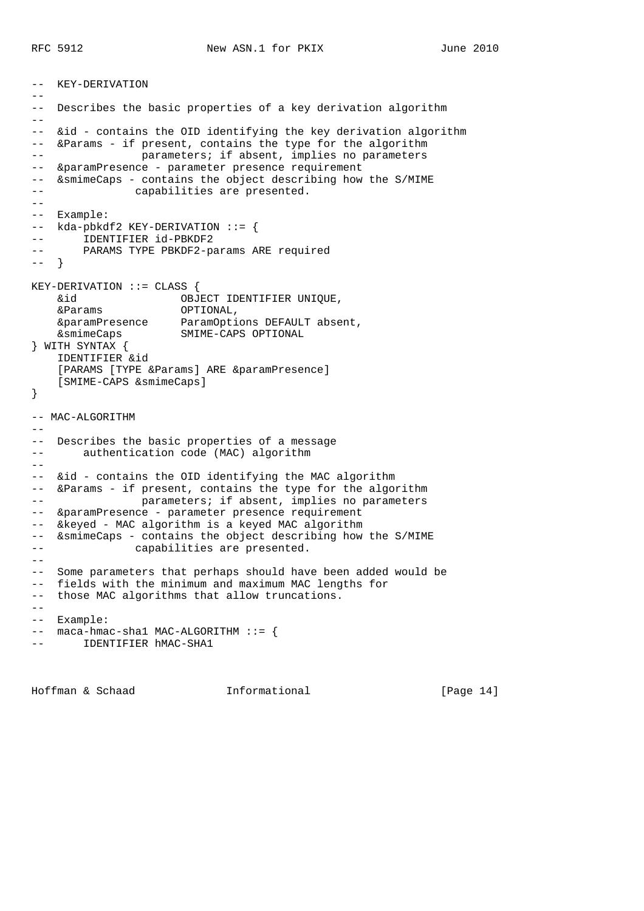```
-- KEY-DERIVATION
--
-- Describes the basic properties of a key derivation algorithm
-1-- &id - contains the OID identifying the key derivation algorithm
-- &Params - if present, contains the type for the algorithm
-- parameters; if absent, implies no parameters
-- &paramPresence - parameter presence requirement
-- &smimeCaps - contains the object describing how the S/MIME
-- capabilities are presented.
--
-- Example:
-- kda-pbkdf2 KEY-DERIVATION ::= {
-- IDENTIFIER id-PBKDF2
-- PARAMS TYPE PBKDF2-params ARE required
-- }
KEY-DERIVATION ::= CLASS {
    &id OBJECT IDENTIFIER UNIQUE,
 &Params OPTIONAL,
 &paramPresence ParamOptions DEFAULT absent,
    &smimeCaps SMIME-CAPS OPTIONAL
} WITH SYNTAX {
    IDENTIFIER &id
   [PARAMS [TYPE &Params] ARE &paramPresence]
    [SMIME-CAPS &smimeCaps]
}
-- MAC-ALGORITHM
--- Describes the basic properties of a message
-- authentication code (MAC) algorithm
--- &id - contains the OID identifying the MAC algorithm
-- &Params - if present, contains the type for the algorithm
-- parameters; if absent, implies no parameters
-- &paramPresence - parameter presence requirement
-- &keyed - MAC algorithm is a keyed MAC algorithm
-- &smimeCaps - contains the object describing how the S/MIME
-- capabilities are presented.
- --- Some parameters that perhaps should have been added would be
-- fields with the minimum and maximum MAC lengths for
-- those MAC algorithms that allow truncations.
- --- Example:
-- maca-hmac-sha1 MAC-ALGORITHM ::= {
       IDENTIFIER hMAC-SHA1
```
Hoffman & Schaad Informational [Page 14]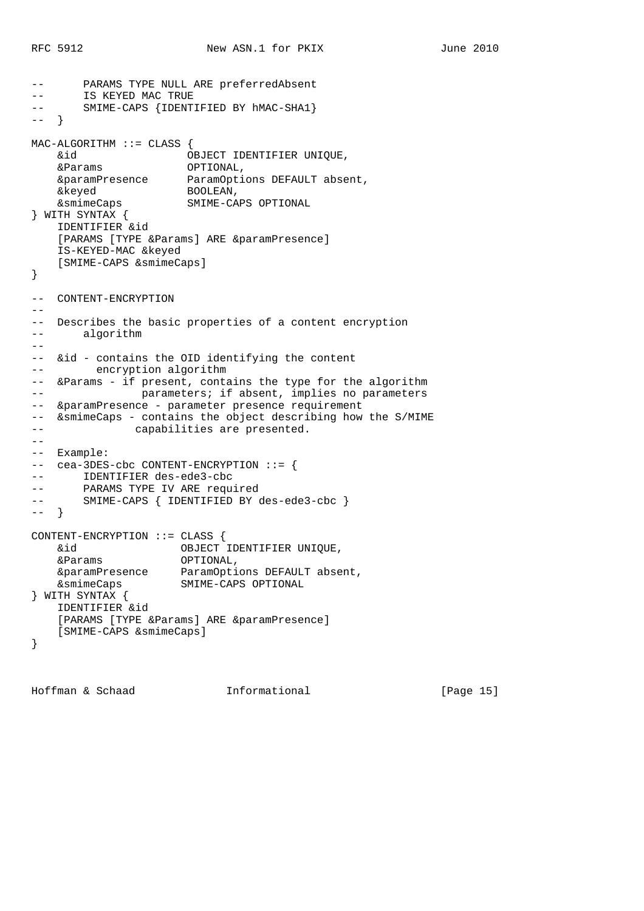```
PARAMS TYPE NULL ARE preferredAbsent
-- IS KEYED MAC TRUE
-- SMIME-CAPS {IDENTIFIED BY hMAC-SHA1}
-- }
MAC-ALGORITHM ::= CLASS {
 &id OBJECT IDENTIFIER UNIQUE,
 &Params OPTIONAL,
 &paramPresence ParamOptions DEFAULT absent,
 &keyed BOOLEAN,
    &smimeCaps SMIME-CAPS OPTIONAL
} WITH SYNTAX {
    IDENTIFIER &id
   [PARAMS [TYPE &Params] ARE &paramPresence]
    IS-KEYED-MAC &keyed
    [SMIME-CAPS &smimeCaps]
}
-- CONTENT-ENCRYPTION
--- Describes the basic properties of a content encryption
-- algorithm
--- &id - contains the OID identifying the content
-- encryption algorithm
-- &Params - if present, contains the type for the algorithm
-- parameters; if absent, implies no parameters
-- &paramPresence - parameter presence requirement
-- &smimeCaps - contains the object describing how the S/MIME
-- capabilities are presented.
-\frac{1}{2}-- Example:
-- cea-3DES-cbc CONTENT-ENCRYPTION ::= {
-- IDENTIFIER des-ede3-cbc
-- PARAMS TYPE IV ARE required<br>-- SMIME-CAPS { IDENTIFIED BY
      SMIME-CAPS { IDENTIFIED BY des-ede3-cbc }
-- }
CONTENT-ENCRYPTION ::= CLASS {
 &id OBJECT IDENTIFIER UNIQUE,
 &Params OPTIONAL,
 &paramPresence ParamOptions DEFAULT absent,
 &smimeCaps SMIME-CAPS OPTIONAL
} WITH SYNTAX {
    IDENTIFIER &id
   [PARAMS [TYPE &Params] ARE &paramPresence]
    [SMIME-CAPS &smimeCaps]
}
```
Hoffman & Schaad Informational [Page 15]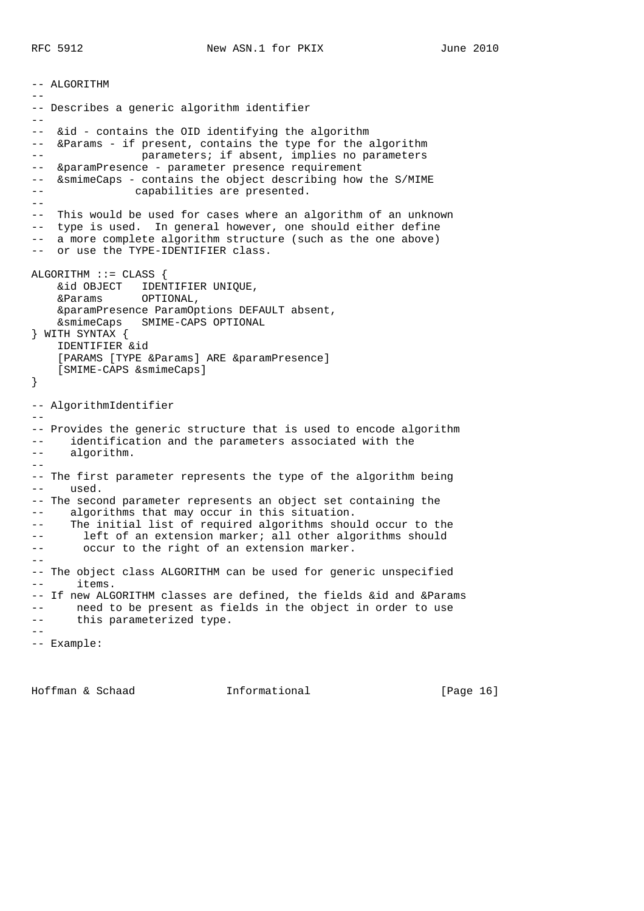-- ALGORITHM -- -- Describes a generic algorithm identifier  $-$ -- &id - contains the OID identifying the algorithm -- &Params - if present, contains the type for the algorithm -- parameters; if absent, implies no parameters -- &paramPresence - parameter presence requirement -- &smimeCaps - contains the object describing how the S/MIME -- capabilities are presented. -- -- This would be used for cases where an algorithm of an unknown -- type is used. In general however, one should either define -- a more complete algorithm structure (such as the one above) -- or use the TYPE-IDENTIFIER class. ALGORITHM ::= CLASS { &id OBJECT IDENTIFIER UNIQUE, &Params OPTIONAL, &paramPresence ParamOptions DEFAULT absent, &smimeCaps SMIME-CAPS OPTIONAL } WITH SYNTAX { IDENTIFIER &id [PARAMS [TYPE &Params] ARE &paramPresence] [SMIME-CAPS &smimeCaps] } -- AlgorithmIdentifier -- -- Provides the generic structure that is used to encode algorithm -- identification and the parameters associated with the -- algorithm.  $-$ -- The first parameter represents the type of the algorithm being -- used. -- The second parameter represents an object set containing the -- algorithms that may occur in this situation. -- The initial list of required algorithms should occur to the -- left of an extension marker; all other algorithms should -- occur to the right of an extension marker.  $- -$ -- The object class ALGORITHM can be used for generic unspecified -- items. -- If new ALGORITHM classes are defined, the fields &id and &Params -- need to be present as fields in the object in order to use -- this parameterized type.  $-$ -- Example:

Hoffman & Schaad Informational [Page 16]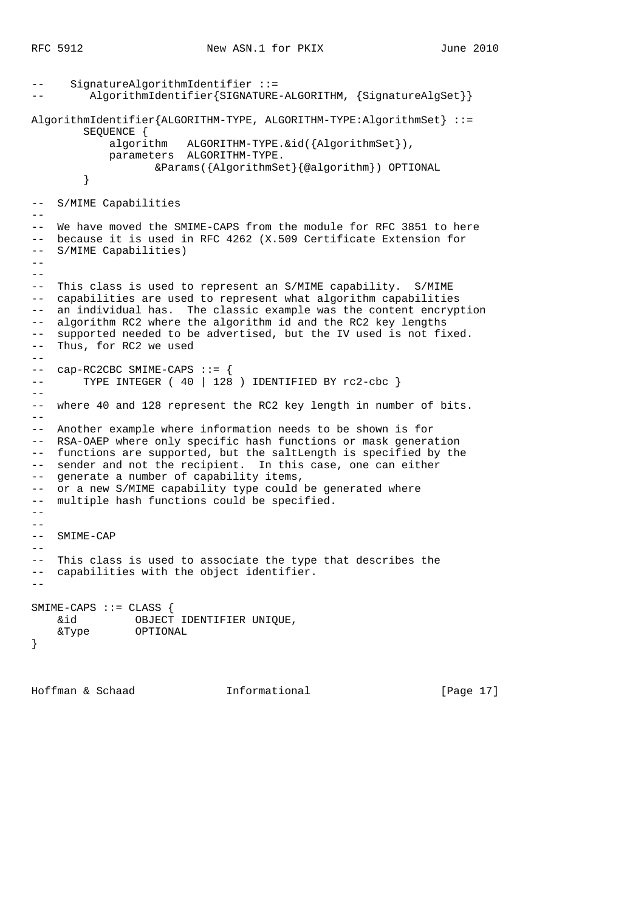```
SignatureAlgorithmIdentifier :: =AlgorithmIdentifier{SIGNATURE-ALGORITHM, {SignatureAlgSet}}
AlgorithmIdentifier{ALGORITHM-TYPE, ALGORITHM-TYPE:AlgorithmSet} ::=
        SEQUENCE {
            algorithm ALGORITHM-TYPE.&id({AlgorithmSet}),
            parameters ALGORITHM-TYPE.
                  &Params({AlgorithmSet}{@algorithm}) OPTIONAL
         }
-- S/MIME Capabilities
--
-- We have moved the SMIME-CAPS from the module for RFC 3851 to here
-- because it is used in RFC 4262 (X.509 Certificate Extension for
-- S/MIME Capabilities)
-- --- This class is used to represent an S/MIME capability. S/MIME
-- capabilities are used to represent what algorithm capabilities
-- an individual has. The classic example was the content encryption
-- algorithm RC2 where the algorithm id and the RC2 key lengths
-- supported needed to be advertised, but the IV used is not fixed.
-- Thus, for RC2 we used
--
-- cap-RC2CBC SMIME-CAPS ::= {
-- TYPE INTEGER ( 40 | 128 ) IDENTIFIED BY rc2-cbc }
--- where 40 and 128 represent the RC2 key length in number of bits.
- --- Another example where information needs to be shown is for
-- RSA-OAEP where only specific hash functions or mask generation
-- functions are supported, but the saltLength is specified by the
-- sender and not the recipient. In this case, one can either
-- generate a number of capability items,
-- or a new S/MIME capability type could be generated where
-- multiple hash functions could be specified.
---- SMIME-CAP
- --- This class is used to associate the type that describes the
-- capabilities with the object identifier.
-SMIME-CAPS ::= CLASS {
   &id OBJECT IDENTIFIER UNIQUE,
    &Type OPTIONAL
}
```
Hoffman & Schaad Informational [Page 17]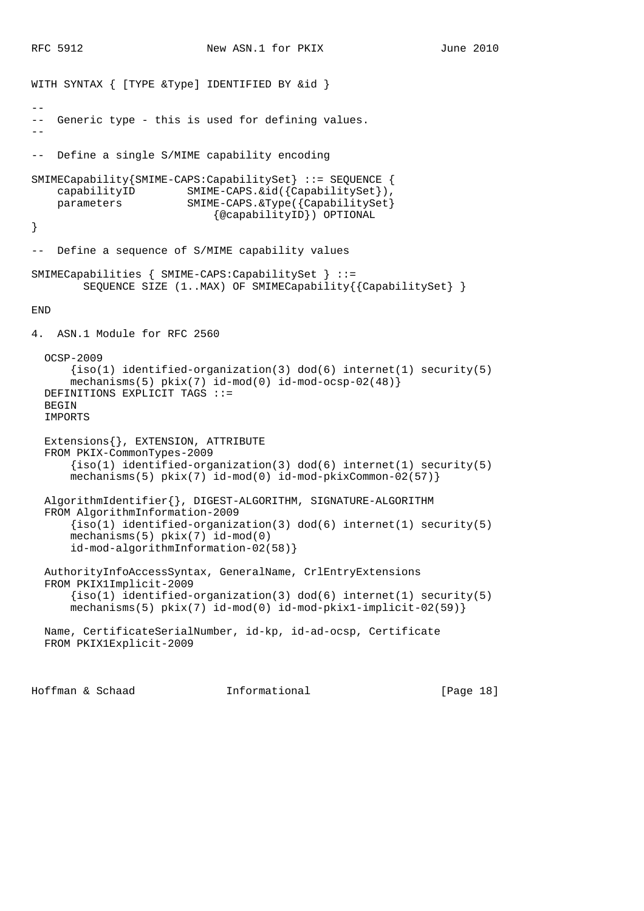```
WITH SYNTAX { [TYPE &Type] IDENTIFIED BY &id }
--
-- Generic type - this is used for defining values.
--
-- Define a single S/MIME capability encoding
SMIMECapability{SMIME-CAPS:CapabilitySet} ::= SEQUENCE {
     capabilityID SMIME-CAPS.&id({CapabilitySet}),
     parameters SMIME-CAPS.&Type({CapabilitySet}
                             {@capabilityID}) OPTIONAL
}
-- Define a sequence of S/MIME capability values
SMIMECapabilities { SMIME-CAPS:CapabilitySet } ::=
         SEQUENCE SIZE (1..MAX) OF SMIMECapability{{CapabilitySet} }
END
4. ASN.1 Module for RFC 2560
   OCSP-2009
      \{iso(1) identified-organization(3) dod(6) internet(1) security(5)
      mechanisms(5) pkix(7) id-mod(0) id-mod-ocsp-02(48) DEFINITIONS EXPLICIT TAGS ::=
  BEGIN
   IMPORTS
   Extensions{}, EXTENSION, ATTRIBUTE
   FROM PKIX-CommonTypes-2009
       {iso(1) identified-organization(3) dod(6) internet(1) security(5)
       mechanisms(5) pkix(7) id-mod(0) id-mod-pkixCommon-02(57)}
   AlgorithmIdentifier{}, DIGEST-ALGORITHM, SIGNATURE-ALGORITHM
   FROM AlgorithmInformation-2009
      \{iso(1) identified-organization(3) dod(6) internet(1) security(5)
       mechanisms(5) pkix(7) id-mod(0)
       id-mod-algorithmInformation-02(58)}
   AuthorityInfoAccessSyntax, GeneralName, CrlEntryExtensions
   FROM PKIX1Implicit-2009
       {iso(1) identified-organization(3) dod(6) internet(1) security(5)
       mechanisms(5) pkix(7) id-mod(0) id-mod-pkix1-implicit-02(59)}
   Name, CertificateSerialNumber, id-kp, id-ad-ocsp, Certificate
   FROM PKIX1Explicit-2009
```
Hoffman & Schaad Informational [Page 18]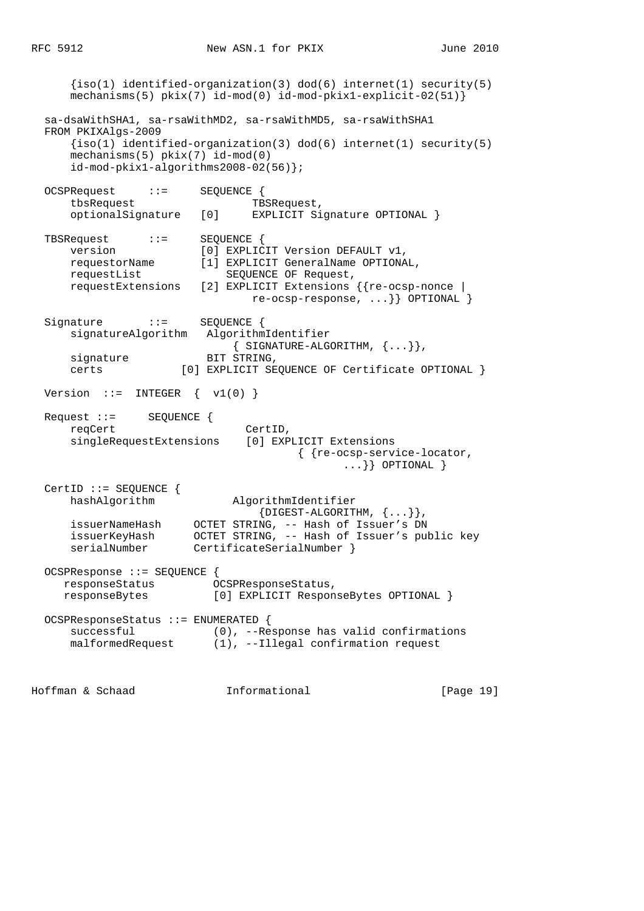$\{iso(1)$  identified-organization(3) dod(6) internet(1) security(5) mechanisms(5) pkix(7) id-mod(0) id-mod-pkix1-explicit-02(51)} sa-dsaWithSHA1, sa-rsaWithMD2, sa-rsaWithMD5, sa-rsaWithSHA1 FROM PKIXAlgs-2009  $\{iso(1)$  identified-organization(3) dod(6) internet(1) security(5) mechanisms(5) pkix(7) id-mod(0) id-mod-pkix1-algorithms2008-02(56)}; OCSPRequest ::= SEQUENCE { tbsRequest TBSRequest, optionalSignature [0] EXPLICIT Signature OPTIONAL } TBSRequest ::= SEQUENCE { version [0] EXPLICIT Version DEFAULT v1, requestorName [1] EXPLICIT GeneralName OPTIONAL, requestList SEQUENCE OF Request, requestExtensions [2] EXPLICIT Extensions {{re-ocsp-nonce | re-ocsp-response, ...}} OPTIONAL } Signature ::= SEQUENCE { signatureAlgorithm AlgorithmIdentifier  $\{$  SIGNATURE-ALGORITHM,  $\{ \ldots \}$ , signature BIT STRING, certs [0] EXPLICIT SEQUENCE OF Certificate OPTIONAL } Version  $::=$  INTEGER  $\{ v1(0) \}$  Request ::= SEQUENCE { reqCert CertID, singleRequestExtensions [0] EXPLICIT Extensions { {re-ocsp-service-locator, ...}} OPTIONAL } CertID ::= SEQUENCE { hashAlgorithm AlgorithmIdentifier  $\{{\tt DIGEST-ALGORITHM}$ ,  $\{ \ldots \} \}$  , issuerNameHash OCTET STRING, -- Hash of Issuer's DN issuerKeyHash OCTET STRING, -- Hash of Issuer's public key serialNumber CertificateSerialNumber } OCSPResponse ::= SEQUENCE { responseStatus OCSPResponseStatus, responseBytes [0] EXPLICIT ResponseBytes OPTIONAL } OCSPResponseStatus ::= ENUMERATED { successful (0), --Response has valid confirmations malformedRequest (1), --Illegal confirmation request

Hoffman & Schaad Informational [Page 19]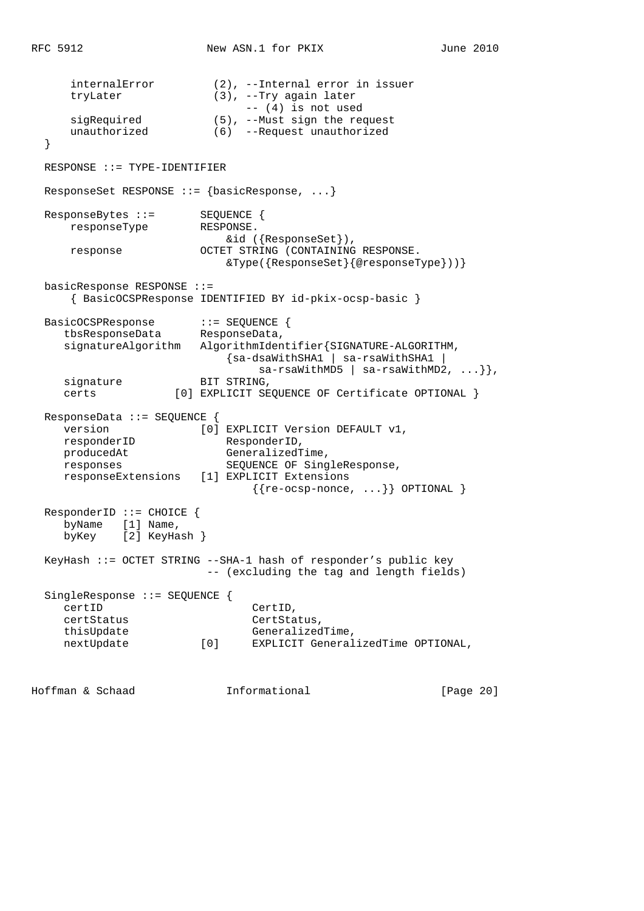internalError (2), --Internal error in issuer tryLater (3), --Try again later -- (4) is not used sigRequired (5), --Must sign the request unauthorized (6) --Request unauthorized } RESPONSE ::= TYPE-IDENTIFIER ResponseSet RESPONSE ::= {basicResponse, ...} ResponseBytes ::= SEQUENCE { responseType RESPONSE. &id ({ResponseSet}), response OCTET STRING (CONTAINING RESPONSE. &Type({ResponseSet}{@responseType}))} basicResponse RESPONSE ::= { BasicOCSPResponse IDENTIFIED BY id-pkix-ocsp-basic } BasicOCSPResponse ::= SEQUENCE { tbsResponseData ResponseData, signatureAlgorithm AlgorithmIdentifier{SIGNATURE-ALGORITHM, {sa-dsaWithSHA1 | sa-rsaWithSHA1 |  $sa-rsawithMD5$  |  $sa-rsawithMD2$ , ...}}, signature BIT STRING, certs [0] EXPLICIT SEQUENCE OF Certificate OPTIONAL } ResponseData ::= SEQUENCE { version [0] EXPLICIT Version DEFAULT v1, responderID ResponderID, producedAt GeneralizedTime, responses SEQUENCE OF SingleResponse, responseExtensions [1] EXPLICIT Extensions  $\{ \{ \text{re-ocsp-none}, \ldots \} \}$  OPTIONAL  $\}$  ResponderID ::= CHOICE { byName [1] Name, byKey [2] KeyHash } KeyHash ::= OCTET STRING --SHA-1 hash of responder's public key -- (excluding the tag and length fields) SingleResponse ::= SEQUENCE {<br>certID CertID, certStatus CertStatus, thisUpdate GeneralizedTime,<br>
nextUpdate  $[0]$  EXPLICIT General nextUpdate [0] EXPLICIT GeneralizedTime OPTIONAL,

Hoffman & Schaad Informational [Page 20]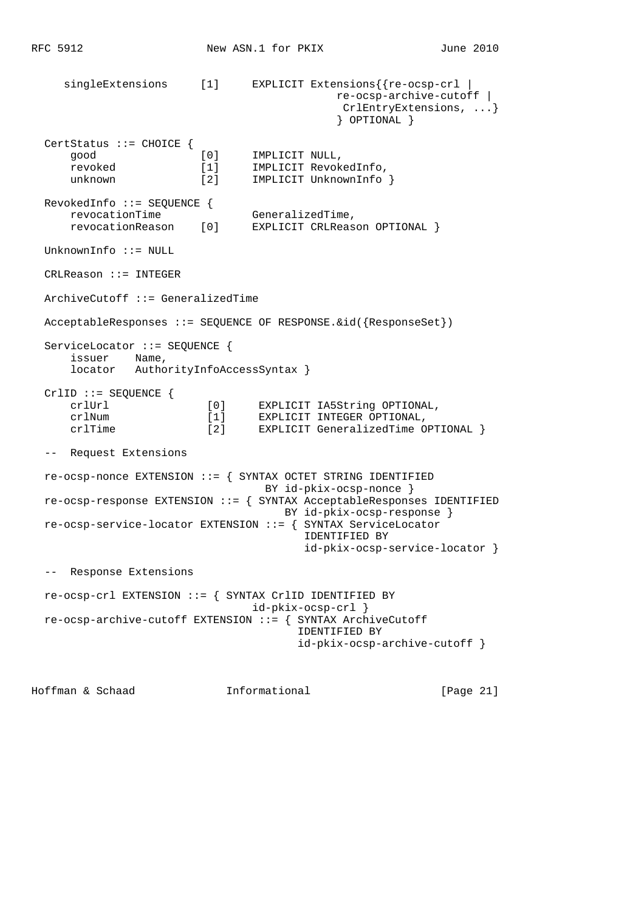singleExtensions [1] EXPLICIT Extensions{{re-ocsp-crl | re-ocsp-archive-cutoff | CrlEntryExtensions, ...} } OPTIONAL } CertStatus ::= CHOICE { good [0] IMPLICIT NULL, revoked [1] IMPLICIT RevokedInfo, unknown  $[2]$  IMPLICIT UnknownInfo } RevokedInfo ::= SEQUENCE { revocationTime GeneralizedTime, revocationReason [0] EXPLICIT CRLReason OPTIONAL } UnknownInfo ::= NULL CRLReason ::= INTEGER ArchiveCutoff ::= GeneralizedTime AcceptableResponses ::= SEQUENCE OF RESPONSE.&id({ResponseSet}) ServiceLocator ::= SEQUENCE { issuer Name, locator AuthorityInfoAccessSyntax } CrlID ::= SEQUENCE { crlUrl [0] EXPLICIT IA5String OPTIONAL, crlNum [1] EXPLICIT INTEGER OPTIONAL, crimum<br>crlTime [2] EXPLICIT GeneralizedTime OPTIONAL } -- Request Extensions re-ocsp-nonce EXTENSION ::= { SYNTAX OCTET STRING IDENTIFIED BY id-pkix-ocsp-nonce } re-ocsp-response EXTENSION ::= { SYNTAX AcceptableResponses IDENTIFIED BY id-pkix-ocsp-response } re-ocsp-service-locator EXTENSION ::= { SYNTAX ServiceLocator IDENTIFIED BY id-pkix-ocsp-service-locator } -- Response Extensions re-ocsp-crl EXTENSION ::= { SYNTAX CrlID IDENTIFIED BY id-pkix-ocsp-crl } re-ocsp-archive-cutoff EXTENSION ::= { SYNTAX ArchiveCutoff IDENTIFIED BY id-pkix-ocsp-archive-cutoff }

Hoffman & Schaad Informational [Page 21]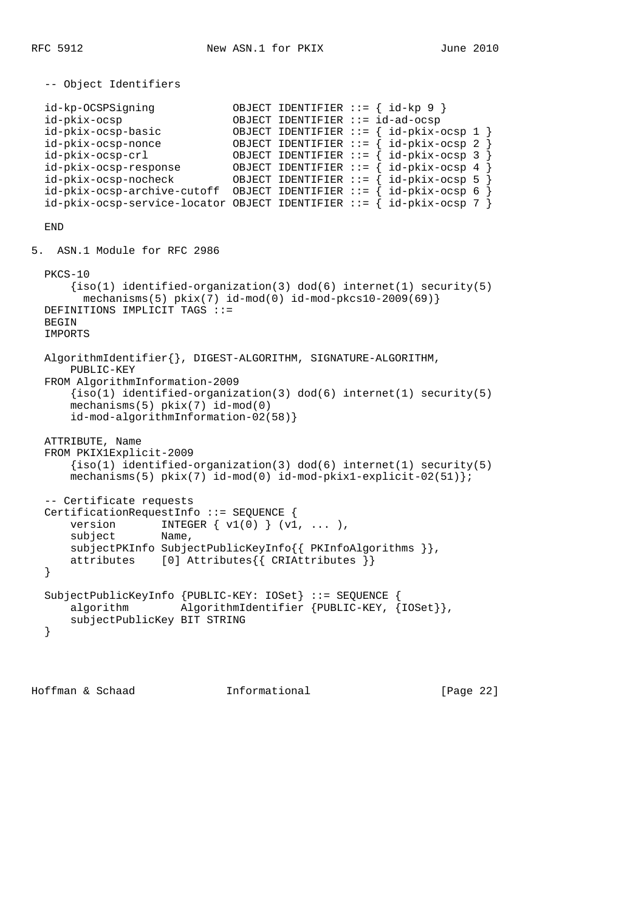-- Object Identifiers id-kp-OCSPSigning OBJECT IDENTIFIER ::= { id-kp 9 } id-pkix-ocsp OBJECT IDENTIFIER ::= id-ad-ocsp id-pkix-ocsp-basic OBJECT IDENTIFIER ::= { id-pkix-ocsp 1 } id-pkix-ocsp-nonce OBJECT IDENTIFIER ::= { id-pkix-ocsp 2 } id-pkix-ocsp-crl OBJECT IDENTIFIER ::= { id-pkix-ocsp 3 } id-pkix-ocsp-response OBJECT IDENTIFIER ::= { id-pkix-ocsp 4 } id-pkix-ocsp-nocheck OBJECT IDENTIFIER ::= { id-pkix-ocsp 5 }  $id-pkix-ocsp-archive-cutoff$  OBJECT IDENTIFIER ::= {  $id-pkix-ocsp 6$  } id-pkix-ocsp-service-locator OBJECT IDENTIFIER ::= { id-pkix-ocsp 7 } END 5. ASN.1 Module for RFC 2986 PKCS-10  ${iso(1)$  identified-organization(3) dod(6) internet(1) security(5)  $mechanisms(5) pkix(7) id-mod(0) id-mod-pkcs10-2009(69)$  DEFINITIONS IMPLICIT TAGS ::= **BEGIN**  IMPORTS AlgorithmIdentifier{}, DIGEST-ALGORITHM, SIGNATURE-ALGORITHM, PUBLIC-KEY FROM AlgorithmInformation-2009  $\{iso(1)$  identified-organization(3) dod(6) internet(1) security(5) mechanisms(5) pkix(7) id-mod(0) id-mod-algorithmInformation-02(58)} ATTRIBUTE, Name FROM PKIX1Explicit-2009 {iso(1) identified-organization(3) dod(6) internet(1) security(5) mechanisms(5)  $pkix(7)$  id-mod(0) id-mod-pkix1-explicit-02(51)}; -- Certificate requests CertificationRequestInfo ::= SEQUENCE { version INTEGER  $\{ v1(0) \} (v1, \ldots)$ , subject Name, subjectPKInfo SubjectPublicKeyInfo{{ PKInfoAlgorithms }}, attributes [0] Attributes{{ CRIAttributes }} } SubjectPublicKeyInfo {PUBLIC-KEY: IOSet} ::= SEQUENCE { algorithm AlgorithmIdentifier {PUBLIC-KEY, {IOSet}}, subjectPublicKey BIT STRING }

Hoffman & Schaad Informational [Page 22]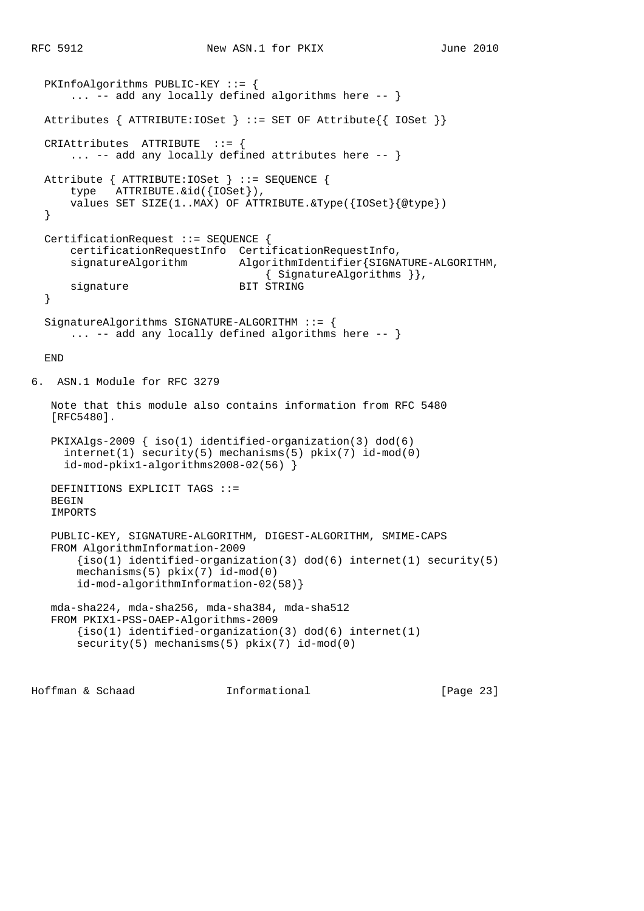```
 PKInfoAlgorithms PUBLIC-KEY ::= {
      ... -- add any locally defined algorithms here -- }
  Attributes { ATTRIBUTE:IOSet } ::= SET OF Attribute{{ IOSet }}
  CRIAttributes ATTRIBUTE ::= {
      ... -- add any locally defined attributes here -- }
  Attribute { ATTRIBUTE:IOSet } ::= SEQUENCE {
      type ATTRIBUTE.&id({IOSet}),
      values SET SIZE(1..MAX) OF ATTRIBUTE.&Type({IOSet}{@type})
   }
  CertificationRequest ::= SEQUENCE {
      certificationRequestInfo CertificationRequestInfo,
      signatureAlgorithm AlgorithmIdentifier{SIGNATURE-ALGORITHM,
                                     { SignatureAlgorithms }},
     signature BIT STRING
   }
  SignatureAlgorithms SIGNATURE-ALGORITHM ::= {
     ... -- add any locally defined algorithms here -- }
  END
6. ASN.1 Module for RFC 3279
   Note that this module also contains information from RFC 5480
   [RFC5480].
   PKIXAlgs-2009 { iso(1) identified-organization(3) dod(6)
     internet(1) security(5) mechanisms(5) pkix(7) id-mod(0)
     id-mod-pkix1-algorithms2008-02(56) }
   DEFINITIONS EXPLICIT TAGS ::=
  BEGIN
   IMPORTS
   PUBLIC-KEY, SIGNATURE-ALGORITHM, DIGEST-ALGORITHM, SMIME-CAPS
   FROM AlgorithmInformation-2009
      \{iso(1) identified-organization(3) dod(6) internet(1) security(5)
       mechanisms(5) pkix(7) id-mod(0)
       id-mod-algorithmInformation-02(58)}
   mda-sha224, mda-sha256, mda-sha384, mda-sha512
   FROM PKIX1-PSS-OAEP-Algorithms-2009
      {iso(1)} identified-organization(3) dod(6) internet(1)
      security(5) mechanisms(5) pkix(7) id-mod(0)
```
Hoffman & Schaad Informational [Page 23]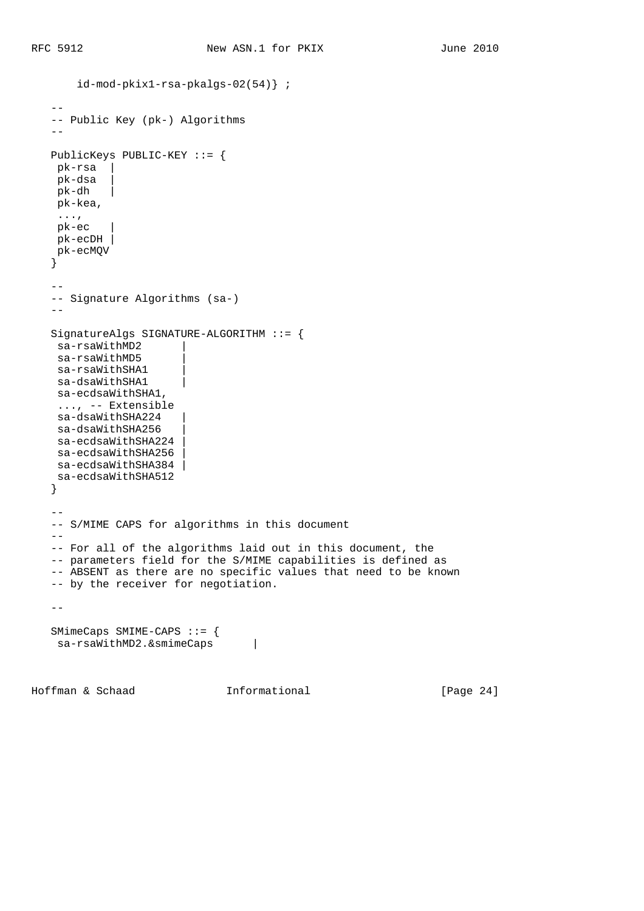id-mod-pkix1-rsa-pkalgs-02(54)} ;

```
- -- Public Key (pk-) Algorithms
   - - PublicKeys PUBLIC-KEY ::= {
    pk-rsa |
    pk-dsa |
   pk-dh |
    pk-kea,
    ...,
    pk-ec |
    pk-ecDH |
    pk-ecMQV
    }
   - -- Signature Algorithms (sa-)
   - - SignatureAlgs SIGNATURE-ALGORITHM ::= {
    sa-rsaWithMD2 |
   sa-rsaWithMD5
   sa-rsaWithSHA1
   sa-dsaWithSHA1
    sa-ecdsaWithSHA1,
    ..., -- Extensible
   sa-dsaWithSHA224
   sa-dsaWithSHA256
   sa-ecdsaWithSHA224
   sa-ecdsaWithSHA256
   sa-ecdsaWithSHA384
    sa-ecdsaWithSHA512
    }
   - -- S/MIME CAPS for algorithms in this document
  -\,- -- For all of the algorithms laid out in this document, the
   -- parameters field for the S/MIME capabilities is defined as
   -- ABSENT as there are no specific values that need to be known
   -- by the receiver for negotiation.
  - SMimeCaps SMIME-CAPS ::= {
sa-rsaWithMD2.&smimeCaps |
```
Hoffman & Schaad **Informational** [Page 24]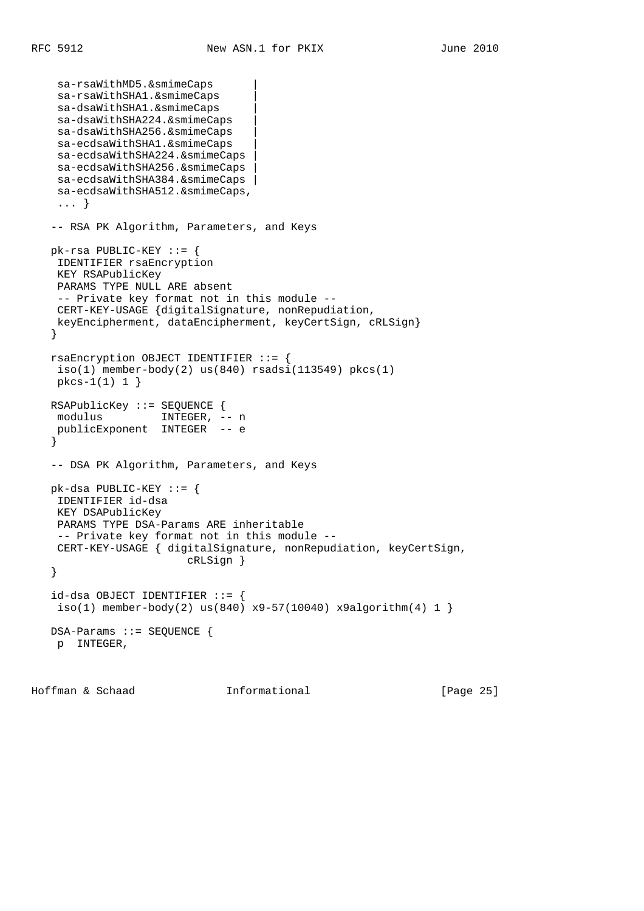```
 sa-rsaWithMD5.&smimeCaps |
    sa-rsaWithSHA1.&smimeCaps |
    sa-dsaWithSHA1.&smimeCaps |
    sa-dsaWithSHA224.&smimeCaps |
    sa-dsaWithSHA256.&smimeCaps |
    sa-ecdsaWithSHA1.&smimeCaps |
    sa-ecdsaWithSHA224.&smimeCaps |
    sa-ecdsaWithSHA256.&smimeCaps |
   sa-ecdsaWithSHA384.&smimeCaps |
    sa-ecdsaWithSHA512.&smimeCaps,
    ... }
   -- RSA PK Algorithm, Parameters, and Keys
   pk-rsa PUBLIC-KEY ::= {
    IDENTIFIER rsaEncryption
    KEY RSAPublicKey
    PARAMS TYPE NULL ARE absent
    -- Private key format not in this module --
    CERT-KEY-USAGE {digitalSignature, nonRepudiation,
    keyEncipherment, dataEncipherment, keyCertSign, cRLSign}
    }
   rsaEncryption OBJECT IDENTIFIER ::= {
   iso(1) member-body(2) us(840) rsadsi(113549) pkcs(1)
    pkcs-1(1) 1 }
   RSAPublicKey ::= SEQUENCE {
 modulus INTEGER, -- n
 publicExponent INTEGER -- e
    }
   -- DSA PK Algorithm, Parameters, and Keys
   pk-dsa PUBLIC-KEY ::= {
    IDENTIFIER id-dsa
    KEY DSAPublicKey
    PARAMS TYPE DSA-Params ARE inheritable
    -- Private key format not in this module --
    CERT-KEY-USAGE { digitalSignature, nonRepudiation, keyCertSign,
                         cRLSign }
    }
   id-dsa OBJECT IDENTIFIER ::= {
   iso(1) member-body(2) us(840) x9-57(10040) x9algorithm(4) 1 }
   DSA-Params ::= SEQUENCE {
    p INTEGER,
```
Hoffman & Schaad Informational [Page 25]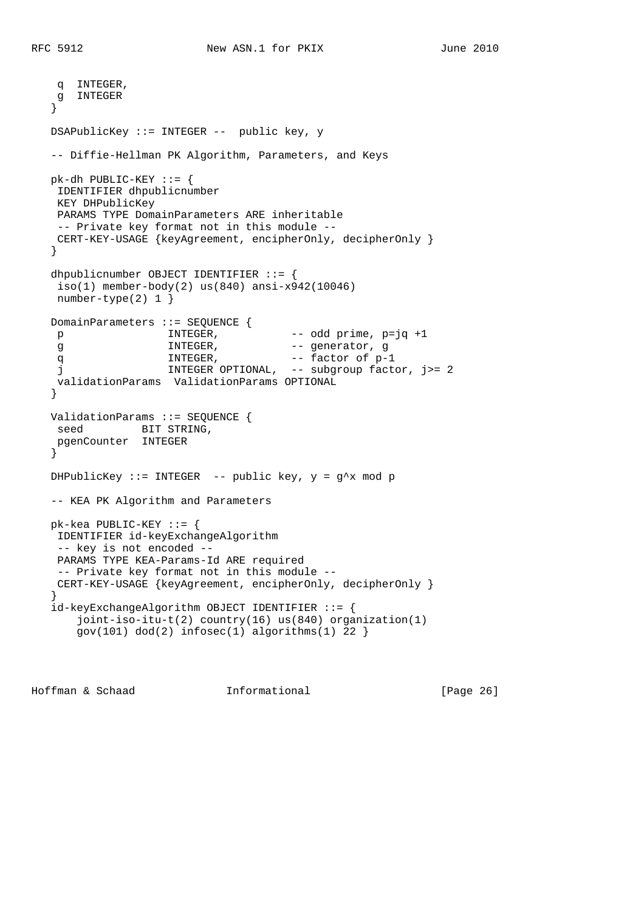```
 q INTEGER,
    g INTEGER
   }
   DSAPublicKey ::= INTEGER -- public key, y
   -- Diffie-Hellman PK Algorithm, Parameters, and Keys
   pk-dh PUBLIC-KEY ::= {
    IDENTIFIER dhpublicnumber
    KEY DHPublicKey
    PARAMS TYPE DomainParameters ARE inheritable
    -- Private key format not in this module --
    CERT-KEY-USAGE {keyAgreement, encipherOnly, decipherOnly }
   }
   dhpublicnumber OBJECT IDENTIFIER ::= {
    iso(1) member-body(2) us(840) ansi-x942(10046)
    number-type(2) 1 }
   DomainParameters ::= SEQUENCE {
    p INTEGER, -- odd prime, p=jq +1
   g MITEGER, -- generator, g
q MITEGER, and the set of p-1
 j INTEGER OPTIONAL, -- subgroup factor, j>= 2
    validationParams ValidationParams OPTIONAL
   }
   ValidationParams ::= SEQUENCE {
   seed BIT STRING,
    pgenCounter INTEGER
   }
  DHPublicKey ::= INTEGER -- public key, y = g^x mod p
   -- KEA PK Algorithm and Parameters
   pk-kea PUBLIC-KEY ::= {
    IDENTIFIER id-keyExchangeAlgorithm
    -- key is not encoded --
    PARAMS TYPE KEA-Params-Id ARE required
    -- Private key format not in this module --
    CERT-KEY-USAGE {keyAgreement, encipherOnly, decipherOnly }
   }
   id-keyExchangeAlgorithm OBJECT IDENTIFIER ::= {
      joint-iso-itu-t(2) country(16) us(840) organization(1)
      gov(101) dod(2) infosec(1) algorithms(1) 22 }
```
Hoffman & Schaad Informational [Page 26]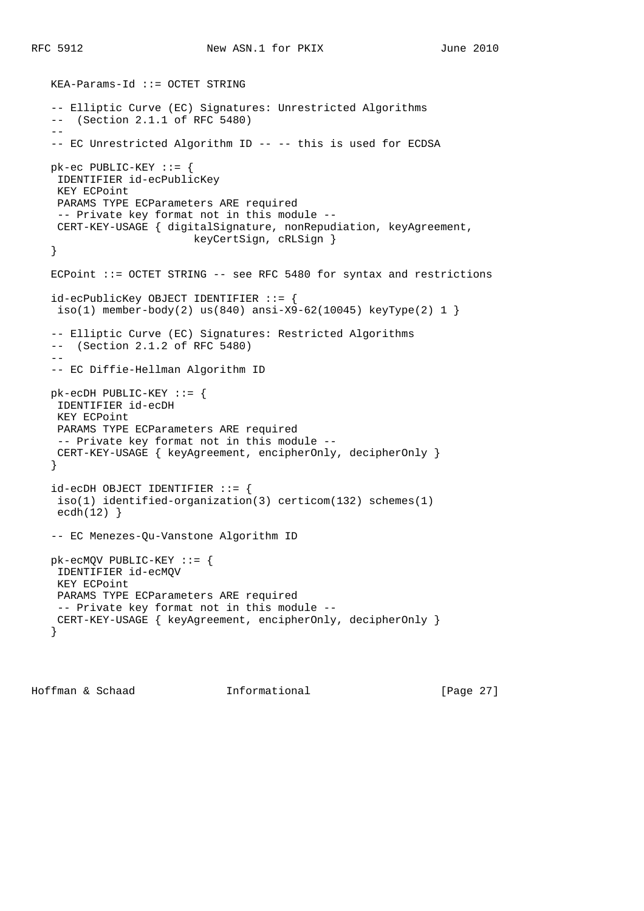```
 KEA-Params-Id ::= OCTET STRING
   -- Elliptic Curve (EC) Signatures: Unrestricted Algorithms
   -- (Section 2.1.1 of RFC 5480)
   --- EC Unrestricted Algorithm ID -- -- this is used for ECDSA
   pk-ec PUBLIC-KEY ::= {
    IDENTIFIER id-ecPublicKey
    KEY ECPoint
    PARAMS TYPE ECParameters ARE required
    -- Private key format not in this module --
    CERT-KEY-USAGE { digitalSignature, nonRepudiation, keyAgreement,
                          keyCertSign, cRLSign }
   }
  ECPoint ::= OCTET STRING -- see RFC 5480 for syntax and restrictions
   id-ecPublicKey OBJECT IDENTIFIER ::= {
   iso(1) member-body(2) us(840) ansi-X9-62(10045) keyType(2) 1 }
    -- Elliptic Curve (EC) Signatures: Restricted Algorithms
    -- (Section 2.1.2 of RFC 5480)
 --
    -- EC Diffie-Hellman Algorithm ID
   pk-ecDH PUBLIC-KEY ::= {
    IDENTIFIER id-ecDH
    KEY ECPoint
    PARAMS TYPE ECParameters ARE required
    -- Private key format not in this module --
    CERT-KEY-USAGE { keyAgreement, encipherOnly, decipherOnly }
    }
   id-ecDH OBJECT IDENTIFIER ::= {
    iso(1) identified-organization(3) certicom(132) schemes(1)
   ecdh(12) }
   -- EC Menezes-Qu-Vanstone Algorithm ID
   pk-ecMQV PUBLIC-KEY ::= {
    IDENTIFIER id-ecMQV
    KEY ECPoint
    PARAMS TYPE ECParameters ARE required
    -- Private key format not in this module --
    CERT-KEY-USAGE { keyAgreement, encipherOnly, decipherOnly }
    }
```
Hoffman & Schaad Informational [Page 27]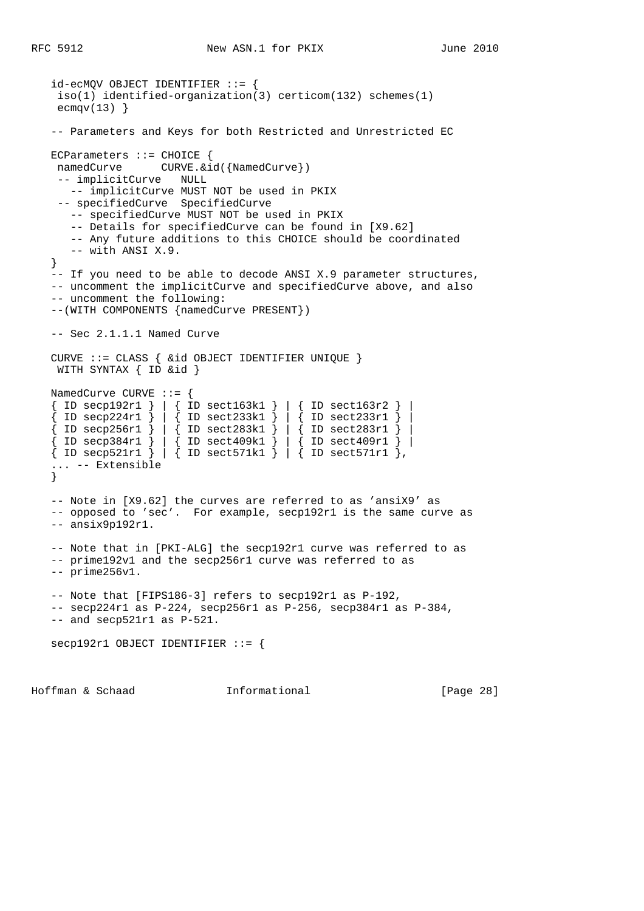```
 id-ecMQV OBJECT IDENTIFIER ::= {
    iso(1) identified-organization(3) certicom(132) schemes(1)
   ecmqv(13) }
   -- Parameters and Keys for both Restricted and Unrestricted EC
   ECParameters ::= CHOICE {
   namedCurve CURVE. & id({NamedCurve})
    -- implicitCurve NULL
      -- implicitCurve MUST NOT be used in PKIX
    -- specifiedCurve SpecifiedCurve
      -- specifiedCurve MUST NOT be used in PKIX
      -- Details for specifiedCurve can be found in [X9.62]
      -- Any future additions to this CHOICE should be coordinated
      -- with ANSI X.9.
   }
   -- If you need to be able to decode ANSI X.9 parameter structures,
   -- uncomment the implicitCurve and specifiedCurve above, and also
   -- uncomment the following:
   --(WITH COMPONENTS {namedCurve PRESENT})
   -- Sec 2.1.1.1 Named Curve
   CURVE ::= CLASS { &id OBJECT IDENTIFIER UNIQUE }
   WITH SYNTAX { ID &id }
   NamedCurve CURVE ::= {
   { ID secp192r1 } | { ID sect163k1 } | { ID sect163r2 } |
 { ID secp224r1 } | { ID sect233k1 } | { ID sect233r1 } |
 { ID secp256r1 } | { ID sect283k1 } | { ID sect283r1 } |
 { ID secp384r1 } | { ID sect409k1 } | { ID sect409r1 } |
 { ID secp521r1 } | { ID sect571k1 } | { ID sect571r1 },
    ... -- Extensible
   }
   -- Note in [X9.62] the curves are referred to as 'ansiX9' as
   -- opposed to 'sec'. For example, secp192r1 is the same curve as
   -- ansix9p192r1.
   -- Note that in [PKI-ALG] the secp192r1 curve was referred to as
   -- prime192v1 and the secp256r1 curve was referred to as
   -- prime256v1.
   -- Note that [FIPS186-3] refers to secp192r1 as P-192,
   -- secp224r1 as P-224, secp256r1 as P-256, secp384r1 as P-384,
   -- and secp521r1 as P-521.
   secp192r1 OBJECT IDENTIFIER ::= {
```
Hoffman & Schaad Informational [Page 28]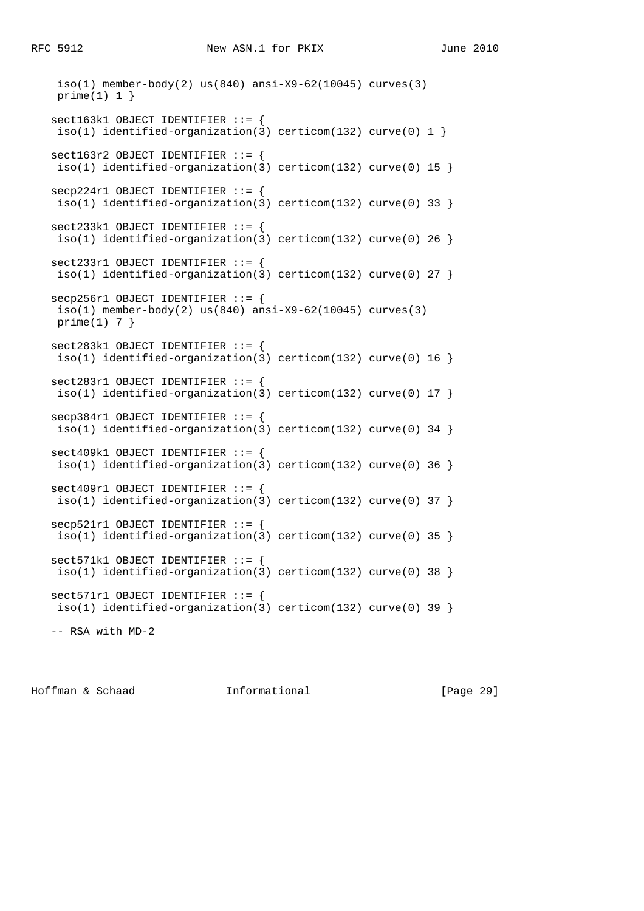```
 iso(1) member-body(2) us(840) ansi-X9-62(10045) curves(3)
 prime(1) 1}
 sect163k1 OBJECT IDENTIFIER ::= {
iso(1) identified-organization(3) certicom(132) curve(0) 1 }
 sect163r2 OBJECT IDENTIFIER ::= {
iso(1) identified-organization(3) certicom(132) curve(0) 15 }
 secp224r1 OBJECT IDENTIFIER ::= {
iso(1) identified-organization(3) certicom(132) curve(0) 33 }
 sect233k1 OBJECT IDENTIFIER ::= {
iso(1) identified-organization(3) certicom(132) curve(0) 26 }
 sect233r1 OBJECT IDENTIFIER ::= {
iso(1) identified-organization(3) certicom(132) curve(0) 27 }
 secp256r1 OBJECT IDENTIFIER ::= {
 iso(1) member-body(2) us(840) ansi-X9-62(10045) curves(3)
prime(1) 7 }
 sect283k1 OBJECT IDENTIFIER ::= {
 iso(1) identified-organization(3) certicom(132) curve(0) 16 }
 sect283r1 OBJECT IDENTIFIER ::= {
iso(1) identified-organization(3) certicom(132) curve(0) 17 }
 secp384r1 OBJECT IDENTIFIER ::= {
iso(1) identified-organization(3) certicom(132) curve(0) 34 }
 sect409k1 OBJECT IDENTIFIER ::= {
 iso(1) identified-organization(3) certicom(132) curve(0) 36 }
 sect409r1 OBJECT IDENTIFIER ::= {
 iso(1) identified-organization(3) certicom(132) curve(0) 37 }
 secp521r1 OBJECT IDENTIFIER ::= {
 iso(1) identified-organization(3) certicom(132) curve(0) 35 }
 sect571k1 OBJECT IDENTIFIER ::= {
 iso(1) identified-organization(3) certicom(132) curve(0) 38 }
 sect571r1 OBJECT IDENTIFIER ::= {
 iso(1) identified-organization(3) certicom(132) curve(0) 39 }
 -- RSA with MD-2
```
Hoffman & Schaad Informational [Page 29]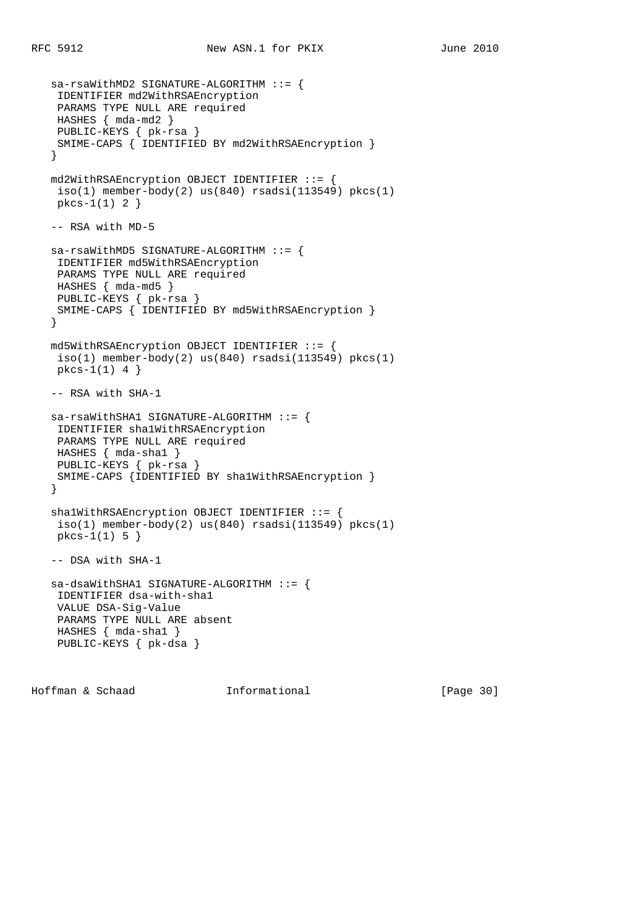```
 sa-rsaWithMD2 SIGNATURE-ALGORITHM ::= {
  IDENTIFIER md2WithRSAEncryption
 PARAMS TYPE NULL ARE required
 HASHES { mda-md2 }
 PUBLIC-KEYS { pk-rsa }
 SMIME-CAPS { IDENTIFIED BY md2WithRSAEncryption }
 }
 md2WithRSAEncryption OBJECT IDENTIFIER ::= {
iso(1) member-body(2) us(840) rsadsi(113549) pkcs(1) pkcs-1(1) 2 }
 -- RSA with MD-5
 sa-rsaWithMD5 SIGNATURE-ALGORITHM ::= {
 IDENTIFIER md5WithRSAEncryption
 PARAMS TYPE NULL ARE required
 HASHES { mda-md5 }
 PUBLIC-KEYS { pk-rsa }
 SMIME-CAPS { IDENTIFIED BY md5WithRSAEncryption }
 }
 md5WithRSAEncryption OBJECT IDENTIFIER ::= {
iso(1) member-body(2) us(840) rsadsi(113549) pkcs(1)
 pkcs-1(1) 4 }
 -- RSA with SHA-1
 sa-rsaWithSHA1 SIGNATURE-ALGORITHM ::= {
 IDENTIFIER sha1WithRSAEncryption
 PARAMS TYPE NULL ARE required
 HASHES { mda-sha1 }
 PUBLIC-KEYS { pk-rsa }
 SMIME-CAPS {IDENTIFIED BY sha1WithRSAEncryption }
 }
 sha1WithRSAEncryption OBJECT IDENTIFIER ::= {
iso(1) member-body(2) us(840) rsadsi(113549) pkcs(1) pkcs-1(1) 5 }
 -- DSA with SHA-1
 sa-dsaWithSHA1 SIGNATURE-ALGORITHM ::= {
 IDENTIFIER dsa-with-sha1
  VALUE DSA-Sig-Value
  PARAMS TYPE NULL ARE absent
  HASHES { mda-sha1 }
  PUBLIC-KEYS { pk-dsa }
```
Hoffman & Schaad Informational [Page 30]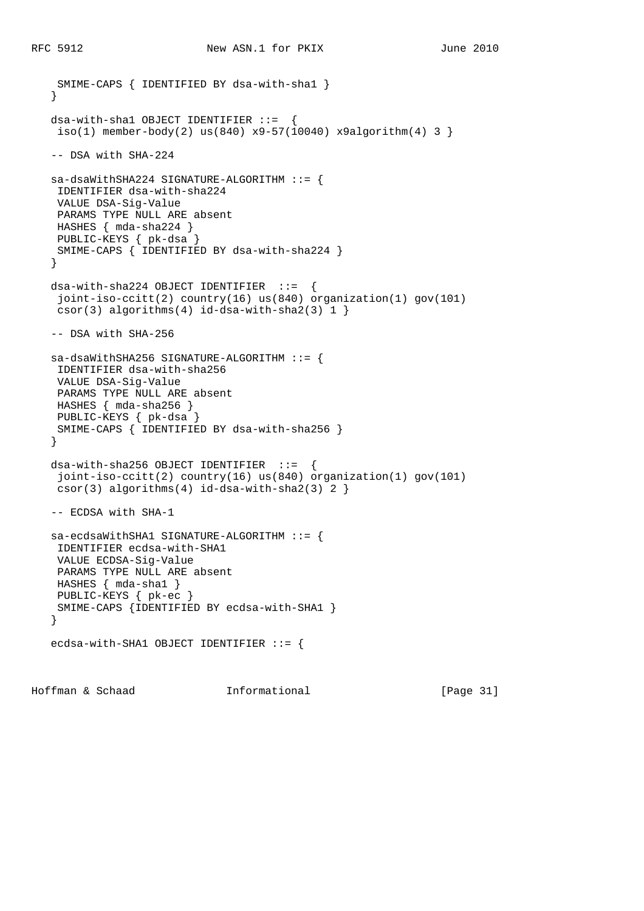```
 SMIME-CAPS { IDENTIFIED BY dsa-with-sha1 }
 }
 dsa-with-sha1 OBJECT IDENTIFIER ::= {
iso(1) member-body(2) us(840) x9-57(10040) x9algorithm(4) 3 }
 -- DSA with SHA-224
 sa-dsaWithSHA224 SIGNATURE-ALGORITHM ::= {
 IDENTIFIER dsa-with-sha224
 VALUE DSA-Sig-Value
 PARAMS TYPE NULL ARE absent
 HASHES { mda-sha224 }
 PUBLIC-KEYS { pk-dsa }
 SMIME-CAPS { IDENTIFIED BY dsa-with-sha224 }
 }
dsa-with-sha224 OBJECT IDENTIFYER ::= joint-iso-ccitt(2) country(16) us(840) organization(1) gov(101)
csor(3) algorithms(4) id-dsa-with-sha2(3) 1 }
 -- DSA with SHA-256
 sa-dsaWithSHA256 SIGNATURE-ALGORITHM ::= {
  IDENTIFIER dsa-with-sha256
  VALUE DSA-Sig-Value
 PARAMS TYPE NULL ARE absent
 HASHES { mda-sha256 }
 PUBLIC-KEYS { pk-dsa }
 SMIME-CAPS { IDENTIFIED BY dsa-with-sha256 }
 }
dsa-with-sha256 OBJECT IDENTIFYER ::= joint-iso-ccitt(2) country(16) us(840) organization(1) gov(101)
csor(3) algorithms(4) id-dsa-with-sha2(3) 2 }
 -- ECDSA with SHA-1
 sa-ecdsaWithSHA1 SIGNATURE-ALGORITHM ::= {
 IDENTIFIER ecdsa-with-SHA1
 VALUE ECDSA-Sig-Value
 PARAMS TYPE NULL ARE absent
 HASHES { mda-sha1 }
 PUBLIC-KEYS { pk-ec }
 SMIME-CAPS {IDENTIFIED BY ecdsa-with-SHA1 }
 }
 ecdsa-with-SHA1 OBJECT IDENTIFIER ::= {
```
Hoffman & Schaad Informational [Page 31]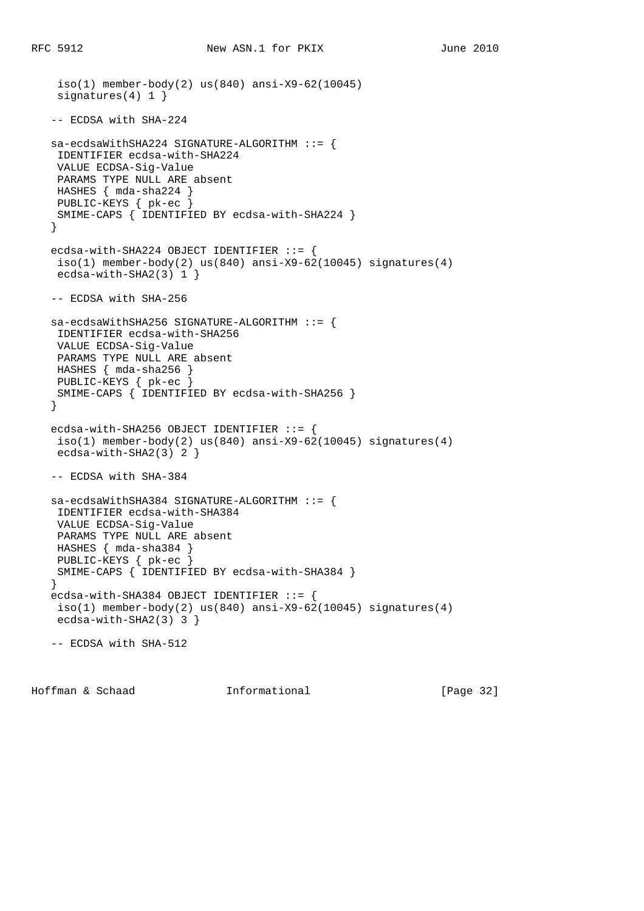```
 iso(1) member-body(2) us(840) ansi-X9-62(10045)
   signatures(4) 1 }
    -- ECDSA with SHA-224
   sa-ecdsaWithSHA224 SIGNATURE-ALGORITHM ::= {
    IDENTIFIER ecdsa-with-SHA224
    VALUE ECDSA-Sig-Value
    PARAMS TYPE NULL ARE absent
    HASHES { mda-sha224 }
    PUBLIC-KEYS { pk-ec }
    SMIME-CAPS { IDENTIFIED BY ecdsa-with-SHA224 }
    }
  ecdsa-with-SHA224 OBJECT IDENTIFIER ::= {
   iso(1) member-body(2) us(840) ansi-X9-62(10045) signatures(4)
    ecdsa-with-SHA2(3) 1 }
   -- ECDSA with SHA-256
   sa-ecdsaWithSHA256 SIGNATURE-ALGORITHM ::= {
    IDENTIFIER ecdsa-with-SHA256
    VALUE ECDSA-Sig-Value
    PARAMS TYPE NULL ARE absent
    HASHES { mda-sha256 }
 PUBLIC-KEYS { pk-ec }
 SMIME-CAPS { IDENTIFIED BY ecdsa-with-SHA256 }
    }
  ecdsa-with-SHA256 OBJECT IDENTIFIER ::= {
   iso(1) member-body(2) us(840) ansi-X9-62(10045) signatures(4)
    ecdsa-with-SHA2(3) 2 }
   -- ECDSA with SHA-384
   sa-ecdsaWithSHA384 SIGNATURE-ALGORITHM ::= {
    IDENTIFIER ecdsa-with-SHA384
    VALUE ECDSA-Sig-Value
    PARAMS TYPE NULL ARE absent
    HASHES { mda-sha384 }
    PUBLIC-KEYS { pk-ec }
    SMIME-CAPS { IDENTIFIED BY ecdsa-with-SHA384 }
    }
  ecdsa-with-SHA384 OBJECT IDENTIFIER ::= {
   iso(1) member-body(2) us(840) ansi-X9-62(10045) signatures(4)
    ecdsa-with-SHA2(3) 3 }
    -- ECDSA with SHA-512
```
Hoffman & Schaad Informational [Page 32]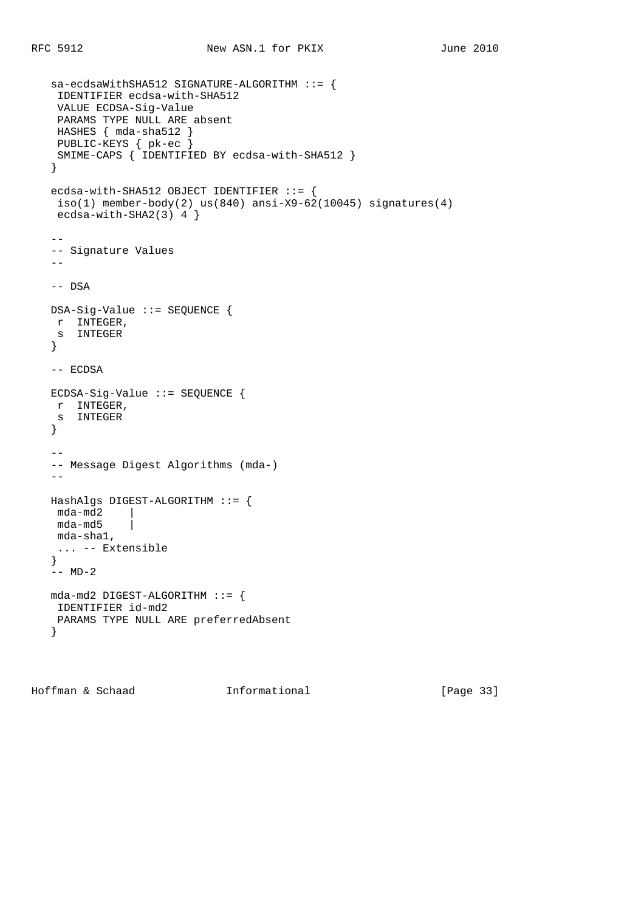```
 sa-ecdsaWithSHA512 SIGNATURE-ALGORITHM ::= {
    IDENTIFIER ecdsa-with-SHA512
    VALUE ECDSA-Sig-Value
    PARAMS TYPE NULL ARE absent
    HASHES { mda-sha512 }
    PUBLIC-KEYS { pk-ec }
    SMIME-CAPS { IDENTIFIED BY ecdsa-with-SHA512 }
    }
  ecdsa-with-SHA512 OBJECT IDENTIFIER ::= {
   iso(1) member-body(2) us(840) ansi-X9-62(10045) signatures(4)
   ecdsa-with-SHA2(3) 4 }
- -- Signature Values
  - - -- DSA
   DSA-Sig-Value ::= SEQUENCE {
    r INTEGER,
    s INTEGER
    }
   -- ECDSA
   ECDSA-Sig-Value ::= SEQUENCE {
    r INTEGER,
    s INTEGER
    }
  - - -- Message Digest Algorithms (mda-)
   - - HashAlgs DIGEST-ALGORITHM ::= {
    mda-md2 |
    mda-md5 |
    mda-sha1,
    ... -- Extensible
    }
   -- MD-2
   mda-md2 DIGEST-ALGORITHM ::= {
    IDENTIFIER id-md2
    PARAMS TYPE NULL ARE preferredAbsent
    }
```
Hoffman & Schaad 1nformational [Page 33]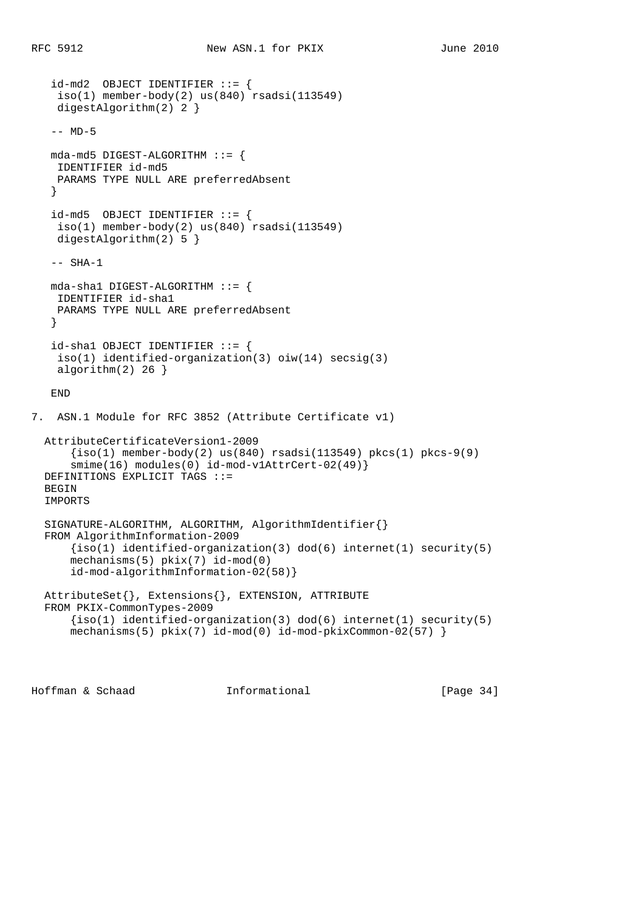```
 id-md2 OBJECT IDENTIFIER ::= {
     iso(1) member-body(2) us(840) rsadsi(113549)
     digestAlgorithm(2) 2 }
    -- MD-5
   mda-md5 DIGEST-ALGORITHM ::= {
    IDENTIFIER id-md5
    PARAMS TYPE NULL ARE preferredAbsent
    }
    id-md5 OBJECT IDENTIFIER ::= {
   iso(1) member-body(2) us(840) rsadsi(113549) digestAlgorithm(2) 5 }
   -- SHA-1
   mda-sha1 DIGEST-ALGORITHM ::= {
    IDENTIFIER id-sha1
    PARAMS TYPE NULL ARE preferredAbsent
    }
   id-sha1 OBJECT IDENTIFIER ::= {
    iso(1) identified-organization(3) oiw(14) secsig(3)
   algorithm(2) 26 }
   END
7. ASN.1 Module for RFC 3852 (Attribute Certificate v1)
  AttributeCertificateVersion1-2009
      {iso(1) member-body(2) us(840) rsadsi(113549) pkcs(1) pkcs-9(9)smime(16) modules(0) id-mod-v1AttrCert-02(49) }
  DEFINITIONS EXPLICIT TAGS ::=
 BEGIN
  IMPORTS
  SIGNATURE-ALGORITHM, ALGORITHM, AlgorithmIdentifier{}
  FROM AlgorithmInformation-2009
      \{iso(1) identified-organization(3) dod(6) internet(1) security(5)
       mechanisms(5) pkix(7) id-mod(0)
       id-mod-algorithmInformation-02(58)}
  AttributeSet{}, Extensions{}, EXTENSION, ATTRIBUTE
  FROM PKIX-CommonTypes-2009
     {s(1) identified-organization(3) dod(6) internet(1) security(5)
      mechanisms(5) pkix(7) id-mod(0) id-mod-pkixCommon-02(57) }
```
Hoffman & Schaad Informational [Page 34]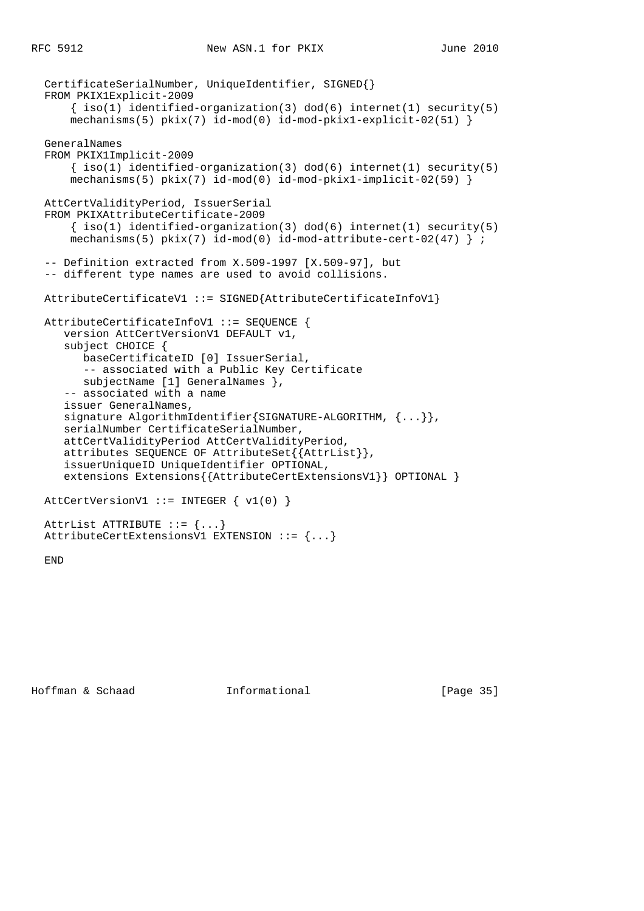```
 CertificateSerialNumber, UniqueIdentifier, SIGNED{}
 FROM PKIX1Explicit-2009
    \{ iso(1) <i>identified-organization(3) <math> dod(6) <i>internet(1) <i>security(5)</i></i>mechanisms(5) pix(7) id-mod(0) id-mod-pkix1-explicit-02(51) }
 GeneralNames
 FROM PKIX1Implicit-2009
    \{ iso(1) identified-organization(3) dod(6) internet(1) security(5)mechanisms(5) pkix(7) id-mod(0) id-mod-pkix1-implicit-02(59) AttCertValidityPeriod, IssuerSerial
 FROM PKIXAttributeCertificate-2009
    \{ iso(1) <i>identified-organization(3) <math> dod(6) <i>internet(1)</i> <i>security(5)</i>mechanisms(5) pix(7) id-mod(0) id-mod-attribute-cert-02(47) } ;
 -- Definition extracted from X.509-1997 [X.509-97], but
 -- different type names are used to avoid collisions.
 AttributeCertificateV1 ::= SIGNED{AttributeCertificateInfoV1}
 AttributeCertificateInfoV1 ::= SEQUENCE {
    version AttCertVersionV1 DEFAULT v1,
    subject CHOICE {
       baseCertificateID [0] IssuerSerial,
       -- associated with a Public Key Certificate
       subjectName [1] GeneralNames },
    -- associated with a name
    issuer GeneralNames,
   signature AlgorithmIdentifier{SIGNATURE-ALGORITHM, {...}},
    serialNumber CertificateSerialNumber,
    attCertValidityPeriod AttCertValidityPeriod,
    attributes SEQUENCE OF AttributeSet{{AttrList}},
    issuerUniqueID UniqueIdentifier OPTIONAL,
    extensions Extensions{{AttributeCertExtensionsV1}} OPTIONAL }
AttCertVersionV1 ::= INTEGER \{ v1(0) \} AttrList ATTRIBUTE ::= {...}
 AttributeCertExtensionsV1 EXTENSION ::= {...}
```
END

Hoffman & Schaad Informational [Page 35]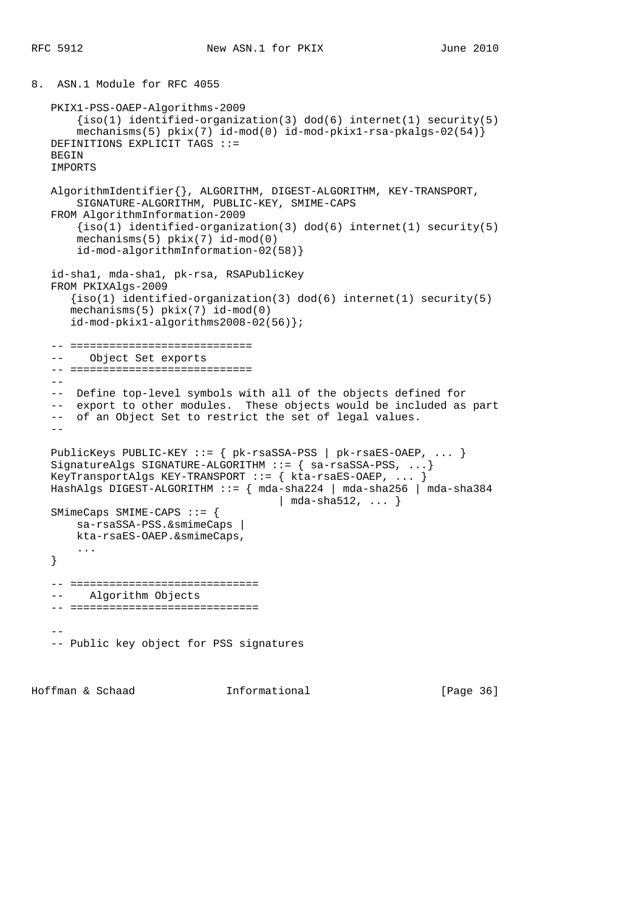```
8. ASN.1 Module for RFC 4055
   PKIX1-PSS-OAEP-Algorithms-2009
       \{iso(1) identified-organization(3) dod(6) internet(1) security(5)
       mechanisms(5) pkix(7) id-mod(0) id-mod-pkix1-rsa-pkalgs-02(54)}
   DEFINITIONS EXPLICIT TAGS ::=
  BEGIN
   IMPORTS
   AlgorithmIdentifier{}, ALGORITHM, DIGEST-ALGORITHM, KEY-TRANSPORT,
       SIGNATURE-ALGORITHM, PUBLIC-KEY, SMIME-CAPS
   FROM AlgorithmInformation-2009
      {s(1) identified-organization(3) dod(6) internet(1) security(5)
       mechanisms(5) pkix(7) id-mod(0)
        id-mod-algorithmInformation-02(58)}
    id-sha1, mda-sha1, pk-rsa, RSAPublicKey
   FROM PKIXAlgs-2009
       {iso(1) identified-organization(3) dod(6) internet(1) security(5)
       mechanisms(5) pkix(7) id-mod(0)
       id-mod-pkix1-algorithms2008-02(56)};
    -- ============================
    -- Object Set exports
    -- ============================
- -- Define top-level symbols with all of the objects defined for
    -- export to other modules. These objects would be included as part
    -- of an Object Set to restrict the set of legal values.
   - PublicKeys PUBLIC-KEY ::= { pk-rsaSSA-PSS | pk-rsaES-OAEP, ... }
  SignatureAlgs SIGNATURE-ALGORITHM ::= { sa-rsaSSA-PSS, ...}
   KeyTransportAlgs KEY-TRANSPORT ::= { kta-rsaES-OAEP, ... }
   HashAlgs DIGEST-ALGORITHM ::= { mda-sha224 | mda-sha256 | mda-sha384
                                      | mda-sha512, ... }
   SMimeCaps SMIME-CAPS ::= {
       sa-rsaSSA-PSS.&smimeCaps |
       kta-rsaES-OAEP.&smimeCaps,
       ...
    }
    -- =============================
    -- Algorithm Objects
    -- =============================
 --
    -- Public key object for PSS signatures
```
Hoffman & Schaad Informational [Page 36]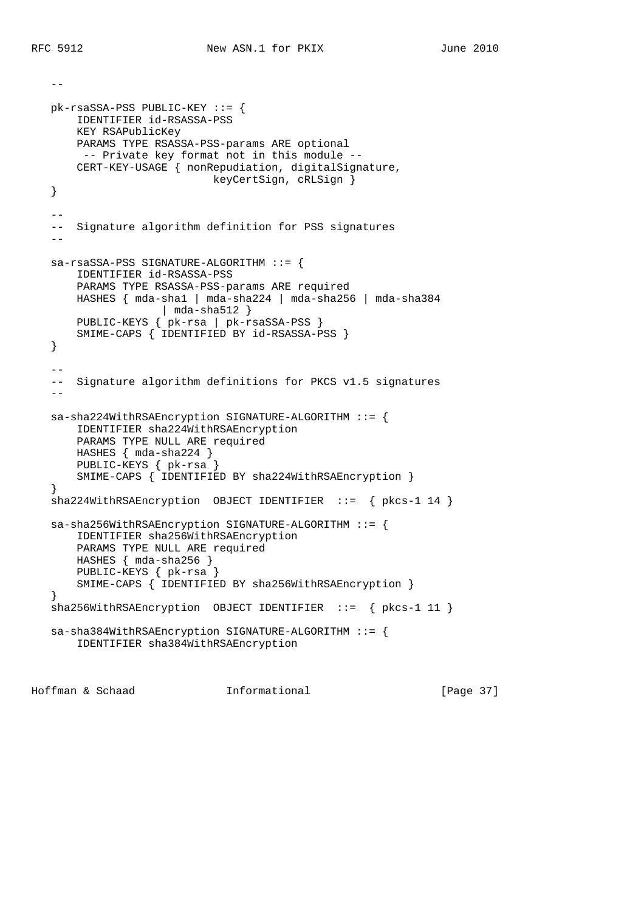--

```
 pk-rsaSSA-PSS PUBLIC-KEY ::= {
       IDENTIFIER id-RSASSA-PSS
       KEY RSAPublicKey
       PARAMS TYPE RSASSA-PSS-params ARE optional
        -- Private key format not in this module --
       CERT-KEY-USAGE { nonRepudiation, digitalSignature,
                            keyCertSign, cRLSign }
   }
  - -- Signature algorithm definition for PSS signatures
- sa-rsaSSA-PSS SIGNATURE-ALGORITHM ::= {
       IDENTIFIER id-RSASSA-PSS
       PARAMS TYPE RSASSA-PSS-params ARE required
       HASHES { mda-sha1 | mda-sha224 | mda-sha256 | mda-sha384
                    | mda-sha512 }
       PUBLIC-KEYS { pk-rsa | pk-rsaSSA-PSS }
       SMIME-CAPS { IDENTIFIED BY id-RSASSA-PSS }
   }
 --
   -- Signature algorithm definitions for PKCS v1.5 signatures
   - sa-sha224WithRSAEncryption SIGNATURE-ALGORITHM ::= {
       IDENTIFIER sha224WithRSAEncryption
       PARAMS TYPE NULL ARE required
       HASHES { mda-sha224 }
       PUBLIC-KEYS { pk-rsa }
       SMIME-CAPS { IDENTIFIED BY sha224WithRSAEncryption }
   }
   sha224WithRSAEncryption OBJECT IDENTIFIER ::= { pkcs-1 14 }
   sa-sha256WithRSAEncryption SIGNATURE-ALGORITHM ::= {
       IDENTIFIER sha256WithRSAEncryption
       PARAMS TYPE NULL ARE required
       HASHES { mda-sha256 }
       PUBLIC-KEYS { pk-rsa }
       SMIME-CAPS { IDENTIFIED BY sha256WithRSAEncryption }
   }
  sha256WithRSAEncryption OBJECT IDENTIFIER ::= { pkcs-1 11 }
   sa-sha384WithRSAEncryption SIGNATURE-ALGORITHM ::= {
       IDENTIFIER sha384WithRSAEncryption
```
Hoffman & Schaad **Informational** [Page 37]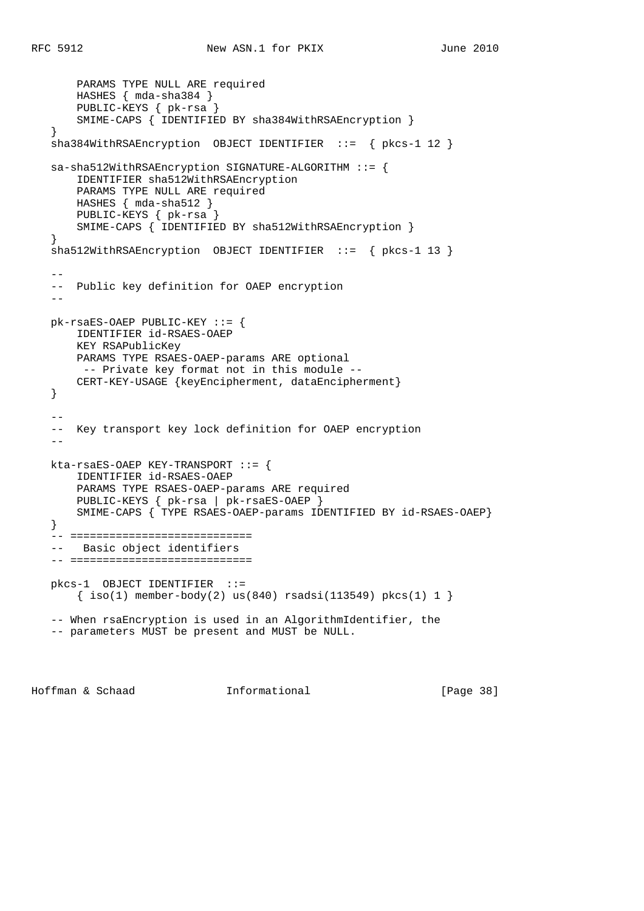```
 PARAMS TYPE NULL ARE required
       HASHES { mda-sha384 }
       PUBLIC-KEYS { pk-rsa }
       SMIME-CAPS { IDENTIFIED BY sha384WithRSAEncryption }
   }
   sha384WithRSAEncryption OBJECT IDENTIFIER ::= { pkcs-1 12 }
   sa-sha512WithRSAEncryption SIGNATURE-ALGORITHM ::= {
       IDENTIFIER sha512WithRSAEncryption
       PARAMS TYPE NULL ARE required
       HASHES { mda-sha512 }
       PUBLIC-KEYS { pk-rsa }
       SMIME-CAPS { IDENTIFIED BY sha512WithRSAEncryption }
   }
   sha512WithRSAEncryption OBJECT IDENTIFIER ::= { pkcs-1 13 }
  - - -- Public key definition for OAEP encryption
 --
   pk-rsaES-OAEP PUBLIC-KEY ::= {
       IDENTIFIER id-RSAES-OAEP
       KEY RSAPublicKey
       PARAMS TYPE RSAES-OAEP-params ARE optional
       -- Private key format not in this module --
       CERT-KEY-USAGE {keyEncipherment, dataEncipherment}
   }
- -- Key transport key lock definition for OAEP encryption
   --
   kta-rsaES-OAEP KEY-TRANSPORT ::= {
       IDENTIFIER id-RSAES-OAEP
       PARAMS TYPE RSAES-OAEP-params ARE required
       PUBLIC-KEYS { pk-rsa | pk-rsaES-OAEP }
       SMIME-CAPS { TYPE RSAES-OAEP-params IDENTIFIED BY id-RSAES-OAEP}
   }
   -- ============================
   -- Basic object identifiers
   -- ============================
   pkcs-1 OBJECT IDENTIFIER ::=
       { iso(1) member-body(2) us(840) rsadsi(113549) pkcs(1) 1 }
   -- When rsaEncryption is used in an AlgorithmIdentifier, the
   -- parameters MUST be present and MUST be NULL.
```
Hoffman & Schaad **Informational** [Page 38]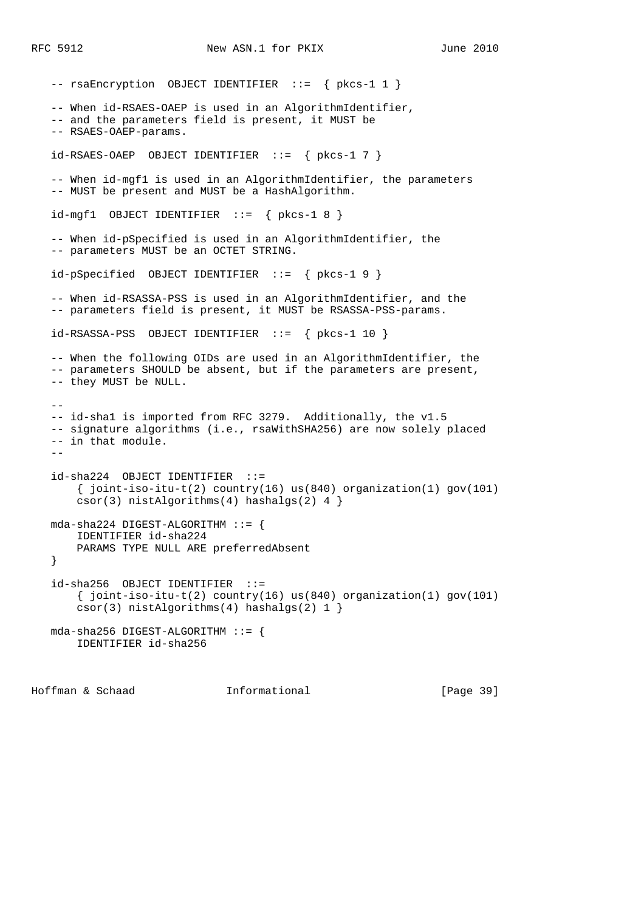-- rsaEncryption OBJECT IDENTIFIER ::= { pkcs-1 1 } -- When id-RSAES-OAEP is used in an AlgorithmIdentifier, -- and the parameters field is present, it MUST be -- RSAES-OAEP-params. id-RSAES-OAEP OBJECT IDENTIFIER ::= { pkcs-1 7 } -- When id-mgf1 is used in an AlgorithmIdentifier, the parameters -- MUST be present and MUST be a HashAlgorithm.  $id-mqf1$  OBJECT IDENTIFIER ::= {  $pkcs-1 8$  } -- When id-pSpecified is used in an AlgorithmIdentifier, the -- parameters MUST be an OCTET STRING. id-pSpecified OBJECT IDENTIFIER ::= { pkcs-1 9 } -- When id-RSASSA-PSS is used in an AlgorithmIdentifier, and the -- parameters field is present, it MUST be RSASSA-PSS-params.  $id-RSASSA-PSS$  OBJECT IDENTIFIER  $::=$  {  $pkcs-1$  10 } -- When the following OIDs are used in an AlgorithmIdentifier, the -- parameters SHOULD be absent, but if the parameters are present, -- they MUST be NULL. -- -- id-sha1 is imported from RFC 3279. Additionally, the v1.5 -- signature algorithms (i.e., rsaWithSHA256) are now solely placed -- in that module.  $$  id-sha224 OBJECT IDENTIFIER ::=  $\{\$  joint-iso-itu-t(2) country(16) us(840) organization(1) gov(101) csor(3) nistAlgorithms(4) hashalgs(2) 4 } mda-sha224 DIGEST-ALGORITHM ::= { IDENTIFIER id-sha224 PARAMS TYPE NULL ARE preferredAbsent } id-sha256 OBJECT IDENTIFIER ::= { joint-iso-itu-t(2) country(16) us(840) organization(1) gov(101) csor(3) nistAlgorithms(4) hashalgs(2) 1 } mda-sha256 DIGEST-ALGORITHM ::= { IDENTIFIER id-sha256

Hoffman & Schaad Informational [Page 39]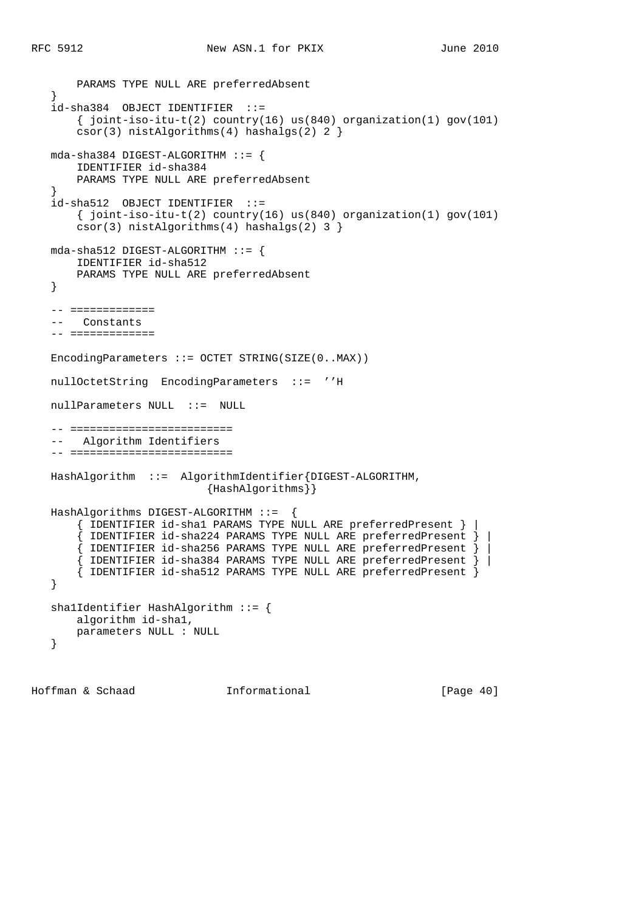```
 PARAMS TYPE NULL ARE preferredAbsent
 }
  id-sha384 OBJECT IDENTIFIER ::=\{ joint-iso-itu-t(2) country(16) us(840) organization(1) gov(101)
        csor(3) nistAlgorithms(4) hashalgs(2) 2 }
   mda-sha384 DIGEST-ALGORITHM ::= {
       IDENTIFIER id-sha384
       PARAMS TYPE NULL ARE preferredAbsent
    }
   id-sha512 OBJECT IDENTIFIER ::=
      \{\text{joint-iso-itu-t}(2) \text{ country}(16) \text{ us}(840) \text{ organization}(1) \text{ qov}(101)\} csor(3) nistAlgorithms(4) hashalgs(2) 3 }
   mda-sha512 DIGEST-ALGORITHM ::= {
       IDENTIFIER id-sha512
       PARAMS TYPE NULL ARE preferredAbsent
    }
    -- =============
      Constants
    -- =============
   EncodingParameters ::= OCTET STRING(SIZE(0..MAX))
   nullOctetString EncodingParameters ::= ''H
   nullParameters NULL ::= NULL
   -- =========================
   -- Algorithm Identifiers
   -- =========================
   HashAlgorithm ::= AlgorithmIdentifier{DIGEST-ALGORITHM,
                             {HashAlgorithms}}
   HashAlgorithms DIGEST-ALGORITHM ::= {
        { IDENTIFIER id-sha1 PARAMS TYPE NULL ARE preferredPresent } |
        { IDENTIFIER id-sha224 PARAMS TYPE NULL ARE preferredPresent } |
        { IDENTIFIER id-sha256 PARAMS TYPE NULL ARE preferredPresent } |
        { IDENTIFIER id-sha384 PARAMS TYPE NULL ARE preferredPresent } |
        { IDENTIFIER id-sha512 PARAMS TYPE NULL ARE preferredPresent }
    }
   sha1Identifier HashAlgorithm ::= {
      algorithm id-sha1,
       parameters NULL : NULL
    }
```
Hoffman & Schaad Informational [Page 40]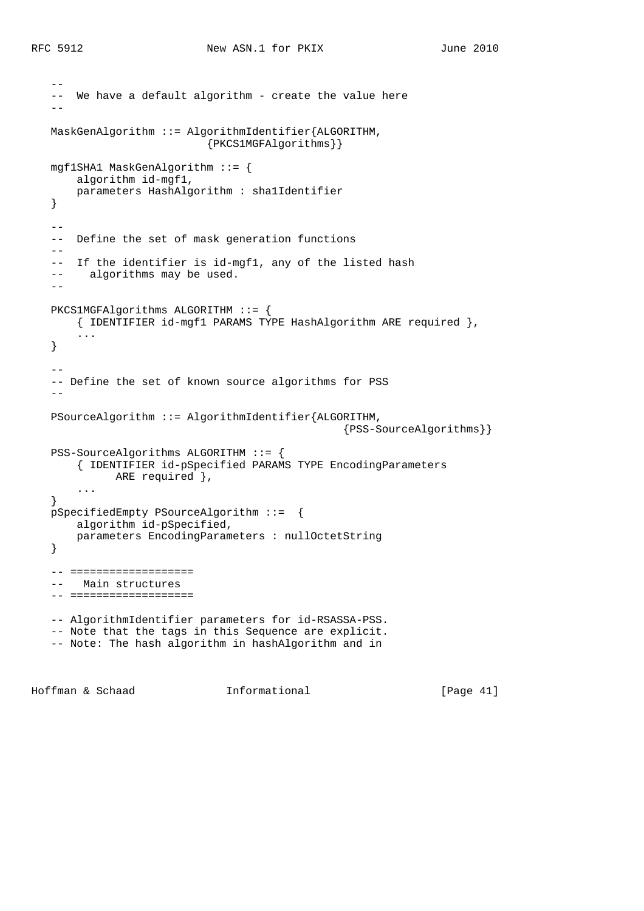```
 --
  -- We have a default algorithm - create the value here
 --
   MaskGenAlgorithm ::= AlgorithmIdentifier{ALGORITHM,
                            {PKCS1MGFAlgorithms}}
   mgf1SHA1 MaskGenAlgorithm ::= {
      algorithm id-mgf1,
       parameters HashAlgorithm : sha1Identifier
   }
  - - -- Define the set of mask generation functions
  - -- If the identifier is id-mgf1, any of the listed hash
  -- algorithms may be used.
  - PKCS1MGFAlgorithms ALGORITHM ::= {
       { IDENTIFIER id-mgf1 PARAMS TYPE HashAlgorithm ARE required },
       ...
   }
 --
   -- Define the set of known source algorithms for PSS
  - PSourceAlgorithm ::= AlgorithmIdentifier{ALGORITHM,
                                                  {PSS-SourceAlgorithms}}
   PSS-SourceAlgorithms ALGORITHM ::= {
        { IDENTIFIER id-pSpecified PARAMS TYPE EncodingParameters
             ARE required },
       ...
   }
   pSpecifiedEmpty PSourceAlgorithm ::= {
       algorithm id-pSpecified,
       parameters EncodingParameters : nullOctetString
   }
   -- ===================
   -- Main structures
   -- ===================
   -- AlgorithmIdentifier parameters for id-RSASSA-PSS.
   -- Note that the tags in this Sequence are explicit.
   -- Note: The hash algorithm in hashAlgorithm and in
```
Hoffman & Schaad Informational [Page 41]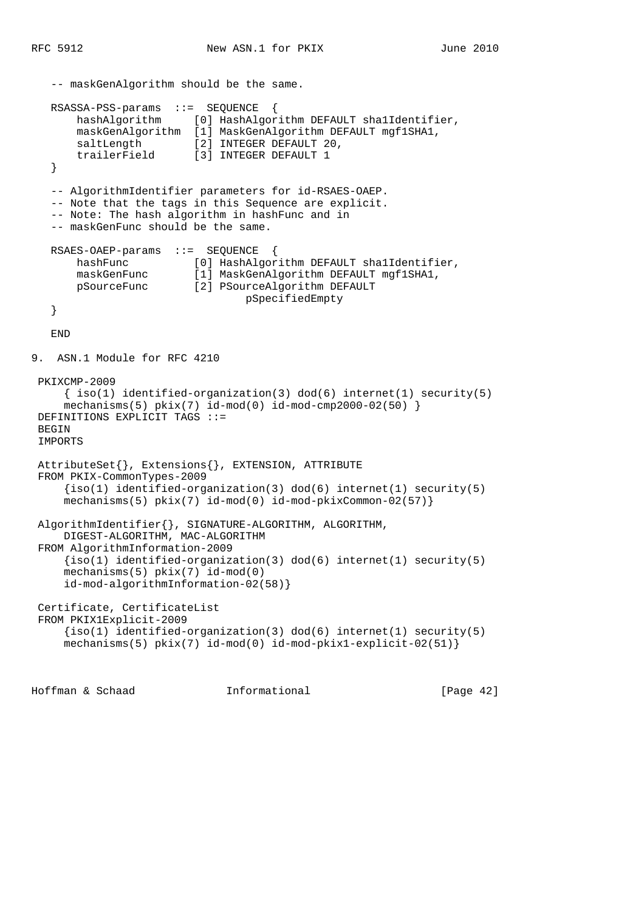```
 -- maskGenAlgorithm should be the same.
   RSASSA-PSS-params ::= SEQUENCE {
       hashAlgorithm [0] HashAlgorithm DEFAULT sha1Identifier,
       maskGenAlgorithm [1] MaskGenAlgorithm DEFAULT mgf1SHA1,
      saltLength [2] INTEGER DEFAULT 20,
       trailerField [3] INTEGER DEFAULT 1
    }
    -- AlgorithmIdentifier parameters for id-RSAES-OAEP.
    -- Note that the tags in this Sequence are explicit.
    -- Note: The hash algorithm in hashFunc and in
    -- maskGenFunc should be the same.
   RSAES-OAEP-params ::= SEQUENCE {
       hashFunc [0] HashAlgorithm DEFAULT sha1Identifier,
       maskGenFunc [1] MaskGenAlgorithm DEFAULT mgf1SHA1,
       pSourceFunc [2] PSourceAlgorithm DEFAULT
                                  pSpecifiedEmpty
    }
   END
9. ASN.1 Module for RFC 4210
 PKIXCMP-2009
     \{ iso(1) <i>identified-organization(3) <math> dod(6) <i>internet(1) <i>security(5)</i></i>mechanisms(5) pkix(7) id-mod(0) id-mod-cmp2000-02(50) DEFINITIONS EXPLICIT TAGS ::=
BEGIN
 IMPORTS
 AttributeSet{}, Extensions{}, EXTENSION, ATTRIBUTE
 FROM PKIX-CommonTypes-2009
     \{iso(1) identified-organization(3) dod(6) internet(1) security(5)
     mechanisms(5) pkix(7) id-mod(0) id-mod-pkixCommon-02(57)}
 AlgorithmIdentifier{}, SIGNATURE-ALGORITHM, ALGORITHM,
     DIGEST-ALGORITHM, MAC-ALGORITHM
 FROM AlgorithmInformation-2009
     \{iso(1) identified-organization(3) dod(6) internet(1) security(5)
     mechanisms(5) pkix(7) id-mod(0)
     id-mod-algorithmInformation-02(58)}
 Certificate, CertificateList
 FROM PKIX1Explicit-2009
     \{iso(1) identified-organization(3) dod(6) internet(1) security(5)
     mechanisms(5) pkix(7) id-mod(0) id-mod-pkix1-explicit-02(51)}
```
Hoffman & Schaad Informational [Page 42]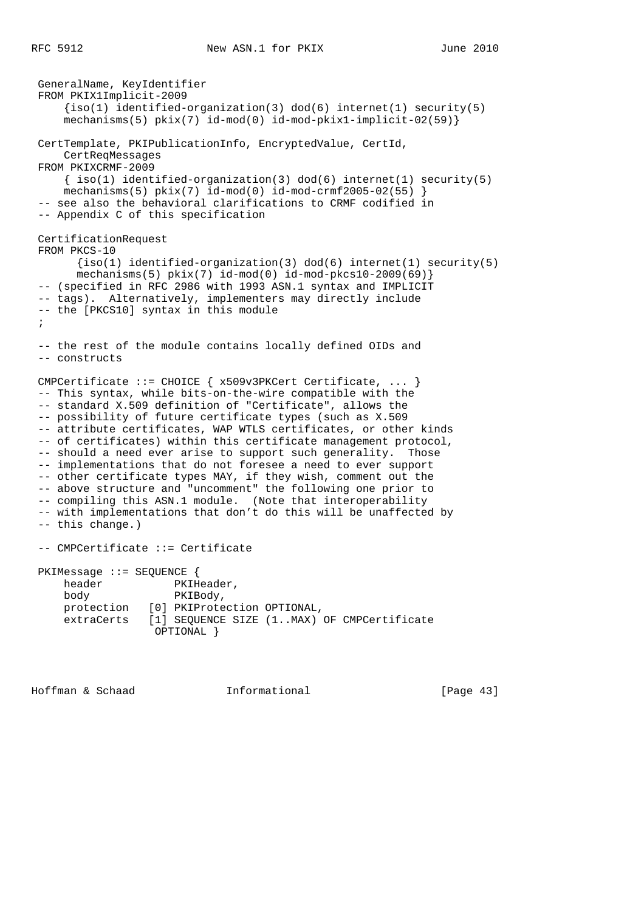```
 GeneralName, KeyIdentifier
 FROM PKIX1Implicit-2009
    \{iso(1) identified-organization(3) dod(6) internet(1) security(5)
     mechanisms(5) pkix(7) id-mod(0) id-mod-pkix1-implicit-02(59)}
 CertTemplate, PKIPublicationInfo, EncryptedValue, CertId,
    CertReqMessages
 FROM PKIXCRMF-2009
    \{ iso(1) identified-organization(3) dod(6) internet(1) security(5)mechanisms(5) pkix(7) id-mod(0) id-mod-crmf2005-02(55) }
 -- see also the behavioral clarifications to CRMF codified in
 -- Appendix C of this specification
 CertificationRequest
 FROM PKCS-10
      \{iso(1) identified-organization(3) dod(6) internet(1) security(5)
       mechanisms(5) pkix(7) id-mod(0) id-mod-pkcs10-2009(69)}
 -- (specified in RFC 2986 with 1993 ASN.1 syntax and IMPLICIT
 -- tags). Alternatively, implementers may directly include
 -- the [PKCS10] syntax in this module
 ;
 -- the rest of the module contains locally defined OIDs and
 -- constructs
 CMPCertificate ::= CHOICE { x509v3PKCert Certificate, ... }
 -- This syntax, while bits-on-the-wire compatible with the
 -- standard X.509 definition of "Certificate", allows the
 -- possibility of future certificate types (such as X.509
 -- attribute certificates, WAP WTLS certificates, or other kinds
 -- of certificates) within this certificate management protocol,
 -- should a need ever arise to support such generality. Those
 -- implementations that do not foresee a need to ever support
 -- other certificate types MAY, if they wish, comment out the
 -- above structure and "uncomment" the following one prior to
 -- compiling this ASN.1 module. (Note that interoperability
 -- with implementations that don't do this will be unaffected by
 -- this change.)
 -- CMPCertificate ::= Certificate
 PKIMessage ::= SEQUENCE {
   header PKIHeader,
    body PKIBody,
    protection [0] PKIProtection OPTIONAL,
     extraCerts [1] SEQUENCE SIZE (1..MAX) OF CMPCertificate
                  OPTIONAL }
```
Hoffman & Schaad Informational [Page 43]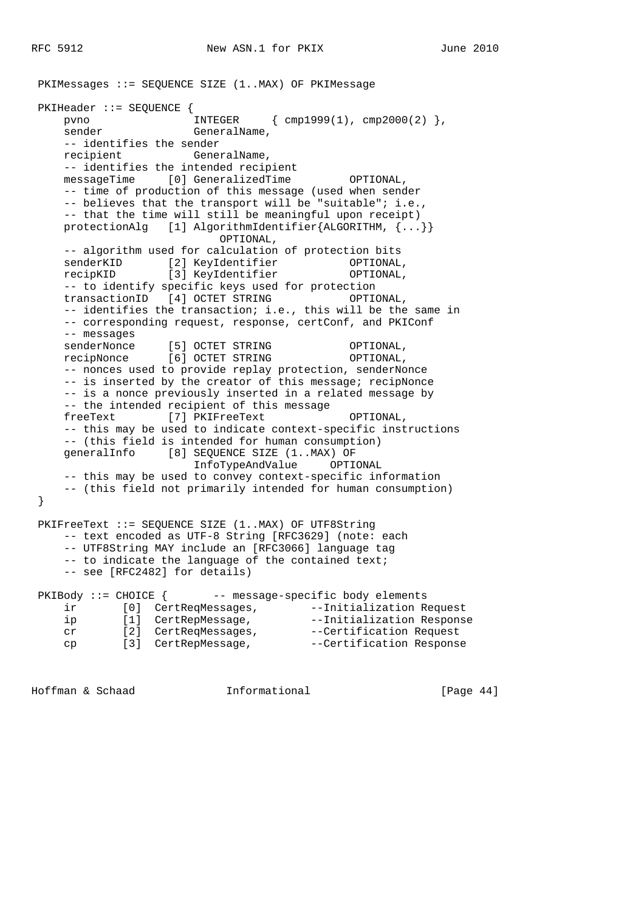PKIMessages ::= SEQUENCE SIZE (1..MAX) OF PKIMessage PKIHeader ::= SEQUENCE { pvno INTEGER { cmp1999(1), cmp2000(2) }, sender GeneralName, -- identifies the sender recipient GeneralName, -- identifies the intended recipient messageTime [0] GeneralizedTime OPTIONAL, -- time of production of this message (used when sender -- believes that the transport will be "suitable"; i.e., -- that the time will still be meaningful upon receipt) protectionAlg [1] AlgorithmIdentifier{ALGORITHM, {...}} OPTIONAL, -- algorithm used for calculation of protection bits senderKID [2] KeyIdentifier OPTIONAL, recipKID [3] KeyIdentifier OPTIONAL, -- to identify specific keys used for protection transactionID [4] OCTET STRING OPTIONAL, -- identifies the transaction; i.e., this will be the same in -- corresponding request, response, certConf, and PKIConf -- messages senderNonce [5] OCTET STRING OPTIONAL, recipNonce [6] OCTET STRING OPTIONAL, -- nonces used to provide replay protection, senderNonce -- is inserted by the creator of this message; recipNonce -- is a nonce previously inserted in a related message by -- the intended recipient of this message freeText [7] PKIFreeText OPTIONAL, -- this may be used to indicate context-specific instructions -- (this field is intended for human consumption) generalInfo [8] SEQUENCE SIZE (1..MAX) OF InfoTypeAndValue OPTIONAL -- this may be used to convey context-specific information -- (this field not primarily intended for human consumption) } PKIFreeText ::= SEQUENCE SIZE (1..MAX) OF UTF8String -- text encoded as UTF-8 String [RFC3629] (note: each -- UTF8String MAY include an [RFC3066] language tag -- to indicate the language of the contained text; -- see [RFC2482] for details) PKIBody ::= CHOICE { -- message-specific body elements ir [0] CertReqMessages, --Initialization Request ip [1] CertRepMessage, the --Initialization Response cr [2] CertReqMessages, --Certification Request

Hoffman & Schaad Informational [Page 44]

cp [3] CertRepMessage,  $--Certification$  Response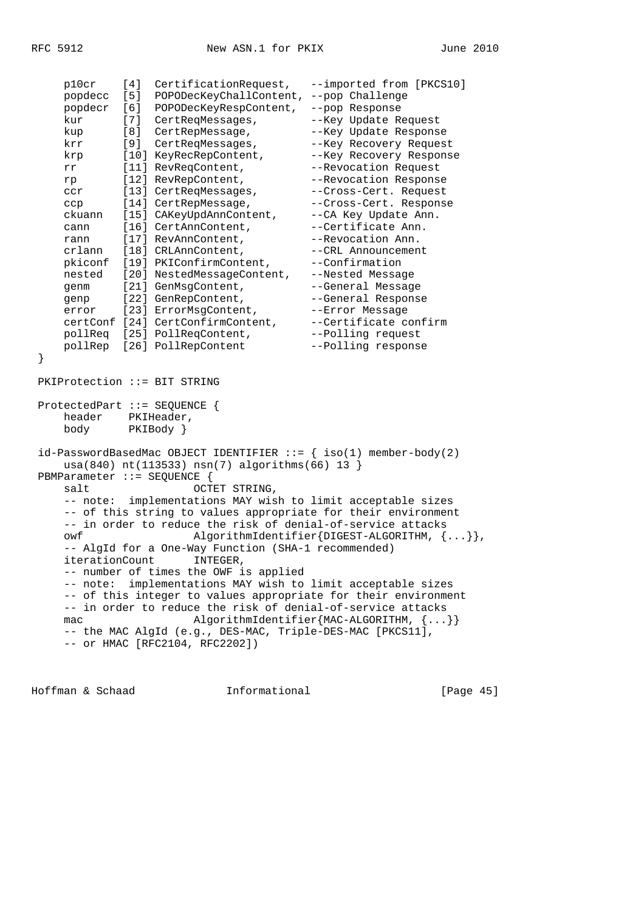|                                                                                           | p10cr                                                                                                | [4] | CertificationRequest,             | --imported from [PKCS10] |  |  |
|-------------------------------------------------------------------------------------------|------------------------------------------------------------------------------------------------------|-----|-----------------------------------|--------------------------|--|--|
|                                                                                           | popdecc                                                                                              | [5] | POPODecKeyChallContent,           | --pop Challenge          |  |  |
|                                                                                           | popdecr                                                                                              | [6] | POPODecKeyRespContent,            | --pop Response           |  |  |
|                                                                                           | kur                                                                                                  | [7] | CertReqMessages,                  | --Key Update Request     |  |  |
|                                                                                           | kup                                                                                                  | [8] | CertRepMessage,                   | --Key Update Response    |  |  |
|                                                                                           | krr                                                                                                  | [9] | CertReqMessages,                  | --Key Recovery Request   |  |  |
|                                                                                           | krp                                                                                                  |     | [10] KeyRecRepContent,            | --Key Recovery Response  |  |  |
|                                                                                           | rr                                                                                                   |     | [11] RevReqContent,               | --Revocation Request     |  |  |
|                                                                                           | rp                                                                                                   |     | [12] RevRepContent,               | --Revocation Response    |  |  |
|                                                                                           | <b>CCY</b>                                                                                           |     | [13] CertReqMessages,             | --Cross-Cert. Request    |  |  |
|                                                                                           | ccp                                                                                                  |     | [14] CertRepMessage,              | --Cross-Cert. Response   |  |  |
|                                                                                           | ckuann                                                                                               |     | [15] CAKeyUpdAnnContent,          | --CA Key Update Ann.     |  |  |
|                                                                                           | cann                                                                                                 |     | [16] CertAnnContent,              | --Certificate Ann.       |  |  |
|                                                                                           | rann                                                                                                 |     | [17] RevAnnContent,               | --Revocation Ann.        |  |  |
|                                                                                           | crlann                                                                                               |     | [18] CRLAnnContent,               | --CRL Announcement       |  |  |
|                                                                                           | pkiconf                                                                                              |     | [19] PKIConfirmContent,           | --Confirmation           |  |  |
|                                                                                           | nested                                                                                               |     | [20] NestedMessageContent,        | --Nested Message         |  |  |
|                                                                                           | genm                                                                                                 |     | [21] GenMsgContent,               | --General Message        |  |  |
|                                                                                           | qenp                                                                                                 |     | [22] GenRepContent,               | --General Response       |  |  |
|                                                                                           | error                                                                                                |     | [23] ErrorMsgContent,             | --Error Message          |  |  |
|                                                                                           |                                                                                                      |     | certConf [24] CertConfirmContent, | --Certificate confirm    |  |  |
|                                                                                           |                                                                                                      |     | pollReq [25] PollReqContent,      | --Polling request        |  |  |
|                                                                                           | pollRep                                                                                              |     | [26] PollRepContent               | --Polling response       |  |  |
| }                                                                                         |                                                                                                      |     |                                   |                          |  |  |
| PKIProtection ::= BIT STRING                                                              |                                                                                                      |     |                                   |                          |  |  |
|                                                                                           | ProtectedPart ::= SEQUENCE $\{$                                                                      |     |                                   |                          |  |  |
|                                                                                           | header<br>PKIHeader,                                                                                 |     |                                   |                          |  |  |
|                                                                                           | body                                                                                                 |     | $PKIBody$ }                       |                          |  |  |
| $id$ -PasswordBasedMac OBJECT IDENTIFIER ::= $\{ \text{iso}(1) \text{ member-body}(2) \}$ |                                                                                                      |     |                                   |                          |  |  |
| $usa(840) nt(113533) nsn(7) algorithms(66) 13$<br>PBMParameter ::= SEQUENCE {             |                                                                                                      |     |                                   |                          |  |  |
| OCTET STRING,<br>salt                                                                     |                                                                                                      |     |                                   |                          |  |  |
|                                                                                           | -- note: implementations MAY wish to limit acceptable sizes                                          |     |                                   |                          |  |  |
|                                                                                           | -- of this string to values appropriate for their environment                                        |     |                                   |                          |  |  |
|                                                                                           | -- in order to reduce the risk of denial-of-service attacks                                          |     |                                   |                          |  |  |
|                                                                                           | AlgorithmIdentifier{DIGEST-ALGORITHM, ${}$ },<br>owf                                                 |     |                                   |                          |  |  |
|                                                                                           | -- AlgId for a One-Way Function (SHA-1 recommended)                                                  |     |                                   |                          |  |  |
|                                                                                           | iterationCount                                                                                       |     |                                   |                          |  |  |
|                                                                                           | INTEGER,                                                                                             |     |                                   |                          |  |  |
|                                                                                           | -- number of times the OWF is applied<br>-- note: implementations MAY wish to limit acceptable sizes |     |                                   |                          |  |  |
|                                                                                           | -- of this integer to values appropriate for their environment                                       |     |                                   |                          |  |  |
|                                                                                           | -- in order to reduce the risk of denial-of-service attacks                                          |     |                                   |                          |  |  |
|                                                                                           | AlgorithmIdentifier{MAC-ALGORITHM, ${}$ }                                                            |     |                                   |                          |  |  |
|                                                                                           | mac<br>-- the MAC AlgId (e.g., DES-MAC, Triple-DES-MAC [PKCS11],                                     |     |                                   |                          |  |  |
|                                                                                           |                                                                                                      |     |                                   |                          |  |  |
|                                                                                           | -- or HMAC [RFC2104, RFC2202])                                                                       |     |                                   |                          |  |  |

Hoffman & Schaad 1nformational [Page 45]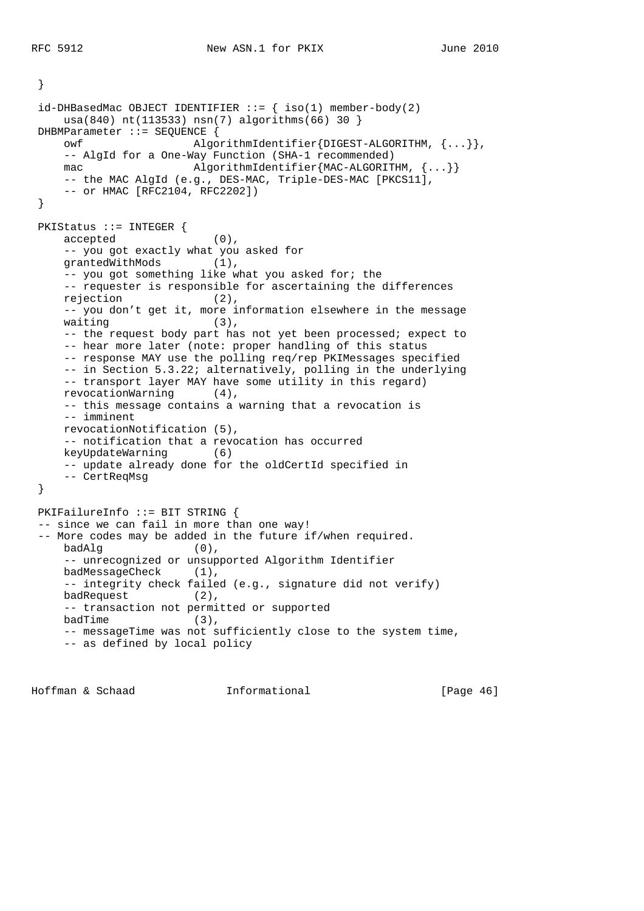}

```
id-DHBasedMac OBJECT IDENTIFIER ::= { iso(1) member-body(2)
    usa(840) nt(113533) nsn(7) algorithms(66) 30 }
 DHBMParameter ::= SEQUENCE {
    owf AlgorithmIdentifier{DIGEST-ALGORITHM, {...}},
    -- AlgId for a One-Way Function (SHA-1 recommended)
   mac \text{AlgorithmIdentifier}\{\text{MAC}-\text{ALGORITHM}, \{... \}\}\-- the MAC AlgId (e.g., DES-MAC, Triple-DES-MAC [PKCS11],
     -- or HMAC [RFC2104, RFC2202])
 }
 PKIStatus ::= INTEGER {
    accepted (0),
    -- you got exactly what you asked for
    grantedWithMods (1),
    -- you got something like what you asked for; the
    -- requester is responsible for ascertaining the differences
    rejection (2),
   -- you don't get it, more information elsewhere in the message waiting (3),
   waiting
   -- the request body part has not yet been processed; expect to
     -- hear more later (note: proper handling of this status
     -- response MAY use the polling req/rep PKIMessages specified
     -- in Section 5.3.22; alternatively, polling in the underlying
    -- transport layer MAY have some utility in this regard)
    revocationWarning (4),
    -- this message contains a warning that a revocation is
    -- imminent
    revocationNotification (5),
    -- notification that a revocation has occurred
    keyUpdateWarning (6)
    -- update already done for the oldCertId specified in
    -- CertReqMsg
 }
 PKIFailureInfo ::= BIT STRING {
 -- since we can fail in more than one way!
 -- More codes may be added in the future if/when required.
   badAlg (0),
    -- unrecognized or unsupported Algorithm Identifier
    badMessageCheck (1),
    -- integrity check failed (e.g., signature did not verify)
   badRequest (2),
    -- transaction not permitted or supported
   badTime (3),
    -- messageTime was not sufficiently close to the system time,
     -- as defined by local policy
```
Hoffman & Schaad Informational [Page 46]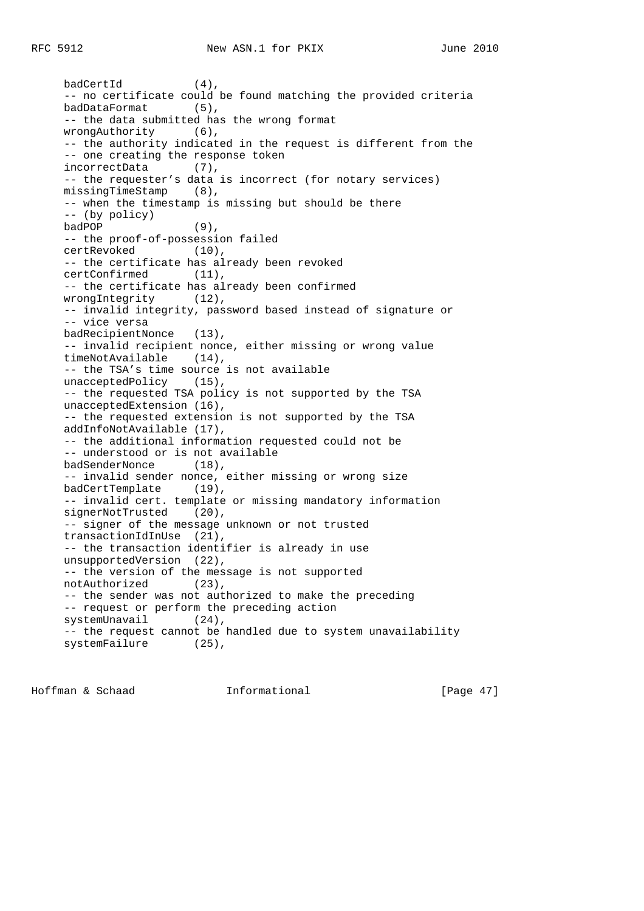badCertId (4), -- no certificate could be found matching the provided criteria badDataFormat (5), -- the data submitted has the wrong format wrongAuthority (6), -- the authority indicated in the request is different from the -- one creating the response token incorrectData (7), -- the requester's data is incorrect (for notary services) missingTimeStamp (8), -- when the timestamp is missing but should be there -- (by policy) badPOP (9), -- the proof-of-possession failed certRevoked (10), -- the certificate has already been revoked certConfirmed (11), -- the certificate has already been confirmed wrongIntegrity (12), -- invalid integrity, password based instead of signature or -- vice versa badRecipientNonce (13), -- invalid recipient nonce, either missing or wrong value timeNotAvailable (14), -- the TSA's time source is not available unacceptedPolicy (15), -- the requested TSA policy is not supported by the TSA unacceptedExtension (16), -- the requested extension is not supported by the TSA addInfoNotAvailable (17), -- the additional information requested could not be -- understood or is not available badSenderNonce (18), -- invalid sender nonce, either missing or wrong size badCertTemplate (19), -- invalid cert. template or missing mandatory information signerNotTrusted (20), -- signer of the message unknown or not trusted transactionIdInUse (21), -- the transaction identifier is already in use unsupportedVersion (22), -- the version of the message is not supported notAuthorized (23), -- the sender was not authorized to make the preceding -- request or perform the preceding action systemUnavail (24), -- the request cannot be handled due to system unavailability systemFailure (25),

Hoffman & Schaad Informational [Page 47]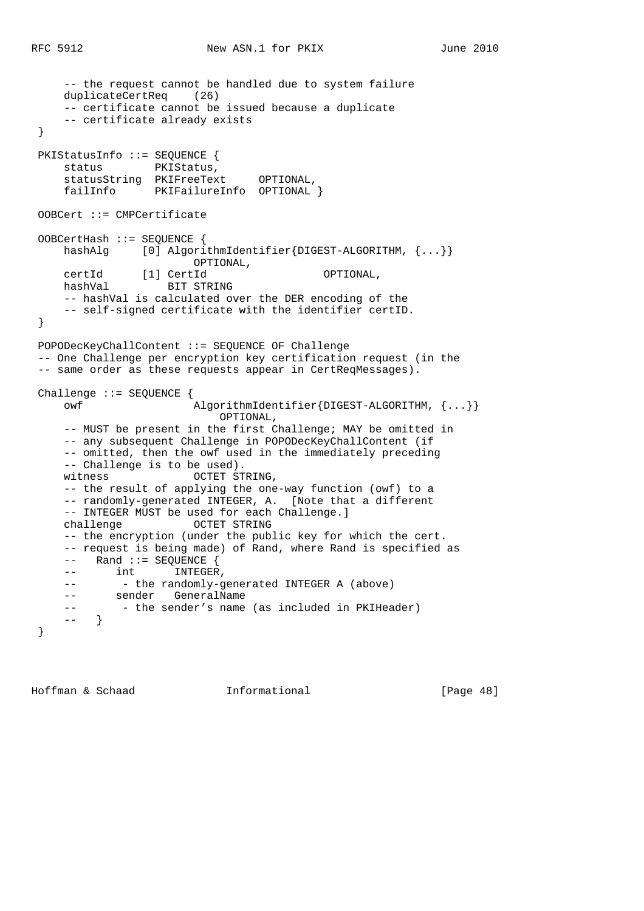```
 -- the request cannot be handled due to system failure
     duplicateCertReq (26)
     -- certificate cannot be issued because a duplicate
     -- certificate already exists
 }
 PKIStatusInfo ::= SEQUENCE {
     status PKIStatus,
     statusString PKIFreeText OPTIONAL,
     failInfo PKIFailureInfo OPTIONAL }
 OOBCert ::= CMPCertificate
 OOBCertHash ::= SEQUENCE {
    hashAlg [0] AlgorithmIdentifier{DIGEST-ALGORITHM, {...}}
                        OPTIONAL,
 certId [1] CertId OPTIONAL,
 hashVal BIT STRING
     -- hashVal is calculated over the DER encoding of the
     -- self-signed certificate with the identifier certID.
 }
 POPODecKeyChallContent ::= SEQUENCE OF Challenge
 -- One Challenge per encryption key certification request (in the
 -- same order as these requests appear in CertReqMessages).
 Challenge ::= SEQUENCE {
     owf AlgorithmIdentifier{DIGEST-ALGORITHM, {...}}
                           OPTIONAL,
     -- MUST be present in the first Challenge; MAY be omitted in
     -- any subsequent Challenge in POPODecKeyChallContent (if
     -- omitted, then the owf used in the immediately preceding
     -- Challenge is to be used).
    witness OCTET STRING,
     -- the result of applying the one-way function (owf) to a
     -- randomly-generated INTEGER, A. [Note that a different
     -- INTEGER MUST be used for each Challenge.]
     challenge OCTET STRING
     -- the encryption (under the public key for which the cert.
     -- request is being made) of Rand, where Rand is specified as
     -- Rand ::= SEQUENCE {
    -- int INTEGER,
    -- - the randomly-generated INTEGER A (above)
     -- sender GeneralName
    -- - - the sender's name (as included in PKIHeader)
     -- }
 }
```
Hoffman & Schaad Informational [Page 48]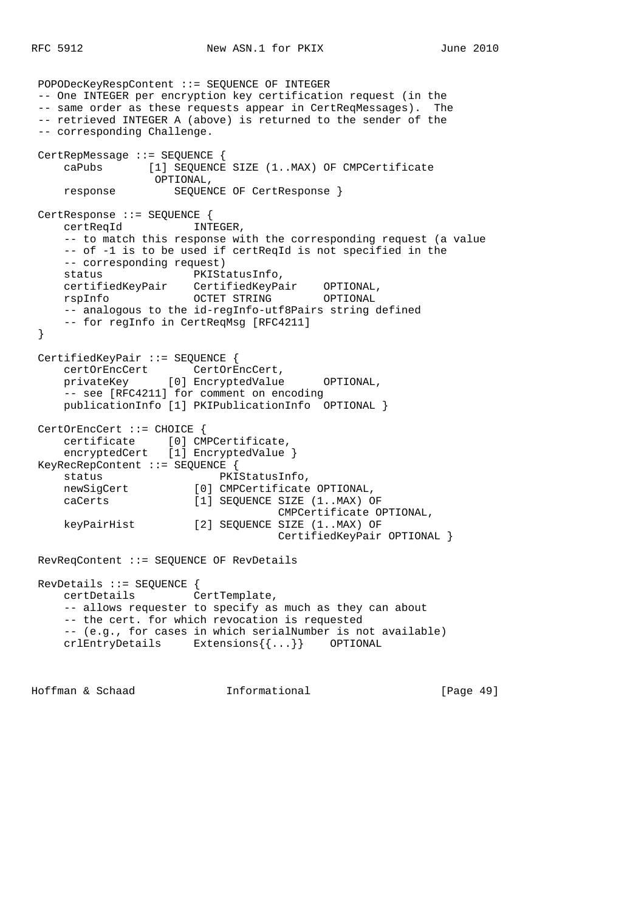```
 POPODecKeyRespContent ::= SEQUENCE OF INTEGER
 -- One INTEGER per encryption key certification request (in the
 -- same order as these requests appear in CertReqMessages). The
 -- retrieved INTEGER A (above) is returned to the sender of the
 -- corresponding Challenge.
 CertRepMessage ::= SEQUENCE {
     caPubs [1] SEQUENCE SIZE (1..MAX) OF CMPCertificate
                  OPTIONAL,
     response SEQUENCE OF CertResponse }
 CertResponse ::= SEQUENCE {
     certReqId INTEGER,
     -- to match this response with the corresponding request (a value
     -- of -1 is to be used if certReqId is not specified in the
     -- corresponding request)
    status PKIStatusInfo,
 certifiedKeyPair CertifiedKeyPair OPTIONAL,
 rspInfo OCTET STRING OPTIONAL
     -- analogous to the id-regInfo-utf8Pairs string defined
     -- for regInfo in CertReqMsg [RFC4211]
 }
 CertifiedKeyPair ::= SEQUENCE {
    certOrEncCert CertOrEncCert,<br>privateKey [0] EncryptedValue
                  [0] EncryptedValue OPTIONAL,
    -- see [RFC4211] for comment on encoding
     publicationInfo [1] PKIPublicationInfo OPTIONAL }
 CertOrEncCert ::= CHOICE {
     certificate [0] CMPCertificate,
    encryptedCert [1] EncryptedValue }
 KeyRecRepContent ::= SEQUENCE {
    status PKIStatusInfo,
     newSigCert [0] CMPCertificate OPTIONAL,
     caCerts [1] SEQUENCE SIZE (1..MAX) OF
                                     CMPCertificate OPTIONAL,
     keyPairHist [2] SEQUENCE SIZE (1..MAX) OF
                                    CertifiedKeyPair OPTIONAL }
 RevReqContent ::= SEQUENCE OF RevDetails
 RevDetails ::= SEQUENCE {
     certDetails CertTemplate,
     -- allows requester to specify as much as they can about
     -- the cert. for which revocation is requested
     -- (e.g., for cases in which serialNumber is not available)
     crlEntryDetails Extensions{{...}} OPTIONAL
```
Hoffman & Schaad Informational [Page 49]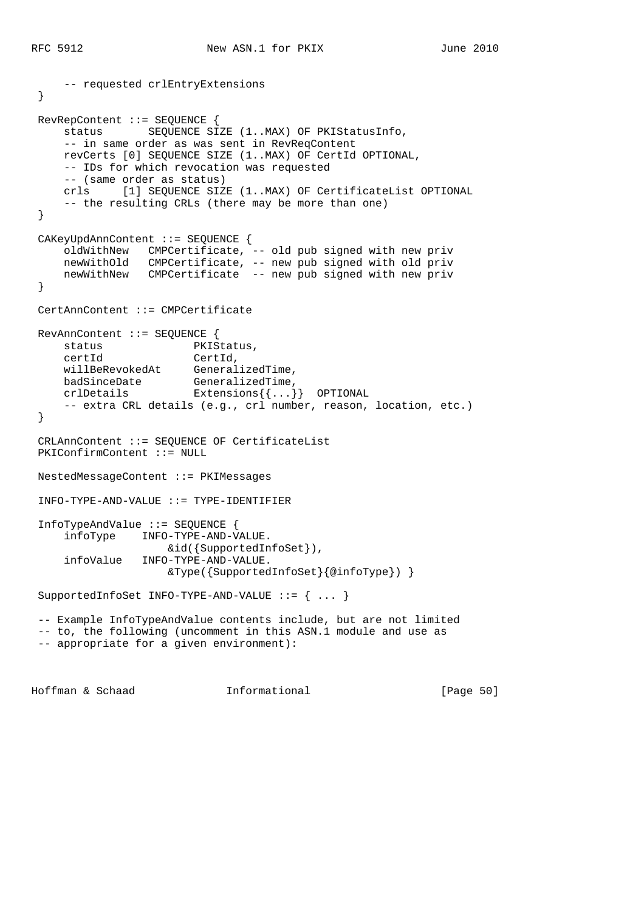```
 -- requested crlEntryExtensions
 }
 RevRepContent ::= SEQUENCE {
     status SEQUENCE SIZE (1..MAX) OF PKIStatusInfo,
     -- in same order as was sent in RevReqContent
     revCerts [0] SEQUENCE SIZE (1..MAX) OF CertId OPTIONAL,
     -- IDs for which revocation was requested
     -- (same order as status)
     crls [1] SEQUENCE SIZE (1..MAX) OF CertificateList OPTIONAL
     -- the resulting CRLs (there may be more than one)
 }
 CAKeyUpdAnnContent ::= SEQUENCE {
     oldWithNew CMPCertificate, -- old pub signed with new priv
     newWithOld CMPCertificate, -- new pub signed with old priv
     newWithNew CMPCertificate -- new pub signed with new priv
 }
 CertAnnContent ::= CMPCertificate
 RevAnnContent ::= SEQUENCE {
    status PKIStatus,
 certId CertId,
 willBeRevokedAt GeneralizedTime,
badSinceDate GeneralizedTime,
 crlDetails Extensions{{...}} OPTIONAL
     -- extra CRL details (e.g., crl number, reason, location, etc.)
 }
 CRLAnnContent ::= SEQUENCE OF CertificateList
 PKIConfirmContent ::= NULL
 NestedMessageContent ::= PKIMessages
 INFO-TYPE-AND-VALUE ::= TYPE-IDENTIFIER
 InfoTypeAndValue ::= SEQUENCE {
     infoType INFO-TYPE-AND-VALUE.
                    &id({SupportedInfoSet}),
     infoValue INFO-TYPE-AND-VALUE.
                    &Type({SupportedInfoSet}{@infoType}) }
 SupportedInfoSet INFO-TYPE-AND-VALUE ::= { ... }
 -- Example InfoTypeAndValue contents include, but are not limited
 -- to, the following (uncomment in this ASN.1 module and use as
 -- appropriate for a given environment):
```
Hoffman & Schaad Informational [Page 50]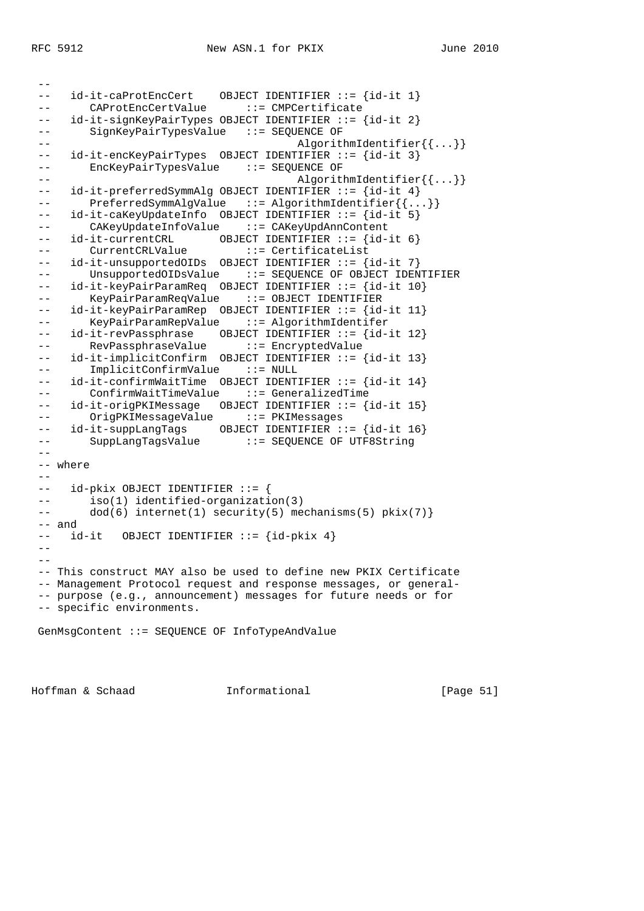-- -- id-it-caProtEncCert OBJECT IDENTIFIER ::= {id-it 1} -- CAProtEncCertValue ::= CMPCertificate -- id-it-signKeyPairTypes OBJECT IDENTIFIER ::= {id-it 2} -- SignKeyPairTypesValue ::= SEQUENCE OF -- AlgorithmIdentifier{{...}} -- id-it-encKeyPairTypes OBJECT IDENTIFIER ::= {id-it 3} -- EncKeyPairTypesValue ::= SEQUENCE OF -- AlgorithmIdentifier{{...}} -- id-it-preferredSymmAlg OBJECT IDENTIFIER ::= {id-it 4} -- PreferredSymmAlgValue ::= AlgorithmIdentifier{{...}} -- id-it-caKeyUpdateInfo OBJECT IDENTIFIER ::= {id-it 5} -- CAKeyUpdateInfoValue ::= CAKeyUpdAnnContent -- id-it-currentCRL OBJECT IDENTIFIER ::= {id-it 6} -- CurrentCRLValue ::= CertificateList -- id-it-unsupportedOIDs OBJECT IDENTIFIER ::= {id-it 7} -- UnsupportedOIDsValue ::= SEQUENCE OF OBJECT IDENTIFIER -- id-it-keyPairParamReq OBJECT IDENTIFIER ::= {id-it 10} -- KeyPairParamReqValue ::= OBJECT IDENTIFIER -- id-it-keyPairParamRep OBJECT IDENTIFIER ::= {id-it 11} -- KeyPairParamRepValue ::= AlgorithmIdentifer -- id-it-revPassphrase OBJECT IDENTIFIER ::= {id-it 12} -- RevPassphraseValue ::= EncryptedValue -- id-it-implicitConfirm OBJECT IDENTIFIER ::= {id-it 13} -- ImplicitConfirmValue ::= NULL -- id-it-confirmWaitTime OBJECT IDENTIFIER ::= {id-it 14} -- ConfirmWaitTimeValue ::= GeneralizedTime -- id-it-origPKIMessage OBJECT IDENTIFIER ::= {id-it 15} -- OrigPKIMessageValue ::= PKIMessages -- id-it-suppLangTags OBJECT IDENTIFIER ::= {id-it 16} -- SuppLangTagsValue ::= SEQUENCE OF UTF8String  $-$  -- where  $-$  -- id-pkix OBJECT IDENTIFIER ::= { -- iso(1) identified-organization(3) -- dod(6) internet(1) security(5) mechanisms(5) pkix(7)} -- and -- id-it OBJECT IDENTIFIER ::= {id-pkix 4}  $- - -$  -- This construct MAY also be used to define new PKIX Certificate -- Management Protocol request and response messages, or general- -- purpose (e.g., announcement) messages for future needs or for -- specific environments. GenMsgContent ::= SEQUENCE OF InfoTypeAndValue

Hoffman & Schaad Informational [Page 51]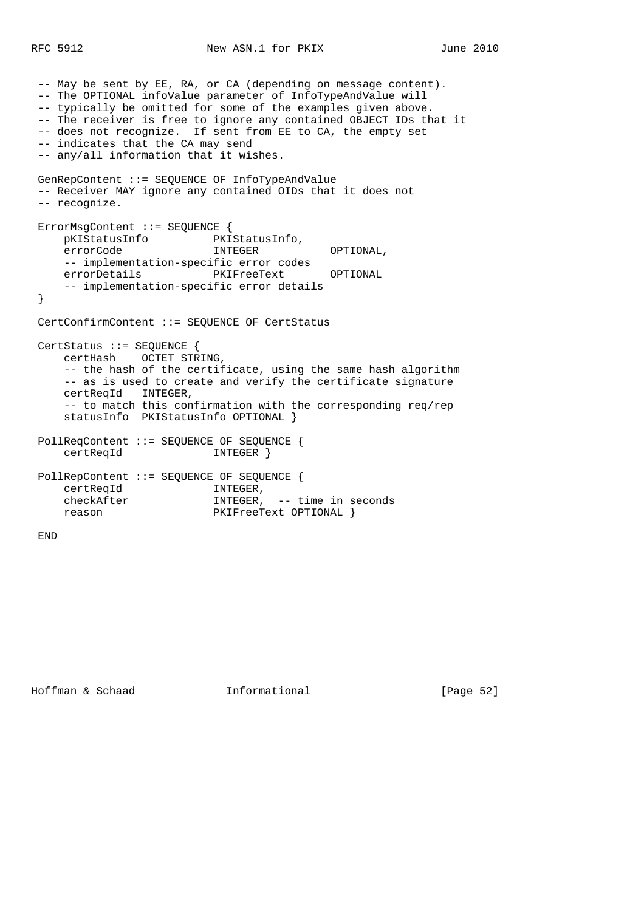```
 -- May be sent by EE, RA, or CA (depending on message content).
 -- The OPTIONAL infoValue parameter of InfoTypeAndValue will
-- typically be omitted for some of the examples given above.
 -- The receiver is free to ignore any contained OBJECT IDs that it
 -- does not recognize. If sent from EE to CA, the empty set
 -- indicates that the CA may send
 -- any/all information that it wishes.
 GenRepContent ::= SEQUENCE OF InfoTypeAndValue
 -- Receiver MAY ignore any contained OIDs that it does not
 -- recognize.
 ErrorMsgContent ::= SEQUENCE {
    pKIStatusInfo PKIStatusInfo,
     errorCode INTEGER OPTIONAL,
     -- implementation-specific error codes
     errorDetails PKIFreeText OPTIONAL
     -- implementation-specific error details
 }
 CertConfirmContent ::= SEQUENCE OF CertStatus
 CertStatus ::= SEQUENCE {
     certHash OCTET STRING,
     -- the hash of the certificate, using the same hash algorithm
     -- as is used to create and verify the certificate signature
     certReqId INTEGER,
     -- to match this confirmation with the corresponding req/rep
     statusInfo PKIStatusInfo OPTIONAL }
 PollReqContent ::= SEQUENCE OF SEQUENCE {
    certReqId INTEGER }
 PollRepContent ::= SEQUENCE OF SEQUENCE {
 certReqId INTEGER,
 checkAfter INTEGER, -- time in seconds
    reason PKIFreeText OPTIONAL }
```
END

Hoffman & Schaad Informational [Page 52]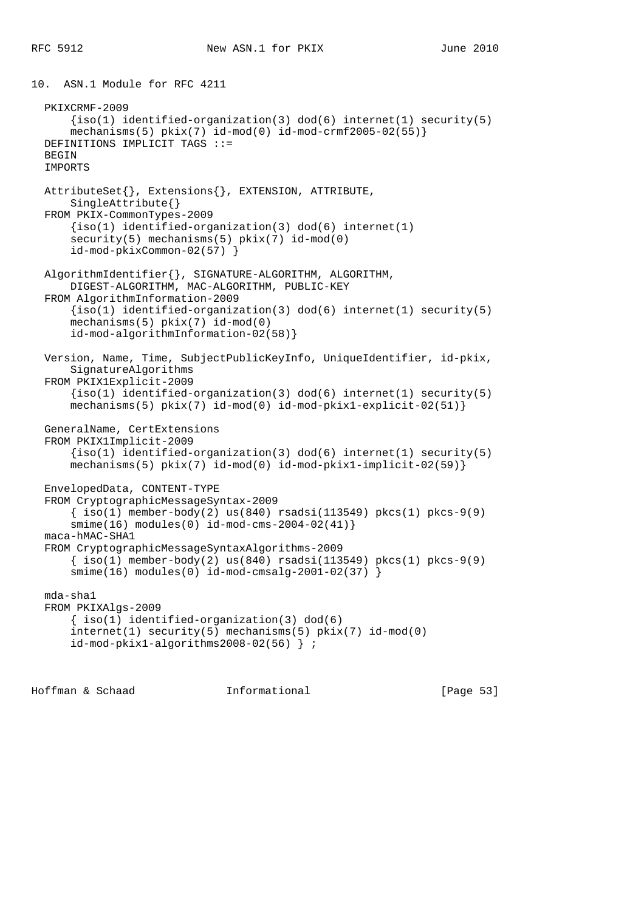```
10. ASN.1 Module for RFC 4211
   PKIXCRMF-2009
      \{iso(1) identified-organization(3) dod(6) internet(1) security(5)
      mechanisms(5) pkix(7) id-mod(0) id-mod-crmf2005-02(55) DEFINITIONS IMPLICIT TAGS ::=
  BEGIN
   IMPORTS
   AttributeSet{}, Extensions{}, EXTENSION, ATTRIBUTE,
       SingleAttribute{}
   FROM PKIX-CommonTypes-2009
      \{iso(1) \text{ identified-organization}(3) \text{ dod}(6) \text{ internet}(1)security(5) mechanisms(5) pkix(7) id-mod(0)
       id-mod-pkixCommon-02(57) }
   AlgorithmIdentifier{}, SIGNATURE-ALGORITHM, ALGORITHM,
       DIGEST-ALGORITHM, MAC-ALGORITHM, PUBLIC-KEY
   FROM AlgorithmInformation-2009
      \{iso(1) identified-organization(3) dod(6) internet(1) security(5)
       mechanisms(5) pkix(7) id-mod(0)
       id-mod-algorithmInformation-02(58)}
   Version, Name, Time, SubjectPublicKeyInfo, UniqueIdentifier, id-pkix,
       SignatureAlgorithms
   FROM PKIX1Explicit-2009
      \{iso(1) identified-organization(3) dod(6) internet(1) security(5)
      mechanisms(5) pkix(7) id-mod(0) id-mod-pkix1-explicit-02(51)}
   GeneralName, CertExtensions
   FROM PKIX1Implicit-2009
      \{iso(1) identified-organization(3) dod(6) internet(1) security(5)
       mechanisms(5) pkix(7) id-mod(0) id-mod-pkix1-implicit-02(59)}
   EnvelopedData, CONTENT-TYPE
   FROM CryptographicMessageSyntax-2009
      \{ iso(1) member-body(2) us(840) rsadsi(113549) pkcs(1) pkcs-9(9)
       smime(16) modules(0) id-mod-cms-2004-02(41)}
   maca-hMAC-SHA1
   FROM CryptographicMessageSyntaxAlgorithms-2009
      \{\text{iso}(1) \text{ member-body}(2) \text{ us}(840) \text{ rsadsi}(113549) \text{ pkcs}(1) \text{ pkcs-9}(9) smime(16) modules(0) id-mod-cmsalg-2001-02(37) }
   mda-sha1
   FROM PKIXAlgs-2009
       { iso(1) identified-organization(3) dod(6)
       internet(1) security(5) mechanisms(5) pkix(7) id-mod(0)
       id-mod-pkix1-algorithms2008-02(56) } ;
```
Hoffman & Schaad Informational [Page 53]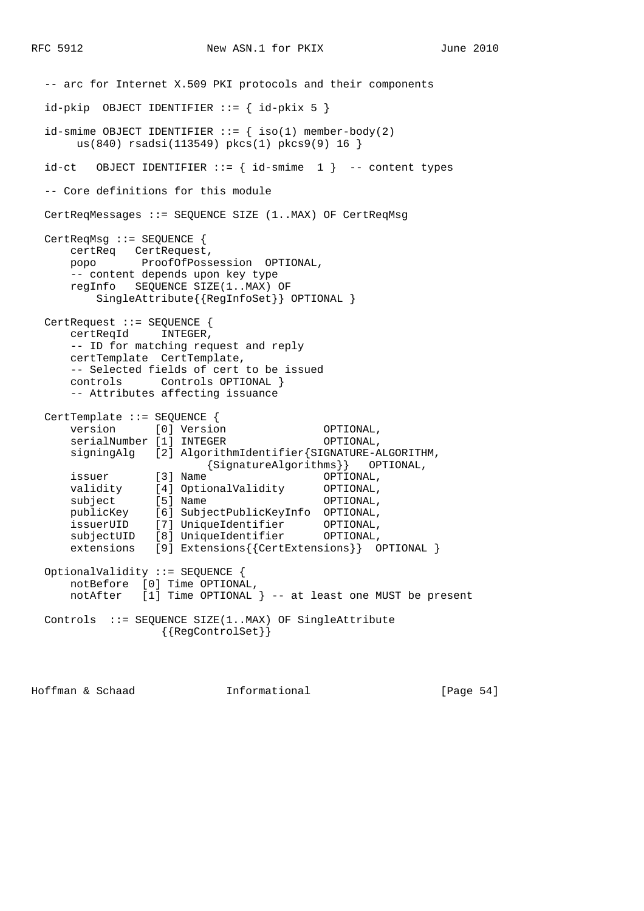-- arc for Internet X.509 PKI protocols and their components  $id$ -pkip OBJECT IDENTIFIER ::= {  $id$ -pkix 5 } id-smime OBJECT IDENTIFIER  $::=$  { iso(1) member-body(2) us(840) rsadsi(113549) pkcs(1) pkcs9(9) 16 }  $id-ct$  OBJECT IDENTIFIER ::= {  $id$ -smime 1 } -- content types -- Core definitions for this module CertReqMessages ::= SEQUENCE SIZE (1..MAX) OF CertReqMsg CertReqMsg ::= SEQUENCE { certReq CertRequest, popo ProofOfPossession OPTIONAL, -- content depends upon key type regInfo SEQUENCE SIZE(1..MAX) OF SingleAttribute{{RegInfoSet}} OPTIONAL } CertRequest ::= SEQUENCE { certReqId INTEGER, -- ID for matching request and reply certTemplate CertTemplate, -- Selected fields of cert to be issued controls Controls OPTIONAL } -- Attributes affecting issuance CertTemplate ::= SEQUENCE { version [0] Version **OPTIONAL**, serialNumber [1] INTEGER OPTIONAL, signingAlg [2] AlgorithmIdentifier{SIGNATURE-ALGORITHM, {SignatureAlgorithms}} OPTIONAL, issuer [3] Name **OPTIONAL**, validity [4] OptionalValidity OPTIONAL, subject [5] Name **OPTIONAL**, publicKey [6] SubjectPublicKeyInfo OPTIONAL, issuerUID [7] UniqueIdentifier OPTIONAL, subjectUID [8] UniqueIdentifier OPTIONAL, extensions [9] Extensions{{CertExtensions}} OPTIONAL } OptionalValidity ::= SEQUENCE { notBefore [0] Time OPTIONAL, notAfter [1] Time OPTIONAL } -- at least one MUST be present Controls ::= SEQUENCE SIZE(1..MAX) OF SingleAttribute {{RegControlSet}}

Hoffman & Schaad Informational [Page 54]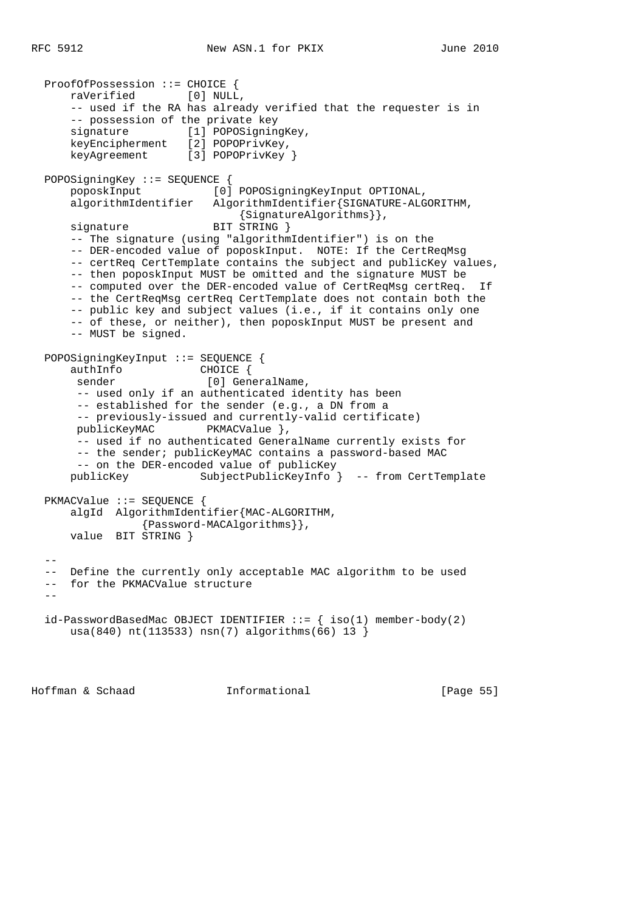```
 ProofOfPossession ::= CHOICE {
      raVerified [0] NULL,
      -- used if the RA has already verified that the requester is in
      -- possession of the private key
     signature [1] POPOSigningKey,
      keyEncipherment [2] POPOPrivKey,
     keyAgreement [3] POPOPrivKey }
  POPOSigningKey ::= SEQUENCE {
      poposkInput [0] POPOSigningKeyInput OPTIONAL,
      algorithmIdentifier AlgorithmIdentifier{SIGNATURE-ALGORITHM,
                               {SignatureAlgorithms}},
     signature BIT STRING }
      -- The signature (using "algorithmIdentifier") is on the
     -- DER-encoded value of poposkInput. NOTE: If the CertReqMsg
      -- certReq CertTemplate contains the subject and publicKey values,
      -- then poposkInput MUST be omitted and the signature MUST be
     -- computed over the DER-encoded value of CertReqMsg certReq. If
      -- the CertReqMsg certReq CertTemplate does not contain both the
      -- public key and subject values (i.e., if it contains only one
      -- of these, or neither), then poposkInput MUST be present and
      -- MUST be signed.
  POPOSigningKeyInput ::= SEQUENCE {
      authInfo CHOICE {
      sender [0] GeneralName,
       -- used only if an authenticated identity has been
       -- established for the sender (e.g., a DN from a
       -- previously-issued and currently-valid certificate)
      publicKeyMAC PKMACValue },
       -- used if no authenticated GeneralName currently exists for
       -- the sender; publicKeyMAC contains a password-based MAC
       -- on the DER-encoded value of publicKey
      publicKey SubjectPublicKeyInfo } -- from CertTemplate
  PKMACValue ::= SEQUENCE {
      algId AlgorithmIdentifier{MAC-ALGORITHM,
                 {Password-MACAlgorithms}},
      value BIT STRING }
 - -- Define the currently only acceptable MAC algorithm to be used
  -- for the PKMACValue structure
-id-PasswordBasedMac OBJECT IDENTIFIER ::= { iso(1) member-body(2)
      usa(840) nt(113533) nsn(7) algorithms(66) 13 }
```
Hoffman & Schaad Informational [Page 55]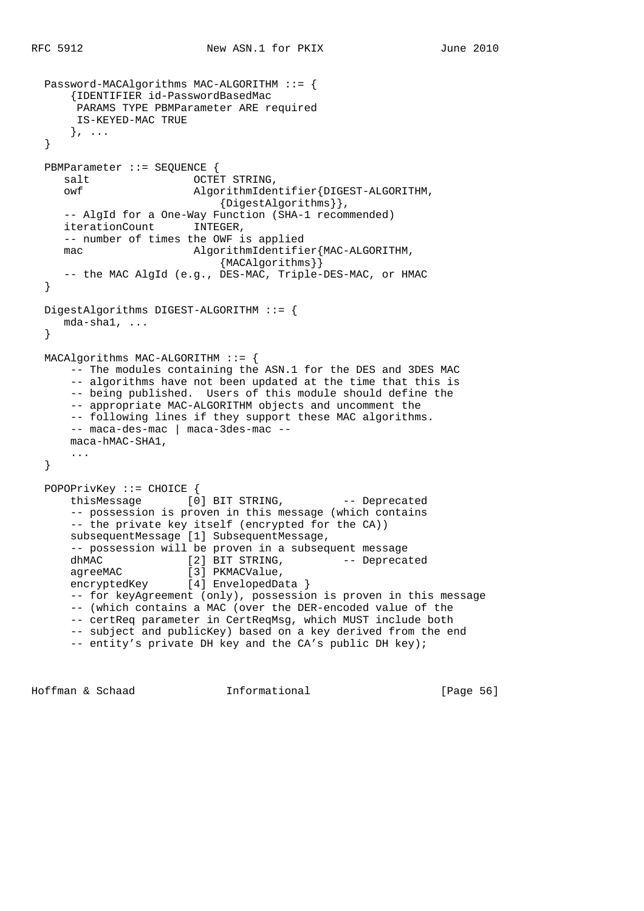```
 Password-MACAlgorithms MAC-ALGORITHM ::= {
      {IDENTIFIER id-PasswordBasedMac
       PARAMS TYPE PBMParameter ARE required
       IS-KEYED-MAC TRUE
      }, ...
  }
  PBMParameter ::= SEQUENCE {
    salt OCTET STRING,
     owf AlgorithmIdentifier{DIGEST-ALGORITHM,
                          {DigestAlgorithms}},
     -- AlgId for a One-Way Function (SHA-1 recommended)
     iterationCount INTEGER,
     -- number of times the OWF is applied
    mac \triangle AlgorithmIdentifier{MAC-ALGORITHM,
                             {MACAlgorithms}}
     -- the MAC AlgId (e.g., DES-MAC, Triple-DES-MAC, or HMAC
  }
  DigestAlgorithms DIGEST-ALGORITHM ::= {
     mda-sha1, ...
  }
  MACAlgorithms MAC-ALGORITHM ::= {
      -- The modules containing the ASN.1 for the DES and 3DES MAC
      -- algorithms have not been updated at the time that this is
     -- being published. Users of this module should define the
      -- appropriate MAC-ALGORITHM objects and uncomment the
      -- following lines if they support these MAC algorithms.
      -- maca-des-mac | maca-3des-mac --
      maca-hMAC-SHA1,
      ...
  }
  POPOPrivKey ::= CHOICE {
     thisMessage [0] BIT STRING, -- Deprecated
      -- possession is proven in this message (which contains
      -- the private key itself (encrypted for the CA))
      subsequentMessage [1] SubsequentMessage,
     -- possession will be proven in a subsequent message dhMAC [2] BIT STRING, -- Depreca
     dhMAC [2] BIT STRING, -- Deprecated agreeMAC [3] PKMACValue,
 agreeMAC [3] PKMACValue,
 encryptedKey [4] EnvelopedData }
      -- for keyAgreement (only), possession is proven in this message
      -- (which contains a MAC (over the DER-encoded value of the
      -- certReq parameter in CertReqMsg, which MUST include both
      -- subject and publicKey) based on a key derived from the end
      -- entity's private DH key and the CA's public DH key);
```
Hoffman & Schaad Informational [Page 56]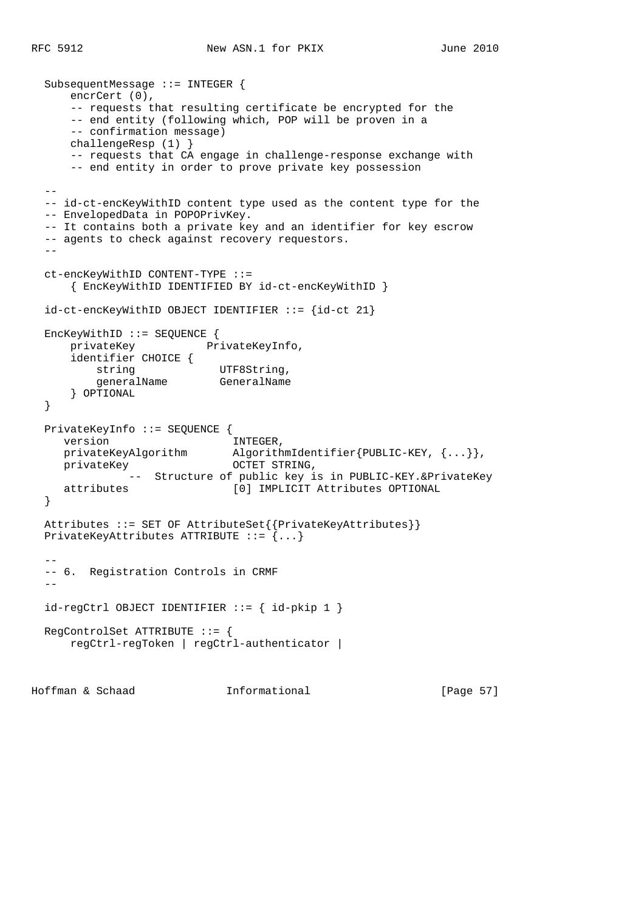```
 SubsequentMessage ::= INTEGER {
      encrCert (0),
      -- requests that resulting certificate be encrypted for the
      -- end entity (following which, POP will be proven in a
      -- confirmation message)
      challengeResp (1) }
      -- requests that CA engage in challenge-response exchange with
      -- end entity in order to prove private key possession
- -- id-ct-encKeyWithID content type used as the content type for the
  -- EnvelopedData in POPOPrivKey.
  -- It contains both a private key and an identifier for key escrow
  -- agents to check against recovery requestors.
 - ct-encKeyWithID CONTENT-TYPE ::=
      { EncKeyWithID IDENTIFIED BY id-ct-encKeyWithID }
  id-ct-encKeyWithID OBJECT IDENTIFIER ::= {id-ct 21}
  EncKeyWithID ::= SEQUENCE {
      privateKey PrivateKeyInfo,
      identifier CHOICE {
         string UTF8String,
         string<br>generalName GeneralName
      } OPTIONAL
  }
  PrivateKeyInfo ::= SEQUENCE {
    version INTEGER,
     privateKeyAlgorithm AlgorithmIdentifier{PUBLIC-KEY, {...}},
    privateKey OCTET STRING,
              -- Structure of public key is in PUBLIC-KEY.&PrivateKey
     attributes [0] IMPLICIT Attributes OPTIONAL
  }
  Attributes ::= SET OF AttributeSet{{PrivateKeyAttributes}}
  PrivateKeyAttributes ATTRIBUTE ::= {...}
- -- 6. Registration Controls in CRMF
  --
  id-regCtrl OBJECT IDENTIFIER ::= { id-pkip 1 }
  RegControlSet ATTRIBUTE ::= {
      regCtrl-regToken | regCtrl-authenticator |
```
Hoffman & Schaad Informational [Page 57]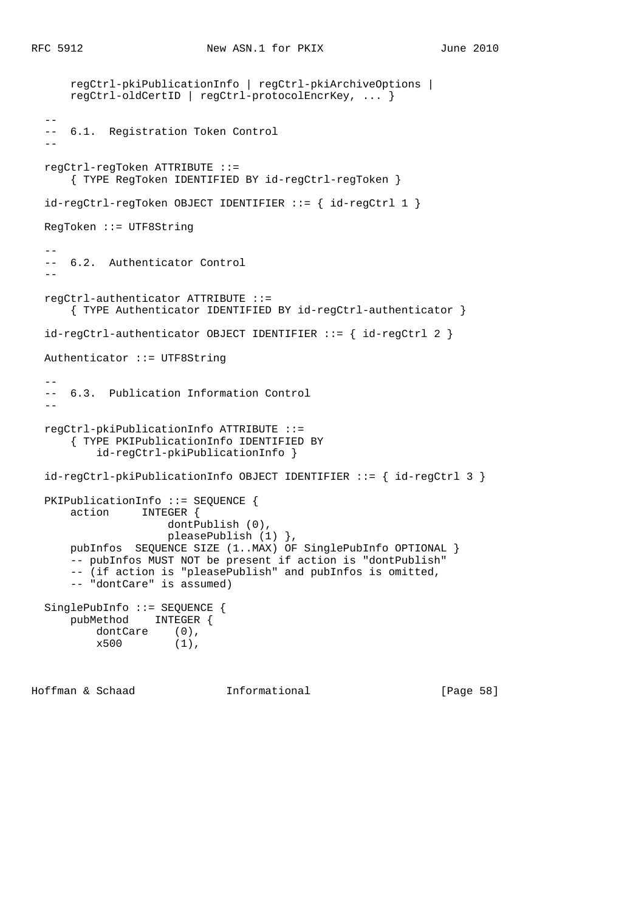```
 regCtrl-pkiPublicationInfo | regCtrl-pkiArchiveOptions |
      regCtrl-oldCertID | regCtrl-protocolEncrKey, ... }
- -- 6.1. Registration Token Control
- regCtrl-regToken ATTRIBUTE ::=
      { TYPE RegToken IDENTIFIED BY id-regCtrl-regToken }
  id-regCtrl-regToken OBJECT IDENTIFIER ::= { id-regCtrl 1 }
  RegToken ::= UTF8String
 - -- 6.2. Authenticator Control
- regCtrl-authenticator ATTRIBUTE ::=
      { TYPE Authenticator IDENTIFIED BY id-regCtrl-authenticator }
 id-regCtrl-authenticator OBJECT IDENTIFIER ::= { id-regCtrl 2 }
  Authenticator ::= UTF8String
- -- 6.3. Publication Information Control
 - regCtrl-pkiPublicationInfo ATTRIBUTE ::=
      { TYPE PKIPublicationInfo IDENTIFIED BY
          id-regCtrl-pkiPublicationInfo }
  id-regCtrl-pkiPublicationInfo OBJECT IDENTIFIER ::= { id-regCtrl 3 }
  PKIPublicationInfo ::= SEQUENCE {
      action INTEGER {
                     dontPublish (0),
                     pleasePublish (1) },
      pubInfos SEQUENCE SIZE (1..MAX) OF SinglePubInfo OPTIONAL }
      -- pubInfos MUST NOT be present if action is "dontPublish"
      -- (if action is "pleasePublish" and pubInfos is omitted,
      -- "dontCare" is assumed)
  SinglePubInfo ::= SEQUENCE {
      pubMethod INTEGER {
          dontCare (0),
         x500 (1),
```
Hoffman & Schaad Informational [Page 58]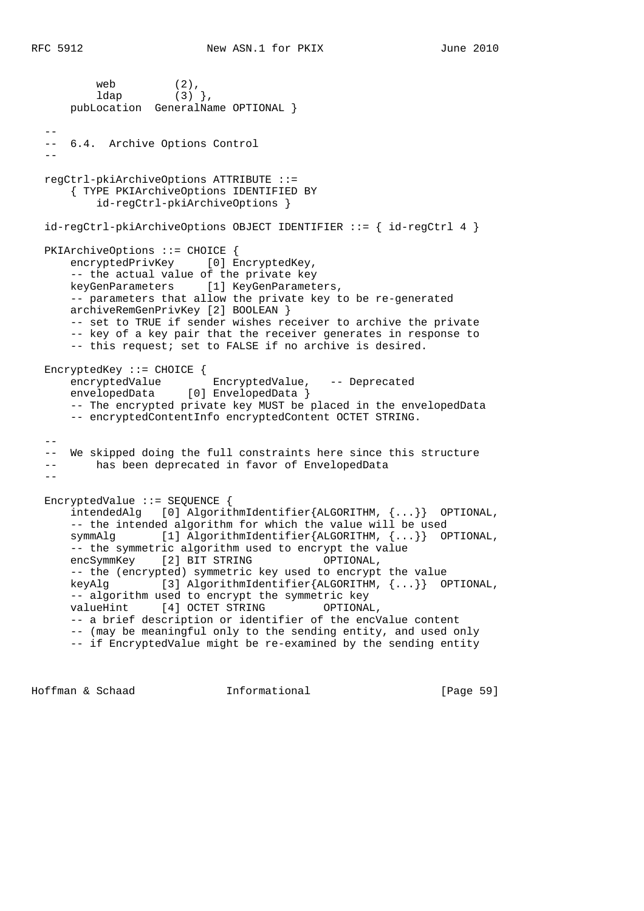```
web (2),
 ldap (3) },
      pubLocation GeneralName OPTIONAL }
- -- 6.4. Archive Options Control
- regCtrl-pkiArchiveOptions ATTRIBUTE ::=
      { TYPE PKIArchiveOptions IDENTIFIED BY
          id-regCtrl-pkiArchiveOptions }
  id-regCtrl-pkiArchiveOptions OBJECT IDENTIFIER ::= { id-regCtrl 4 }
  PKIArchiveOptions ::= CHOICE {
     encryptedPrivKey [0] EncryptedKey,
      -- the actual value of the private key
      keyGenParameters [1] KeyGenParameters,
      -- parameters that allow the private key to be re-generated
      archiveRemGenPrivKey [2] BOOLEAN }
      -- set to TRUE if sender wishes receiver to archive the private
     -- key of a key pair that the receiver generates in response to
      -- this request; set to FALSE if no archive is desired.
  EncryptedKey ::= CHOICE {
 encryptedValue EncryptedValue, -- Deprecated
 envelopedData [0] EnvelopedData }
      -- The encrypted private key MUST be placed in the envelopedData
      -- encryptedContentInfo encryptedContent OCTET STRING.
  --
  -- We skipped doing the full constraints here since this structure
  -- has been deprecated in favor of EnvelopedData
- EncryptedValue ::= SEQUENCE {
      intendedAlg [0] AlgorithmIdentifier{ALGORITHM, {...}} OPTIONAL,
      -- the intended algorithm for which the value will be used
      symmAlg [1] AlgorithmIdentifier{ALGORITHM, {...}} OPTIONAL,
      -- the symmetric algorithm used to encrypt the value
     encSymmKey [2] BIT STRING OPTIONAL,
      -- the (encrypted) symmetric key used to encrypt the value
      keyAlg [3] AlgorithmIdentifier{ALGORITHM, {...}} OPTIONAL,
      -- algorithm used to encrypt the symmetric key
     valueHint [4] OCTET STRING OPTIONAL,
      -- a brief description or identifier of the encValue content
      -- (may be meaningful only to the sending entity, and used only
      -- if EncryptedValue might be re-examined by the sending entity
```
Hoffman & Schaad Informational [Page 59]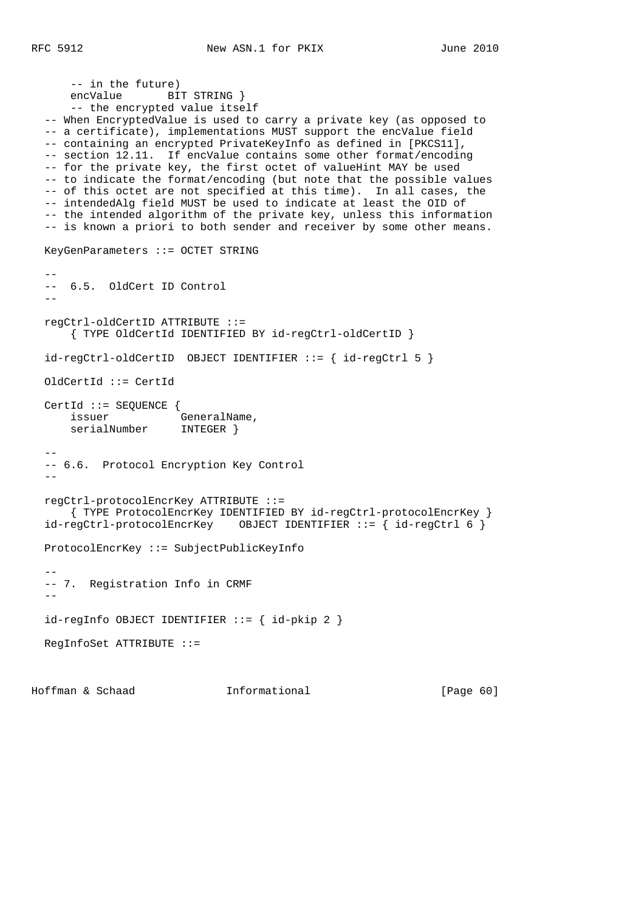```
 -- in the future)
     encValue BIT STRING }
      -- the encrypted value itself
  -- When EncryptedValue is used to carry a private key (as opposed to
  -- a certificate), implementations MUST support the encValue field
  -- containing an encrypted PrivateKeyInfo as defined in [PKCS11],
  -- section 12.11. If encValue contains some other format/encoding
  -- for the private key, the first octet of valueHint MAY be used
  -- to indicate the format/encoding (but note that the possible values
  -- of this octet are not specified at this time). In all cases, the
  -- intendedAlg field MUST be used to indicate at least the OID of
  -- the intended algorithm of the private key, unless this information
  -- is known a priori to both sender and receiver by some other means.
  KeyGenParameters ::= OCTET STRING
 - - -- 6.5. OldCert ID Control
- regCtrl-oldCertID ATTRIBUTE ::=
      { TYPE OldCertId IDENTIFIED BY id-regCtrl-oldCertID }
  id-regCtrl-oldCertID OBJECT IDENTIFIER ::= { id-regCtrl 5 }
  OldCertId ::= CertId
  CertId ::= SEQUENCE {
issuer GeneralName,
 serialNumber INTEGER }
- -- 6.6. Protocol Encryption Key Control
- regCtrl-protocolEncrKey ATTRIBUTE ::=
     { TYPE ProtocolEncrKey IDENTIFIED BY id-regCtrl-protocolEncrKey }
 id-regCtrl-protocolEncYKey OBJECT IDENTIFIER ::= { id-regCtrl 6 }
  ProtocolEncrKey ::= SubjectPublicKeyInfo
 - -- 7. Registration Info in CRMF
  --
 id-regInfo OBJECT IDENTIFYER ::= { id-pkip 2 } RegInfoSet ATTRIBUTE ::=
```
Hoffman & Schaad Informational [Page 60]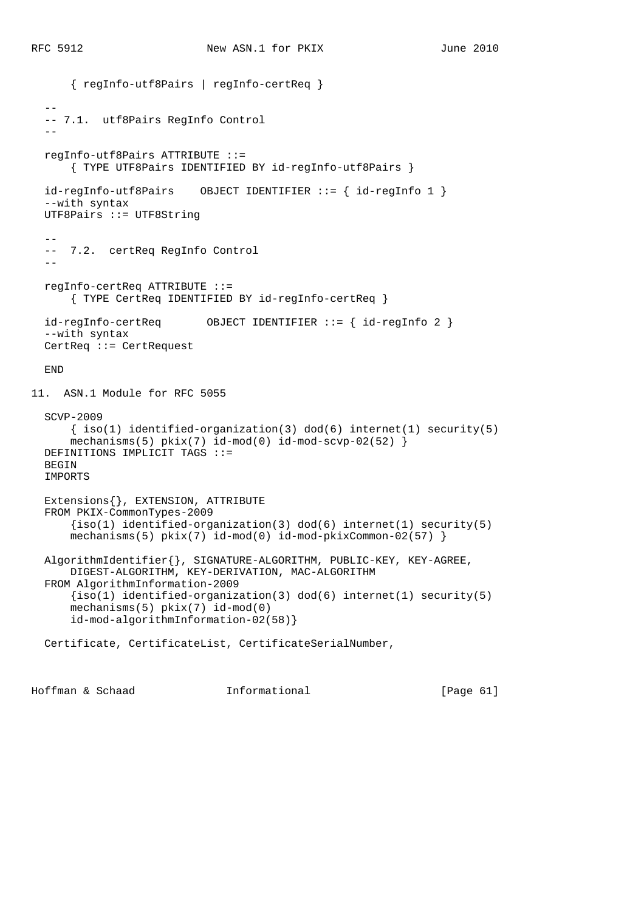```
 { regInfo-utf8Pairs | regInfo-certReq }
- -- 7.1. utf8Pairs RegInfo Control
- regInfo-utf8Pairs ATTRIBUTE ::=
       { TYPE UTF8Pairs IDENTIFIED BY id-regInfo-utf8Pairs }
  id-regInfo-utf8Pairs OBJECT IDENTIFIER ::= { id-regInfo 1 }
   --with syntax
  UTF8Pairs ::= UTF8String
- -- 7.2. certReq RegInfo Control
- regInfo-certReq ATTRIBUTE ::=
       { TYPE CertReq IDENTIFIED BY id-regInfo-certReq }
  id-regInfo-certReq OBJECT IDENTIFIER ::= { id-regInfo 2 }
   --with syntax
  CertReq ::= CertRequest
  END
11. ASN.1 Module for RFC 5055
  SCVP-2009
     \{ iso(1) <i>identified-organization(3) <math> dod(6) <i>internet(1) <i>security(5)</i></i>mechanisms(5) pkix(7) id-mod(0) id-mod-scvp-02(52) DEFINITIONS IMPLICIT TAGS ::=
  BEGIN
  IMPORTS
  Extensions{}, EXTENSION, ATTRIBUTE
  FROM PKIX-CommonTypes-2009
      \{iso(1) identified-organization(3) dod(6) internet(1) security(5)
       mechanisms(5) pkix(7) id-mod(0) id-mod-pkixCommon-02(57) }
  AlgorithmIdentifier{}, SIGNATURE-ALGORITHM, PUBLIC-KEY, KEY-AGREE,
      DIGEST-ALGORITHM, KEY-DERIVATION, MAC-ALGORITHM
  FROM AlgorithmInformation-2009
      {s(1) identified-organization(3) dod(6) internet(1) security(5)
       mechanisms(5) pkix(7) id-mod(0)
       id-mod-algorithmInformation-02(58)}
  Certificate, CertificateList, CertificateSerialNumber,
```
Hoffman & Schaad Informational [Page 61]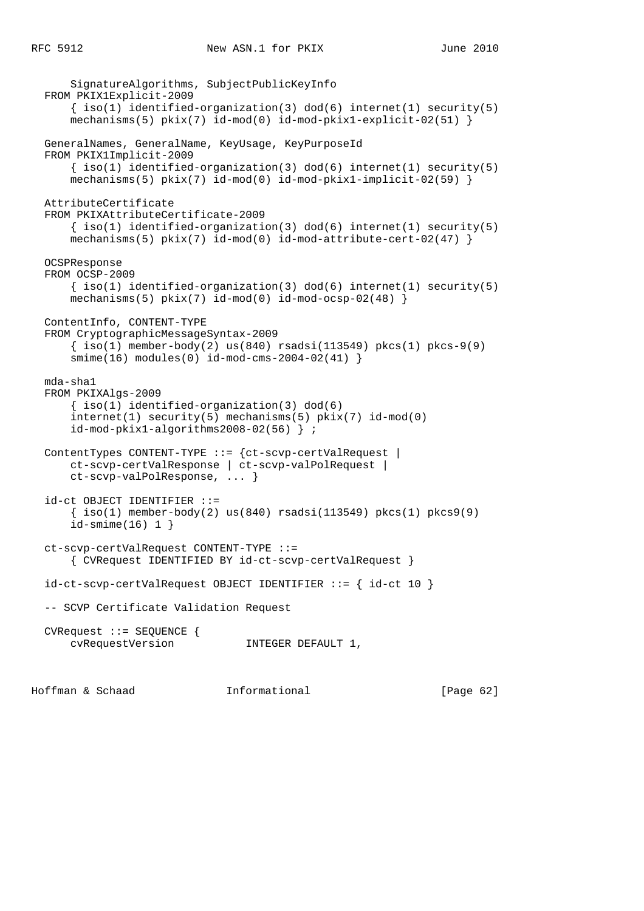```
 SignatureAlgorithms, SubjectPublicKeyInfo
 FROM PKIX1Explicit-2009
    \{ iso(1) <i>identified-organization(3) <math> dod(6) <i>internet(1) <i>security(5)</i></i>mechanisms(5) pix(7) id-mod(0) id-mod-pkix1-explicit-02(51) }
 GeneralNames, GeneralName, KeyUsage, KeyPurposeId
 FROM PKIX1Implicit-2009
    \{ iso(1) identified-organization(3) dod(6) internet(1) security(5)mechanisms(5) pkix(7) id-mod(0) id-mod-pkix1-implicit-02(59) AttributeCertificate
 FROM PKIXAttributeCertificate-2009
    \{ iso(1) <i>identified-organization(3) <math> dod(6) <i>internet(1)</i> <i>security(5)</i>mechanisms(5) pix(7) id-mod(0) id-mod-attribute-cert-02(47) }
 OCSPResponse
 FROM OCSP-2009
    \{ iso(1) <i>identified-organization(3) <math> dod(6) <i>internet(1) <i>security(5)</i></i>mechanisms(5) pkix(7) id-mod(0) id-mod-ocsp-02(48) ContentInfo, CONTENT-TYPE
 FROM CryptographicMessageSyntax-2009
    \{\text{iso}(1) \text{ member-body}(2) \text{ us}(840) \text{ rsadsi}(113549) \text{ pkcs}(1) \text{ pkcs-9}(9) smime(16) modules(0) id-mod-cms-2004-02(41) }
 mda-sha1
 FROM PKIXAlgs-2009
     { iso(1) identified-organization(3) dod(6)
     internet(1) security(5) mechanisms(5) pkix(7) id-mod(0)
     id-mod-pkix1-algorithms2008-02(56) } ;
 ContentTypes CONTENT-TYPE ::= {ct-scvp-certValRequest |
     ct-scvp-certValResponse | ct-scvp-valPolRequest |
     ct-scvp-valPolResponse, ... }
 id-ct OBJECT IDENTIFIER ::=
    \{ iso(1) member-body(2) us(840) rsadsi(113549) pkcs(1) pkcs9(9)
     id-smime(16) 1 }
 ct-scvp-certValRequest CONTENT-TYPE ::=
     { CVRequest IDENTIFIED BY id-ct-scvp-certValRequest }
 id-ct-scvp-certValRequest OBJECT IDENTIFIER ::= { id-ct 10 }
 -- SCVP Certificate Validation Request
 CVRequest ::= SEQUENCE {
    cvRequestVersion INTEGER DEFAULT 1,
```
Hoffman & Schaad Informational [Page 62]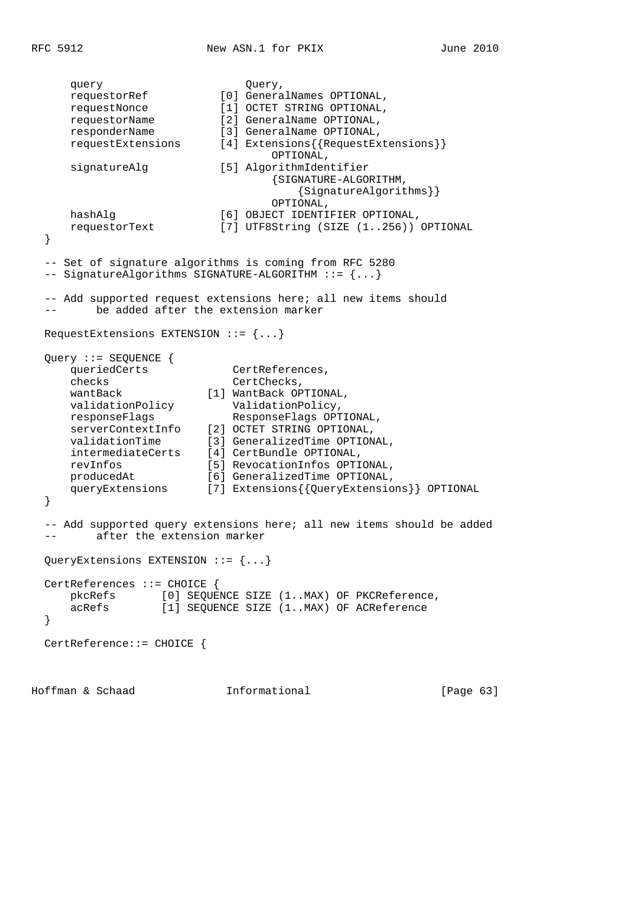query  $Query$ , requestorRef [0] GeneralNames OPTIONAL, requestNonce [1] OCTET STRING OPTIONAL, requestorName [2] GeneralName OPTIONAL, responderName [3] GeneralName OPTIONAL, requestExtensions [4] Extensions{{RequestExtensions}} OPTIONAL, signatureAlg [5] AlgorithmIdentifier {SIGNATURE-ALGORITHM, {SignatureAlgorithms}} OPTIONAL, hashAlg [6] OBJECT IDENTIFIER OPTIONAL, requestorText [7] UTF8String (SIZE (1..256)) OPTIONAL } -- Set of signature algorithms is coming from RFC 5280 -- SignatureAlgorithms SIGNATURE-ALGORITHM ::= {...} -- Add supported request extensions here; all new items should -- be added after the extension marker RequestExtensions EXTENSION ::= {...} Query ::= SEQUENCE { queriedCerts CertReferences, checks **CertChecks**, wantBack [1] WantBack OPTIONAL, validationPolicy ValidationPolicy, responseFlags ResponseFlags OPTIONAL, serverContextInfo [2] OCTET STRING OPTIONAL, validationTime [3] GeneralizedTime OPTIONAL, intermediateCerts [4] CertBundle OPTIONAL, revInfos [5] RevocationInfos OPTIONAL, producedAt [6] GeneralizedTime OPTIONAL, queryExtensions [7] Extensions{{QueryExtensions}} OPTIONAL } -- Add supported query extensions here; all new items should be added -- after the extension marker QueryExtensions EXTENSION ::= {...} CertReferences ::= CHOICE { pkcRefs [0] SEQUENCE SIZE (1..MAX) OF PKCReference,<br>acRefs [1] SEQUENCE SIZE (1..MAX) OF ACReference [1] SEQUENCE SIZE (1..MAX) OF ACReference } CertReference::= CHOICE {

Hoffman & Schaad Informational [Page 63]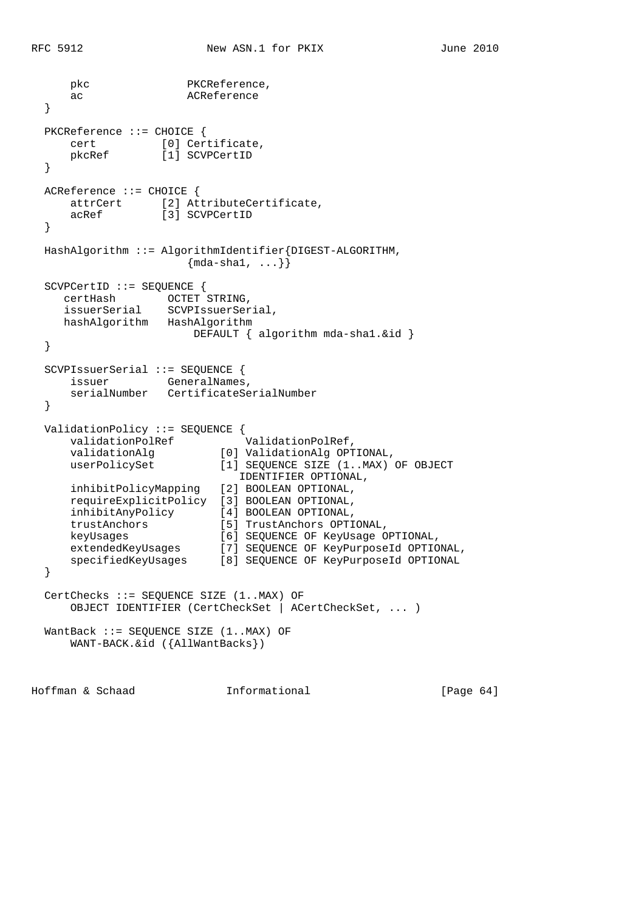```
pkc PKCReference,
     ac ACReference
  }
  PKCReference ::= CHOICE {
 cert [0] Certificate,
 pkcRef [1] SCVPCertID
  }
  ACReference ::= CHOICE {
 attrCert [2] AttributeCertificate,
 acRef [3] SCVPCertID
  }
  HashAlgorithm ::= AlgorithmIdentifier{DIGEST-ALGORITHM,
                    \{mda-sha1, \ldots\}\} SCVPCertID ::= SEQUENCE {
 certHash OCTET STRING,
 issuerSerial SCVPIssuerSerial,
 hashAlgorithm HashAlgorithm
                    DEFAULT { algorithm mda-shal. &id }
  }
  SCVPIssuerSerial ::= SEQUENCE {
issuer GeneralNames,
 serialNumber CertificateSerialNumber
  }
  ValidationPolicy ::= SEQUENCE {
validationPolRef ValidationPolRef,
 validationAlg [0] ValidationAlg OPTIONAL,
 userPolicySet [1] SEQUENCE SIZE (1..MAX) OF OBJECT
 IDENTIFIER OPTIONAL,
     inhibitPolicyMapping [2] BOOLEAN OPTIONAL,
     requireExplicitPolicy [3] BOOLEAN OPTIONAL,
 inhibitAnyPolicy [4] BOOLEAN OPTIONAL,
 trustAnchors [5] TrustAnchors OPTIONAL,
 keyUsages [6] SEQUENCE OF KeyUsage OPTIONAL,
 extendedKeyUsages [7] SEQUENCE OF KeyPurposeId OPTIONAL,
 specifiedKeyUsages [8] SEQUENCE OF KeyPurposeId OPTIONAL
  }
  CertChecks ::= SEQUENCE SIZE (1..MAX) OF
     OBJECT IDENTIFIER (CertCheckSet | ACertCheckSet, ... )
  WantBack ::= SEQUENCE SIZE (1..MAX) OF
     WANT-BACK.&id ({AllWantBacks})
```
Hoffman & Schaad Informational [Page 64]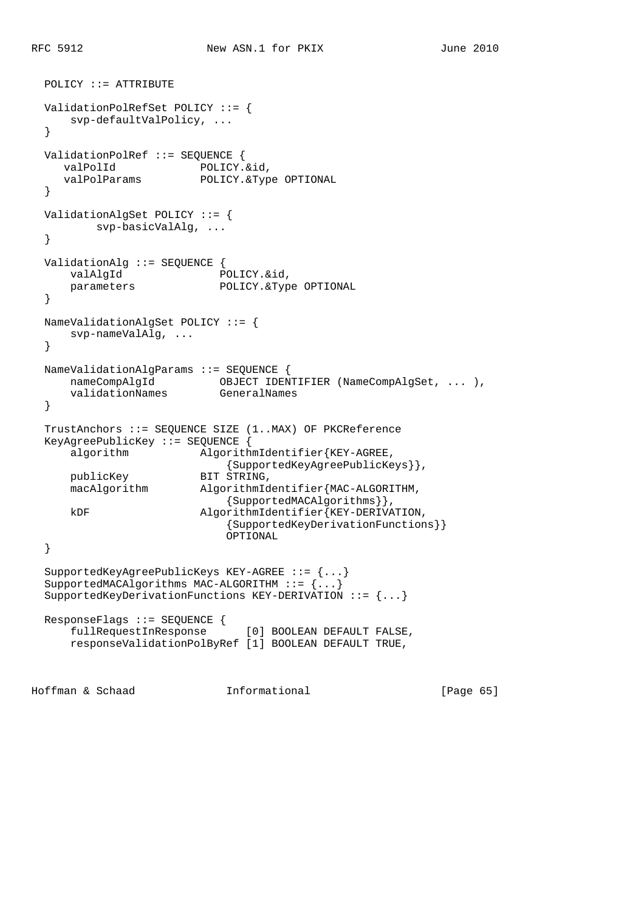```
 POLICY ::= ATTRIBUTE
  ValidationPolRefSet POLICY ::= {
      svp-defaultValPolicy, ...
   }
  ValidationPolRef ::= SEQUENCE {
    valPolId POLICY.&id,
     valPolParams POLICY.&Type OPTIONAL
   }
  ValidationAlgSet POLICY ::= {
          svp-basicValAlg, ...
   }
  ValidationAlg ::= SEQUENCE {
valAlgId
Book POLICY.&id,
 parameters POLICY.&Type OPTIONAL
   }
  NameValidationAlgSet POLICY ::= {
      svp-nameValAlg, ...
   }
  NameValidationAlgParams ::= SEQUENCE {
 nameCompAlgId OBJECT IDENTIFIER (NameCompAlgSet, ... ),
 validationNames GeneralNames
   }
  TrustAnchors ::= SEQUENCE SIZE (1..MAX) OF PKCReference
  KeyAgreePublicKey ::= SEQUENCE {
      algorithm AlgorithmIdentifier{KEY-AGREE,
                              {SupportedKeyAgreePublicKeys}},
     publicKey BIT STRING,<br>macAlgorithm AlgorithmId
                       Algorithm Identifier{MAC-ALGORITHM,
                             {SupportedMACAlgorithms}},
      kDF AlgorithmIdentifier{KEY-DERIVATION,
                             {SupportedKeyDerivationFunctions}}
                             OPTIONAL
   }
   SupportedKeyAgreePublicKeys KEY-AGREE ::= {...}
  SupportedMACAlgorithms MAC-ALGORITHM ::= {...}
  SupportedKeyDerivationFunctions KEY-DERIVATION ::= {...}
 ResponseFlags ::= SEQUENCE {<br>fullRequestInResponse
                              [0] BOOLEAN DEFAULT FALSE,
      responseValidationPolByRef [1] BOOLEAN DEFAULT TRUE,
Hoffman & Schaad Informational [Page 65]
```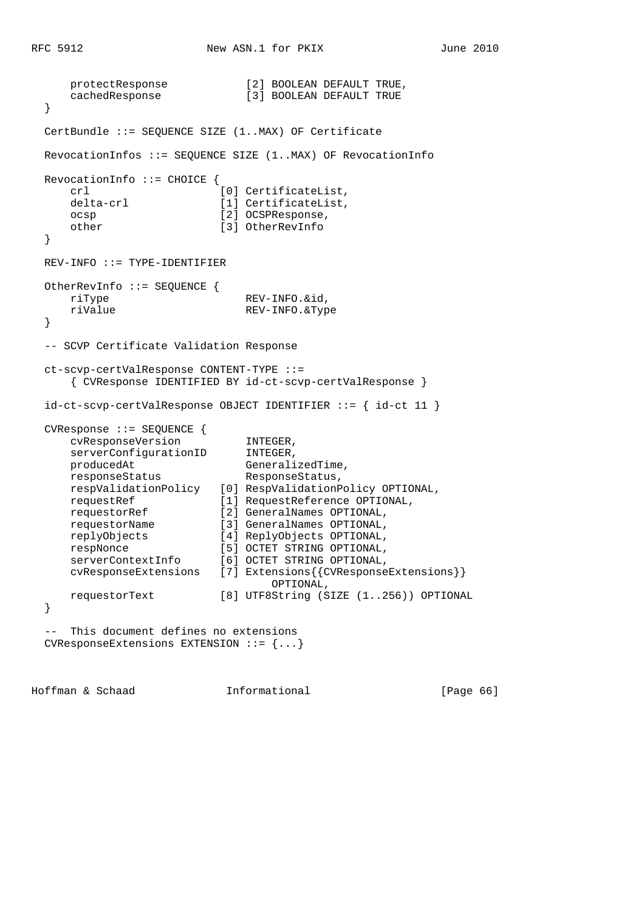```
protectResponse [2] BOOLEAN DEFAULT TRUE,
     cachedResponse [3] BOOLEAN DEFAULT TRUE
  }
  CertBundle ::= SEQUENCE SIZE (1..MAX) OF Certificate
  RevocationInfos ::= SEQUENCE SIZE (1..MAX) OF RevocationInfo
  RevocationInfo ::= CHOICE {
    crl [0] CertificateList,
    delta-crl [1] CertificateList,
     ocsp [2] OCSPResponse,
     other [3] OtherRevInfo
  }
  REV-INFO ::= TYPE-IDENTIFIER
  OtherRevInfo ::= SEQUENCE {
    riType REV-INFO.&id,
     riValue REV-INFO.&Type
  }
  -- SCVP Certificate Validation Response
  ct-scvp-certValResponse CONTENT-TYPE ::=
     { CVResponse IDENTIFIED BY id-ct-scvp-certValResponse }
  id-ct-scvp-certValResponse OBJECT IDENTIFIER ::= { id-ct 11 }
  CVResponse ::= SEQUENCE {
 cvResponseVersion INTEGER,
serverConfigurationID INTEGER,
producedAt GeneralizedTime,
    producedAt GeneralizedTime<br>
responseStatus ResponseStatus,
     respValidationPolicy [0] RespValidationPolicy OPTIONAL,
 requestRef [1] RequestReference OPTIONAL,
 requestorRef [2] GeneralNames OPTIONAL,
 requestorName [3] GeneralNames OPTIONAL,
 replyObjects [4] ReplyObjects OPTIONAL,
 respNonce [5] OCTET STRING OPTIONAL,
 serverContextInfo [6] OCTET STRING OPTIONAL,
 cvResponseExtensions [7] Extensions{{CVResponseExtensions}}
 OPTIONAL,
     requestorText [8] UTF8String (SIZE (1..256)) OPTIONAL
  }
  -- This document defines no extensions
  CVResponseExtensions EXTENSION ::= {...}
```
Hoffman & Schaad Informational [Page 66]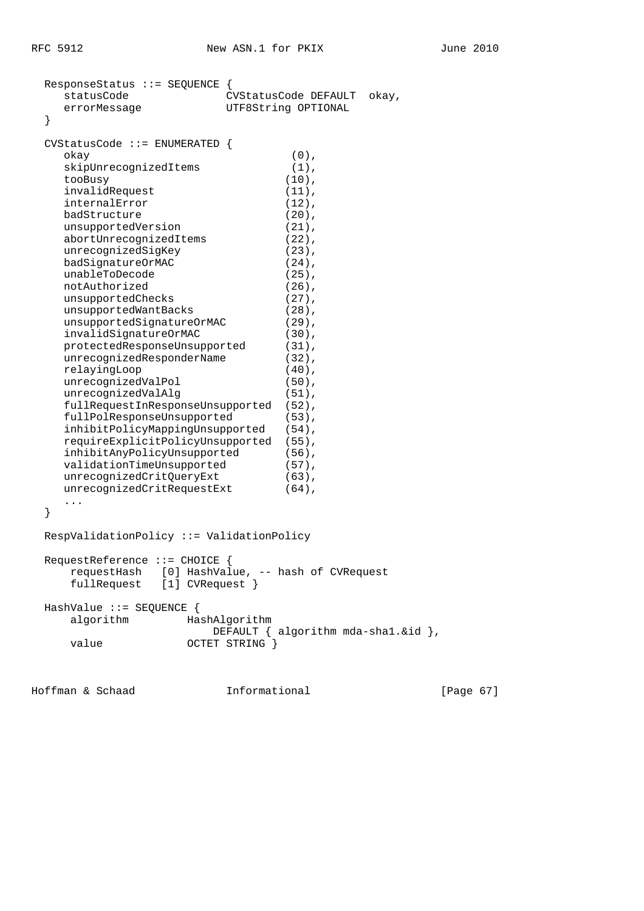| ResponseStatus ::= SEQUENCE                                                       |                                                |  |  |  |              |
|-----------------------------------------------------------------------------------|------------------------------------------------|--|--|--|--------------|
| statusCode                                                                        | CVStatusCode DEFAULT<br>okay,                  |  |  |  |              |
| errorMessage                                                                      | UTF8String OPTIONAL                            |  |  |  |              |
| }                                                                                 |                                                |  |  |  |              |
| $CVStatusCode :: = ENUMERATED$ {                                                  |                                                |  |  |  |              |
|                                                                                   | $(0)$ ,                                        |  |  |  |              |
| okay                                                                              |                                                |  |  |  |              |
| skipUnrecognizedItems                                                             | $(1)$ ,                                        |  |  |  |              |
| tooBusy                                                                           | $(10)$ ,                                       |  |  |  |              |
| invalidRequest                                                                    | $(11)$ ,                                       |  |  |  |              |
| internalError                                                                     | $(12)$ ,                                       |  |  |  |              |
| badStructure                                                                      | $(20)$ ,                                       |  |  |  |              |
| unsupportedVersion                                                                | $(21)$ ,                                       |  |  |  |              |
| abortUnrecognizedItems                                                            | $(22)$ ,                                       |  |  |  |              |
| unrecognizedSigKey                                                                | $(23)$ ,                                       |  |  |  |              |
| badSignatureOrMAC                                                                 | $(24)$ ,                                       |  |  |  |              |
| unableToDecode                                                                    | $(25)$ ,                                       |  |  |  |              |
| notAuthorized                                                                     | $(26)$ ,                                       |  |  |  |              |
| unsupportedChecks                                                                 | $(27)$ ,                                       |  |  |  |              |
| unsupportedWantBacks                                                              | $(28)$ ,                                       |  |  |  |              |
| unsupportedSignatureOrMAC                                                         | $(29)$ ,                                       |  |  |  |              |
| invalidSignatureOrMAC<br>$(30)$ ,                                                 |                                                |  |  |  |              |
| protectedResponseUnsupported<br>$(31)$ ,<br>unrecognizedResponderName<br>$(32)$ , |                                                |  |  |  |              |
|                                                                                   |                                                |  |  |  | relayingLoop |
| unrecognizedValPol                                                                | $(50)$ ,                                       |  |  |  |              |
| unrecognizedValAlg                                                                | $(51)$ ,                                       |  |  |  |              |
| fullRequestInResponseUnsupported                                                  | $(52)$ ,                                       |  |  |  |              |
| fullPolResponseUnsupported                                                        | $(53)$ ,                                       |  |  |  |              |
| inhibitPolicyMappingUnsupported                                                   | $(54)$ ,                                       |  |  |  |              |
| requireExplicitPolicyUnsupported                                                  | $(55)$ ,                                       |  |  |  |              |
| inhibitAnyPolicyUnsupported                                                       | $(56)$ ,                                       |  |  |  |              |
| validationTimeUnsupported                                                         | $(57)$ ,                                       |  |  |  |              |
| unrecognizedCritQueryExt                                                          | $(63)$ ,                                       |  |  |  |              |
| unrecognizedCritRequestExt                                                        | $(64)$ ,                                       |  |  |  |              |
| .                                                                                 |                                                |  |  |  |              |
| }                                                                                 |                                                |  |  |  |              |
|                                                                                   |                                                |  |  |  |              |
| RespValidationPolicy ::= ValidationPolicy                                         |                                                |  |  |  |              |
|                                                                                   |                                                |  |  |  |              |
| RequestReference ::= CHOICE                                                       |                                                |  |  |  |              |
| requestHash                                                                       | [0] HashValue, -- hash of CVRequest            |  |  |  |              |
| fullRequest<br>$[1]$ CVRequest }                                                  |                                                |  |  |  |              |
|                                                                                   |                                                |  |  |  |              |
| HashValue $::=$ SEQUENCE {                                                        |                                                |  |  |  |              |
| algorithm                                                                         | HashAlgorithm                                  |  |  |  |              |
|                                                                                   | DEFAULT $\{$ algorithm mda-shal. $\&$ id $\},$ |  |  |  |              |
| value                                                                             | OCTET STRING }                                 |  |  |  |              |
|                                                                                   |                                                |  |  |  |              |
|                                                                                   |                                                |  |  |  |              |

Hoffman & Schaad **Informational Informational** [Page 67]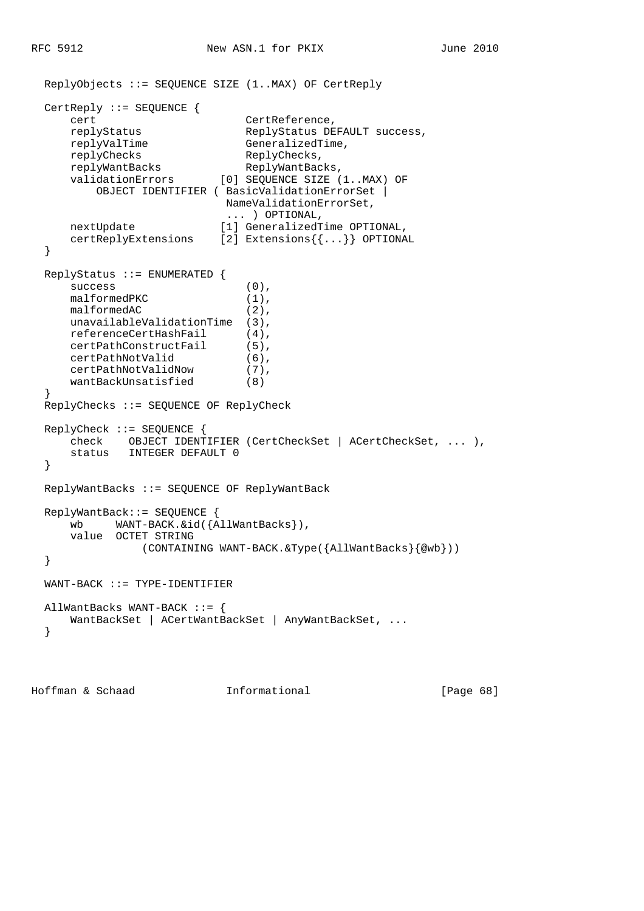```
 ReplyObjects ::= SEQUENCE SIZE (1..MAX) OF CertReply
  CertReply ::= SEQUENCE {
    cert CertReference,
     replyStatus ReplyStatus DEFAULT success,
    replyValTime GeneralizedTime,
    replyChecks ReplyChecks,
replyWantBacks ReplyWantBacks,
 validationErrors [0] SEQUENCE SIZE (1..MAX) OF
         OBJECT IDENTIFIER ( BasicValidationErrorSet |
                         NameValidationErrorSet,
    ... ) OPTIONAL,<br>nextUpdate [1] GeneralizedT
                        [1] GeneralizedTime OPTIONAL,
     certReplyExtensions [2] Extensions{{...}} OPTIONAL
  }
  ReplyStatus ::= ENUMERATED {
    success (0),
    malformedPKC (1),
    malformedAC (2),
    unavailableValidationTime (3),
     referenceCertHashFail (4),
     certPathConstructFail (5),
     certPathNotValid (6),
 certPathNotValidNow (7),
 wantBackUnsatisfied (8)
  }
  ReplyChecks ::= SEQUENCE OF ReplyCheck
  ReplyCheck ::= SEQUENCE {
     check OBJECT IDENTIFIER (CertCheckSet | ACertCheckSet, ... ),
      status INTEGER DEFAULT 0
  }
  ReplyWantBacks ::= SEQUENCE OF ReplyWantBack
  ReplyWantBack::= SEQUENCE {
     wb WANT-BACK.&id({AllWantBacks}),
     value OCTET STRING
               (CONTAINING WANT-BACK.&Type({AllWantBacks}{@wb}))
  }
  WANT-BACK ::= TYPE-IDENTIFIER
  AllWantBacks WANT-BACK ::= {
    WantBackSet | ACertWantBackSet | AnyWantBackSet, ...
  }
```
Hoffman & Schaad Informational [Page 68]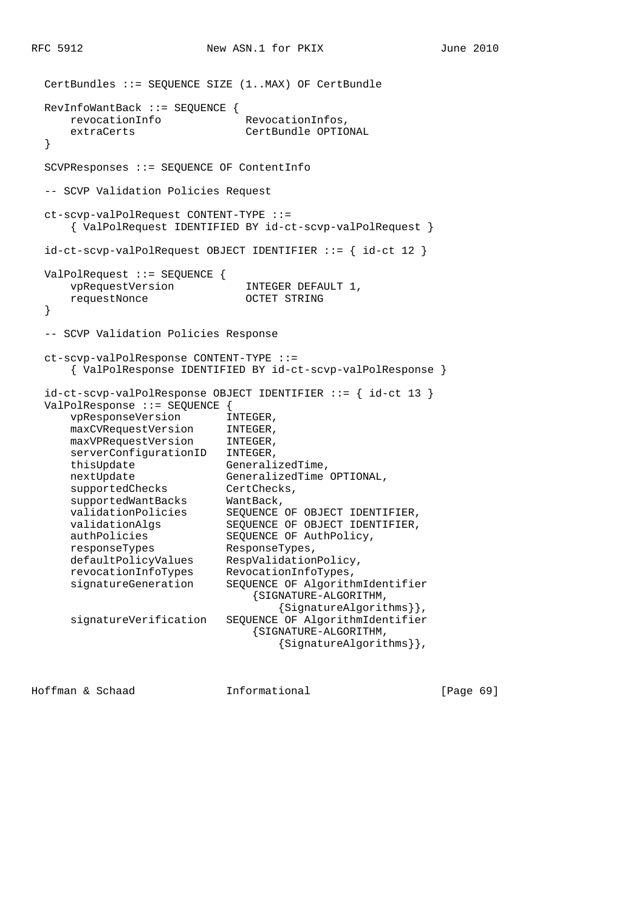```
 CertBundles ::= SEQUENCE SIZE (1..MAX) OF CertBundle
  RevInfoWantBack ::= SEQUENCE {
    revocationInfo RevocationInfos,
      extraCerts CertBundle OPTIONAL
  }
  SCVPResponses ::= SEQUENCE OF ContentInfo
  -- SCVP Validation Policies Request
  ct-scvp-valPolRequest CONTENT-TYPE ::=
      { ValPolRequest IDENTIFIED BY id-ct-scvp-valPolRequest }
  id-ct-scvp-valPolRequest OBJECT IDENTIFIER ::= { id-ct 12 }
  ValPolRequest ::= SEQUENCE {
     vpRequestVersion INTEGER DEFAULT 1,
      requestNonce OCTET STRING
  }
  -- SCVP Validation Policies Response
  ct-scvp-valPolResponse CONTENT-TYPE ::=
      { ValPolResponse IDENTIFIED BY id-ct-scvp-valPolResponse }
  id-ct-scvp-valPolResponse OBJECT IDENTIFIER ::= { id-ct 13 }
  ValPolResponse ::= SEQUENCE {
 vpResponseVersion INTEGER,
 maxCVRequestVersion INTEGER,
 maxVPRequestVersion INTEGER,
     serverConfigurationID INTEGER,
     thisUpdate GeneralizedTime,<br>nextUpdate GeneralizedTime OPTIONAL,
nextUpdate GeneralizedTime OPTIONAL,
supportedChecks CertChecks,
 supportedWantBacks WantBack,
 validationPolicies SEQUENCE OF OBJECT IDENTIFIER,
 validationAlgs SEQUENCE OF OBJECT IDENTIFIER,
 authPolicies SEQUENCE OF AuthPolicy,
 responseTypes ResponseTypes,
 defaultPolicyValues RespValidationPolicy,
 revocationInfoTypes RevocationInfoTypes,
 signatureGeneration SEQUENCE OF AlgorithmIdentifier
 {SIGNATURE-ALGORITHM,
                                 {SignatureAlgorithms}},
      signatureVerification SEQUENCE OF AlgorithmIdentifier
                              {SIGNATURE-ALGORITHM,
                                  {SignatureAlgorithms}},
```
Hoffman & Schaad Informational [Page 69]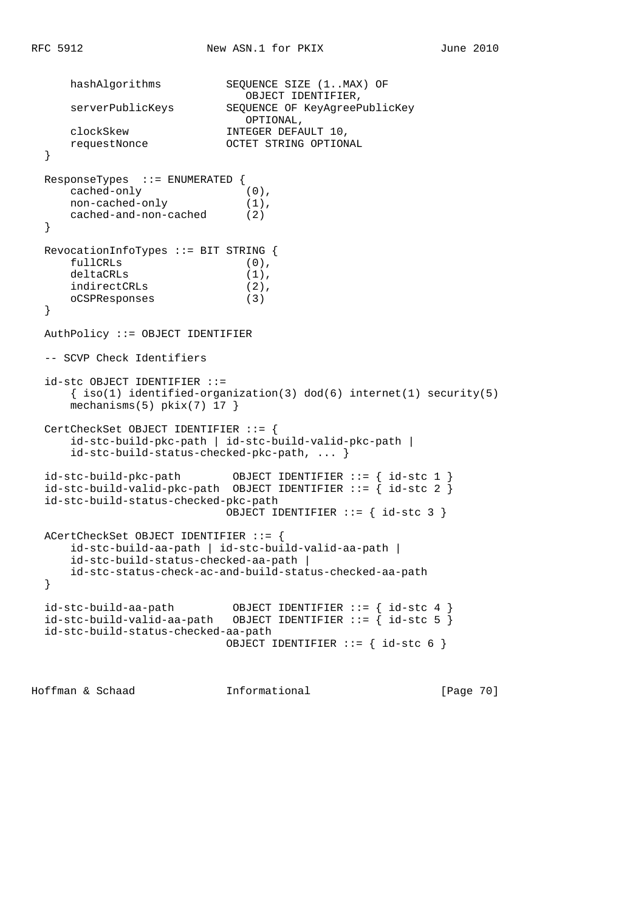```
hashAlgorithms SEQUENCE SIZE (1..MAX) OF
     OBJECT IDENTIFIER,<br>SEQUENCE OF KeyAgreeP
                            SEQUENCE OF KeyAgreePublicKey
                              OPTIONAL,
     clockSkew                 INTEGER DEFAULT 10,<br>requestNonce                   OCTET STRING OPTION
                           OCTET STRING OPTIONAL
  }
  ResponseTypes ::= ENUMERATED {
 cached-only (0),
 non-cached-only (1),
      cached-and-non-cached (2)
  }
  RevocationInfoTypes ::= BIT STRING {
fullCRLs (0),
 deltaCRLs (1),
      indirectCRLs (2),
      oCSPResponses (3)
  }
  AuthPolicy ::= OBJECT IDENTIFIER
  -- SCVP Check Identifiers
  id-stc OBJECT IDENTIFIER ::=
     \{ iso(1) <i>identified-organization(3) <math> dod(6) <i>internet(1) <i>security(5)</i></i>mechanisms(5) pkix(7) 17 }
  CertCheckSet OBJECT IDENTIFIER ::= {
      id-stc-build-pkc-path | id-stc-build-valid-pkc-path |
      id-stc-build-status-checked-pkc-path, ... }
  id-stc-build-pkc-path OBJECT IDENTIFIER ::= { id-stc 1 }
 id-stc-build-valid-pkc-path OBJECT IDENTIFIER ::= { id-stc 2 }
  id-stc-build-status-checked-pkc-path
                             OBJECT IDENTIFIER ::= { id-stc 3 }
  ACertCheckSet OBJECT IDENTIFIER ::= {
      id-stc-build-aa-path | id-stc-build-valid-aa-path |
      id-stc-build-status-checked-aa-path |
      id-stc-status-check-ac-and-build-status-checked-aa-path
  }
 id-stc-build-aa-path OBJECT IDENTIFIER ::= { id-stc 4 }
 id-stc-build-valid-aa-path OBJECT IDENTIFIER ::= { id-stc 5 }
  id-stc-build-status-checked-aa-path
                             OBJECT IDENTIFIER ::= { id-stc 6 }
```
Hoffman & Schaad Informational [Page 70]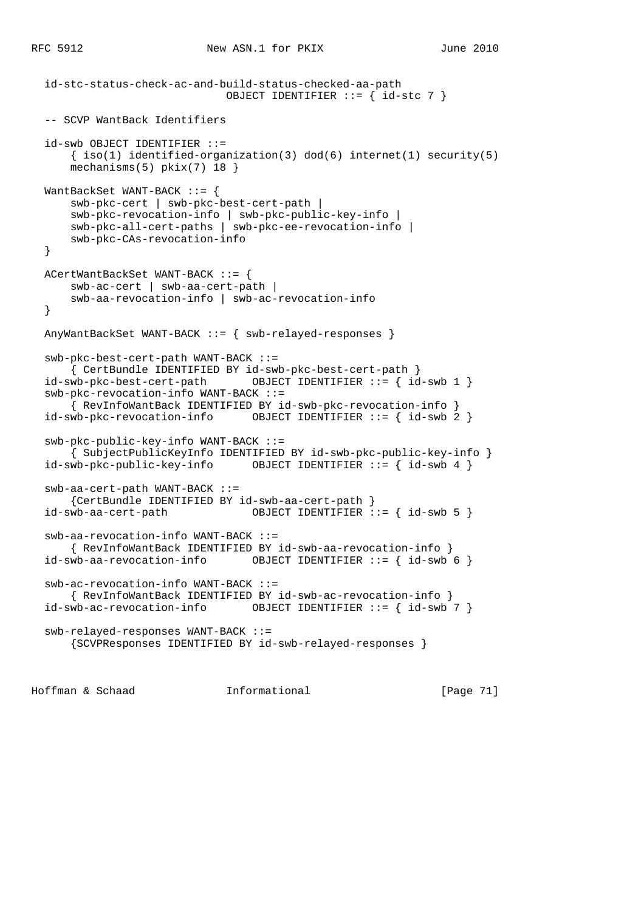```
 id-stc-status-check-ac-and-build-status-checked-aa-path
                            OBJECT IDENTIFIER ::= { id-stc 7 }
 -- SCVP WantBack Identifiers
 id-swb OBJECT IDENTIFIER ::=
    \{ iso(1) <i>identified-organization(3) <math> dod(6) <i>internet(1) <i>security(5)</i></i> mechanisms(5) pkix(7) 18 }
 WantBackSet WANT-BACK ::= {
     swb-pkc-cert | swb-pkc-best-cert-path |
     swb-pkc-revocation-info | swb-pkc-public-key-info |
     swb-pkc-all-cert-paths | swb-pkc-ee-revocation-info |
     swb-pkc-CAs-revocation-info
 }
 ACertWantBackSet WANT-BACK ::= {
    swb-ac-cert | swb-aa-cert-path |
     swb-aa-revocation-info | swb-ac-revocation-info
 }
 AnyWantBackSet WANT-BACK ::= { swb-relayed-responses }
 swb-pkc-best-cert-path WANT-BACK ::=
 { CertBundle IDENTIFIED BY id-swb-pkc-best-cert-path }
                               OBJECT IDENTIFIER := \{ id\text{-}swb 1 \} swb-pkc-revocation-info WANT-BACK ::=
     { RevInfoWantBack IDENTIFIED BY id-swb-pkc-revocation-info }
 id-swb-pkc-revocation-info OBJECT IDENTIFIER ::= { id-swb 2 }
 swb-pkc-public-key-info WANT-BACK ::=
     { SubjectPublicKeyInfo IDENTIFIED BY id-swb-pkc-public-key-info }
 id-swb-pkc-public-key-info OBJECT IDENTIFIER ::= { id-swb 4 }
 swb-aa-cert-path WANT-BACK ::=
     {CertBundle IDENTIFIED BY id-swb-aa-cert-path }
id-swb-aa-cert-path OBJECT IDENTIFIER ::= id-swb 5  swb-aa-revocation-info WANT-BACK ::=
    { RevInfoWantBack IDENTIFIED BY id-swb-aa-revocation-info }
 id-swb-aa-revocation-info OBJECT IDENTIFIER ::= { id-swb 6 }
 swb-ac-revocation-info WANT-BACK ::=
    { RevInfoWantBack IDENTIFIED BY id-swb-ac-revocation-info }
 id-swb-ac-revocation-info OBJECT IDENTIFIER ::= { id-swb 7 }
 swb-relayed-responses WANT-BACK ::=
     {SCVPResponses IDENTIFIED BY id-swb-relayed-responses }
```
Hoffman & Schaad Informational [Page 71]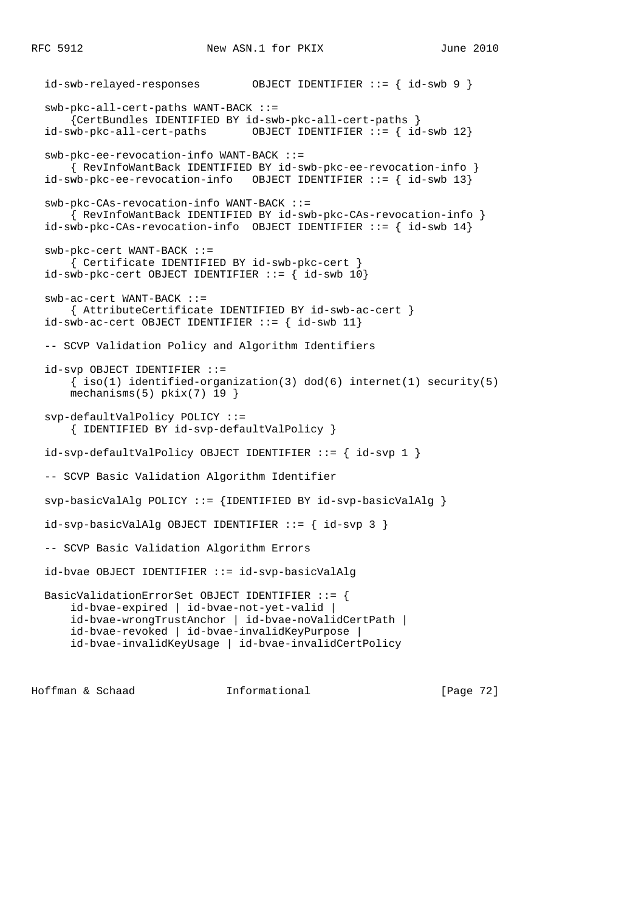```
 id-swb-relayed-responses OBJECT IDENTIFIER ::= { id-swb 9 }
 swb-pkc-all-cert-paths WANT-BACK ::=
     {CertBundles IDENTIFIED BY id-swb-pkc-all-cert-paths }
 id-swb-pkc-all-cert-paths OBJECT IDENTIFIER ::= { id-swb 12}
 swb-pkc-ee-revocation-info WANT-BACK ::=
    { RevInfoWantBack IDENTIFIED BY id-swb-pkc-ee-revocation-info }
 id-swb-pkc-ee-revocation-info OBJECT IDENTIFIER ::= { id-swb 13}
 swb-pkc-CAs-revocation-info WANT-BACK ::=
     { RevInfoWantBack IDENTIFIED BY id-swb-pkc-CAs-revocation-info }
id-swb-pkc-CAs-revocation-info OBJECT IDENTIFIER  ::= \{ id-swb 14\} swb-pkc-cert WANT-BACK ::=
    { Certificate IDENTIFIED BY id-swb-pkc-cert }
id-swb-pkc-cert OBJECT IDENTIFIER ::= { id-swb 10}
 swb-ac-cert WANT-BACK ::=
     { AttributeCertificate IDENTIFIED BY id-swb-ac-cert }
id-swb-ac-cert OBJECT IDENTIFIER ::= { id-swb 11}
 -- SCVP Validation Policy and Algorithm Identifiers
 id-svp OBJECT IDENTIFIER ::=
    \{ iso(1) <i>identified-organization(3) <math> dod(6) <i>internet(1)</i> <i>security(5)</i> mechanisms(5) pkix(7) 19 }
 svp-defaultValPolicy POLICY ::=
     { IDENTIFIED BY id-svp-defaultValPolicy }
 id-svp-defaultValPolicy OBJECT IDENTIFIER ::= { id-svp 1 }
 -- SCVP Basic Validation Algorithm Identifier
 svp-basicValAlg POLICY ::= {IDENTIFIED BY id-svp-basicValAlg }
 id-svp-basicValAlg OBJECT IDENTIFIER ::= { id-svp 3 }
 -- SCVP Basic Validation Algorithm Errors
 id-bvae OBJECT IDENTIFIER ::= id-svp-basicValAlg
 BasicValidationErrorSet OBJECT IDENTIFIER ::= {
     id-bvae-expired | id-bvae-not-yet-valid |
     id-bvae-wrongTrustAnchor | id-bvae-noValidCertPath |
     id-bvae-revoked | id-bvae-invalidKeyPurpose |
     id-bvae-invalidKeyUsage | id-bvae-invalidCertPolicy
```
Hoffman & Schaad Informational [Page 72]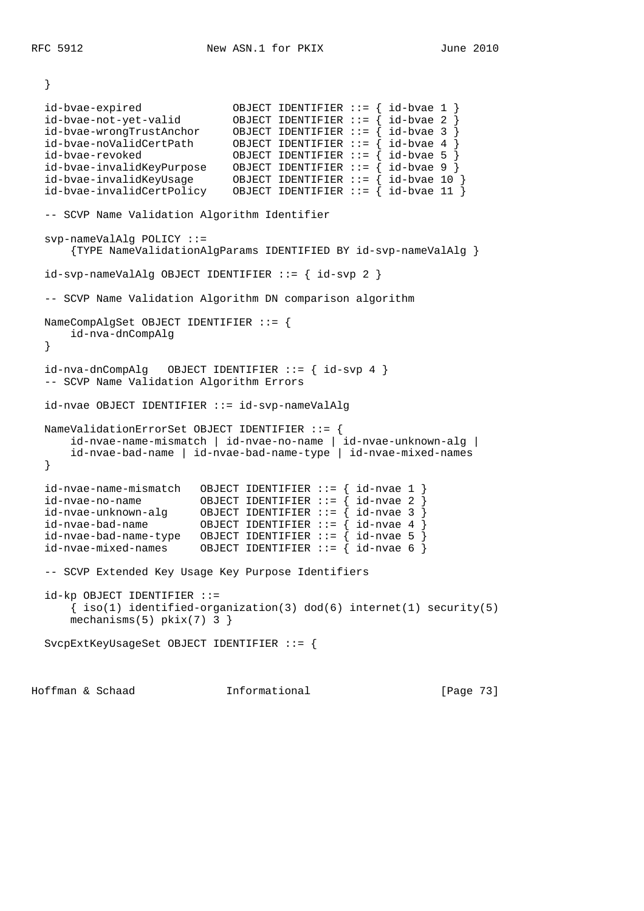}

 id-bvae-expired OBJECT IDENTIFIER ::= { id-bvae 1 } id-bvae-not-yet-valid OBJECT IDENTIFIER ::= { id-bvae 2 } id-bvae-wrongTrustAnchor OBJECT IDENTIFIER ::= { id-bvae 3 } id-bvae-noValidCertPath OBJECT IDENTIFIER ::= { id-bvae 4 } id-bvae-revoked OBJECT IDENTIFIER ::= { id-bvae 5 } id-bvae-invalidKeyPurpose OBJECT IDENTIFIER ::= { id-bvae 9 } id-bvae-invalidKeyUsage OBJECT IDENTIFIER ::= { id-bvae 10 } id-bvae-invalidCertPolicy OBJECT IDENTIFIER ::= { id-bvae 11 } -- SCVP Name Validation Algorithm Identifier svp-nameValAlg POLICY ::= {TYPE NameValidationAlgParams IDENTIFIED BY id-svp-nameValAlg } id-svp-nameValAlg OBJECT IDENTIFIER ::= { id-svp 2 } -- SCVP Name Validation Algorithm DN comparison algorithm NameCompAlgSet OBJECT IDENTIFIER ::= { id-nva-dnCompAlg } id-nva-dnCompAlg OBJECT IDENTIFIER ::= { id-svp 4 } -- SCVP Name Validation Algorithm Errors id-nvae OBJECT IDENTIFIER ::= id-svp-nameValAlg NameValidationErrorSet OBJECT IDENTIFIER ::= { id-nvae-name-mismatch | id-nvae-no-name | id-nvae-unknown-alg | id-nvae-bad-name | id-nvae-bad-name-type | id-nvae-mixed-names } id-nvae-name-mismatch OBJECT IDENTIFIER ::= { id-nvae 1 } id-nvae-no-name OBJECT IDENTIFIER ::= { id-nvae 2 } id-nvae-unknown-alg OBJECT IDENTIFIER ::= { id-nvae 3 } id-nvae-bad-name OBJECT IDENTIFIER ::= { id-nvae 4 } id-nvae-bad-name-type OBJECT IDENTIFIER ::= { id-nvae 5 }  $id-nvae-mixed-names$  OBJECT IDENTIFIER ::= {  $id-nvae 6$  } -- SCVP Extended Key Usage Key Purpose Identifiers id-kp OBJECT IDENTIFIER ::= { iso(1) identified-organization(3) dod(6) internet(1) security(5) mechanisms(5) pkix(7) 3 } SvcpExtKeyUsageSet OBJECT IDENTIFIER ::= {

Hoffman & Schaad Informational [Page 73]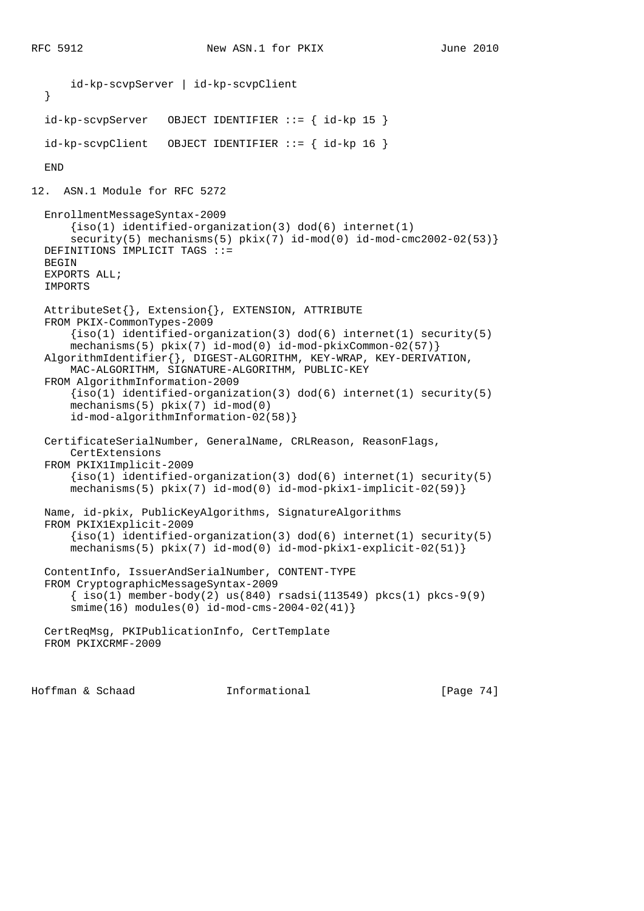```
 id-kp-scvpServer | id-kp-scvpClient
   }
   id-kp-scvpServer OBJECT IDENTIFIER ::= { id-kp 15 }
  id-kp-scvpClient OBJECT IDENTIFIER ::= { id-kp 16 }
  END
12. ASN.1 Module for RFC 5272
  EnrollmentMessageSyntax-2009
      {iso(1) identified-organization(3) dod(6) internet(1)}security(5) mechanisms(5) pkix(7) id-mod(0) id-mod-cmc2002-02(53)}
  DEFINITIONS IMPLICIT TAGS ::=
  BEGIN
  EXPORTS ALL;
  IMPORTS
  AttributeSet{}, Extension{}, EXTENSION, ATTRIBUTE
  FROM PKIX-CommonTypes-2009
      \{iso(1) identified-organization(3) dod(6) internet(1) security(5)
       mechanisms(5) pkix(7) id-mod(0) id-mod-pkixCommon-02(57)}
  AlgorithmIdentifier{}, DIGEST-ALGORITHM, KEY-WRAP, KEY-DERIVATION,
       MAC-ALGORITHM, SIGNATURE-ALGORITHM, PUBLIC-KEY
  FROM AlgorithmInformation-2009
      \{iso(1) identified-organization(3) dod(6) internet(1) security(5)
       mechanisms(5) pkix(7) id-mod(0)
       id-mod-algorithmInformation-02(58)}
  CertificateSerialNumber, GeneralName, CRLReason, ReasonFlags,
       CertExtensions
  FROM PKIX1Implicit-2009
      \{iso(1) identified-organization(3) dod(6) internet(1) security(5)
       mechanisms(5) pkix(7) id-mod(0) id-mod-pkix1-implicit-02(59)}
  Name, id-pkix, PublicKeyAlgorithms, SignatureAlgorithms
  FROM PKIX1Explicit-2009
       {iso(1) identified-organization(3) dod(6) internet(1) security(5)
       mechanisms(5) pkix(7) id-mod(0) id-mod-pkix1-explicit-02(51)}
  ContentInfo, IssuerAndSerialNumber, CONTENT-TYPE
  FROM CryptographicMessageSyntax-2009
       { iso(1) member-body(2) us(840) rsadsi(113549) pkcs(1) pkcs-9(9)
       smime(16) modules(0) id-mod-cms-2004-02(41)}
  CertReqMsg, PKIPublicationInfo, CertTemplate
  FROM PKIXCRMF-2009
```
Hoffman & Schaad Informational [Page 74]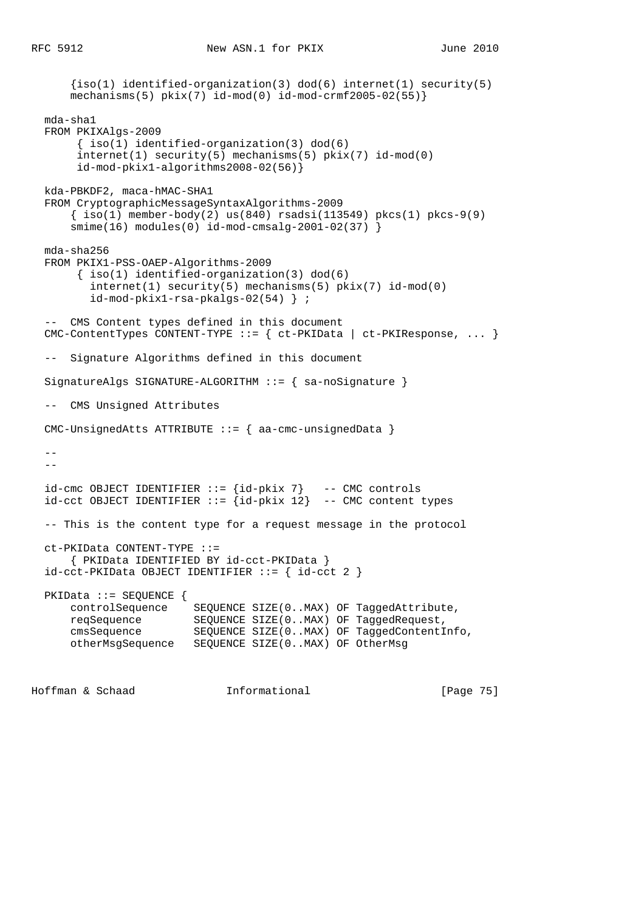```
\{iso(1) identified-organization(3) dod(6) internet(1) security(5)
     mechanisms(5) pkix(7) id-mod(0) id-mod-crmf2005-02(55)}
  mda-sha1
  FROM PKIXAlgs-2009
        { iso(1) identified-organization(3) dod(6)
        internet(1) security(5) mechanisms(5) pkix(7) id-mod(0)
       id-mod-pkix1-algorithms2008-02(56)}
  kda-PBKDF2, maca-hMAC-SHA1
  FROM CryptographicMessageSyntaxAlgorithms-2009
      \{\text{iso}(1) \text{ member-body}(2) \text{us}(840) \text{ rsadsi}(113549) \text{ pkcs}(1) \text{ pkcs-9}(9) smime(16) modules(0) id-mod-cmsalg-2001-02(37) }
  mda-sha256
  FROM PKIX1-PSS-OAEP-Algorithms-2009
       \{ iso(1) <i>identified-organization(3) <math> dod(6)</math> internet(1) security(5) mechanisms(5) pkix(7) id-mod(0)
          id-mod-pkix1-rsa-pkalgs-02(54) } ;
   -- CMS Content types defined in this document
  CMC-ContentTypes CONTENT-TYPE ::= { ct-PKIData | ct-PKIResponse, ... }
   -- Signature Algorithms defined in this document
  SignatureAlgs SIGNATURE-ALGORITHM ::= { sa-noSignature }
   -- CMS Unsigned Attributes
  CMC-UnsignedAtts ATTRIBUTE ::= { aa-cmc-unsignedData }
   --
   --
 id-cmc OBJECT IDENTIFIER  ::= \{id-pkix 7\} -- CMC controls
  id-cct OBJECT IDENTIFIER ::= {id-pkix 12} -- CMC content types
  -- This is the content type for a request message in the protocol
  ct-PKIData CONTENT-TYPE ::=
       { PKIData IDENTIFIED BY id-cct-PKIData }
 id-cct-PKIData OBJECT IDENTIFYER ::= { id-cct 2 } PKIData ::= SEQUENCE {
 controlSequence SEQUENCE SIZE(0..MAX) OF TaggedAttribute,
 reqSequence SEQUENCE SIZE(0..MAX) OF TaggedRequest,
 cmsSequence SEQUENCE SIZE(0..MAX) OF TaggedContentInfo,
      otherMsgSequence SEQUENCE SIZE(0..MAX) OF OtherMsg
```
Hoffman & Schaad Informational [Page 75]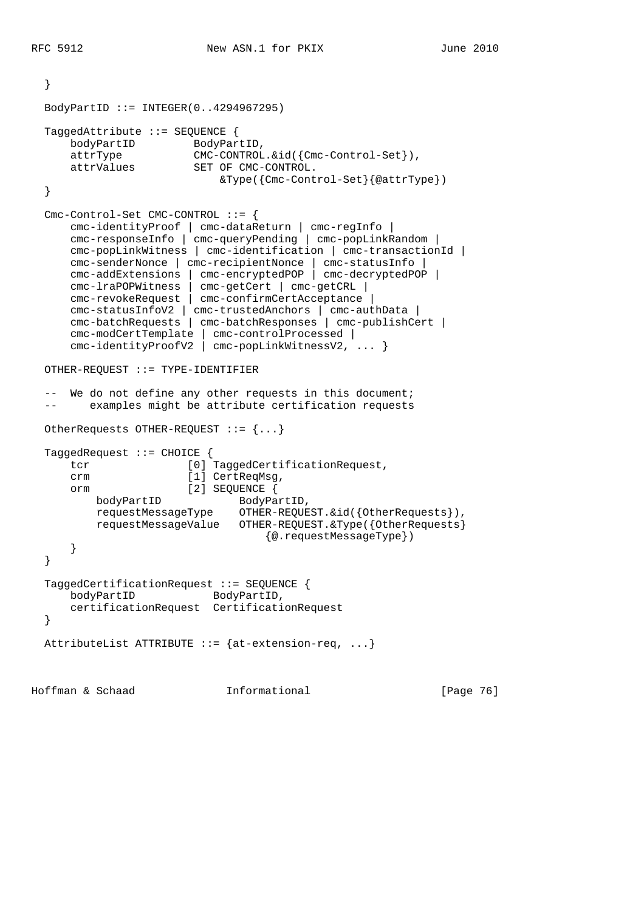}

```
 BodyPartID ::= INTEGER(0..4294967295)
   TaggedAttribute ::= SEQUENCE {
     bodyPartID BodyPartID,
      attrType CMC-CONTROL.&id({Cmc-Control-Set}),
      attrValues SET OF CMC-CONTROL.
                           &Type({Cmc-Control-Set}{@attrType})
   }
   Cmc-Control-Set CMC-CONTROL ::= {
      cmc-identityProof | cmc-dataReturn | cmc-regInfo |
      cmc-responseInfo | cmc-queryPending | cmc-popLinkRandom |
      cmc-popLinkWitness | cmc-identification | cmc-transactionId |
      cmc-senderNonce | cmc-recipientNonce | cmc-statusInfo |
      cmc-addExtensions | cmc-encryptedPOP | cmc-decryptedPOP |
      cmc-lraPOPWitness | cmc-getCert | cmc-getCRL |
      cmc-revokeRequest | cmc-confirmCertAcceptance |
      cmc-statusInfoV2 | cmc-trustedAnchors | cmc-authData |
      cmc-batchRequests | cmc-batchResponses | cmc-publishCert |
 cmc-modCertTemplate | cmc-controlProcessed |
 cmc-identityProofV2 | cmc-popLinkWitnessV2, ... }
  OTHER-REQUEST ::= TYPE-IDENTIFIER
   -- We do not define any other requests in this document;
   -- examples might be attribute certification requests
  OtherRequests OTHER-REQUEST ::= {...}
  TaggedRequest ::= CHOICE {
     tcr [0] TaggedCertificationRequest,
     crm [1] CertReqMsq,
      orm [2] SEQUENCE {
        bodyPartID BodyPartID,
         requestMessageType OTHER-REQUEST.&id({OtherRequests}),
          requestMessageValue OTHER-REQUEST.&Type({OtherRequests}
                                  {@.requestMessageType})
      }
   }
  TaggedCertificationRequest ::= SEQUENCE {
     bodyPartID BodyPartID,
      certificationRequest CertificationRequest
   }
 AttributeList ATTRIBUTE ::= {at-extension-req, ...}
Hoffman & Schaad Informational [Page 76]
```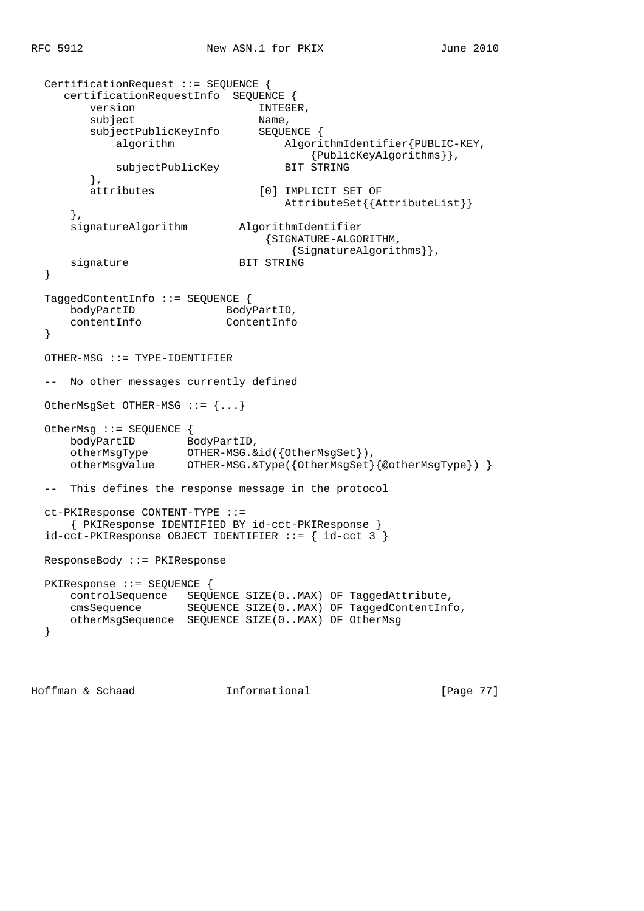```
 CertificationRequest ::= SEQUENCE {
     certificationRequestInfo SEQUENCE {
       version INTEGER,
       subject Name,
        subjectPublicKeyInfo SEQUENCE {
          algorithm AlgorithmIdentifier{PUBLIC-KEY,
                                  {PublicKeyAlgorithms}},<br>BIT STRING
          subjectPublicKey
         },
        attributes [0] IMPLICIT SET OF
                                    AttributeSet{{AttributeList}}
      },
      signatureAlgorithm AlgorithmIdentifier
                                 {SIGNATURE-ALGORITHM,
                            {SignatureAlgorithms}},<br>BIT STRING
     signature
  }
  TaggedContentInfo ::= SEQUENCE {
bodyPartID BodyPartID,
 contentInfo ContentInfo
  }
  OTHER-MSG ::= TYPE-IDENTIFIER
  -- No other messages currently defined
  OtherMsgSet OTHER-MSG ::= {...}
  OtherMsg ::= SEQUENCE {
     bodyPartID BodyPartID,
 otherMsgType OTHER-MSG.&id({OtherMsgSet}),
 otherMsgValue OTHER-MSG.&Type({OtherMsgSet}{@otherMsgType}) }
  -- This defines the response message in the protocol
  ct-PKIResponse CONTENT-TYPE ::=
      { PKIResponse IDENTIFIED BY id-cct-PKIResponse }
  id-cct-PKIResponse OBJECT IDENTIFIER ::= { id-cct 3 }
  ResponseBody ::= PKIResponse
  PKIResponse ::= SEQUENCE {
     controlSequence SEQUENCE SIZE(0..MAX) OF TaggedAttribute,
 cmsSequence SEQUENCE SIZE(0..MAX) OF TaggedContentInfo,
 otherMsgSequence SEQUENCE SIZE(0..MAX) OF OtherMsg
  }
```
Hoffman & Schaad Informational [Page 77]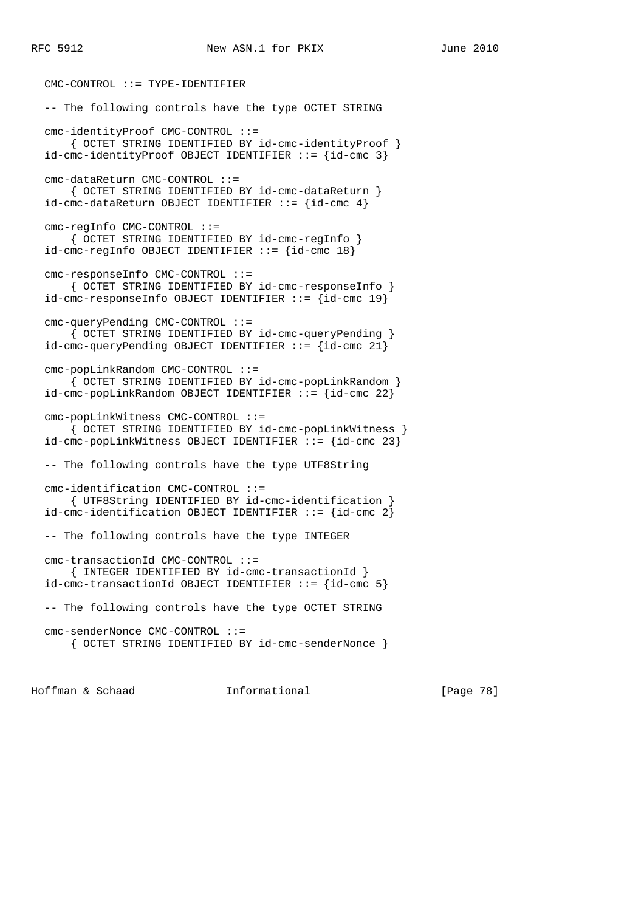CMC-CONTROL ::= TYPE-IDENTIFIER -- The following controls have the type OCTET STRING cmc-identityProof CMC-CONTROL ::= { OCTET STRING IDENTIFIED BY id-cmc-identityProof } id-cmc-identityProof OBJECT IDENTIFIER ::= {id-cmc 3} cmc-dataReturn CMC-CONTROL ::= { OCTET STRING IDENTIFIED BY id-cmc-dataReturn } id-cmc-dataReturn OBJECT IDENTIFIER  $::= \{id$ -cmc 4 $\}$  cmc-regInfo CMC-CONTROL ::= { OCTET STRING IDENTIFIED BY id-cmc-regInfo } id-cmc-regInfo OBJECT IDENTIFIER ::= {id-cmc 18} cmc-responseInfo CMC-CONTROL ::= { OCTET STRING IDENTIFIED BY id-cmc-responseInfo } id-cmc-responseInfo OBJECT IDENTIFIER ::= {id-cmc 19} cmc-queryPending CMC-CONTROL ::= { OCTET STRING IDENTIFIED BY id-cmc-queryPending }  $id$ -cmc-queryPending OBJECT IDENTIFIER ::=  $id$ -cmc 21} cmc-popLinkRandom CMC-CONTROL ::= { OCTET STRING IDENTIFIED BY id-cmc-popLinkRandom } id-cmc-popLinkRandom OBJECT IDENTIFIER ::= {id-cmc 22} cmc-popLinkWitness CMC-CONTROL ::= { OCTET STRING IDENTIFIED BY id-cmc-popLinkWitness } id-cmc-popLinkWitness OBJECT IDENTIFIER ::= {id-cmc 23} -- The following controls have the type UTF8String cmc-identification CMC-CONTROL ::= { UTF8String IDENTIFIED BY id-cmc-identification } id-cmc-identification OBJECT IDENTIFIER ::= {id-cmc 2} -- The following controls have the type INTEGER cmc-transactionId CMC-CONTROL ::= { INTEGER IDENTIFIED BY id-cmc-transactionId } id-cmc-transactionId OBJECT IDENTIFIER ::= {id-cmc 5} -- The following controls have the type OCTET STRING cmc-senderNonce CMC-CONTROL ::= { OCTET STRING IDENTIFIED BY id-cmc-senderNonce }

Hoffman & Schaad Informational [Page 78]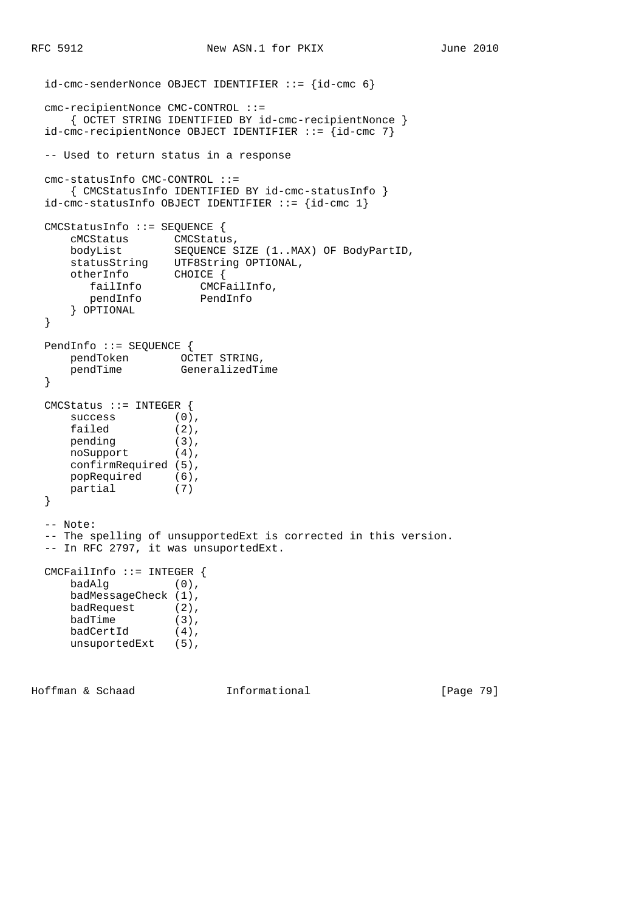```
 id-cmc-senderNonce OBJECT IDENTIFIER ::= {id-cmc 6}
  cmc-recipientNonce CMC-CONTROL ::=
     { OCTET STRING IDENTIFIED BY id-cmc-recipientNonce }
  id-cmc-recipientNonce OBJECT IDENTIFIER ::= {id-cmc 7}
  -- Used to return status in a response
  cmc-statusInfo CMC-CONTROL ::=
     { CMCStatusInfo IDENTIFIED BY id-cmc-statusInfo }
 id-cmc-statusInfo OBJECT IDENTIFIER ::= \{id-cmc 1\} CMCStatusInfo ::= SEQUENCE {
 cMCStatus CMCStatus,
 bodyList SEQUENCE SIZE (1..MAX) OF BodyPartID,
     statusString UTF8String OPTIONAL,
 otherInfo CHOICE {
 failInfo CMCFailInfo,
 pendInfo PendInfo
      } OPTIONAL
  }
  PendInfo ::= SEQUENCE {
 pendToken OCTET STRING,
 pendTime GeneralizedTime
  }
  CMCStatus ::= INTEGER {
success (0),
failed (2),
pending (3),
 noSupport (4),
     confirmRequired (5),
 popRequired (6),
 partial (7)
  }
  -- Note:
  -- The spelling of unsupportedExt is corrected in this version.
  -- In RFC 2797, it was unsuportedExt.
  CMCFailInfo ::= INTEGER {
     badAlg (0),
     badMessageCheck (1),
     badRequest (2),
badTime (3),
badCertId (4),
     unsuportedExt (5),
Hoffman & Schaad Informational [Page 79]
```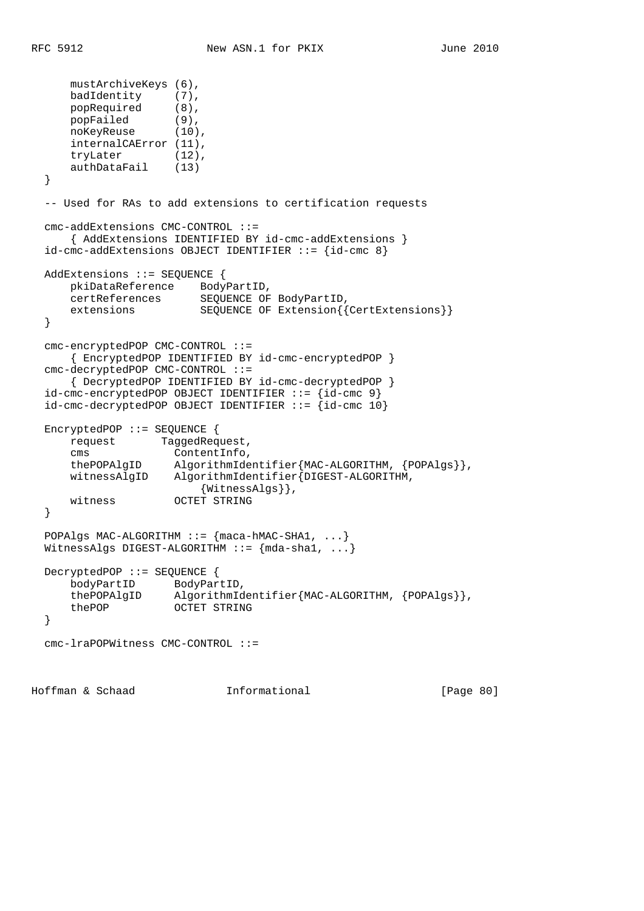```
mustArchiveKeys (6),<br>badIdentity (7),
     badIdentity
 popRequired (8),
 popFailed (9),
 noKeyReuse (10),
      internalCAError (11),
      tryLater (12),
      authDataFail (13)
   }
   -- Used for RAs to add extensions to certification requests
  cmc-addExtensions CMC-CONTROL ::=
      { AddExtensions IDENTIFIED BY id-cmc-addExtensions }
   id-cmc-addExtensions OBJECT IDENTIFIER ::= {id-cmc 8}
  AddExtensions ::= SEQUENCE {
      pkiDataReference BodyPartID,
      certReferences SEQUENCE OF BodyPartID,
     extensions SEQUENCE OF Extension{{CertExtensions}}
   }
   cmc-encryptedPOP CMC-CONTROL ::=
       { EncryptedPOP IDENTIFIED BY id-cmc-encryptedPOP }
   cmc-decryptedPOP CMC-CONTROL ::=
       { DecryptedPOP IDENTIFIED BY id-cmc-decryptedPOP }
   id-cmc-encryptedPOP OBJECT IDENTIFIER ::= {id-cmc 9}
  id-cmc-decryptedPOP OBJECT IDENTIFIER ::= {id-cmc 10}
  EncryptedPOP ::= SEQUENCE {
      request TaggedRequest,
      cms ContentInfo,
 thePOPAlgID AlgorithmIdentifier{MAC-ALGORITHM, {POPAlgs}},
 witnessAlgID AlgorithmIdentifier{DIGEST-ALGORITHM,
                         {WitnessAlgs}},
      witness OCTET STRING
   }
 POPAlgs MAC-ALGORITHM ::= {maca-hMAC-SHA1, ...}WitnessAlgs DIGEST-ALGORITHM ::= {mda-shal, ...}
  DecryptedPOP ::= SEQUENCE {
      bodyPartID BodyPartID,
     thePOPAlgID AlgorithmIdentifier{MAC-ALGORITHM, {POPAlgs}},<br>thePOP OCTET STRING
                    OCTET STRING
   }
  cmc-lraPOPWitness CMC-CONTROL ::=
Hoffman & Schaad 1nformational [Page 80]
```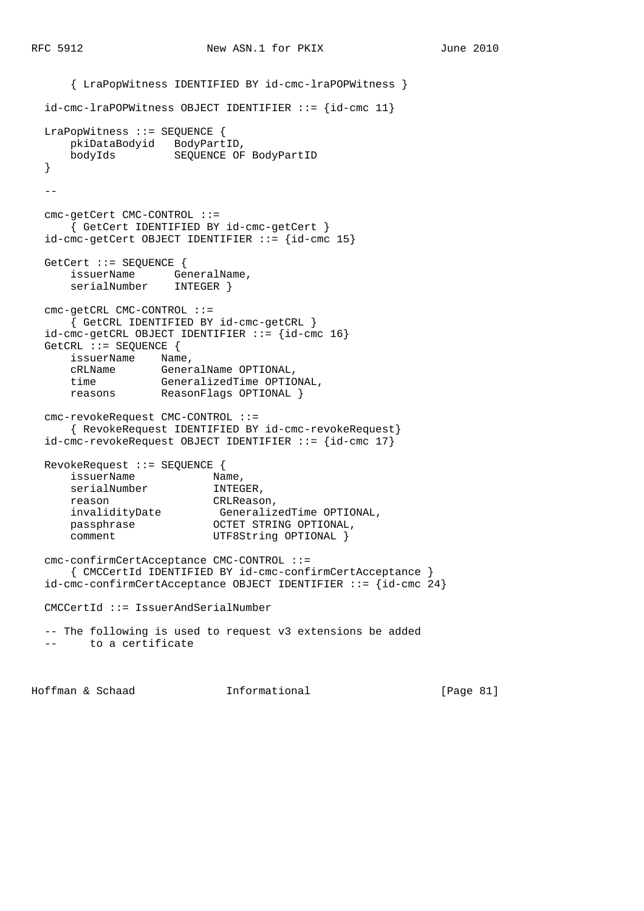{ LraPopWitness IDENTIFIED BY id-cmc-lraPOPWitness } id-cmc-lraPOPWitness OBJECT IDENTIFIER ::= {id-cmc 11} LraPopWitness ::= SEQUENCE { pkiDataBodyid BodyPartID, **bodyIds** SEQUENCE OF BodyPartID }  $$  cmc-getCert CMC-CONTROL ::= { GetCert IDENTIFIED BY id-cmc-getCert }  $id$ -cmc-getCert OBJECT IDENTIFIER ::=  $id$ -cmc 15} GetCert ::= SEQUENCE { issuerName GeneralName, serialNumber INTEGER } cmc-getCRL CMC-CONTROL ::= { GetCRL IDENTIFIED BY id-cmc-getCRL } id-cmc-getCRL OBJECT IDENTIFIER ::= {id-cmc 16} GetCRL ::= SEQUENCE { issuerName Name, cRLName GeneralName OPTIONAL, time GeneralizedTime OPTIONAL, reasons ReasonFlags OPTIONAL } cmc-revokeRequest CMC-CONTROL ::= { RevokeRequest IDENTIFIED BY id-cmc-revokeRequest} id-cmc-revokeRequest OBJECT IDENTIFIER ::= {id-cmc 17} RevokeRequest ::= SEQUENCE { issuerName Name, serialNumber **INTEGER**, reason CRLReason, invalidityDate GeneralizedTime OPTIONAL, passphrase **OCTET STRING OPTIONAL**, comment UTF8String OPTIONAL } cmc-confirmCertAcceptance CMC-CONTROL ::= { CMCCertId IDENTIFIED BY id-cmc-confirmCertAcceptance }  $id$ -cmc-confirmCertAcceptance OBJECT IDENTIFIER ::= { $id$ -cmc 24} CMCCertId ::= IssuerAndSerialNumber -- The following is used to request v3 extensions be added to a certificate

Hoffman & Schaad Informational [Page 81]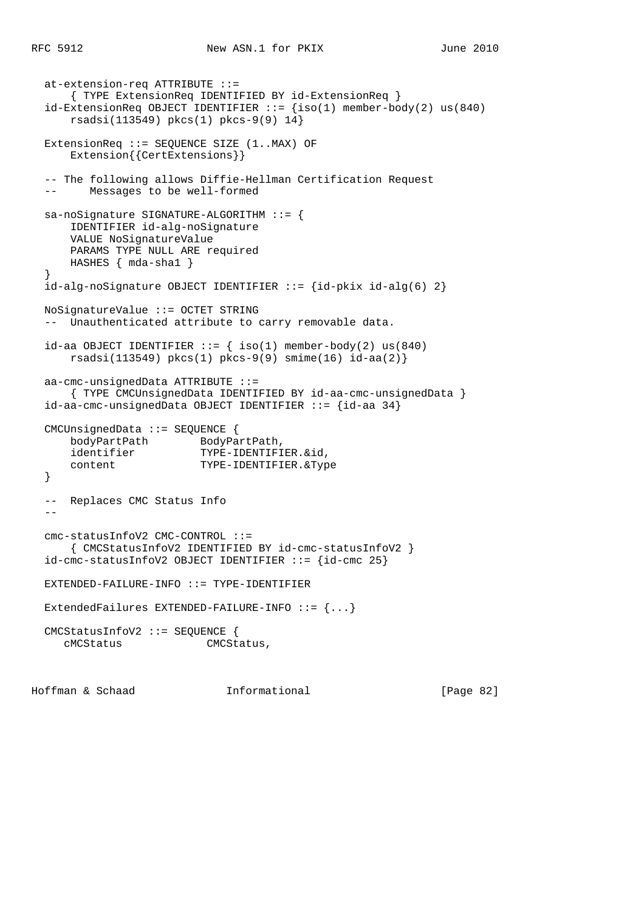```
 at-extension-req ATTRIBUTE ::=
    { TYPE ExtensionReq IDENTIFIED BY id-ExtensionReq }
 id-ExtensionReq OBJECT IDENTIFIER ::= {iso(1) member-body(2) us(840)
    rsadsi(113549) pkcs(1) pkcs-9(9) 14}
 ExtensionReq ::= SEQUENCE SIZE (1..MAX) OF
     Extension{{CertExtensions}}
 -- The following allows Diffie-Hellman Certification Request
 -- Messages to be well-formed
 sa-noSignature SIGNATURE-ALGORITHM ::= {
    IDENTIFIER id-alg-noSignature
    VALUE NoSignatureValue
    PARAMS TYPE NULL ARE required
    HASHES { mda-sha1 }
 }
id-alg-noSignature OBJECT IDENTIFIER ::= id-pkix id-alg(6) 2}
 NoSignatureValue ::= OCTET STRING
 -- Unauthenticated attribute to carry removable data.
id-aa OBJECT IDENTIFIER ::= { iso(1) member-body(2) us(840)
     rsadsi(113549) pkcs(1) pkcs-9(9) smime(16) id-aa(2)}
 aa-cmc-unsignedData ATTRIBUTE ::=
     { TYPE CMCUnsignedData IDENTIFIED BY id-aa-cmc-unsignedData }
 id-aa-cmc-unsignedData OBJECT IDENTIFIER ::= {id-aa 34}
 CMCUnsignedData ::= SEQUENCE {
    bodyPartPath BodyPartPath,
    identifier TYPE-IDENTIFIER.&id,
    content TYPE-IDENTIFIER.&Type
 }
 -- Replaces CMC Status Info
- cmc-statusInfoV2 CMC-CONTROL ::=
    { CMCStatusInfoV2 IDENTIFIED BY id-cmc-statusInfoV2 }
id-cmc-statusInfoV2 OBJECT IDENTIFIER ::= {id-cmc 25}
 EXTENDED-FAILURE-INFO ::= TYPE-IDENTIFIER
 ExtendedFailures EXTENDED-FAILURE-INFO ::= {...}
 CMCStatusInfoV2 ::= SEQUENCE {
   cMCStatus CMCStatus,
```
Hoffman & Schaad Informational [Page 82]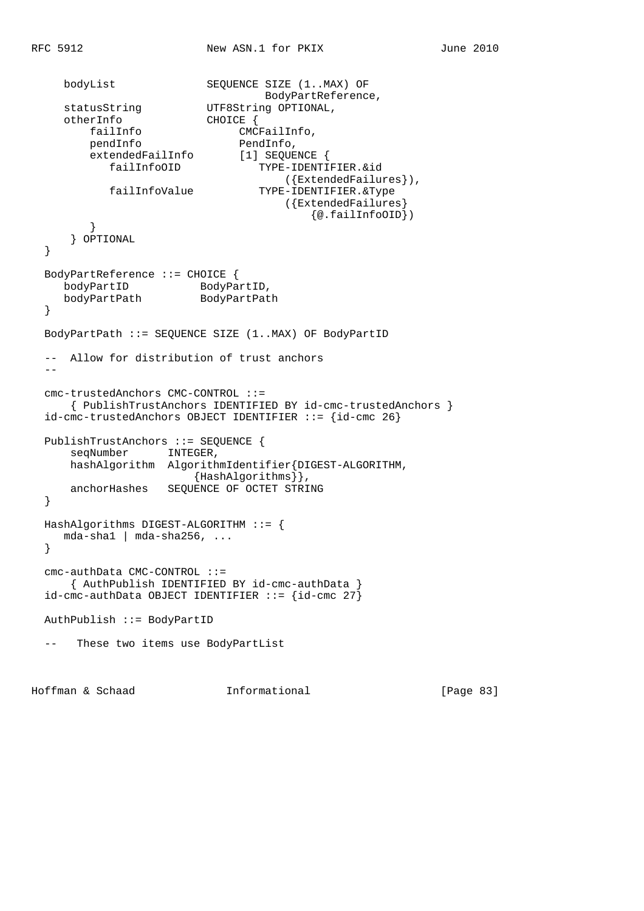```
bodyList SEQUENCE SIZE (1..MAX) OF
                                 BodyPartReference,
statusString UTF8String OPTIONAL,
 otherInfo CHOICE {
       failInfo CMCFailInfo,<br>pendInfo PendInfo,
pendInfo PendInfo,
 extendedFailInfo [1] SEQUENCE {
           failInfoOID TYPE-IDENTIFIER.&id
                                   ({ExtendedFailures}),
           failInfoValue TYPE-IDENTIFIER.&Type
                                   ({ExtendedFailures}
                                        {@.failInfoOID})
         }
      } OPTIONAL
  }
  BodyPartReference ::= CHOICE {
bodyPartID BodyPartID,
 bodyPartPath BodyPartPath
  }
  BodyPartPath ::= SEQUENCE SIZE (1..MAX) OF BodyPartID
  -- Allow for distribution of trust anchors
 - cmc-trustedAnchors CMC-CONTROL ::=
      { PublishTrustAnchors IDENTIFIED BY id-cmc-trustedAnchors }
  id-cmc-trustedAnchors OBJECT IDENTIFIER ::= {id-cmc 26}
  PublishTrustAnchors ::= SEQUENCE {
     seqNumber INTEGER,
      hashAlgorithm AlgorithmIdentifier{DIGEST-ALGORITHM,
                    {HashAlgorithms}},
      anchorHashes SEQUENCE OF OCTET STRING
  }
  HashAlgorithms DIGEST-ALGORITHM ::= {
     mda-sha1 | mda-sha256, ...
  }
  cmc-authData CMC-CONTROL ::=
     { AuthPublish IDENTIFIED BY id-cmc-authData }
 id-cmc-authData OBJECT IDENTIFIER ::= \{id-cmc 27\} AuthPublish ::= BodyPartID
  -- These two items use BodyPartList
```
Hoffman & Schaad Informational [Page 83]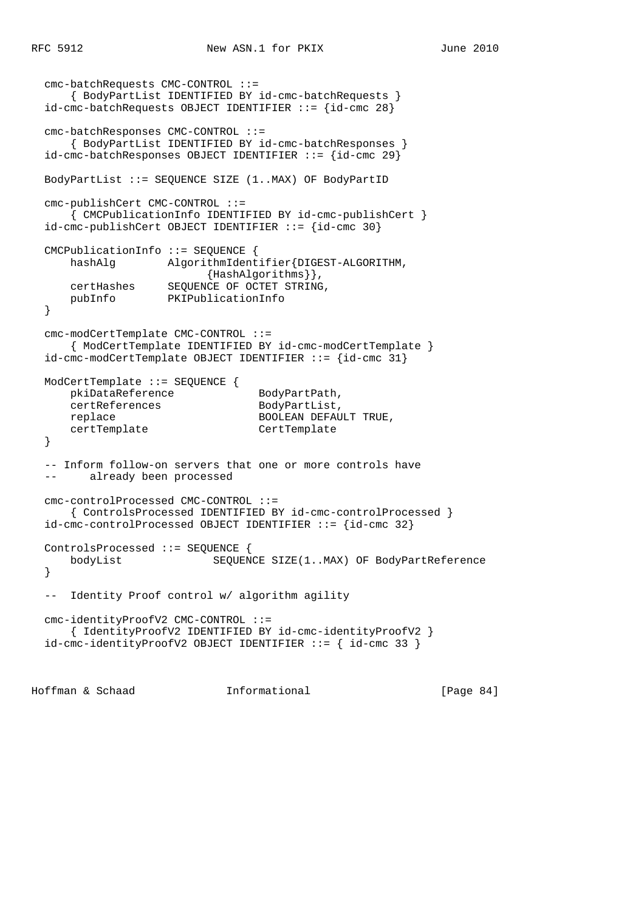```
 cmc-batchRequests CMC-CONTROL ::=
      { BodyPartList IDENTIFIED BY id-cmc-batchRequests }
 id-cmc-batchRequests OBJECT IDENTIFIER ::= {id-cmc 28}
  cmc-batchResponses CMC-CONTROL ::=
      { BodyPartList IDENTIFIED BY id-cmc-batchResponses }
  id-cmc-batchResponses OBJECT IDENTIFIER ::= {id-cmc 29}
  BodyPartList ::= SEQUENCE SIZE (1..MAX) OF BodyPartID
  cmc-publishCert CMC-CONTROL ::=
      { CMCPublicationInfo IDENTIFIED BY id-cmc-publishCert }
  id-cmc-publishCert OBJECT IDENTIFIER ::= {id-cmc 30}
  CMCPublicationInfo ::= SEQUENCE {
      hashAlg AlgorithmIdentifier{DIGEST-ALGORITHM,
                         {HashAlgorithms}},
     certHashes SEQUENCE OF OCTET STRING,<br>pubInfo PKIPublicationInfo
                   PKIPublicationInfo
  }
  cmc-modCertTemplate CMC-CONTROL ::=
      { ModCertTemplate IDENTIFIED BY id-cmc-modCertTemplate }
  id-cmc-modCertTemplate OBJECT IDENTIFIER ::= {id-cmc 31}
  ModCertTemplate ::= SEQUENCE {
pkiDataReference BodyPartPath,
certReferences BodyPartList,
     certReferences BodyPartList,<br>
replace BOOLEAN DEFAULT TRUE,
      certTemplate CertTemplate
  }
  -- Inform follow-on servers that one or more controls have
  -- already been processed
  cmc-controlProcessed CMC-CONTROL ::=
      { ControlsProcessed IDENTIFIED BY id-cmc-controlProcessed }
  id-cmc-controlProcessed OBJECT IDENTIFIER ::= {id-cmc 32}
  ControlsProcessed ::= SEQUENCE {
      bodyList SEQUENCE SIZE(1..MAX) OF BodyPartReference
  }
  -- Identity Proof control w/ algorithm agility
  cmc-identityProofV2 CMC-CONTROL ::=
      { IdentityProofV2 IDENTIFIED BY id-cmc-identityProofV2 }
  id-cmc-identityProofV2 OBJECT IDENTIFIER ::= { id-cmc 33 }
```
Hoffman & Schaad Informational [Page 84]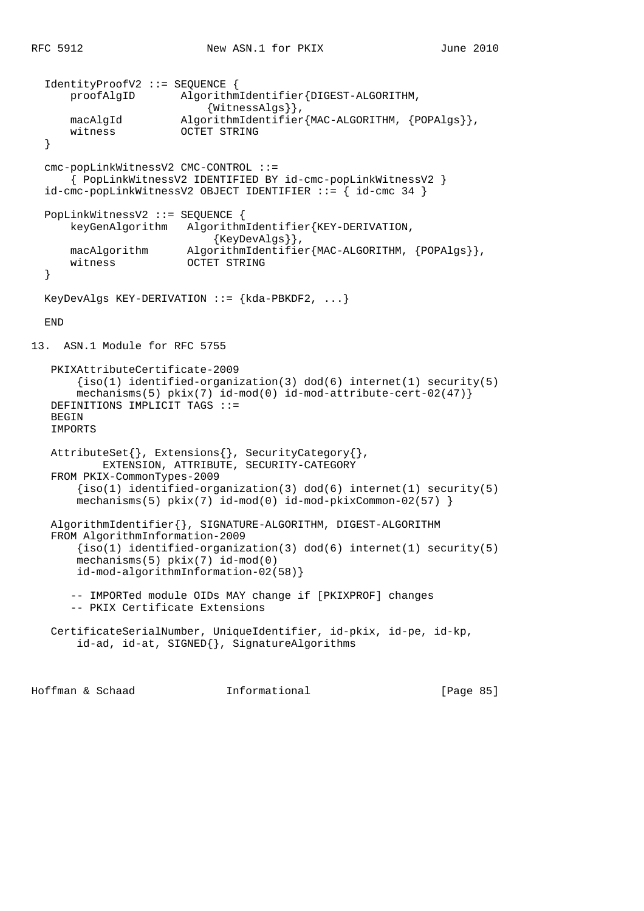```
 IdentityProofV2 ::= SEQUENCE {
       proofAlgID AlgorithmIdentifier{DIGEST-ALGORITHM,
                            {WitnessAlgs}},
      macAlgId \bigcap_{\text{AlgorithmIdentifier}} \{ \text{MAC-ALGORITHM, } \{ \text{POPAlgs} \} \} witness OCTET STRING
   }
   cmc-popLinkWitnessV2 CMC-CONTROL ::=
       { PopLinkWitnessV2 IDENTIFIED BY id-cmc-popLinkWitnessV2 }
  id-cmc-popLinkWithessV2 OBJECT IDENTIFIER ::= { id-cmc 34 }
  PopLinkWitnessV2 ::= SEQUENCE {
       keyGenAlgorithm AlgorithmIdentifier{KEY-DERIVATION,
                             {KeyDevAlgs}},
       macAlgorithm AlgorithmIdentifier{MAC-ALGORITHM, {POPAlgs}},
      witness OCTET STRING
   }
 KeyDevAlgs KEY-DERIVATION ::= {\{kda-PBKDF2, ... \}} END
13. ASN.1 Module for RFC 5755
   PKIXAttributeCertificate-2009
       \{iso(1) identified-organization(3) dod(6) internet(1) security(5)
       mechanisms(5) pkix(7) id-mod(0) id-mod-attribute-cert-02(47)}
   DEFINITIONS IMPLICIT TAGS ::=
  BEGIN
  IMPORTS
   AttributeSet{}, Extensions{}, SecurityCategory{},
            EXTENSION, ATTRIBUTE, SECURITY-CATEGORY
   FROM PKIX-CommonTypes-2009
       \{iso(1) identified-organization(3) dod(6) internet(1) security(5)
       mechanisms(5) pkix(7) id-mod(0) id-mod-pkixCommon-02(57) }
   AlgorithmIdentifier{}, SIGNATURE-ALGORITHM, DIGEST-ALGORITHM
   FROM AlgorithmInformation-2009
       \{iso(1) identified-organization(3) dod(6) internet(1) security(5)
       mechanisms(5) pkix(7) id-mod(0)
       id-mod-algorithmInformation-02(58)}
       -- IMPORTed module OIDs MAY change if [PKIXPROF] changes
       -- PKIX Certificate Extensions
   CertificateSerialNumber, UniqueIdentifier, id-pkix, id-pe, id-kp,
        id-ad, id-at, SIGNED{}, SignatureAlgorithms
```
Hoffman & Schaad Informational [Page 85]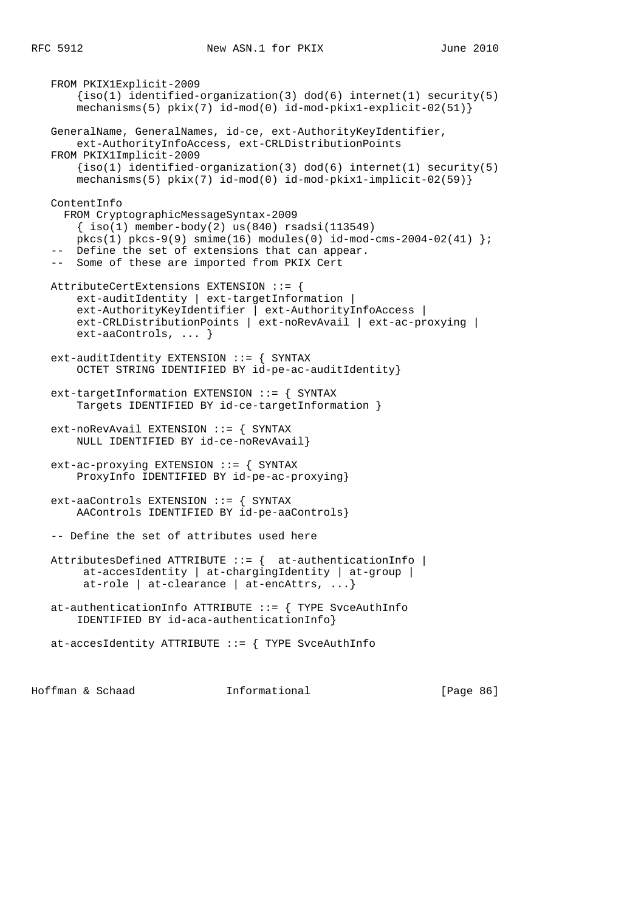FROM PKIX1Explicit-2009  $\{iso(1)$  identified-organization(3) dod(6) internet(1) security(5) mechanisms(5)  $pkix(7)$  id-mod(0) id-mod-pkix1-explicit-02(51)} GeneralName, GeneralNames, id-ce, ext-AuthorityKeyIdentifier, ext-AuthorityInfoAccess, ext-CRLDistributionPoints FROM PKIX1Implicit-2009  ${iso(1) identified-organization(3) dod(6) internet(1) security(5)}$  $mechanisms(5)  $pkix(7) *id-mod(0) id-mod-pkix1-implicit-02(59)*$$  ContentInfo FROM CryptographicMessageSyntax-2009  $\{ iso(1) member-body(2) us(840) rsadsi(113549)$  $pkcs(1) pkcs-9(9) simime(16) modules(0) id-mod-cms-2004-02(41)$  -- Define the set of extensions that can appear. -- Some of these are imported from PKIX Cert AttributeCertExtensions EXTENSION ::= { ext-auditIdentity | ext-targetInformation | ext-AuthorityKeyIdentifier | ext-AuthorityInfoAccess | ext-CRLDistributionPoints | ext-noRevAvail | ext-ac-proxying | ext-aaControls, ... } ext-auditIdentity EXTENSION ::= { SYNTAX OCTET STRING IDENTIFIED BY id-pe-ac-auditIdentity} ext-targetInformation EXTENSION ::= { SYNTAX Targets IDENTIFIED BY id-ce-targetInformation } ext-noRevAvail EXTENSION ::= { SYNTAX NULL IDENTIFIED BY id-ce-noRevAvail} ext-ac-proxying EXTENSION ::= { SYNTAX ProxyInfo IDENTIFIED BY id-pe-ac-proxying} ext-aaControls EXTENSION ::= { SYNTAX AAControls IDENTIFIED BY id-pe-aaControls} -- Define the set of attributes used here AttributesDefined ATTRIBUTE ::= { at-authenticationInfo | at-accesIdentity | at-chargingIdentity | at-group | at-role | at-clearance | at-encAttrs, ...} at-authenticationInfo ATTRIBUTE ::= { TYPE SvceAuthInfo IDENTIFIED BY id-aca-authenticationInfo} at-accesIdentity ATTRIBUTE ::= { TYPE SvceAuthInfo

Hoffman & Schaad Informational [Page 86]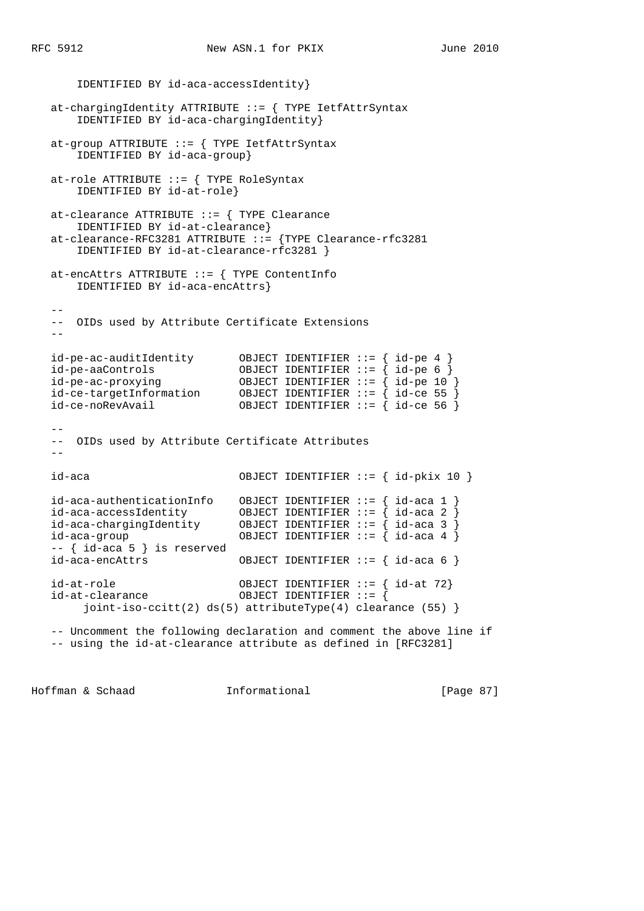```
 IDENTIFIED BY id-aca-accessIdentity}
   at-chargingIdentity ATTRIBUTE ::= { TYPE IetfAttrSyntax
       IDENTIFIED BY id-aca-chargingIdentity}
  at-group ATTRIBUTE ::= { TYPE IetfAttrSyntax
       IDENTIFIED BY id-aca-group}
   at-role ATTRIBUTE ::= { TYPE RoleSyntax
      IDENTIFIED BY id-at-role}
   at-clearance ATTRIBUTE ::= { TYPE Clearance
      IDENTIFIED BY id-at-clearance}
   at-clearance-RFC3281 ATTRIBUTE ::= {TYPE Clearance-rfc3281
       IDENTIFIED BY id-at-clearance-rfc3281 }
   at-encAttrs ATTRIBUTE ::= { TYPE ContentInfo
      IDENTIFIED BY id-aca-encAttrs}
  - - -- OIDs used by Attribute Certificate Extensions
 --
 id-pe-ac-auditIdentity OBJECT IDENTIFIER ::= { id-pe 4 }
 id-pe-aaControls OBJECT IDENTIFIER ::= { id-pe 6 }
 id-pe-ac-proxying OBJECT IDENTIFIER ::= { id-pe 10 }
 id-ce-targetInformation OBJECT IDENTIFIER ::= { id-ce 55 }
 id-ce-noRevAvail OBJECT IDENTIFIER ::= { id-ce 56 }
 --
   -- OIDs used by Attribute Certificate Attributes
  - - id-aca OBJECT IDENTIFIER ::= { id-pkix 10 }
 id-aca-authenticationInfo OBJECT IDENTIFIER ::= { id-aca 1 }
 id-aca-accessIdentity OBJECT IDENTIFIER ::= { id-aca 2 }
 id-aca-chargingIdentity OBJECT IDENTIFIER ::= { id-aca 3 }
 id-aca-group OBJECT IDENTIFIER ::= { id-aca 4 }
   -- { id-aca 5 } is reserved
   id-aca-encAttrs OBJECT IDENTIFIER ::= { id-aca 6 }
   id-at-role OBJECT IDENTIFIER ::= { id-at 72}
   id-at-clearance OBJECT IDENTIFIER ::= {
        joint-iso-ccitt(2) ds(5) attributeType(4) clearance (55) }
   -- Uncomment the following declaration and comment the above line if
```
-- using the id-at-clearance attribute as defined in [RFC3281]

Hoffman & Schaad Informational [Page 87]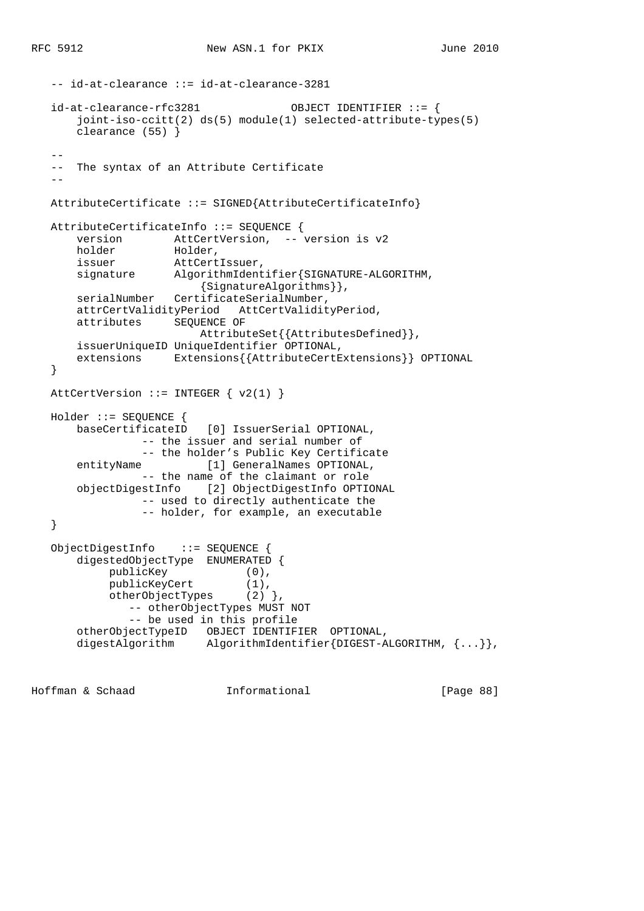```
 -- id-at-clearance ::= id-at-clearance-3281
   id-at-clearance-rfc3281 OBJECT IDENTIFIER ::= {
       joint-iso-ccitt(2) ds(5) module(1) selected-attribute-types(5)
       clearance (55) }
 --
   -- The syntax of an Attribute Certificate
 --
   AttributeCertificate ::= SIGNED{AttributeCertificateInfo}
   AttributeCertificateInfo ::= SEQUENCE {
       version AttCertVersion, -- version is v2
       holder Holder,
       issuer AttCertIssuer,
       signature AlgorithmIdentifier{SIGNATURE-ALGORITHM,
                        {SignatureAlgorithms}},
      serialNumber CertificateSerialNumber,
       attrCertValidityPeriod AttCertValidityPeriod,
       attributes SEQUENCE OF
                         AttributeSet{{AttributesDefined}},
       issuerUniqueID UniqueIdentifier OPTIONAL,
       extensions Extensions{{AttributeCertExtensions}} OPTIONAL
   }
  AttCertVersion ::= INTEGER \{ v2(1) \} Holder ::= SEQUENCE {
       baseCertificateID [0] IssuerSerial OPTIONAL,
                -- the issuer and serial number of
                -- the holder's Public Key Certificate
      entityName [1] GeneralNames OPTIONAL,
                -- the name of the claimant or role
       objectDigestInfo [2] ObjectDigestInfo OPTIONAL
                -- used to directly authenticate the
                -- holder, for example, an executable
   }
   ObjectDigestInfo ::= SEQUENCE {
       digestedObjectType ENUMERATED {
publicKey (0),
publicKeyCert (1),
           publicKeyCert (1),<br>otherObjectTypes (2) },
               -- otherObjectTypes MUST NOT
               -- be used in this profile
 otherObjectTypeID OBJECT IDENTIFIER OPTIONAL,
 digestAlgorithm AlgorithmIdentifier{DIGEST-ALGORITHM, {...}},
```
Hoffman & Schaad Informational [Page 88]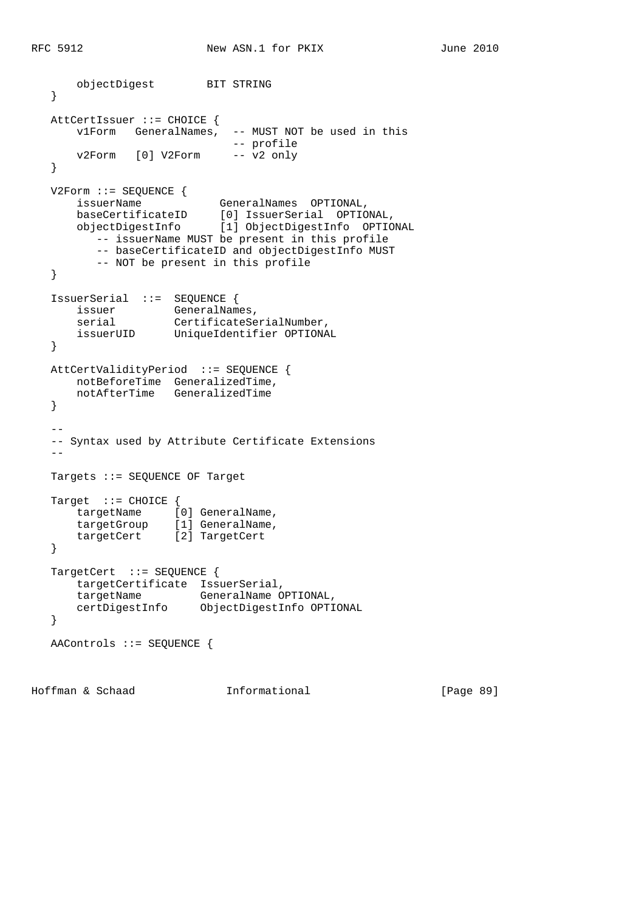```
 objectDigest BIT STRING
   }
   AttCertIssuer ::= CHOICE {
 v1Form GeneralNames, -- MUST NOT be used in this
 -- profile
      v2Form [0] V2Form -- v2 only
   }
   V2Form ::= SEQUENCE {
 issuerName GeneralNames OPTIONAL,
 baseCertificateID [0] IssuerSerial OPTIONAL,
 objectDigestInfo [1] ObjectDigestInfo OPTIONAL
         -- issuerName MUST be present in this profile
         -- baseCertificateID and objectDigestInfo MUST
         -- NOT be present in this profile
   }
   IssuerSerial ::= SEQUENCE {
     issuer GeneralNames,<br>serial CertificateSe
serial CertificateSerialNumber,
 issuerUID UniqueIdentifier OPTIONAL
   }
   AttCertValidityPeriod ::= SEQUENCE {
 notBeforeTime GeneralizedTime,
 notAfterTime GeneralizedTime
   }
 --
   -- Syntax used by Attribute Certificate Extensions
  - - Targets ::= SEQUENCE OF Target
  Target ::= CHOICE {
      targetName [0] GeneralName,
      targetGroup [1] GeneralName,
      targetCert [2] TargetCert
   }
  TargetCert ::= SEQUENCE {
      targetCertificate IssuerSerial,
 targetName GeneralName OPTIONAL,
 certDigestInfo ObjectDigestInfo OPTIONAL
   }
   AAControls ::= SEQUENCE {
```
Hoffman & Schaad Informational [Page 89]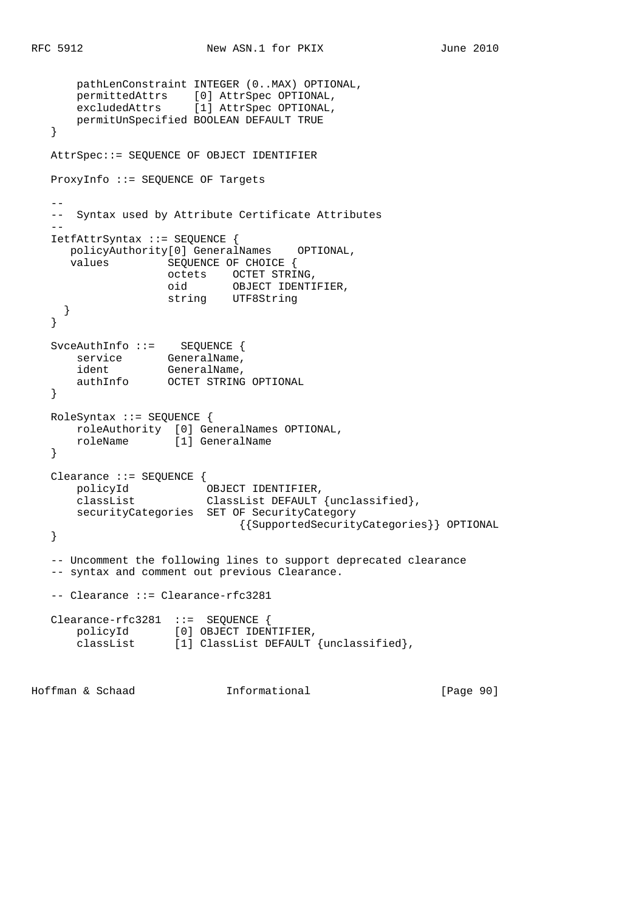```
 pathLenConstraint INTEGER (0..MAX) OPTIONAL,
 permittedAttrs [0] AttrSpec OPTIONAL,
 excludedAttrs [1] AttrSpec OPTIONAL,
      permitUnSpecified BOOLEAN DEFAULT TRUE
   }
   AttrSpec::= SEQUENCE OF OBJECT IDENTIFIER
   ProxyInfo ::= SEQUENCE OF Targets
 --
   -- Syntax used by Attribute Certificate Attributes
 --
   IetfAttrSyntax ::= SEQUENCE {
     policyAuthority[0] GeneralNames OPTIONAL,
     values SEQUENCE OF CHOICE {
octets OCTET STRING,
oid OBJECT IDENTIFIER,
 string UTF8String
     }
   }
 SvceAuthInfo ::= SEQUENCE {
service GeneralName,
ident GeneralName,
 authInfo OCTET STRING OPTIONAL
   }
   RoleSyntax ::= SEQUENCE {
 roleAuthority [0] GeneralNames OPTIONAL,
 roleName [1] GeneralName
   }
   Clearance ::= SEQUENCE {
 policyId OBJECT IDENTIFIER,
 classList ClassList DEFAULT {unclassified},
      securityCategories SET OF SecurityCategory
                           {{SupportedSecurityCategories}} OPTIONAL
   }
   -- Uncomment the following lines to support deprecated clearance
   -- syntax and comment out previous Clearance.
   -- Clearance ::= Clearance-rfc3281
   Clearance-rfc3281 ::= SEQUENCE {
 policyId [0] OBJECT IDENTIFIER,
 classList [1] ClassList DEFAULT {unclassified},
Hoffman & Schaad Informational [Page 90]
```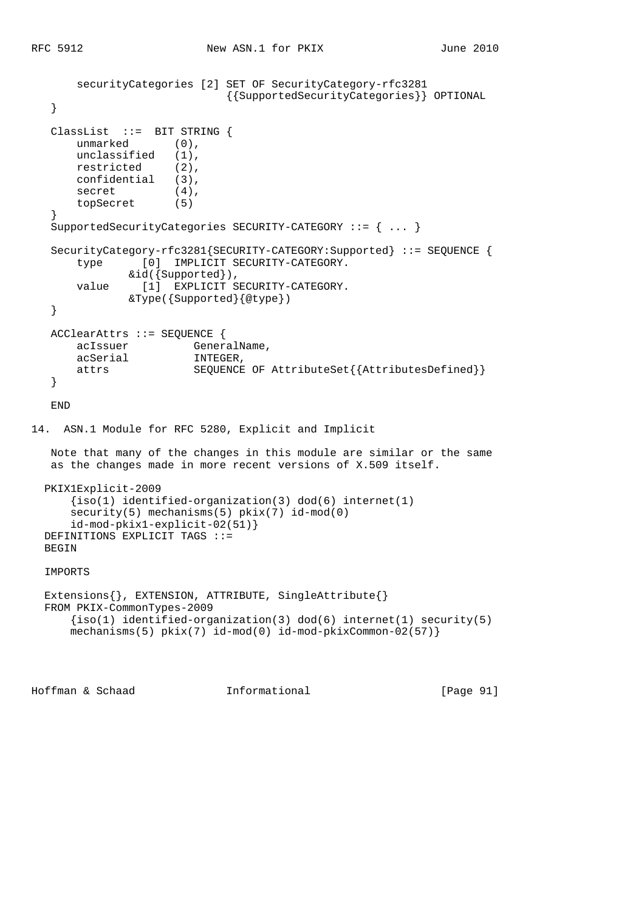```
 securityCategories [2] SET OF SecurityCategory-rfc3281
                              {{SupportedSecurityCategories}} OPTIONAL
    }
   ClassList ::= BIT STRING {
      unmarked (0),
       unclassified (1),
       restricted (2),
       confidential (3),
      secret (4),
       topSecret (5)
    }
   SupportedSecurityCategories SECURITY-CATEGORY ::= { ... }
   SecurityCategory-rfc3281{SECURITY-CATEGORY:Supported} ::= SEQUENCE {
       type [0] IMPLICIT SECURITY-CATEGORY.
               &id({Supported}),
       value [1] EXPLICIT SECURITY-CATEGORY.
               &Type({Supported}{@type})
    }
   ACClearAttrs ::= SEQUENCE {
       acIssuer GeneralName,
       acSerial INTEGER,
       attrs SEQUENCE OF AttributeSet{{AttributesDefined}}
    }
   END
14. ASN.1 Module for RFC 5280, Explicit and Implicit
   Note that many of the changes in this module are similar or the same
   as the changes made in more recent versions of X.509 itself.
  PKIX1Explicit-2009
      \{iso(1) identified-organization(3) dod(6) internet(1)
     security(5) mechanisms(5) pix(7) id-mod(0)
      id-mod-pkix1-explicit-02(51)}
  DEFINITIONS EXPLICIT TAGS ::=
 BEGIN
  IMPORTS
  Extensions{}, EXTENSION, ATTRIBUTE, SingleAttribute{}
  FROM PKIX-CommonTypes-2009
     {s(1) identified-organization(3) dod(6) internet(1) security(5)
     mechanisms(5) pkix(7) id-mod(0) id-mod-pkixCommon-02(57)}
```
Hoffman & Schaad Informational [Page 91]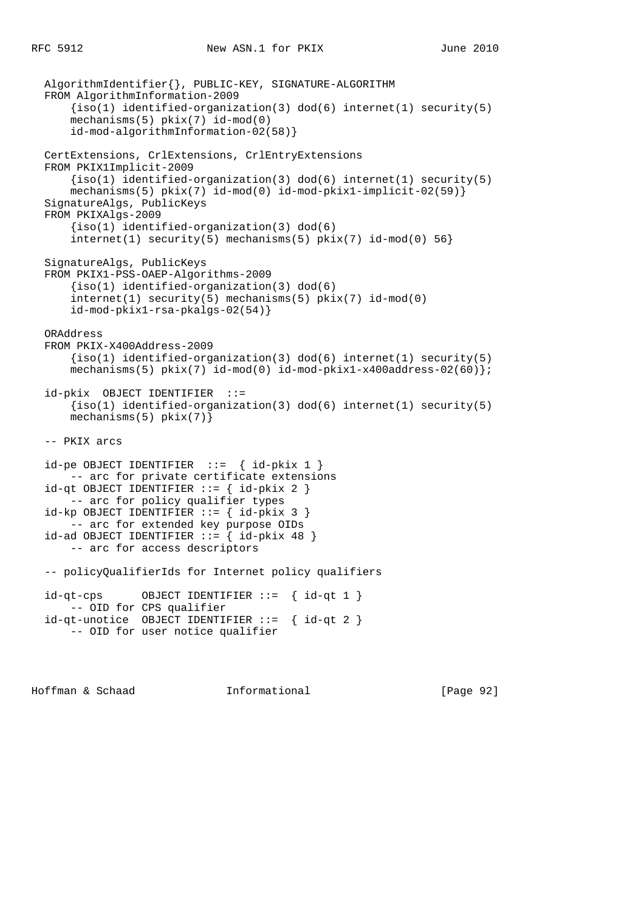```
 AlgorithmIdentifier{}, PUBLIC-KEY, SIGNATURE-ALGORITHM
 FROM AlgorithmInformation-2009
    \{iso(1) identified-organization(3) dod(6) internet(1) security(5)
     mechanisms(5) pkix(7) id-mod(0)
     id-mod-algorithmInformation-02(58)}
 CertExtensions, CrlExtensions, CrlEntryExtensions
 FROM PKIX1Implicit-2009
    \{iso(1)\} identified-organization(3) dod(6) internet(1) security(5)
     mechanisms(5) pkix(7) id-mod(0) id-mod-pkix1-implicit-02(59)}
 SignatureAlgs, PublicKeys
 FROM PKIXAlgs-2009
     {iso(1) identified-organization(3) dod(6)
    internet(1) security(5) mechanisms(5) pkix(7) id-mod(0) 56}
 SignatureAlgs, PublicKeys
 FROM PKIX1-PSS-OAEP-Algorithms-2009
    {iso(1) identified-organization(3) dod(6)
     internet(1) security(5) mechanisms(5) pkix(7) id-mod(0)
     id-mod-pkix1-rsa-pkalgs-02(54)}
 ORAddress
 FROM PKIX-X400Address-2009
    \{iso(1) identified-organization(3) dod(6) internet(1) security(5)
    mechanisms(5) pkix(7) id-mod(0) id-mod-pkix1-x400address-02(60) ;
 id-pkix OBJECT IDENTIFIER ::=
    \{iso(1) identified-organization(3) dod(6) internet(1) security(5)
    mechanisms(5) pkix(7)}
 -- PKIX arcs
id-pe OBJECT IDENTIFIER ::= { id-pkix 1 }
    -- arc for private certificate extensions
id-qt OBJECT IDENTIFIER ::= { id-pkix 2 }
    -- arc for policy qualifier types
id-kp OBJECT IDENTIFIER ::= { id-pkix 3 }
    -- arc for extended key purpose OIDs
id-ad OBJECT IDENTIFIER ::= { id-pkix 48 }
     -- arc for access descriptors
 -- policyQualifierIds for Internet policy qualifiers
id-qt-cps OBJECT IDENTIFIER ::= { id-qt 1 }
    -- OID for CPS qualifier
 id-qt-unotice OBJECT IDENTIFIER ::= { id-qt 2 }
     -- OID for user notice qualifier
```
Hoffman & Schaad Informational [Page 92]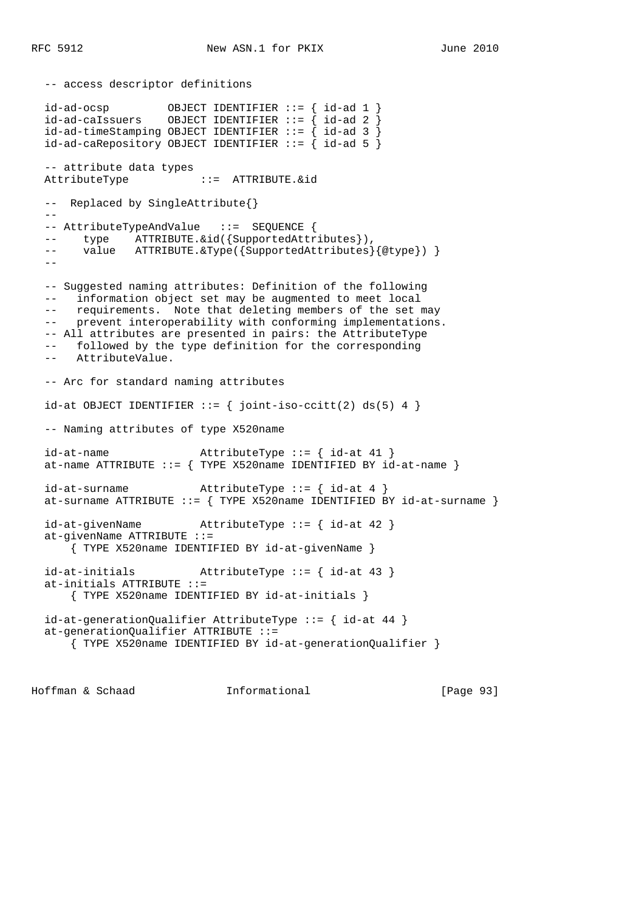```
 -- access descriptor definitions
 id-ad-ocsp OBJECT IDENTIFIER ::= { id-ad 1 }
 id-ad-caIssuers OBJECT IDENTIFIER ::= { id-ad 2 }
 id-ad-timeStamping OBJECT IDENTIFYER ::=\begin{cases} id-ad-3 \end{cases}id-ad-caRepository OBJECT IDENTIFYER ::=\n\{id-ad 5\n\} -- attribute data types
  AttributeType ::= ATTRIBUTE.&id
  -- Replaced by SingleAttribute{}
 - --- AttributeTypeAndValue ::= SEQUENCE {
 -- type ATTRIBUTE. & id({SupportedAttributes}),
 -- value ATTRIBUTE.&Type({SupportedAttributes}{@type}) }
 - - -- Suggested naming attributes: Definition of the following
  -- information object set may be augmented to meet local
  -- requirements. Note that deleting members of the set may
  -- prevent interoperability with conforming implementations.
  -- All attributes are presented in pairs: the AttributeType
 -- followed by the type definition for the corresponding
 -- AttributeValue.
  -- Arc for standard naming attributes
 id-at OBJECT IDENTIFIER ::= { joint-iso-ccitt(2) ds(5) 4 }
  -- Naming attributes of type X520name
 id-at-name <br>AttributeType ::= { id-at 41 }
 at-name ATTRIBUTE ::= { TYPE X520name IDENTIFIED BY id-at-name }
  id-at-surname AttributeType ::= { id-at 4 }
 at-surname ATTRIBUTE ::= \{ TYPE X520name IDENTIFIED BY id-at-surname \} id-at-givenName AttributeType ::= { id-at 42 }
  at-givenName ATTRIBUTE ::=
      { TYPE X520name IDENTIFIED BY id-at-givenName }
  id-at-initials AttributeType ::= { id-at 43 }
  at-initials ATTRIBUTE ::=
      { TYPE X520name IDENTIFIED BY id-at-initials }
  id-at-generationQualifier AttributeType ::= { id-at 44 }
  at-generationQualifier ATTRIBUTE ::=
      { TYPE X520name IDENTIFIED BY id-at-generationQualifier }
```
Hoffman & Schaad Informational [Page 93]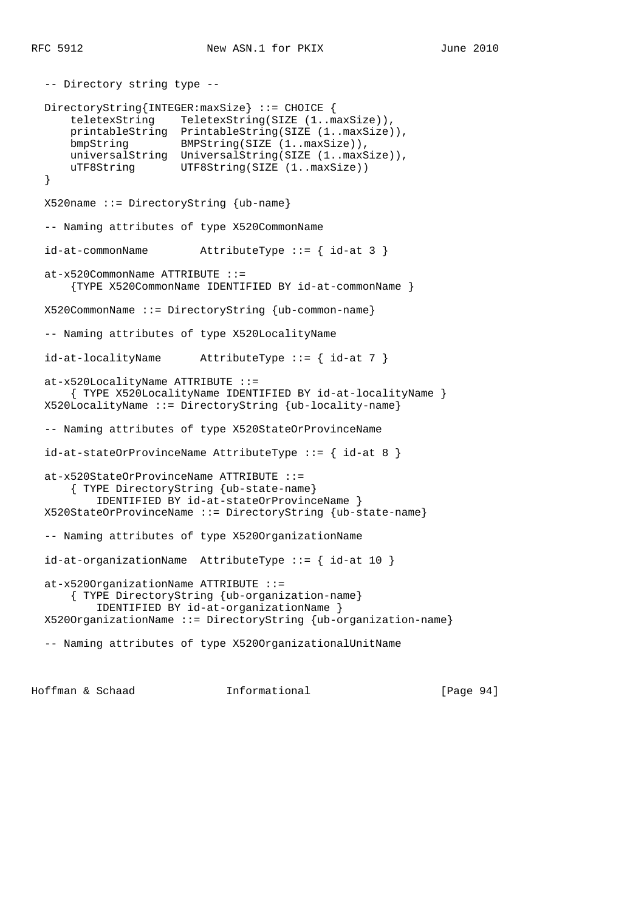```
 -- Directory string type --
  DirectoryString{INTEGER:maxSize} ::= CHOICE {
      teletexString TeletexString(SIZE (1..maxSize)),
 printableString PrintableString(SIZE (1..maxSize)),
 bmpString BMPString(SIZE (1..maxSize)),
      universalString UniversalString(SIZE (1..maxSize)),
     uTF8String UTF8String(SIZE (1..maxSize))
  }
  X520name ::= DirectoryString {ub-name}
  -- Naming attributes of type X520CommonName
  id-at-commonName AttributeType ::= { id-at 3 }
  at-x520CommonName ATTRIBUTE ::=
      {TYPE X520CommonName IDENTIFIED BY id-at-commonName }
  X520CommonName ::= DirectoryString {ub-common-name}
  -- Naming attributes of type X520LocalityName
  id-at-localityName AttributeType ::= { id-at 7 }
  at-x520LocalityName ATTRIBUTE ::=
      { TYPE X520LocalityName IDENTIFIED BY id-at-localityName }
  X520LocalityName ::= DirectoryString {ub-locality-name}
  -- Naming attributes of type X520StateOrProvinceName
  id-at-stateOrProvinceName AttributeType ::= { id-at 8 }
  at-x520StateOrProvinceName ATTRIBUTE ::=
      { TYPE DirectoryString {ub-state-name}
          IDENTIFIED BY id-at-stateOrProvinceName }
  X520StateOrProvinceName ::= DirectoryString {ub-state-name}
  -- Naming attributes of type X520OrganizationName
  id-at-organizationName AttributeType ::= { id-at 10 }
  at-x520OrganizationName ATTRIBUTE ::=
      { TYPE DirectoryString {ub-organization-name}
          IDENTIFIED BY id-at-organizationName }
  X520OrganizationName ::= DirectoryString {ub-organization-name}
  -- Naming attributes of type X520OrganizationalUnitName
```
Hoffman & Schaad Informational [Page 94]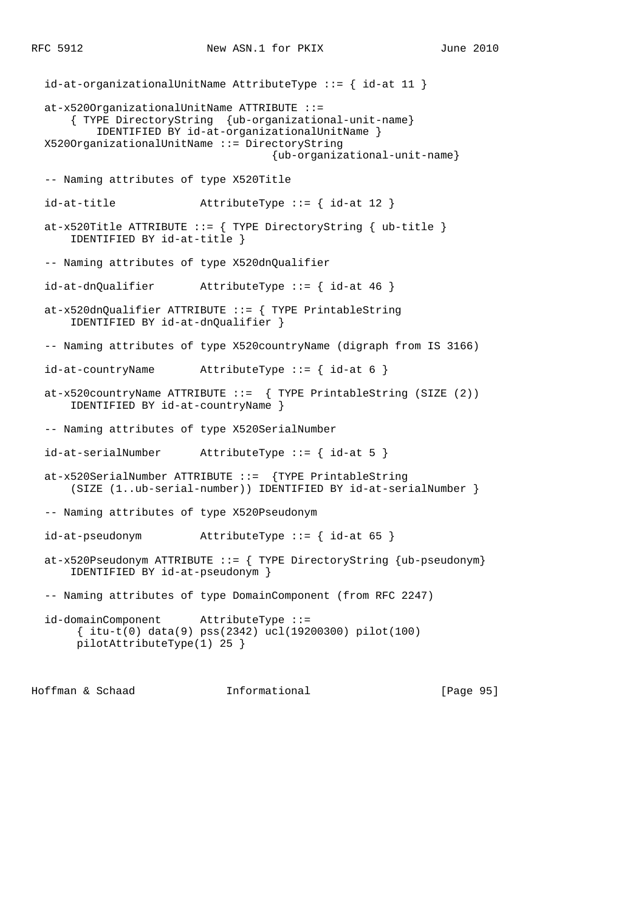id-at-organizationalUnitName AttributeType ::= { id-at 11 } at-x520OrganizationalUnitName ATTRIBUTE ::= { TYPE DirectoryString {ub-organizational-unit-name} IDENTIFIED BY id-at-organizationalUnitName } X520OrganizationalUnitName ::= DirectoryString {ub-organizational-unit-name} -- Naming attributes of type X520Title id-at-title  $\qquad \qquad \text{AttributeType} :: \{ \text{ id-at } 12 \}$ at-x520Title ATTRIBUTE ::=  $\{$  TYPE DirectoryString  $\{$  ub-title  $\}$  IDENTIFIED BY id-at-title } -- Naming attributes of type X520dnQualifier id-at-dnQualifier AttributeType ::= { id-at 46 } at-x520dnQualifier ATTRIBUTE ::= { TYPE PrintableString IDENTIFIED BY id-at-dnQualifier } -- Naming attributes of type X520countryName (digraph from IS 3166) id-at-countryName AttributeType ::= { id-at 6 } at-x520countryName ATTRIBUTE ::=  $\{$  TYPE PrintableString (SIZE (2)) IDENTIFIED BY id-at-countryName } -- Naming attributes of type X520SerialNumber id-at-serialNumber AttributeType ::= { id-at 5 } at-x520SerialNumber ATTRIBUTE ::= {TYPE PrintableString (SIZE (1..ub-serial-number)) IDENTIFIED BY id-at-serialNumber } -- Naming attributes of type X520Pseudonym id-at-pseudonym AttributeType ::= { id-at 65 } at-x520Pseudonym ATTRIBUTE ::=  $\{$  TYPE DirectoryString  $\{ub$ -pseudonym $\}$  IDENTIFIED BY id-at-pseudonym } -- Naming attributes of type DomainComponent (from RFC 2247) id-domainComponent AttributeType ::= { itu-t(0) data(9) pss(2342) ucl(19200300) pilot(100) pilotAttributeType(1) 25 }

Hoffman & Schaad Informational [Page 95]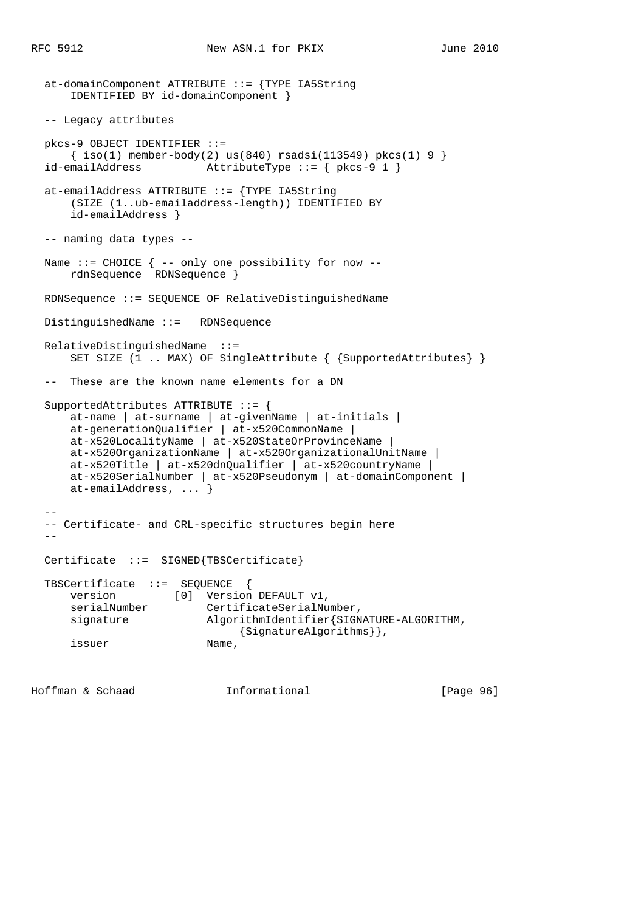```
 at-domainComponent ATTRIBUTE ::= {TYPE IA5String
      IDENTIFIED BY id-domainComponent }
  -- Legacy attributes
  pkcs-9 OBJECT IDENTIFIER ::=
    \{ iso(1) member-body(2) us(840) rsadsi(113549) pkcs(1) 9 \} id-emailAddress AttributeType ::= { pkcs-9 1 }
  at-emailAddress ATTRIBUTE ::= {TYPE IA5String
      (SIZE (1..ub-emailaddress-length)) IDENTIFIED BY
      id-emailAddress }
  -- naming data types --
 Name ::= CHOICE \{ -- only one possibility for now --
      rdnSequence RDNSequence }
  RDNSequence ::= SEQUENCE OF RelativeDistinguishedName
  DistinguishedName ::= RDNSequence
  RelativeDistinguishedName ::=
      SET SIZE (1 .. MAX) OF SingleAttribute { {SupportedAttributes} }
  -- These are the known name elements for a DN
  SupportedAttributes ATTRIBUTE ::= {
      at-name | at-surname | at-givenName | at-initials |
      at-generationQualifier | at-x520CommonName |
      at-x520LocalityName | at-x520StateOrProvinceName |
      at-x520OrganizationName | at-x520OrganizationalUnitName |
     at-x520Title | at-x520dnQualifier | at-x520countryName |
      at-x520SerialNumber | at-x520Pseudonym | at-domainComponent |
      at-emailAddress, ... }
- -- Certificate- and CRL-specific structures begin here
 - Certificate ::= SIGNED{TBSCertificate}
  TBSCertificate ::= SEQUENCE {
version [0] Version DEFAULT v1,
serialNumber CertificateSerialNumber,
     signature \qquad \qquad \text{AlgorithmIdentifier} \{ \text{SIGNATIVE-ALGORITHM}, {SignatureAlgorithms}},
      issuer Name,
```
Hoffman & Schaad Informational [Page 96]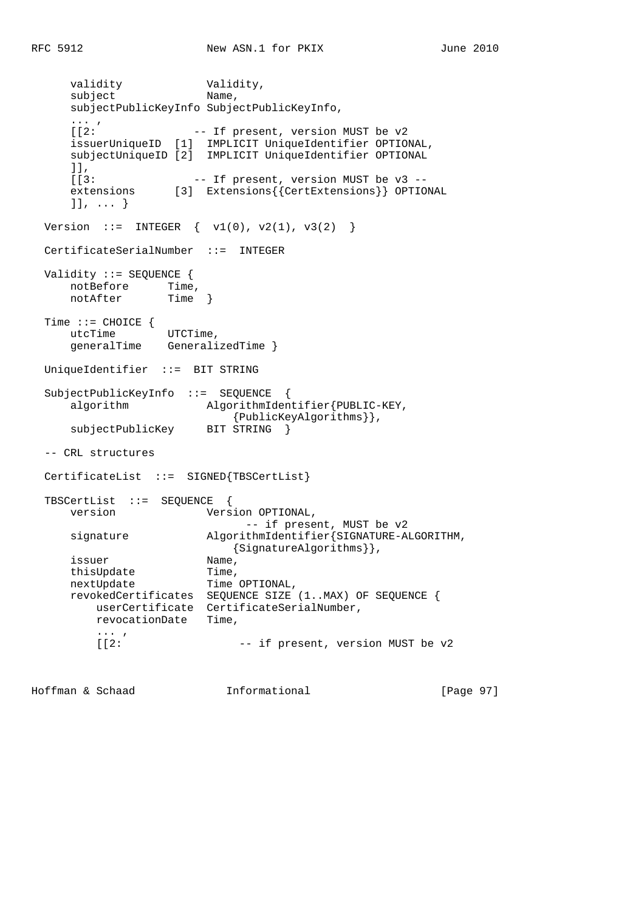validity **Validity**, subject Name, subjectPublicKeyInfo SubjectPublicKeyInfo, ... , [[2: -- If present, version MUST be v2 issuerUniqueID [1] IMPLICIT UniqueIdentifier OPTIONAL, subjectUniqueID [2] IMPLICIT UniqueIdentifier OPTIONAL ]], [[3: -- If present, version MUST be v3 - extensions [3] Extensions{{CertExtensions}} OPTIONAL ]], ... } Version ::= INTEGER  $\{ v1(0), v2(1), v3(2) \}$  CertificateSerialNumber ::= INTEGER Validity ::= SEQUENCE { notBefore Time, notAfter Time } Time ::= CHOICE { utcTime UTCTime, generalTime GeneralizedTime } UniqueIdentifier ::= BIT STRING SubjectPublicKeyInfo ::= SEQUENCE { algorithm  $AlgorithmIdentifier\{PUBLIC-KEY,$ {PublicKeyAlgorithms}},<br>BIT STRING } subjectPublicKey -- CRL structures CertificateList ::= SIGNED{TBSCertList} TBSCertList ::= SEQUENCE { version Version OPTIONAL, -- if present, MUST be v2 signature AlgorithmIdentifier{SIGNATURE-ALGORITHM, {SignatureAlgorithms}}, issuer Name,<br>
thisUpdate Time, thisUpdate nextUpdate Time OPTIONAL, revokedCertificates SEQUENCE SIZE (1..MAX) OF SEQUENCE { userCertificate CertificateSerialNumber, revocationDate Time,  $\frac{1}{2}$ : -- if present, version MUST be v2

Hoffman & Schaad Informational [Page 97]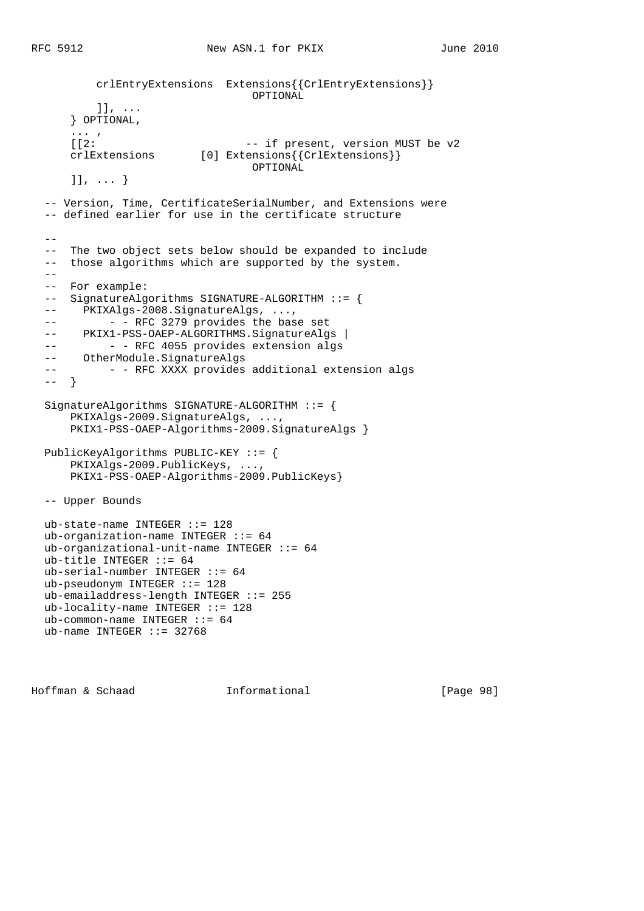```
 crlEntryExtensions Extensions{{CrlEntryExtensions}}
                                  OPTIONAL
          ]], ...
      } OPTIONAL,
     \frac{...}{12}:
                                -- if present, version MUST be v2
     crlExtensions [0] Extensions { {CrlExtensions } }
                                  OPTIONAL
      ]], ... }
  -- Version, Time, CertificateSerialNumber, and Extensions were
  -- defined earlier for use in the certificate structure
- -- The two object sets below should be expanded to include
  -- those algorithms which are supported by the system.
 - - -- For example:
  -- SignatureAlgorithms SIGNATURE-ALGORITHM ::= {
  -- PKIXAlgs-2008.SignatureAlgs, ...,
 -- - - RFC 3279 provides the base set
 -- PKIX1-PSS-OAEP-ALGORITHMS.SignatureAlgs |
 -- - - RFC 4055 provides extension algs
  -- OtherModule.SignatureAlgs
 -- - - RFC XXXX provides additional extension algs
 ---}
  SignatureAlgorithms SIGNATURE-ALGORITHM ::= {
      PKIXAlgs-2009.SignatureAlgs, ...,
      PKIX1-PSS-OAEP-Algorithms-2009.SignatureAlgs }
  PublicKeyAlgorithms PUBLIC-KEY ::= {
      PKIXAlgs-2009.PublicKeys, ...,
      PKIX1-PSS-OAEP-Algorithms-2009.PublicKeys}
  -- Upper Bounds
  ub-state-name INTEGER ::= 128
  ub-organization-name INTEGER ::= 64
  ub-organizational-unit-name INTEGER ::= 64
  ub-title INTEGER ::= 64
  ub-serial-number INTEGER ::= 64
  ub-pseudonym INTEGER ::= 128
  ub-emailaddress-length INTEGER ::= 255
  ub-locality-name INTEGER ::= 128
 ub-common-name INTEGER ::= 64
```
Hoffman & Schaad Informational [Page 98]

ub-name INTEGER  $::= 32768$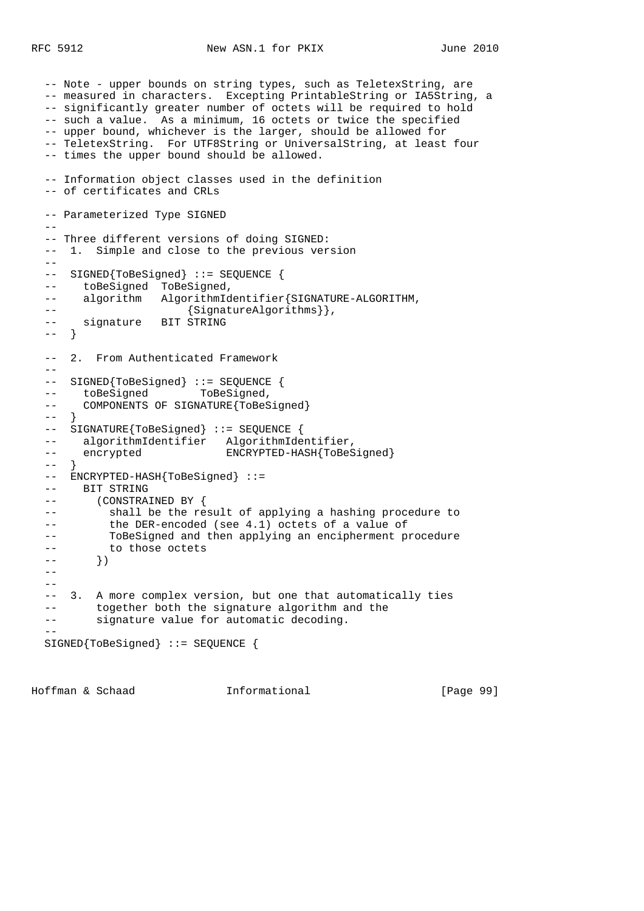```
 -- Note - upper bounds on string types, such as TeletexString, are
  -- measured in characters. Excepting PrintableString or IA5String, a
  -- significantly greater number of octets will be required to hold
  -- such a value. As a minimum, 16 octets or twice the specified
  -- upper bound, whichever is the larger, should be allowed for
  -- TeletexString. For UTF8String or UniversalString, at least four
  -- times the upper bound should be allowed.
  -- Information object classes used in the definition
  -- of certificates and CRLs
  -- Parameterized Type SIGNED
 - -- Three different versions of doing SIGNED:
  -- 1. Simple and close to the previous version
 - -- SIGNED{ToBeSigned} ::= SEQUENCE {
  -- toBeSigned ToBeSigned,
  -- algorithm AlgorithmIdentifier{SIGNATURE-ALGORITHM,
 -- {SignatureAlgorithms}},
  -- signature BIT STRING
  -- }
  -- 2. From Authenticated Framework
 --- SIGNED{ToBeSigned} ::= SEQUENCE {<br>-- toBeSigned   ToBeSigned,
 -- toBeSigned
 -- COMPONENTS OF SIGNATURE{ToBeSigned}
 - - -- SIGNATURE{ToBeSigned} ::= SEQUENCE {
 -- algorithmIdentifier AlgorithmIdentifier,
 -- encrypted ENCRYPTED-HASH{ToBeSigned}
 -- -- ENCRYPTED-HASH{ToBeSigned} ::=
  -- BIT STRING
  -- (CONSTRAINED BY {
  -- shall be the result of applying a hashing procedure to
  -- the DER-encoded (see 4.1) octets of a value of
  -- ToBeSigned and then applying an encipherment procedure
  -- to those octets
 --- } }
 -- -- 3. A more complex version, but one that automatically ties
  -- together both the signature algorithm and the
  -- signature value for automatic decoding.
- SIGNED{ToBeSigned} ::= SEQUENCE {
```
Hoffman & Schaad Informational [Page 99]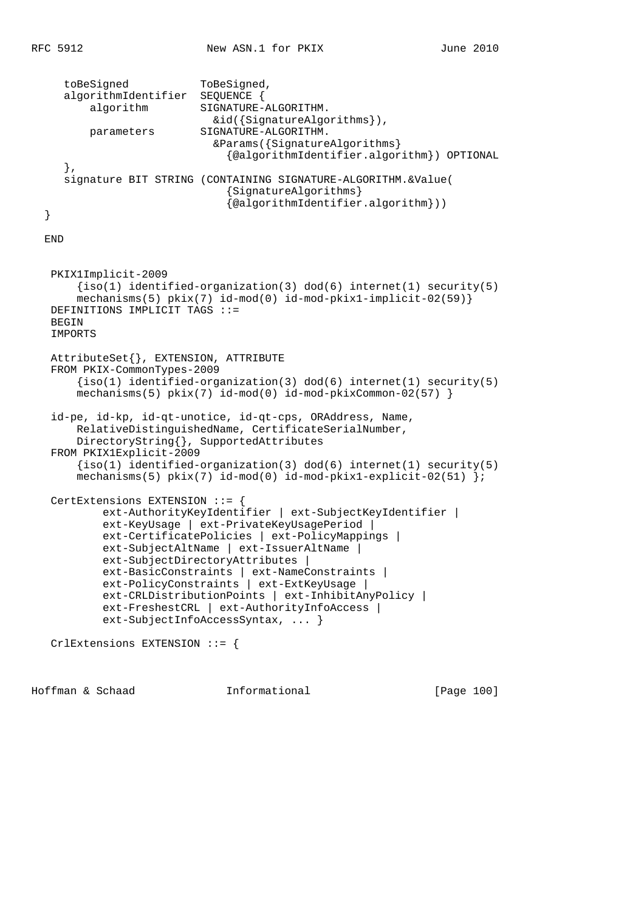```
 toBeSigned ToBeSigned,
    algorithmIdentifier SEQUENCE {
       algorithm SIGNATURE-ALGORITHM.
                           &id({SignatureAlgorithms}),
        parameters SIGNATURE-ALGORITHM.
                           &Params({SignatureAlgorithms}
                              {@algorithmIdentifier.algorithm}) OPTIONAL
    },
    signature BIT STRING (CONTAINING SIGNATURE-ALGORITHM.&Value(
                              {SignatureAlgorithms}
                              {@algorithmIdentifier.algorithm}))
 }
 END
  PKIX1Implicit-2009
      {iso(1) identified-organization(3) dod(6) internet(1) security(5)
      mechanisms(5) pkix(7) id-mod(0) id-mod-pkix1-implicit-02(59)}
  DEFINITIONS IMPLICIT TAGS ::=
 BEGIN
  IMPORTS
  AttributeSet{}, EXTENSION, ATTRIBUTE
  FROM PKIX-CommonTypes-2009
     \{iso(1) identified-organization(3) dod(6) internet(1) security(5)
     mechanisms(5) pkix(7) id-mod(0) id-mod-pkixCommon-02(57) }
  id-pe, id-kp, id-qt-unotice, id-qt-cps, ORAddress, Name,
      RelativeDistinguishedName, CertificateSerialNumber,
      DirectoryString{}, SupportedAttributes
  FROM PKIX1Explicit-2009
      {iso(1) identified-organization(3) dod(6) internet(1) security(5)
      mechanisms(5) pkix(7) id-mod(0) id-mod-pkix1-explicit-02(51) };
  CertExtensions EXTENSION ::= {
          ext-AuthorityKeyIdentifier | ext-SubjectKeyIdentifier |
          ext-KeyUsage | ext-PrivateKeyUsagePeriod |
          ext-CertificatePolicies | ext-PolicyMappings |
          ext-SubjectAltName | ext-IssuerAltName |
          ext-SubjectDirectoryAttributes |
          ext-BasicConstraints | ext-NameConstraints |
          ext-PolicyConstraints | ext-ExtKeyUsage |
          ext-CRLDistributionPoints | ext-InhibitAnyPolicy |
          ext-FreshestCRL | ext-AuthorityInfoAccess |
          ext-SubjectInfoAccessSyntax, ... }
  CrlExtensions EXTENSION ::= {
```
Hoffman & Schaad Informational [Page 100]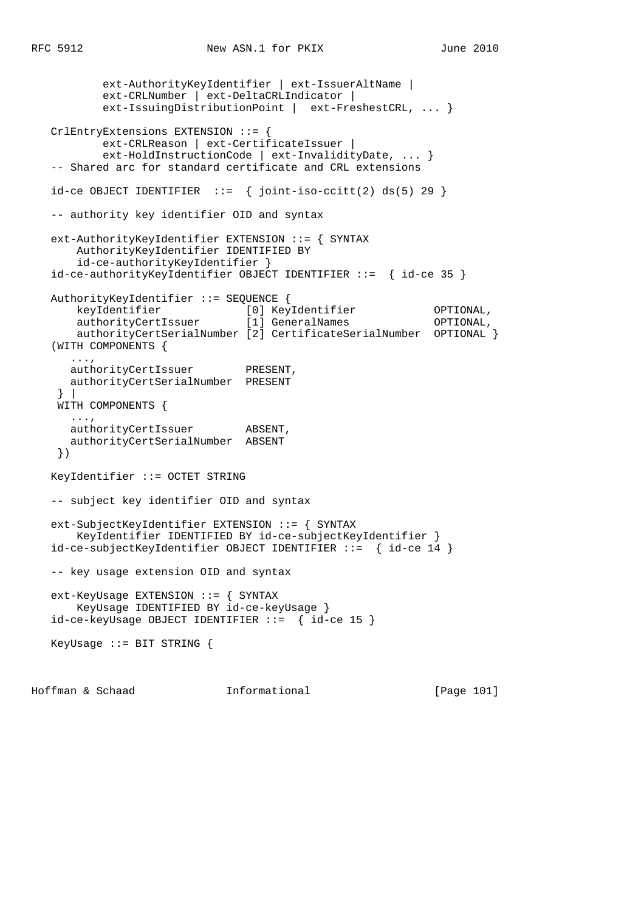```
 ext-AuthorityKeyIdentifier | ext-IssuerAltName |
           ext-CRLNumber | ext-DeltaCRLIndicator |
           ext-IssuingDistributionPoint | ext-FreshestCRL, ... }
   CrlEntryExtensions EXTENSION ::= {
           ext-CRLReason | ext-CertificateIssuer |
           ext-HoldInstructionCode | ext-InvalidityDate, ... }
   -- Shared arc for standard certificate and CRL extensions
  id-ce OBJECT IDENTIFIER ::= \{ joint-iso-ccitt(2) ds(5) 29 \} -- authority key identifier OID and syntax
   ext-AuthorityKeyIdentifier EXTENSION ::= { SYNTAX
       AuthorityKeyIdentifier IDENTIFIED BY
       id-ce-authorityKeyIdentifier }
   id-ce-authorityKeyIdentifier OBJECT IDENTIFIER ::= { id-ce 35 }
   AuthorityKeyIdentifier ::= SEQUENCE {
 keyIdentifier [0] KeyIdentifier OPTIONAL,
 authorityCertIssuer [1] GeneralNames OPTIONAL,
       authorityCertSerialNumber [2] CertificateSerialNumber OPTIONAL }
   (WITH COMPONENTS {
      ...,
     authorityCertIssuer PRESENT,
      authorityCertSerialNumber PRESENT
    } |
    WITH COMPONENTS {
      ...,
     authorityCertIssuer ABSENT,
      authorityCertSerialNumber ABSENT
    })
   KeyIdentifier ::= OCTET STRING
   -- subject key identifier OID and syntax
   ext-SubjectKeyIdentifier EXTENSION ::= { SYNTAX
       KeyIdentifier IDENTIFIED BY id-ce-subjectKeyIdentifier }
   id-ce-subjectKeyIdentifier OBJECT IDENTIFIER ::= { id-ce 14 }
   -- key usage extension OID and syntax
   ext-KeyUsage EXTENSION ::= { SYNTAX
       KeyUsage IDENTIFIED BY id-ce-keyUsage }
   id-ce-keyUsage OBJECT IDENTIFIER ::= { id-ce 15 }
   KeyUsage ::= BIT STRING {
```
Hoffman & Schaad Informational [Page 101]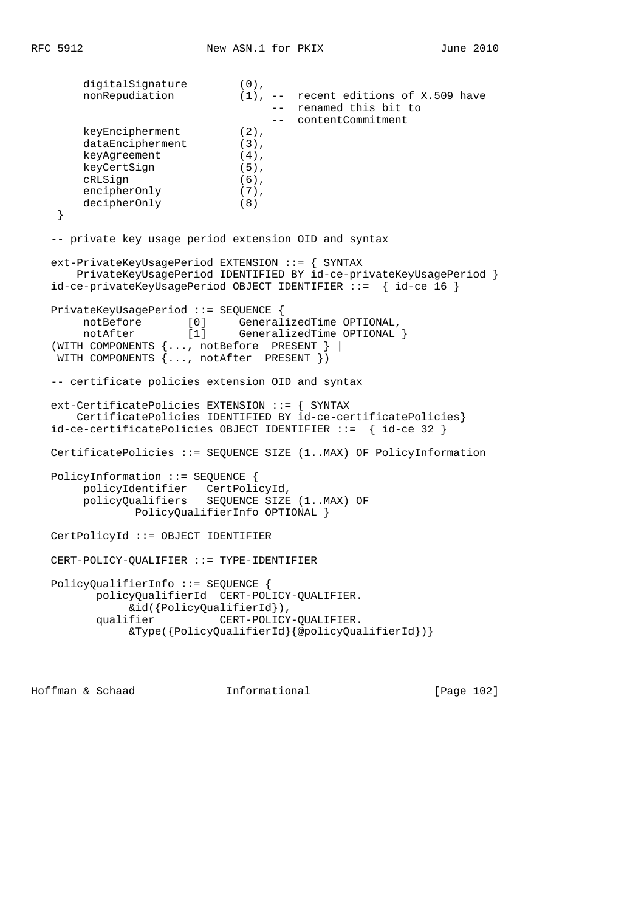digitalSignature (0), nonRepudiation (1), -- recent editions of X.509 have -- renamed this bit to -- contentCommitment keyEncipherment (2), dataEncipherment (3),<br>keyAgreement (4), keyAgreement (4),<br>keyCertSign (5), keyCertSign (5), cRLSign (6), encipherOnly (7), decipherOnly (8) } -- private key usage period extension OID and syntax ext-PrivateKeyUsagePeriod EXTENSION ::= { SYNTAX PrivateKeyUsagePeriod IDENTIFIED BY id-ce-privateKeyUsagePeriod } id-ce-privateKeyUsagePeriod OBJECT IDENTIFIER ::= { id-ce 16 } PrivateKeyUsagePeriod ::= SEQUENCE { notBefore [0] GeneralizedTime OPTIONAL, notAfter [1] GeneralizedTime OPTIONAL } (WITH COMPONENTS {..., notBefore PRESENT } | WITH COMPONENTS {..., notAfter PRESENT }) -- certificate policies extension OID and syntax ext-CertificatePolicies EXTENSION ::= { SYNTAX CertificatePolicies IDENTIFIED BY id-ce-certificatePolicies} id-ce-certificatePolicies OBJECT IDENTIFIER ::= { id-ce 32 } CertificatePolicies ::= SEQUENCE SIZE (1..MAX) OF PolicyInformation PolicyInformation ::= SEQUENCE { policyIdentifier CertPolicyId, policyQualifiers SEQUENCE SIZE (1..MAX) OF PolicyQualifierInfo OPTIONAL } CertPolicyId ::= OBJECT IDENTIFIER CERT-POLICY-QUALIFIER ::= TYPE-IDENTIFIER PolicyQualifierInfo ::= SEQUENCE { policyQualifierId CERT-POLICY-QUALIFIER. &id({PolicyQualifierId}), qualifier CERT-POLICY-QUALIFIER. &Type({PolicyQualifierId}{@policyQualifierId})}

Hoffman & Schaad Informational [Page 102]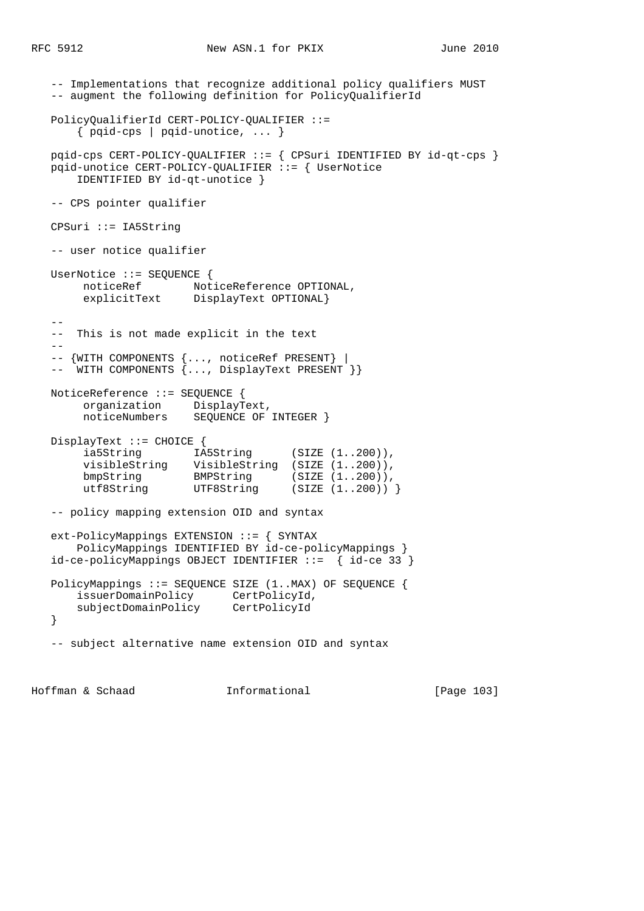```
 -- Implementations that recognize additional policy qualifiers MUST
   -- augment the following definition for PolicyQualifierId
   PolicyQualifierId CERT-POLICY-QUALIFIER ::=
       { pqid-cps | pqid-unotice, ... }
   pqid-cps CERT-POLICY-QUALIFIER ::= { CPSuri IDENTIFIED BY id-qt-cps }
   pqid-unotice CERT-POLICY-QUALIFIER ::= { UserNotice
       IDENTIFIED BY id-qt-unotice }
   -- CPS pointer qualifier
   CPSuri ::= IA5String
   -- user notice qualifier
   UserNotice ::= SEQUENCE {
      noticeRef MoticeReference OPTIONAL,<br>explicitText DisplayText OPTIONAL}
                      DisplayText OPTIONAL}
 --
   -- This is not made explicit in the text
- -- {WITH COMPONENTS {..., noticeRef PRESENT} |
  -- WITH COMPONENTS {..., DisplayText PRESENT }}
   NoticeReference ::= SEQUENCE {
 organization DisplayText,
 noticeNumbers SEQUENCE OF INTEGER }
   DisplayText ::= CHOICE {
       ia5String IA5String (SIZE (1..200)),
 visibleString VisibleString (SIZE (1..200)),
bmpString BMPString (SIZE (1..200)),
 utf8String UTF8String (SIZE (1..200)) }
   -- policy mapping extension OID and syntax
   ext-PolicyMappings EXTENSION ::= { SYNTAX
       PolicyMappings IDENTIFIED BY id-ce-policyMappings }
   id-ce-policyMappings OBJECT IDENTIFIER ::= { id-ce 33 }
   PolicyMappings ::= SEQUENCE SIZE (1..MAX) OF SEQUENCE {
       issuerDomainPolicy CertPolicyId,
       subjectDomainPolicy CertPolicyId
   }
   -- subject alternative name extension OID and syntax
```
Hoffman & Schaad Informational [Page 103]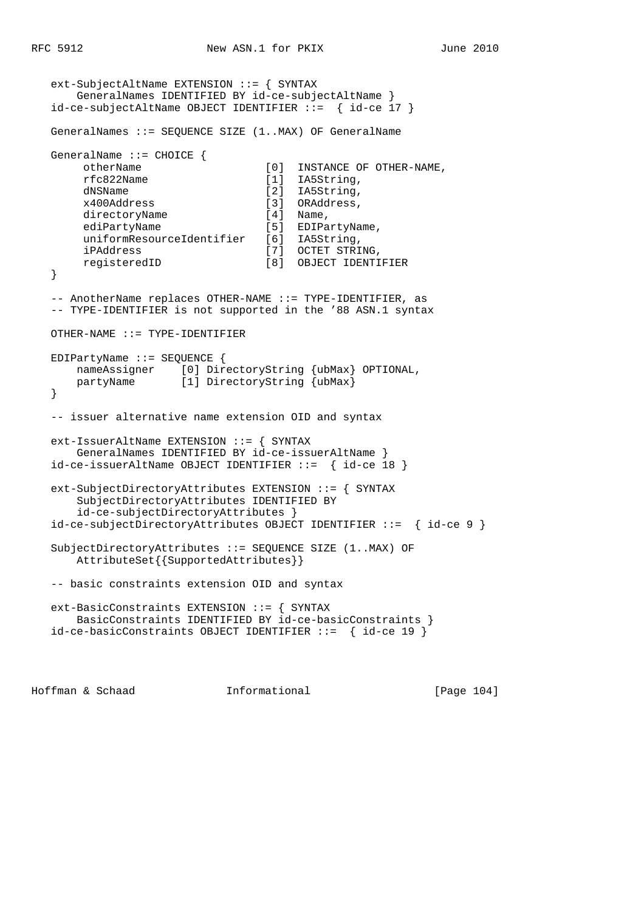```
 ext-SubjectAltName EXTENSION ::= { SYNTAX
       GeneralNames IDENTIFIED BY id-ce-subjectAltName }
   id-ce-subjectAltName OBJECT IDENTIFIER ::= { id-ce 17 }
   GeneralNames ::= SEQUENCE SIZE (1..MAX) OF GeneralName
   GeneralName ::= CHOICE {
       otherName [0] INSTANCE OF OTHER-NAME,
       rfc822Name [1] IA5String,
       dNSName [2] IA5String,
       x400Address [3] ORAddress,
       directoryName [4] Name,
      ediPartyName [5] EDIPartyName,
       uniformResourceIdentifier [6] IA5String,
      iPAddress [7] OCTET STRING,<br>registeredID [7] OCTET STRING,
       registeredID [8] OBJECT IDENTIFIER
   }
   -- AnotherName replaces OTHER-NAME ::= TYPE-IDENTIFIER, as
   -- TYPE-IDENTIFIER is not supported in the '88 ASN.1 syntax
   OTHER-NAME ::= TYPE-IDENTIFIER
   EDIPartyName ::= SEQUENCE {
 nameAssigner [0] DirectoryString {ubMax} OPTIONAL,
 partyName [1] DirectoryString {ubMax}
   }
   -- issuer alternative name extension OID and syntax
   ext-IssuerAltName EXTENSION ::= { SYNTAX
       GeneralNames IDENTIFIED BY id-ce-issuerAltName }
   id-ce-issuerAltName OBJECT IDENTIFIER ::= { id-ce 18 }
   ext-SubjectDirectoryAttributes EXTENSION ::= { SYNTAX
       SubjectDirectoryAttributes IDENTIFIED BY
       id-ce-subjectDirectoryAttributes }
   id-ce-subjectDirectoryAttributes OBJECT IDENTIFIER ::= { id-ce 9 }
   SubjectDirectoryAttributes ::= SEQUENCE SIZE (1..MAX) OF
       AttributeSet{{SupportedAttributes}}
   -- basic constraints extension OID and syntax
   ext-BasicConstraints EXTENSION ::= { SYNTAX
      BasicConstraints IDENTIFIED BY id-ce-basicConstraints }
   id-ce-basicConstraints OBJECT IDENTIFIER ::= { id-ce 19 }
```
Hoffman & Schaad 1nformational [Page 104]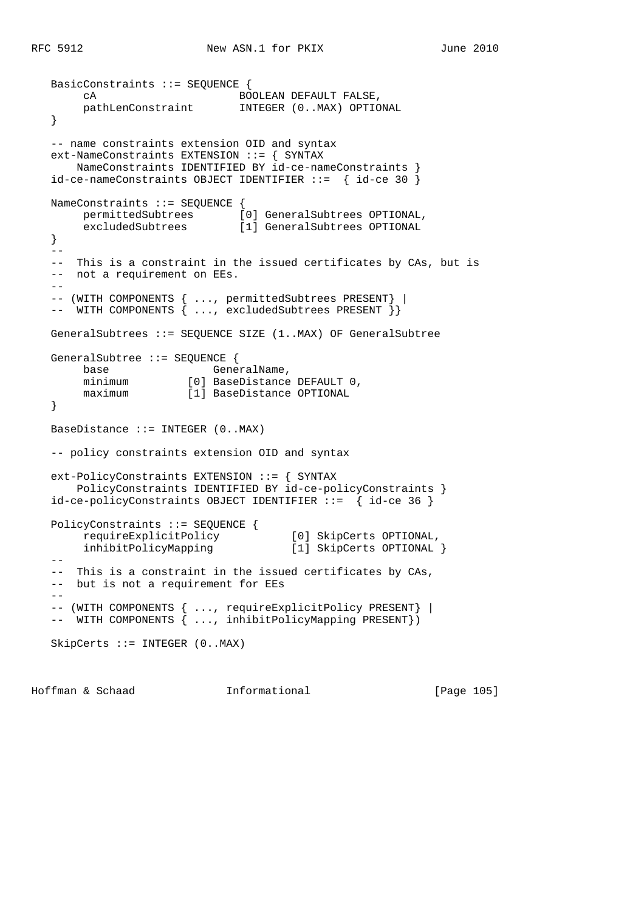```
 BasicConstraints ::= SEQUENCE {
       cA BOOLEAN DEFAULT FALSE,
                             INTEGER (0..MAX) OPTIONAL
   }
   -- name constraints extension OID and syntax
   ext-NameConstraints EXTENSION ::= { SYNTAX
      NameConstraints IDENTIFIED BY id-ce-nameConstraints }
   id-ce-nameConstraints OBJECT IDENTIFIER ::= { id-ce 30 }
   NameConstraints ::= SEQUENCE {
 permittedSubtrees [0] GeneralSubtrees OPTIONAL,
 excludedSubtrees [1] GeneralSubtrees OPTIONAL
   }
  - - -- This is a constraint in the issued certificates by CAs, but is
  -- not a requirement on EEs.
  - -- (WITH COMPONENTS { ..., permittedSubtrees PRESENT} |
  -- WITH COMPONENTS { ..., excludedSubtrees PRESENT }}
   GeneralSubtrees ::= SEQUENCE SIZE (1..MAX) OF GeneralSubtree
   GeneralSubtree ::= SEQUENCE {
base GeneralName,
 minimum [0] BaseDistance DEFAULT 0,
 maximum [1] BaseDistance OPTIONAL
   }
   BaseDistance ::= INTEGER (0..MAX)
   -- policy constraints extension OID and syntax
   ext-PolicyConstraints EXTENSION ::= { SYNTAX
       PolicyConstraints IDENTIFIED BY id-ce-policyConstraints }
   id-ce-policyConstraints OBJECT IDENTIFIER ::= { id-ce 36 }
   PolicyConstraints ::= SEQUENCE {
       requireExplicitPolicy [0] SkipCerts OPTIONAL,
       inhibitPolicyMapping [1] SkipCerts OPTIONAL }
  - - -- This is a constraint in the issued certificates by CAs,
   -- but is not a requirement for EEs
  - - -- (WITH COMPONENTS { ..., requireExplicitPolicy PRESENT} |
 -- WITH COMPONENTS { ..., inhibitPolicyMapping PRESENT})
   SkipCerts ::= INTEGER (0..MAX)
```
Hoffman & Schaad 1nformational [Page 105]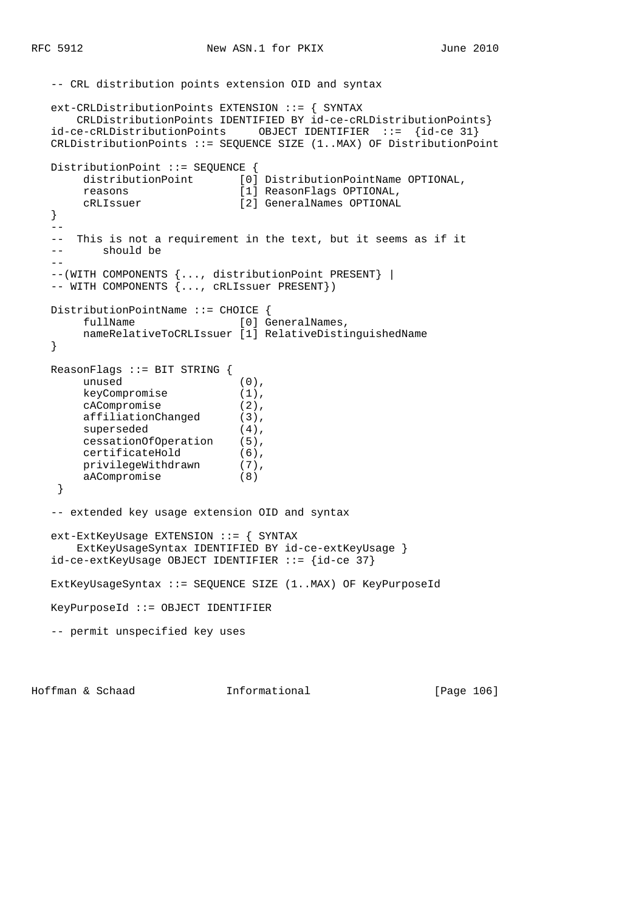```
 -- CRL distribution points extension OID and syntax
   ext-CRLDistributionPoints EXTENSION ::= { SYNTAX
      CRLDistributionPoints IDENTIFIED BY id-ce-cRLDistributionPoints}
   id-ce-cRLDistributionPoints OBJECT IDENTIFIER ::= {id-ce 31}
   CRLDistributionPoints ::= SEQUENCE SIZE (1..MAX) OF DistributionPoint
  DistributionPoint ::= SEQUENCE {
     distributionPoint [0] DistributionPointName OPTIONAL,
       reasons [1] ReasonFlags OPTIONAL,
       cRLIssuer [2] GeneralNames OPTIONAL
   }
  -\,- -- This is not a requirement in the text, but it seems as if it
   -- should be
  - - --(WITH COMPONENTS {..., distributionPoint PRESENT} |
 -- WITH COMPONENTS {..., cRLIssuer PRESENT})
   DistributionPointName ::= CHOICE {
      fullName [0] GeneralNames,
        nameRelativeToCRLIssuer [1] RelativeDistinguishedName
   }
   ReasonFlags ::= BIT STRING {
       unused (0),
      keyCompromise (1),<br>cACompromise (2),
 cACompromise (2),
 affiliationChanged (3),
superseded (4),
 cessationOfOperation (5),
 certificateHold (6),
      ertificateHold (6),<br>privilegeWithdrawn (7),
       aACompromise (8)
    }
   -- extended key usage extension OID and syntax
   ext-ExtKeyUsage EXTENSION ::= { SYNTAX
       ExtKeyUsageSyntax IDENTIFIED BY id-ce-extKeyUsage }
  id-ce-extKeyUsage OBJECT IDENTIFYER ::= {id-ce 37} ExtKeyUsageSyntax ::= SEQUENCE SIZE (1..MAX) OF KeyPurposeId
   KeyPurposeId ::= OBJECT IDENTIFIER
   -- permit unspecified key uses
```
Hoffman & Schaad Informational [Page 106]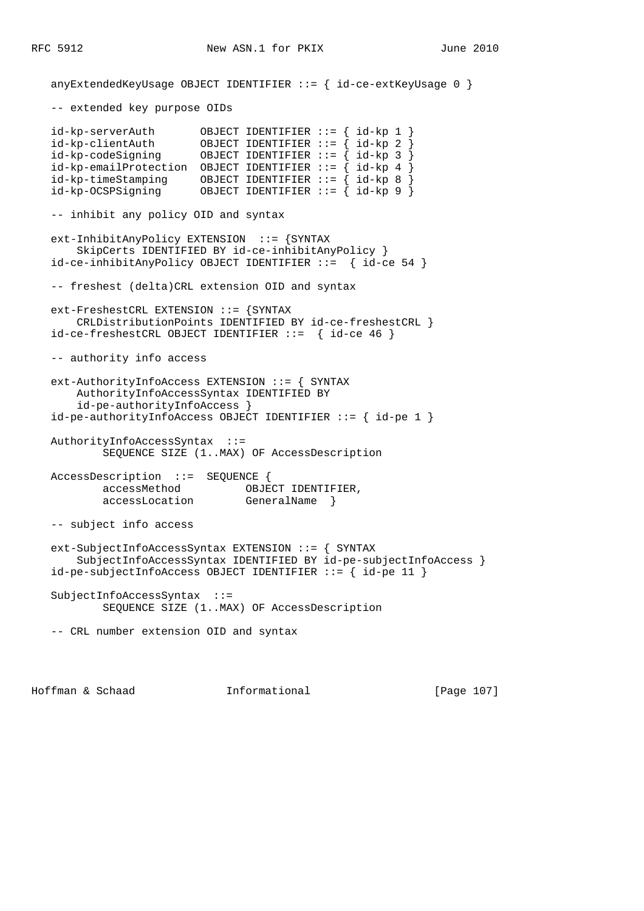anyExtendedKeyUsage OBJECT IDENTIFIER ::= { id-ce-extKeyUsage 0 } -- extended key purpose OIDs id-kp-serverAuth OBJECT IDENTIFIER ::= { id-kp 1 } id-kp-clientAuth OBJECT IDENTIFIER ::= { id-kp 2 } id-kp-codeSigning OBJECT IDENTIFIER ::= { id-kp 3 } id-kp-emailProtection OBJECT IDENTIFIER  $:= \{ id - kp \ 4 \}$  id-kp-timeStamping OBJECT IDENTIFIER ::= { id-kp 8 } id-kp-OCSPSigning OBJECT IDENTIFIER ::= { id-kp 9 } -- inhibit any policy OID and syntax ext-InhibitAnyPolicy EXTENSION ::= {SYNTAX SkipCerts IDENTIFIED BY id-ce-inhibitAnyPolicy } id-ce-inhibitAnyPolicy OBJECT IDENTIFIER ::= { id-ce 54 } -- freshest (delta)CRL extension OID and syntax ext-FreshestCRL EXTENSION ::= {SYNTAX CRLDistributionPoints IDENTIFIED BY id-ce-freshestCRL } id-ce-freshestCRL OBJECT IDENTIFIER ::= { id-ce 46 } -- authority info access ext-AuthorityInfoAccess EXTENSION ::= { SYNTAX AuthorityInfoAccessSyntax IDENTIFIED BY id-pe-authorityInfoAccess } id-pe-authorityInfoAccess OBJECT IDENTIFIER ::= { id-pe 1 } AuthorityInfoAccessSyntax ::= SEQUENCE SIZE (1..MAX) OF AccessDescription AccessDescription ::= SEQUENCE { accessMethod OBJECT IDENTIFIER, accessLocation GeneralName } -- subject info access ext-SubjectInfoAccessSyntax EXTENSION ::= { SYNTAX SubjectInfoAccessSyntax IDENTIFIED BY id-pe-subjectInfoAccess } id-pe-subjectInfoAccess OBJECT IDENTIFIER ::= { id-pe 11 } SubjectInfoAccessSyntax ::= SEQUENCE SIZE (1..MAX) OF AccessDescription -- CRL number extension OID and syntax

Hoffman & Schaad Informational [Page 107]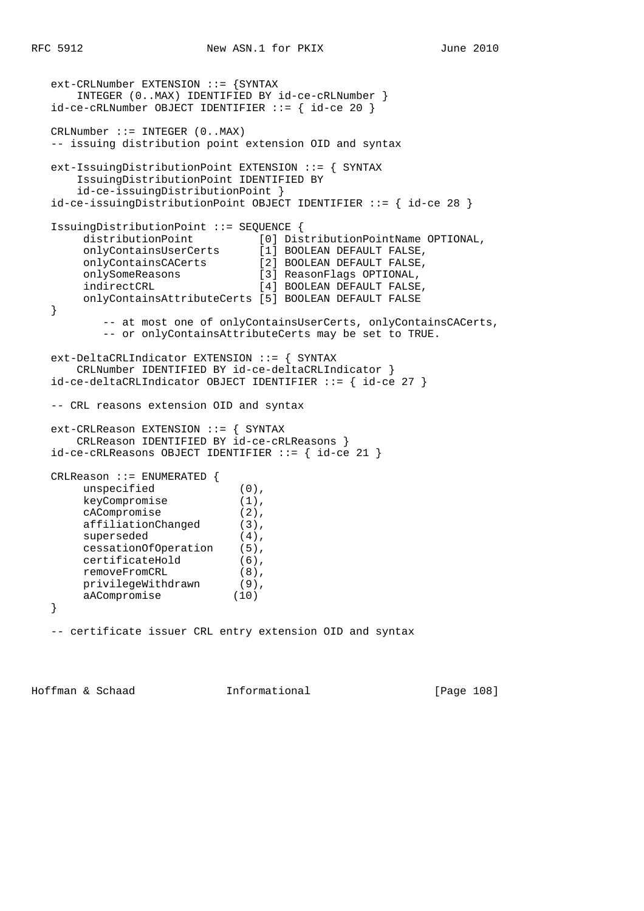```
 ext-CRLNumber EXTENSION ::= {SYNTAX
       INTEGER (0..MAX) IDENTIFIED BY id-ce-cRLNumber }
   id-ce-cRLNumber OBJECT IDENTIFIER ::= { id-ce 20 }
   CRLNumber ::= INTEGER (0..MAX)
   -- issuing distribution point extension OID and syntax
   ext-IssuingDistributionPoint EXTENSION ::= { SYNTAX
       IssuingDistributionPoint IDENTIFIED BY
       id-ce-issuingDistributionPoint }
   id-ce-issuingDistributionPoint OBJECT IDENTIFIER ::= { id-ce 28 }
   IssuingDistributionPoint ::= SEQUENCE {
 distributionPoint [0] DistributionPointName OPTIONAL,
 onlyContainsUserCerts [1] BOOLEAN DEFAULT FALSE,
 onlyContainsCACerts [2] BOOLEAN DEFAULT FALSE,
 onlySomeReasons [3] ReasonFlags OPTIONAL,
 indirectCRL [4] BOOLEAN DEFAULT FALSE,
       onlyContainsAttributeCerts [5] BOOLEAN DEFAULT FALSE
   }
           -- at most one of onlyContainsUserCerts, onlyContainsCACerts,
          -- or onlyContainsAttributeCerts may be set to TRUE.
   ext-DeltaCRLIndicator EXTENSION ::= { SYNTAX
       CRLNumber IDENTIFIED BY id-ce-deltaCRLIndicator }
   id-ce-deltaCRLIndicator OBJECT IDENTIFIER ::= { id-ce 27 }
   -- CRL reasons extension OID and syntax
   ext-CRLReason EXTENSION ::= { SYNTAX
       CRLReason IDENTIFIED BY id-ce-cRLReasons }
   id-ce-cRLReasons OBJECT IDENTIFIER ::= { id-ce 21 }
   CRLReason ::= ENUMERATED {
      unspecified (0),
 keyCompromise (1),
 cACompromise (2),
      affiliationChanged (3),<br>supercoded (4)
       superseded (4),
        cessationOfOperation (5),
      certificateHold (6),<br>removeFromCRL (8),
removeFromCRL (8),
 privilegeWithdrawn (9),
 aACompromise (10)
   }
   -- certificate issuer CRL entry extension OID and syntax
```
Hoffman & Schaad **Informational** [Page 108]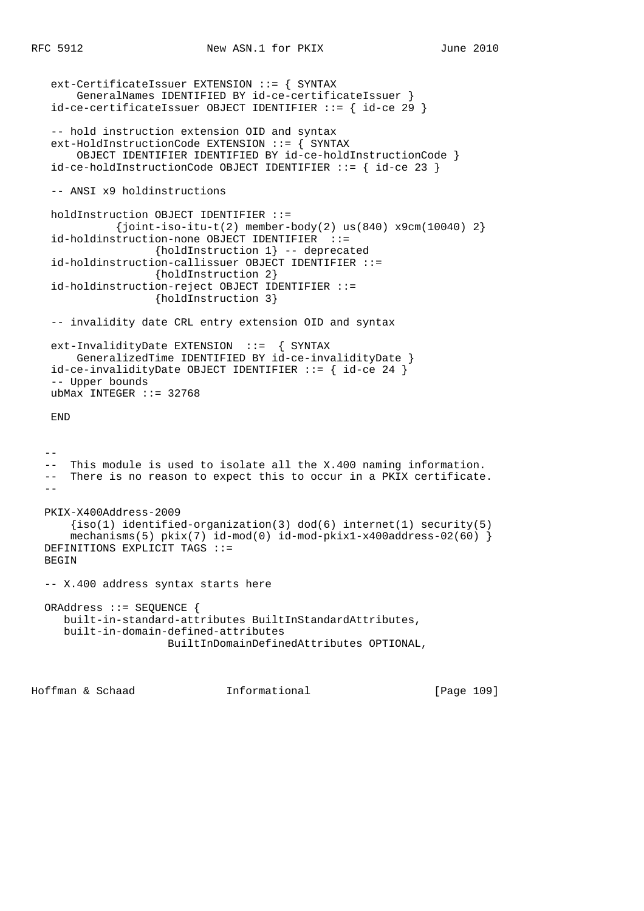```
 ext-CertificateIssuer EXTENSION ::= { SYNTAX
       GeneralNames IDENTIFIED BY id-ce-certificateIssuer }
  id-ce-certificateIssuer OBJECT IDENTIFIER ::= { id-ce 29 } -- hold instruction extension OID and syntax
   ext-HoldInstructionCode EXTENSION ::= { SYNTAX
       OBJECT IDENTIFIER IDENTIFIED BY id-ce-holdInstructionCode }
   id-ce-holdInstructionCode OBJECT IDENTIFIER ::= { id-ce 23 }
   -- ANSI x9 holdinstructions
   holdInstruction OBJECT IDENTIFIER ::=
             {joint-iso-itu-t(2) member-body(2) us(840) x9cm(10040) 2} id-holdinstruction-none OBJECT IDENTIFIER ::=
                    {holdInstruction 1} -- deprecated
   id-holdinstruction-callissuer OBJECT IDENTIFIER ::=
                    {holdInstruction 2}
   id-holdinstruction-reject OBJECT IDENTIFIER ::=
                    {holdInstruction 3}
   -- invalidity date CRL entry extension OID and syntax
   ext-InvalidityDate EXTENSION ::= { SYNTAX
       GeneralizedTime IDENTIFIED BY id-ce-invalidityDate }
   id-ce-invalidityDate OBJECT IDENTIFIER ::= { id-ce 24 }
   -- Upper bounds
  ubMax INTEGER :: = 32768 END
 - - -- This module is used to isolate all the X.400 naming information.
  -- There is no reason to expect this to occur in a PKIX certificate.
- PKIX-X400Address-2009
     {s(1)} identified-organization(3) dod(6) internet(1) security(5)
      mechanisms(5) pkix(7) id-mod(0) id-mod-pkix1-x400address-02(60) }
  DEFINITIONS EXPLICIT TAGS ::=
  BEGIN
  -- X.400 address syntax starts here
  ORAddress ::= SEQUENCE {
     built-in-standard-attributes BuiltInStandardAttributes,
     built-in-domain-defined-attributes
                      BuiltInDomainDefinedAttributes OPTIONAL,
```
Hoffman & Schaad Informational [Page 109]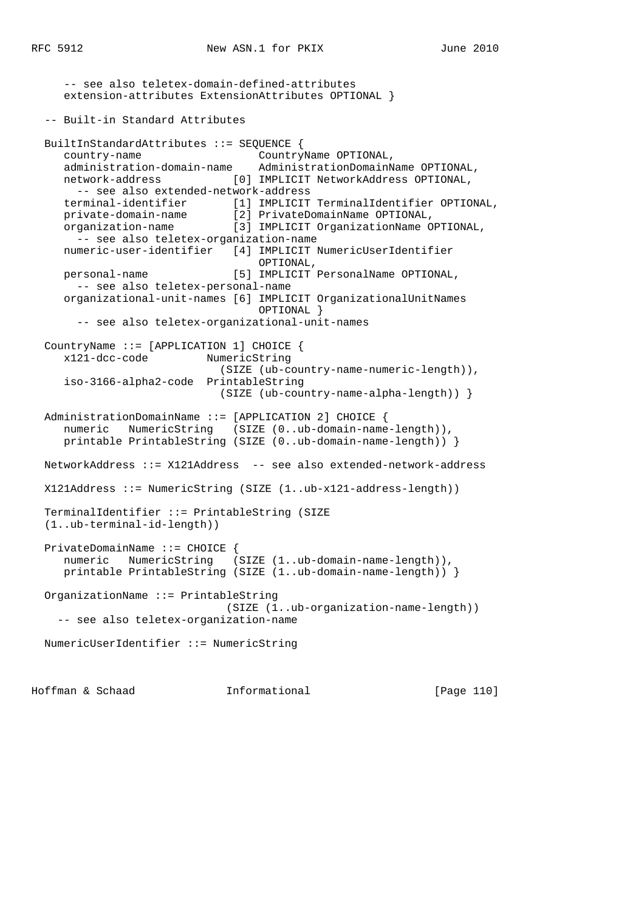-- see also teletex-domain-defined-attributes extension-attributes ExtensionAttributes OPTIONAL } -- Built-in Standard Attributes BuiltInStandardAttributes ::= SEQUENCE { country-name CountryName OPTIONAL, administration-domain-name AdministrationDomainName OPTIONAL, network-address [0] IMPLICIT NetworkAddress OPTIONAL, -- see also extended-network-address terminal-identifier [1] IMPLICIT TerminalIdentifier OPTIONAL, private-domain-name [2] PrivateDomainName OPTIONAL, organization-name [3] IMPLICIT OrganizationName OPTIONAL, -- see also teletex-organization-name numeric-user-identifier [4] IMPLICIT NumericUserIdentifier OPTIONAL, personal-name [5] IMPLICIT PersonalName OPTIONAL, -- see also teletex-personal-name organizational-unit-names [6] IMPLICIT OrganizationalUnitNames OPTIONAL } -- see also teletex-organizational-unit-names CountryName ::= [APPLICATION 1] CHOICE { x121-dcc-code NumericString (SIZE (ub-country-name-numeric-length)), iso-3166-alpha2-code PrintableString (SIZE (ub-country-name-alpha-length)) } AdministrationDomainName ::= [APPLICATION 2] CHOICE { numeric NumericString (SIZE (0..ub-domain-name-length)), printable PrintableString (SIZE (0..ub-domain-name-length)) } NetworkAddress ::= X121Address -- see also extended-network-address X121Address ::= NumericString (SIZE (1..ub-x121-address-length)) TerminalIdentifier ::= PrintableString (SIZE (1..ub-terminal-id-length)) PrivateDomainName ::= CHOICE { numeric NumericString (SIZE (1..ub-domain-name-length)), printable PrintableString (SIZE (1..ub-domain-name-length)) } OrganizationName ::= PrintableString (SIZE (1..ub-organization-name-length)) -- see also teletex-organization-name NumericUserIdentifier ::= NumericString

Hoffman & Schaad Informational [Page 110]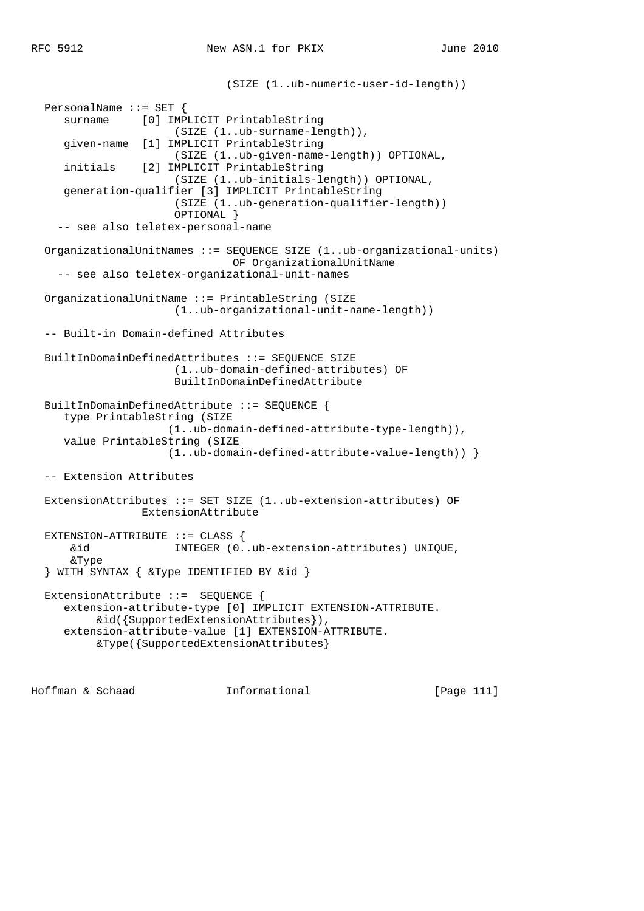```
 (SIZE (1..ub-numeric-user-id-length))
 PersonalName ::= SET {
    surname [0] IMPLICIT PrintableString
                     (SIZE (1..ub-surname-length)),
    given-name [1] IMPLICIT PrintableString
                     (SIZE (1..ub-given-name-length)) OPTIONAL,
    initials [2] IMPLICIT PrintableString
                     (SIZE (1..ub-initials-length)) OPTIONAL,
    generation-qualifier [3] IMPLICIT PrintableString
                     (SIZE (1..ub-generation-qualifier-length))
                     OPTIONAL }
   -- see also teletex-personal-name
 OrganizationalUnitNames ::= SEQUENCE SIZE (1..ub-organizational-units)
                              OF OrganizationalUnitName
   -- see also teletex-organizational-unit-names
 OrganizationalUnitName ::= PrintableString (SIZE
                     (1..ub-organizational-unit-name-length))
 -- Built-in Domain-defined Attributes
 BuiltInDomainDefinedAttributes ::= SEQUENCE SIZE
                     (1..ub-domain-defined-attributes) OF
                     BuiltInDomainDefinedAttribute
 BuiltInDomainDefinedAttribute ::= SEQUENCE {
    type PrintableString (SIZE
                    (1..ub-domain-defined-attribute-type-length)),
    value PrintableString (SIZE
                    (1..ub-domain-defined-attribute-value-length)) }
 -- Extension Attributes
 ExtensionAttributes ::= SET SIZE (1..ub-extension-attributes) OF
                ExtensionAttribute
 EXTENSION-ATTRIBUTE ::= CLASS {
     &id INTEGER (0..ub-extension-attributes) UNIQUE,
     &Type
 } WITH SYNTAX { &Type IDENTIFIED BY &id }
 ExtensionAttribute ::= SEQUENCE {
   extension-attribute-type [0] IMPLICIT EXTENSION-ATTRIBUTE.
        &id({SupportedExtensionAttributes}),
    extension-attribute-value [1] EXTENSION-ATTRIBUTE.
         &Type({SupportedExtensionAttributes}
```
Hoffman & Schaad Informational [Page 111]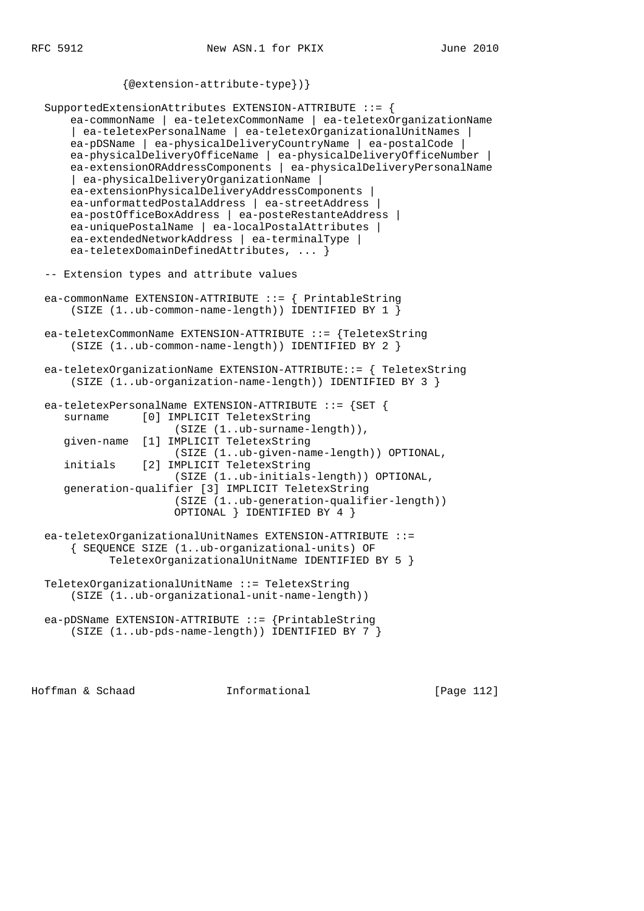```
 {@extension-attribute-type})}
 SupportedExtensionAttributes EXTENSION-ATTRIBUTE ::= {
     ea-commonName | ea-teletexCommonName | ea-teletexOrganizationName
     | ea-teletexPersonalName | ea-teletexOrganizationalUnitNames |
     ea-pDSName | ea-physicalDeliveryCountryName | ea-postalCode |
     ea-physicalDeliveryOfficeName | ea-physicalDeliveryOfficeNumber |
     ea-extensionORAddressComponents | ea-physicalDeliveryPersonalName
     | ea-physicalDeliveryOrganizationName |
     ea-extensionPhysicalDeliveryAddressComponents |
     ea-unformattedPostalAddress | ea-streetAddress |
     ea-postOfficeBoxAddress | ea-posteRestanteAddress |
     ea-uniquePostalName | ea-localPostalAttributes |
     ea-extendedNetworkAddress | ea-terminalType |
     ea-teletexDomainDefinedAttributes, ... }
 -- Extension types and attribute values
 ea-commonName EXTENSION-ATTRIBUTE ::= { PrintableString
     (SIZE (1..ub-common-name-length)) IDENTIFIED BY 1 }
 ea-teletexCommonName EXTENSION-ATTRIBUTE ::= {TeletexString
     (SIZE (1..ub-common-name-length)) IDENTIFIED BY 2 }
 ea-teletexOrganizationName EXTENSION-ATTRIBUTE::= { TeletexString
     (SIZE (1..ub-organization-name-length)) IDENTIFIED BY 3 }
 ea-teletexPersonalName EXTENSION-ATTRIBUTE ::= {SET {
    surname [0] IMPLICIT TeletexString
                     (SIZE (1..ub-surname-length)),
    given-name [1] IMPLICIT TeletexString
                     (SIZE (1..ub-given-name-length)) OPTIONAL,
    initials [2] IMPLICIT TeletexString
                     (SIZE (1..ub-initials-length)) OPTIONAL,
    generation-qualifier [3] IMPLICIT TeletexString
                     (SIZE (1..ub-generation-qualifier-length))
                     OPTIONAL } IDENTIFIED BY 4 }
 ea-teletexOrganizationalUnitNames EXTENSION-ATTRIBUTE ::=
     { SEQUENCE SIZE (1..ub-organizational-units) OF
           TeletexOrganizationalUnitName IDENTIFIED BY 5 }
 TeletexOrganizationalUnitName ::= TeletexString
     (SIZE (1..ub-organizational-unit-name-length))
```

```
 ea-pDSName EXTENSION-ATTRIBUTE ::= {PrintableString
    (SIZE (1..ub-pds-name-length)) IDENTIFIED BY 7 }
```
Hoffman & Schaad Informational [Page 112]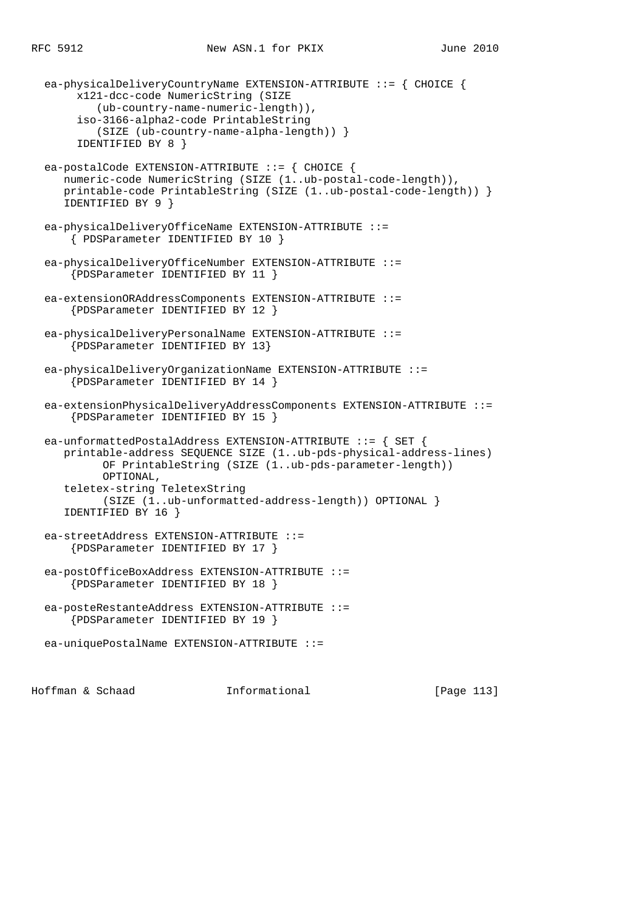ea-physicalDeliveryCountryName EXTENSION-ATTRIBUTE ::= { CHOICE { x121-dcc-code NumericString (SIZE (ub-country-name-numeric-length)), iso-3166-alpha2-code PrintableString (SIZE (ub-country-name-alpha-length)) } IDENTIFIED BY 8 } ea-postalCode EXTENSION-ATTRIBUTE ::= { CHOICE { numeric-code NumericString (SIZE (1..ub-postal-code-length)), printable-code PrintableString (SIZE (1..ub-postal-code-length)) } IDENTIFIED BY 9 } ea-physicalDeliveryOfficeName EXTENSION-ATTRIBUTE ::= { PDSParameter IDENTIFIED BY 10 } ea-physicalDeliveryOfficeNumber EXTENSION-ATTRIBUTE ::= {PDSParameter IDENTIFIED BY 11 } ea-extensionORAddressComponents EXTENSION-ATTRIBUTE ::= {PDSParameter IDENTIFIED BY 12 } ea-physicalDeliveryPersonalName EXTENSION-ATTRIBUTE ::= {PDSParameter IDENTIFIED BY 13} ea-physicalDeliveryOrganizationName EXTENSION-ATTRIBUTE ::= {PDSParameter IDENTIFIED BY 14 } ea-extensionPhysicalDeliveryAddressComponents EXTENSION-ATTRIBUTE ::= {PDSParameter IDENTIFIED BY 15 } ea-unformattedPostalAddress EXTENSION-ATTRIBUTE ::= { SET { printable-address SEQUENCE SIZE (1..ub-pds-physical-address-lines) OF PrintableString (SIZE (1..ub-pds-parameter-length)) OPTIONAL, teletex-string TeletexString (SIZE (1..ub-unformatted-address-length)) OPTIONAL } IDENTIFIED BY 16 } ea-streetAddress EXTENSION-ATTRIBUTE ::= {PDSParameter IDENTIFIED BY 17 } ea-postOfficeBoxAddress EXTENSION-ATTRIBUTE ::= {PDSParameter IDENTIFIED BY 18 } ea-posteRestanteAddress EXTENSION-ATTRIBUTE ::= {PDSParameter IDENTIFIED BY 19 } ea-uniquePostalName EXTENSION-ATTRIBUTE ::=

Hoffman & Schaad Informational [Page 113]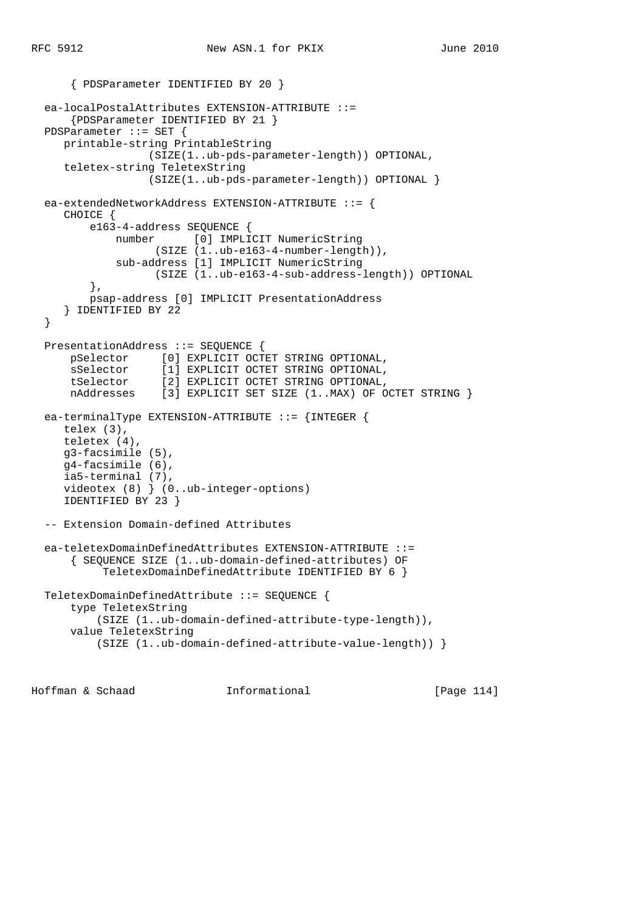```
 { PDSParameter IDENTIFIED BY 20 }
  ea-localPostalAttributes EXTENSION-ATTRIBUTE ::=
      {PDSParameter IDENTIFIED BY 21 }
  PDSParameter ::= SET {
     printable-string PrintableString
                  (SIZE(1..ub-pds-parameter-length)) OPTIONAL,
     teletex-string TeletexString
                  (SIZE(1..ub-pds-parameter-length)) OPTIONAL }
  ea-extendedNetworkAddress EXTENSION-ATTRIBUTE ::= {
     CHOICE {
         e163-4-address SEQUENCE {
             number [0] IMPLICIT NumericString
                   (SIZE (1..ub-e163-4-number-length)),
             sub-address [1] IMPLICIT NumericString
                  (SIZE (1..ub-e163-4-sub-address-length)) OPTIONAL
         },
         psap-address [0] IMPLICIT PresentationAddress
      } IDENTIFIED BY 22
  }
  PresentationAddress ::= SEQUENCE {
      pSelector [0] EXPLICIT OCTET STRING OPTIONAL,
      sSelector [1] EXPLICIT OCTET STRING OPTIONAL,
 tSelector [2] EXPLICIT OCTET STRING OPTIONAL,
 nAddresses [3] EXPLICIT SET SIZE (1..MAX) OF OCTET STRING }
  ea-terminalType EXTENSION-ATTRIBUTE ::= {INTEGER {
     telex (3),
     teletex (4),
     g3-facsimile (5),
     g4-facsimile (6),
     ia5-terminal (7),
     videotex (8) } (0..ub-integer-options)
     IDENTIFIED BY 23 }
  -- Extension Domain-defined Attributes
  ea-teletexDomainDefinedAttributes EXTENSION-ATTRIBUTE ::=
       { SEQUENCE SIZE (1..ub-domain-defined-attributes) OF
           TeletexDomainDefinedAttribute IDENTIFIED BY 6 }
  TeletexDomainDefinedAttribute ::= SEQUENCE {
      type TeletexString
          (SIZE (1..ub-domain-defined-attribute-type-length)),
      value TeletexString
           (SIZE (1..ub-domain-defined-attribute-value-length)) }
```
Hoffman & Schaad Informational [Page 114]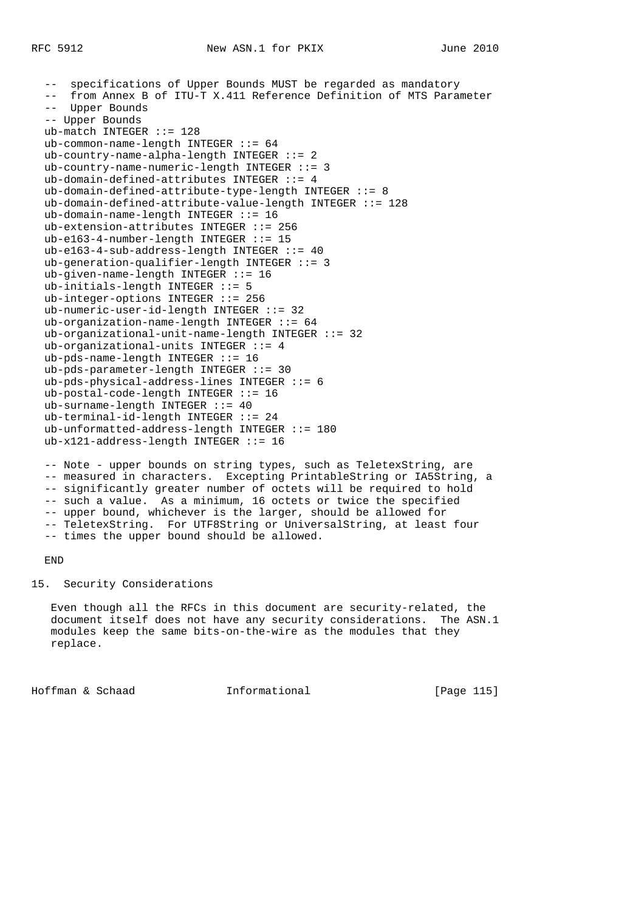-- specifications of Upper Bounds MUST be regarded as mandatory from Annex B of ITU-T X.411 Reference Definition of MTS Parameter -- Upper Bounds -- Upper Bounds ub-match INTEGER ::= 128 ub-common-name-length INTEGER  $::= 64$  $ub$ -country-name-alpha-length INTEGER ::= 2 ub-country-name-numeric-length INTEGER ::= 3 ub-domain-defined-attributes INTEGER ::= 4 ub-domain-defined-attribute-type-length INTEGER ::= 8 ub-domain-defined-attribute-value-length INTEGER ::= 128 ub-domain-name-length INTEGER ::= 16 ub-extension-attributes INTEGER ::= 256 ub-e163-4-number-length INTEGER ::= 15 ub-e163-4-sub-address-length INTEGER ::= 40 ub-generation-qualifier-length INTEGER ::= 3 ub-given-name-length INTEGER ::= 16 ub-initials-length INTEGER ::= 5 ub-integer-options INTEGER ::= 256 ub-numeric-user-id-length INTEGER ::= 32 ub-organization-name-length INTEGER ::= 64 ub-organizational-unit-name-length INTEGER ::= 32 ub-organizational-units INTEGER ::= 4 ub-pds-name-length INTEGER  $::= 16$  ub-pds-parameter-length INTEGER ::= 30 ub-pds-physical-address-lines INTEGER ::= 6 ub-postal-code-length INTEGER ::= 16 ub-surname-length INTEGER ::= 40 ub-terminal-id-length INTEGER ::= 24 ub-unformatted-address-length INTEGER ::= 180 ub-x121-address-length INTEGER ::= 16

 -- Note - upper bounds on string types, such as TeletexString, are -- measured in characters. Excepting PrintableString or IA5String, a -- significantly greater number of octets will be required to hold -- such a value. As a minimum, 16 octets or twice the specified -- upper bound, whichever is the larger, should be allowed for -- TeletexString. For UTF8String or UniversalString, at least four -- times the upper bound should be allowed.

## END

## 15. Security Considerations

 Even though all the RFCs in this document are security-related, the document itself does not have any security considerations. The ASN.1 modules keep the same bits-on-the-wire as the modules that they replace.

Hoffman & Schaad Informational [Page 115]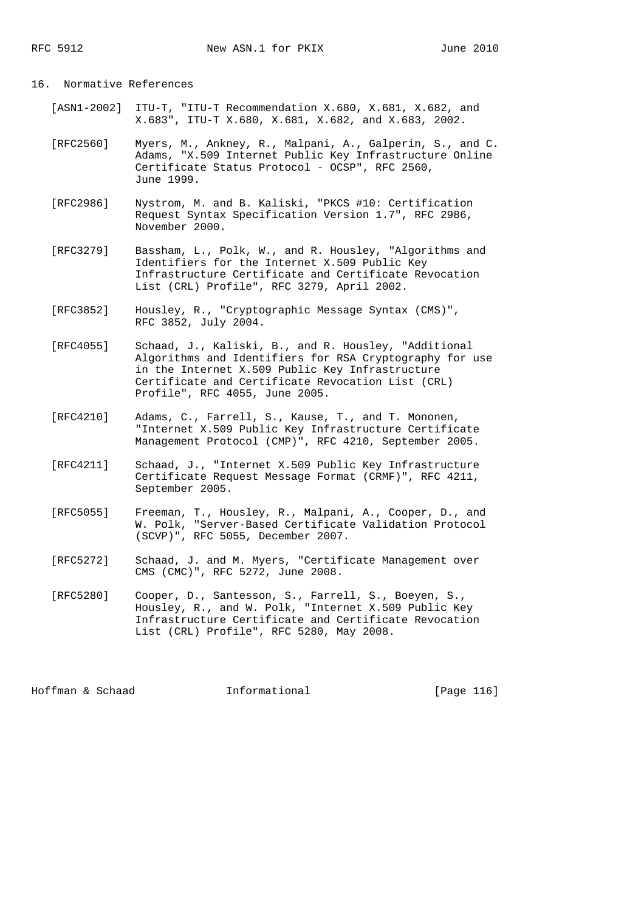## 16. Normative References

- [ASN1-2002] ITU-T, "ITU-T Recommendation X.680, X.681, X.682, and X.683", ITU-T X.680, X.681, X.682, and X.683, 2002.
- [RFC2560] Myers, M., Ankney, R., Malpani, A., Galperin, S., and C. Adams, "X.509 Internet Public Key Infrastructure Online Certificate Status Protocol - OCSP", RFC 2560, June 1999.
- [RFC2986] Nystrom, M. and B. Kaliski, "PKCS #10: Certification Request Syntax Specification Version 1.7", RFC 2986, November 2000.
- [RFC3279] Bassham, L., Polk, W., and R. Housley, "Algorithms and Identifiers for the Internet X.509 Public Key Infrastructure Certificate and Certificate Revocation List (CRL) Profile", RFC 3279, April 2002.
- [RFC3852] Housley, R., "Cryptographic Message Syntax (CMS)", RFC 3852, July 2004.
- [RFC4055] Schaad, J., Kaliski, B., and R. Housley, "Additional Algorithms and Identifiers for RSA Cryptography for use in the Internet X.509 Public Key Infrastructure Certificate and Certificate Revocation List (CRL) Profile", RFC 4055, June 2005.
- [RFC4210] Adams, C., Farrell, S., Kause, T., and T. Mononen, "Internet X.509 Public Key Infrastructure Certificate Management Protocol (CMP)", RFC 4210, September 2005.
- [RFC4211] Schaad, J., "Internet X.509 Public Key Infrastructure Certificate Request Message Format (CRMF)", RFC 4211, September 2005.
- [RFC5055] Freeman, T., Housley, R., Malpani, A., Cooper, D., and W. Polk, "Server-Based Certificate Validation Protocol (SCVP)", RFC 5055, December 2007.
- [RFC5272] Schaad, J. and M. Myers, "Certificate Management over CMS (CMC)", RFC 5272, June 2008.
- [RFC5280] Cooper, D., Santesson, S., Farrell, S., Boeyen, S., Housley, R., and W. Polk, "Internet X.509 Public Key Infrastructure Certificate and Certificate Revocation List (CRL) Profile", RFC 5280, May 2008.

Hoffman & Schaad Informational [Page 116]